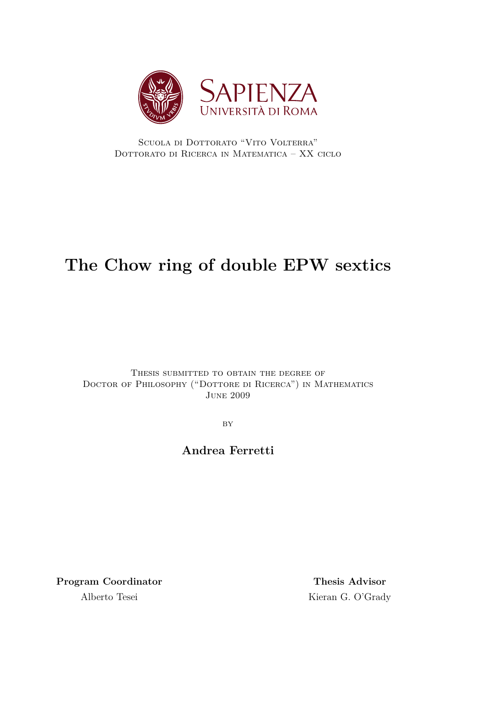

SCUOLA DI DOTTORATO "VITO VOLTERRA" Dottorato di Ricerca in Matematica – XX ciclo

# **The Chow ring of double EPW sextics**

Thesis submitted to obtain the degree of Doctor of Philosophy ("Dottore di Ricerca") in Mathematics June 2009

**BY** 

## **Andrea Ferretti**

Program Coordinator Thesis Advisor Alberto Tesei Kieran G. O'Grady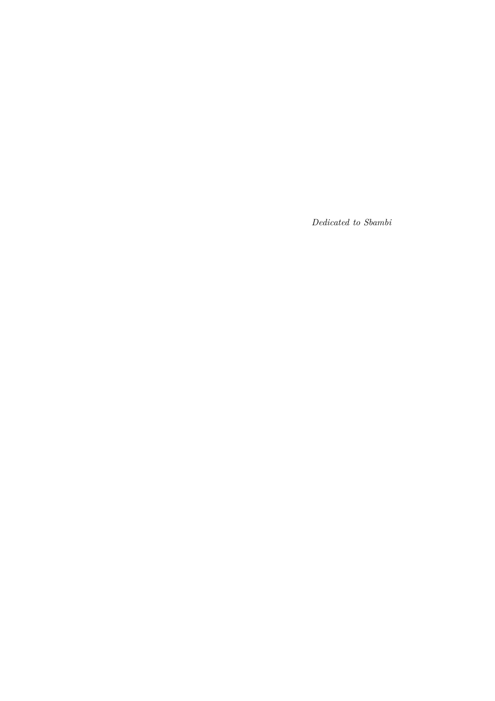*Dedicated to Sbambi*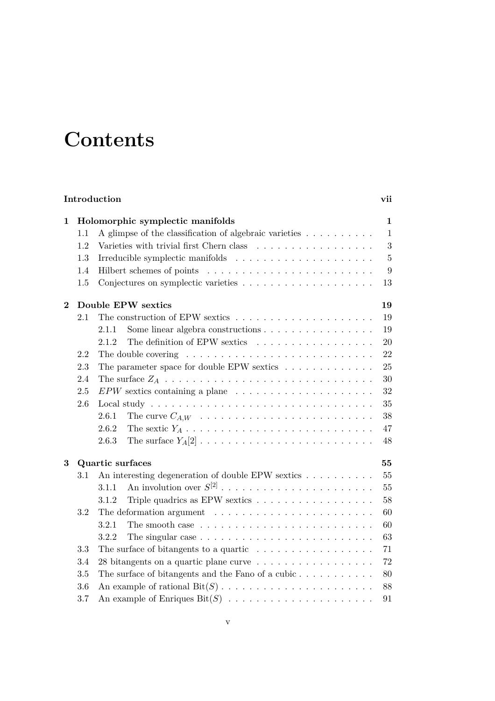# **Contents**

| Introduction   |                        |                                                                                              |                |  |  |  |
|----------------|------------------------|----------------------------------------------------------------------------------------------|----------------|--|--|--|
| $\mathbf{1}$   |                        | Holomorphic symplectic manifolds                                                             | 1              |  |  |  |
|                | $1.1\,$                | A glimpse of the classification of algebraic varieties                                       | $\mathbf{1}$   |  |  |  |
|                | 1.2                    |                                                                                              | 3              |  |  |  |
|                | 1.3                    |                                                                                              | $\overline{5}$ |  |  |  |
| 1.4            |                        |                                                                                              | 9              |  |  |  |
|                | 1.5                    |                                                                                              | 13             |  |  |  |
| $\overline{2}$ |                        | Double EPW sextics                                                                           | 19             |  |  |  |
|                | 2.1                    |                                                                                              | 19             |  |  |  |
|                |                        | Some linear algebra constructions<br>2.1.1                                                   | 19             |  |  |  |
|                |                        | The definition of EPW sextics<br>2.1.2                                                       | 20             |  |  |  |
|                | 2.2                    |                                                                                              | 22             |  |  |  |
|                | 2.3                    | The parameter space for double EPW sextics $\ldots \ldots \ldots \ldots$                     | 25             |  |  |  |
|                | 2.4                    | 30                                                                                           |                |  |  |  |
|                | 2.5                    | $EPW$ sextics containing a plane $\ldots \ldots \ldots \ldots \ldots \ldots$                 | 32             |  |  |  |
|                | 2.6                    |                                                                                              | 35             |  |  |  |
|                |                        | 2.6.1                                                                                        | 38             |  |  |  |
|                |                        | 2.6.2                                                                                        | 47             |  |  |  |
|                |                        | 2.6.3<br>The surface $Y_A[2] \ldots \ldots \ldots \ldots \ldots \ldots \ldots \ldots \ldots$ | 48             |  |  |  |
| 3              | Quartic surfaces<br>55 |                                                                                              |                |  |  |  |
|                | 3.1                    | An interesting degeneration of double EPW sextics                                            | 55             |  |  |  |
|                |                        | An involution over $S^{[2]}$<br>3.1.1                                                        | 55             |  |  |  |
|                |                        | Triple quadrics as EPW sextics $\dots \dots \dots \dots \dots \dots$<br>3.1.2                | 58             |  |  |  |
|                | 3.2                    | The deformation argument $\dots \dots \dots \dots \dots \dots \dots \dots \dots$             | 60             |  |  |  |
|                |                        | 3.2.1<br>The smooth case $\dots \dots \dots \dots \dots \dots \dots \dots \dots \dots$       | 60             |  |  |  |
|                |                        | The singular case $\ldots \ldots \ldots \ldots \ldots \ldots \ldots \ldots$<br>3.2.2         | 63             |  |  |  |
|                | 3.3                    | The surface of bitangents to a quartic $\ldots \ldots \ldots \ldots \ldots$                  | 71             |  |  |  |
|                | 3.4                    | 28 bitangents on a quartic plane curve<br>72                                                 |                |  |  |  |
|                | 3.5                    | The surface of bitangents and the Fano of a cubic $\dots \dots \dots$                        | 80             |  |  |  |
|                | 3.6                    | 88                                                                                           |                |  |  |  |
| 3.7            |                        |                                                                                              | 91             |  |  |  |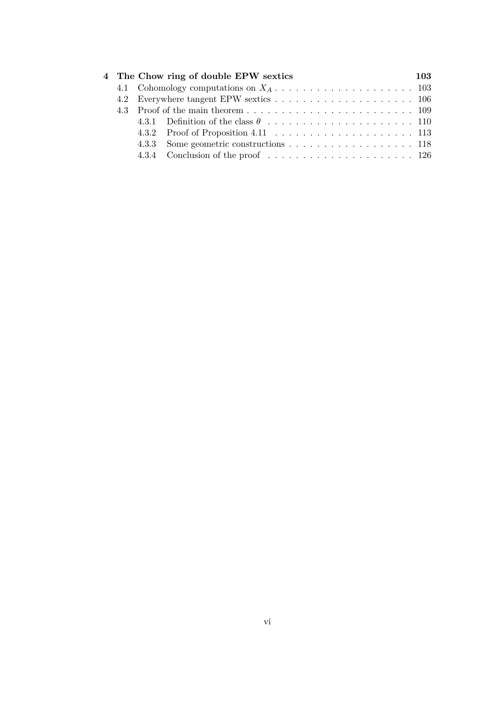|  | 4 The Chow ring of double EPW sextics        | 103 |
|--|----------------------------------------------|-----|
|  |                                              |     |
|  |                                              |     |
|  |                                              |     |
|  |                                              |     |
|  | 4.3.2 Proof of Proposition 4.11 $\ldots$ 113 |     |
|  | 4.3.3 Some geometric constructions 118       |     |
|  |                                              |     |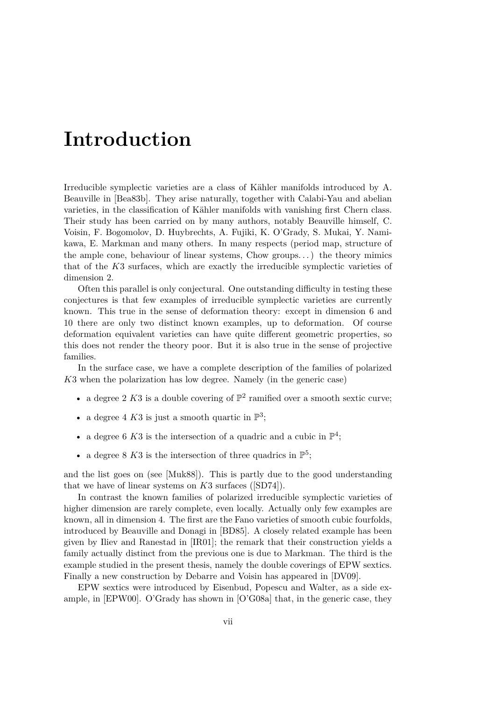# **Introduction**

Irreducible symplectic varieties are a class of Kähler manifolds introduced by A. Beauville in [Bea83b]. They arise naturally, together with Calabi-Yau and abelian varieties, in the classification of Kähler manifolds with vanishing first Chern class. Their study has been carried on by many authors, notably Beauville himself, C. Voisin, F. Bogomolov, D. Huybrechts, A. Fujiki, K. O'Grady, S. Mukai, Y. Namikawa, E. Markman and many others. In many respects (period map, structure of the ample cone, behaviour of linear systems, Chow groups. . .) the theory mimics that of the *K*3 surfaces, which are exactly the irreducible symplectic varieties of dimension 2.

Often this parallel is only conjectural. One outstanding difficulty in testing these conjectures is that few examples of irreducible symplectic varieties are currently known. This true in the sense of deformation theory: except in dimension 6 and 10 there are only two distinct known examples, up to deformation. Of course deformation equivalent varieties can have quite different geometric properties, so this does not render the theory poor. But it is also true in the sense of projective families.

In the surface case, we have a complete description of the families of polarized *K*3 when the polarization has low degree. Namely (in the generic case)

- a degree 2 K3 is a double covering of  $\mathbb{P}^2$  ramified over a smooth sextic curve;
- a degree 4  $K3$  is just a smooth quartic in  $\mathbb{P}^3$ ;
- a degree 6 K3 is the intersection of a quadric and a cubic in  $\mathbb{P}^4$ ;
- a degree 8 K3 is the intersection of three quadrics in  $\mathbb{P}^5$ ;

and the list goes on (see [Muk88]). This is partly due to the good understanding that we have of linear systems on *K*3 surfaces ([SD74]).

In contrast the known families of polarized irreducible symplectic varieties of higher dimension are rarely complete, even locally. Actually only few examples are known, all in dimension 4. The first are the Fano varieties of smooth cubic fourfolds, introduced by Beauville and Donagi in [BD85]. A closely related example has been given by Iliev and Ranestad in [IR01]; the remark that their construction yields a family actually distinct from the previous one is due to Markman. The third is the example studied in the present thesis, namely the double coverings of EPW sextics. Finally a new construction by Debarre and Voisin has appeared in [DV09].

EPW sextics were introduced by Eisenbud, Popescu and Walter, as a side example, in [EPW00]. O'Grady has shown in [O'G08a] that, in the generic case, they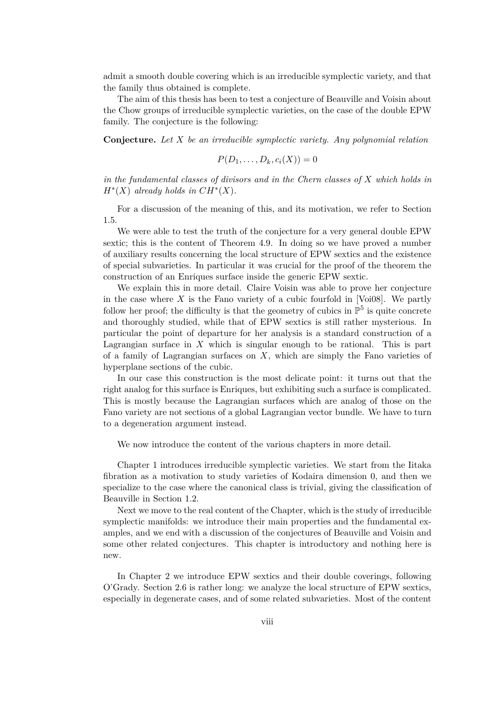admit a smooth double covering which is an irreducible symplectic variety, and that the family thus obtained is complete.

The aim of this thesis has been to test a conjecture of Beauville and Voisin about the Chow groups of irreducible symplectic varieties, on the case of the double EPW family. The conjecture is the following:

**Conjecture.** *Let X be an irreducible symplectic variety. Any polynomial relation*

$$
P(D_1,\ldots,D_k,c_i(X))=0
$$

*in the fundamental classes of divisors and in the Chern classes of X which holds in*  $H^*(X)$  *already holds in*  $CH^*(X)$ *.* 

For a discussion of the meaning of this, and its motivation, we refer to Section 1.5.

We were able to test the truth of the conjecture for a very general double EPW sextic; this is the content of Theorem 4.9. In doing so we have proved a number of auxiliary results concerning the local structure of EPW sextics and the existence of special subvarieties. In particular it was crucial for the proof of the theorem the construction of an Enriques surface inside the generic EPW sextic.

We explain this in more detail. Claire Voisin was able to prove her conjecture in the case where  $X$  is the Fano variety of a cubic fourfold in [Voi08]. We partly follow her proof; the difficulty is that the geometry of cubics in  $\mathbb{P}^5$  is quite concrete and thoroughly studied, while that of EPW sextics is still rather mysterious. In particular the point of departure for her analysis is a standard construction of a Lagrangian surface in *X* which is singular enough to be rational. This is part of a family of Lagrangian surfaces on *X*, which are simply the Fano varieties of hyperplane sections of the cubic.

In our case this construction is the most delicate point: it turns out that the right analog for this surface is Enriques, but exhibiting such a surface is complicated. This is mostly because the Lagrangian surfaces which are analog of those on the Fano variety are not sections of a global Lagrangian vector bundle. We have to turn to a degeneration argument instead.

We now introduce the content of the various chapters in more detail.

Chapter 1 introduces irreducible symplectic varieties. We start from the Iitaka fibration as a motivation to study varieties of Kodaira dimension 0, and then we specialize to the case where the canonical class is trivial, giving the classification of Beauville in Section 1.2.

Next we move to the real content of the Chapter, which is the study of irreducible symplectic manifolds: we introduce their main properties and the fundamental examples, and we end with a discussion of the conjectures of Beauville and Voisin and some other related conjectures. This chapter is introductory and nothing here is new.

In Chapter 2 we introduce EPW sextics and their double coverings, following O'Grady. Section 2.6 is rather long: we analyze the local structure of EPW sextics, especially in degenerate cases, and of some related subvarieties. Most of the content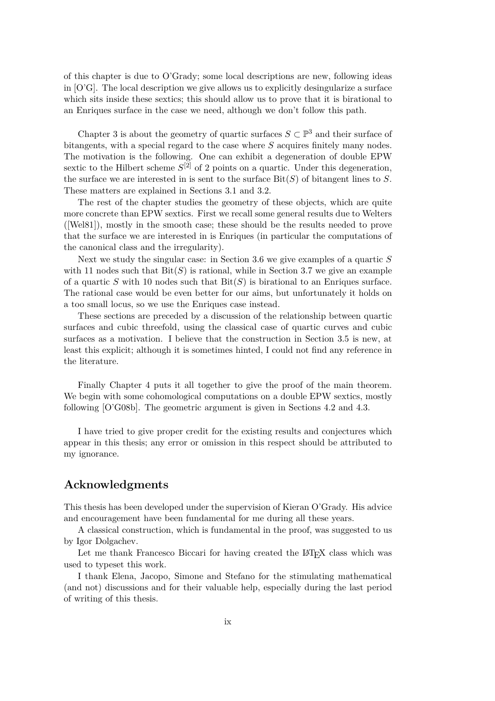of this chapter is due to O'Grady; some local descriptions are new, following ideas in [O'G]. The local description we give allows us to explicitly desingularize a surface which sits inside these sextics; this should allow us to prove that it is birational to an Enriques surface in the case we need, although we don't follow this path.

Chapter 3 is about the geometry of quartic surfaces  $S \subset \mathbb{P}^3$  and their surface of bitangents, with a special regard to the case where *S* acquires finitely many nodes. The motivation is the following. One can exhibit a degeneration of double EPW sextic to the Hilbert scheme  $S^{[2]}$  of 2 points on a quartic. Under this degeneration, the surface we are interested in is sent to the surface Bit(*S*) of bitangent lines to *S*. These matters are explained in Sections 3.1 and 3.2.

The rest of the chapter studies the geometry of these objects, which are quite more concrete than EPW sextics. First we recall some general results due to Welters ([Wel81]), mostly in the smooth case; these should be the results needed to prove that the surface we are interested in is Enriques (in particular the computations of the canonical class and the irregularity).

Next we study the singular case: in Section 3.6 we give examples of a quartic *S* with 11 nodes such that  $\text{Bit}(S)$  is rational, while in Section 3.7 we give an example of a quartic *S* with 10 nodes such that Bit(*S*) is birational to an Enriques surface. The rational case would be even better for our aims, but unfortunately it holds on a too small locus, so we use the Enriques case instead.

These sections are preceded by a discussion of the relationship between quartic surfaces and cubic threefold, using the classical case of quartic curves and cubic surfaces as a motivation. I believe that the construction in Section 3.5 is new, at least this explicit; although it is sometimes hinted, I could not find any reference in the literature.

Finally Chapter 4 puts it all together to give the proof of the main theorem. We begin with some cohomological computations on a double EPW sextics, mostly following [O'G08b]. The geometric argument is given in Sections 4.2 and 4.3.

I have tried to give proper credit for the existing results and conjectures which appear in this thesis; any error or omission in this respect should be attributed to my ignorance.

### **Acknowledgments**

This thesis has been developed under the supervision of Kieran O'Grady. His advice and encouragement have been fundamental for me during all these years.

A classical construction, which is fundamental in the proof, was suggested to us by Igor Dolgachev.

Let me thank Francesco Biccari for having created the LAT<sub>EX</sub> class which was used to typeset this work.

I thank Elena, Jacopo, Simone and Stefano for the stimulating mathematical (and not) discussions and for their valuable help, especially during the last period of writing of this thesis.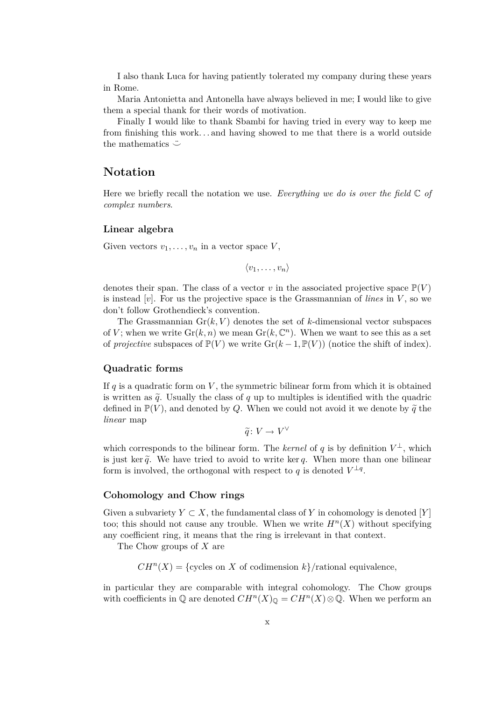I also thank Luca for having patiently tolerated my company during these years in Rome.

Maria Antonietta and Antonella have always believed in me; I would like to give them a special thank for their words of motivation.

Finally I would like to thank Sbambi for having tried in every way to keep me from finishing this work. . . and having showed to me that there is a world outside the mathematics ¨*⌣*

### **Notation**

Here we briefly recall the notation we use. *Everything we do is over the field* C *of complex numbers*.

#### **Linear algebra**

Given vectors  $v_1, \ldots, v_n$  in a vector space  $V$ ,

 $\langle v_1, \ldots, v_n \rangle$ 

denotes their span. The class of a vector *v* in the associated projective space  $\mathbb{P}(V)$ is instead [*v*]. For us the projective space is the Grassmannian of *lines* in *V* , so we don't follow Grothendieck's convention.

The Grassmannian  $\text{Gr}(k, V)$  denotes the set of *k*-dimensional vector subspaces of *V*; when we write  $\text{Gr}(k, n)$  we mean  $\text{Gr}(k, \mathbb{C}^n)$ . When we want to see this as a set of *projective* subspaces of  $\mathbb{P}(V)$  we write  $\text{Gr}(k-1,\mathbb{P}(V))$  (notice the shift of index).

#### **Quadratic forms**

If  $q$  is a quadratic form on  $V$ , the symmetric bilinear form from which it is obtained is written as  $\tilde{q}$ . Usually the class of  $q$  up to multiples is identified with the quadric defined in  $\mathbb{P}(V)$ , and denoted by Q. When we could not avoid it we denote by  $\tilde{q}$  the *linear* map

 $\widetilde{q}: V \to V^{\vee}$ 

which corresponds to the bilinear form. The *kernel* of  $q$  is by definition  $V^{\perp}$ , which is just ker  $\tilde{q}$ . We have tried to avoid to write ker q. When more than one bilinear form is involved, the orthogonal with respect to  $q$  is denoted  $V^{\perp q}$ .

#### **Cohomology and Chow rings**

Given a subvariety  $Y \subset X$ , the fundamental class of Y in cohomology is denoted [Y] too; this should not cause any trouble. When we write  $H<sup>n</sup>(X)$  without specifying any coefficient ring, it means that the ring is irrelevant in that context.

The Chow groups of *X* are

 $CH<sup>n</sup>(X) = {cycles on X of codimension k}/rational equivalence,$ 

in particular they are comparable with integral cohomology. The Chow groups with coefficients in  $\mathbb{Q}$  are denoted  $CH^n(X)_{\mathbb{Q}} = CH^n(X) \otimes \mathbb{Q}$ . When we perform an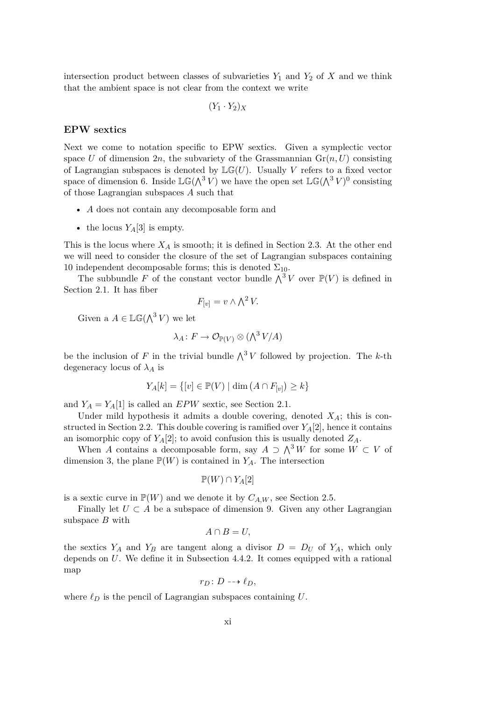intersection product between classes of subvarieties  $Y_1$  and  $Y_2$  of  $X$  and we think that the ambient space is not clear from the context we write

$$
(Y_1 \cdot Y_2)_X
$$

#### **EPW sextics**

Next we come to notation specific to EPW sextics. Given a symplectic vector space *U* of dimension 2*n*, the subvariety of the Grassmannian  $Gr(n, U)$  consisting of Lagrangian subspaces is denoted by  $\mathbb{LG}(U)$ . Usually *V* refers to a fixed vector space of dimension 6. Inside  $\mathbb{LG}(\Lambda^3 V)$  we have the open set  $\mathbb{LG}(\Lambda^3 V)^0$  consisting of those Lagrangian subspaces *A* such that

- *A* does not contain any decomposable form and
- the locus  $Y_A[3]$  is empty.

This is the locus where  $X_A$  is smooth; it is defined in Section 2.3. At the other end we will need to consider the closure of the set of Lagrangian subspaces containing 10 independent decomposable forms; this is denoted  $\Sigma_{10}$ .

The subbundle *F* of the constant vector bundle  $\Lambda^3 V$  over  $\mathbb{P}(V)$  is defined in Section 2.1. It has fiber

$$
F_{[v]} = v \wedge \bigwedge^2 V.
$$

Given a  $A \in \mathbb{LG}(\Lambda^3 V)$  we let

$$
\lambda_A \colon F \to \mathcal{O}_{\mathbb{P}(V)} \otimes (\bigwedge^3 V/A)
$$

be the inclusion of *F* in the trivial bundle  $\bigwedge^3 V$  followed by projection. The *k*-th degeneracy locus of  $\lambda_A$  is

$$
Y_A[k] = \{ [v] \in \mathbb{P}(V) \mid \dim (A \cap F_{[v]}) \ge k \}
$$

and  $Y_A = Y_A[1]$  is called an  $EPW$  sextic, see Section 2.1.

Under mild hypothesis it admits a double covering, denoted *XA*; this is constructed in Section 2.2. This double covering is ramified over *YA*[2], hence it contains an isomorphic copy of  $Y_A[2]$ ; to avoid confusion this is usually denoted  $Z_A$ .

When *A* contains a decomposable form, say  $A \supset \bigwedge^3 W$  for some  $W \subset V$  of dimension 3, the plane  $\mathbb{P}(W)$  is contained in  $Y_A$ . The intersection

$$
\mathbb{P}(W) \cap Y_A[2]
$$

is a sextic curve in  $\mathbb{P}(W)$  and we denote it by  $C_{A,W}$ , see Section 2.5.

Finally let  $U \subset A$  be a subspace of dimension 9. Given any other Lagrangian subspace *B* with

$$
A \cap B = U,
$$

the sextics  $Y_A$  and  $Y_B$  are tangent along a divisor  $D = D_U$  of  $Y_A$ , which only depends on *U*. We define it in Subsection 4.4.2. It comes equipped with a rational map

$$
r_D\colon D\dashrightarrow \ell_D,
$$

where  $\ell_D$  is the pencil of Lagrangian subspaces containing *U*.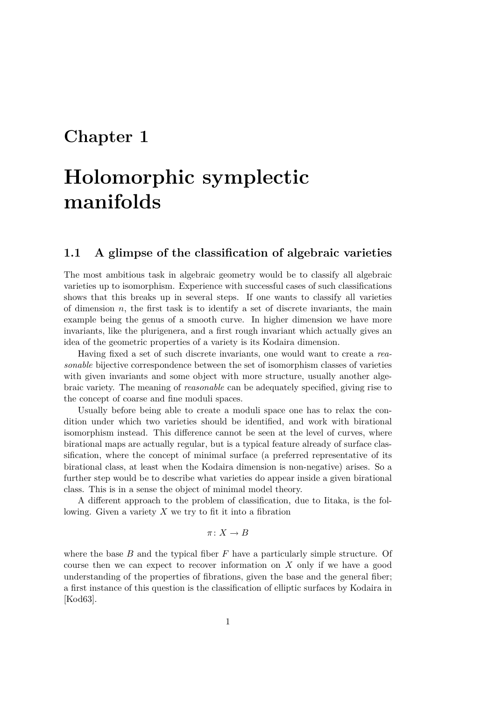# **Chapter 1**

# **Holomorphic symplectic manifolds**

## **1.1 A glimpse of the classification of algebraic varieties**

The most ambitious task in algebraic geometry would be to classify all algebraic varieties up to isomorphism. Experience with successful cases of such classifications shows that this breaks up in several steps. If one wants to classify all varieties of dimension  $n$ , the first task is to identify a set of discrete invariants, the main example being the genus of a smooth curve. In higher dimension we have more invariants, like the plurigenera, and a first rough invariant which actually gives an idea of the geometric properties of a variety is its Kodaira dimension.

Having fixed a set of such discrete invariants, one would want to create a *reasonable* bijective correspondence between the set of isomorphism classes of varieties with given invariants and some object with more structure, usually another algebraic variety. The meaning of *reasonable* can be adequately specified, giving rise to the concept of coarse and fine moduli spaces.

Usually before being able to create a moduli space one has to relax the condition under which two varieties should be identified, and work with birational isomorphism instead. This difference cannot be seen at the level of curves, where birational maps are actually regular, but is a typical feature already of surface classification, where the concept of minimal surface (a preferred representative of its birational class, at least when the Kodaira dimension is non-negative) arises. So a further step would be to describe what varieties do appear inside a given birational class. This is in a sense the object of minimal model theory.

A different approach to the problem of classification, due to Iitaka, is the following. Given a variety *X* we try to fit it into a fibration

$$
\pi\colon X\to B
$$

where the base *B* and the typical fiber *F* have a particularly simple structure. Of course then we can expect to recover information on *X* only if we have a good understanding of the properties of fibrations, given the base and the general fiber; a first instance of this question is the classification of elliptic surfaces by Kodaira in [Kod63].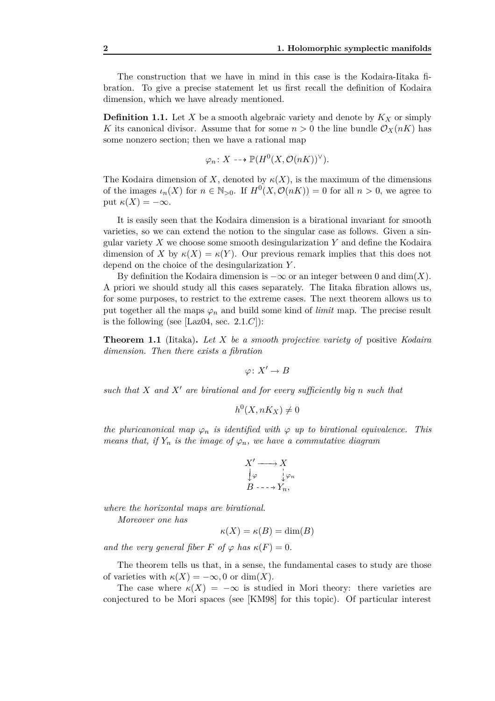The construction that we have in mind in this case is the Kodaira-Iitaka fibration. To give a precise statement let us first recall the definition of Kodaira dimension, which we have already mentioned.

**Definition 1.1.** Let  $X$  be a smooth algebraic variety and denote by  $K_X$  or simply *K* its canonical divisor. Assume that for some  $n > 0$  the line bundle  $\mathcal{O}_X(nK)$  has some nonzero section; then we have a rational map

$$
\varphi_n \colon X \dashrightarrow \mathbb{P}(H^0(X, \mathcal{O}(nK))^{\vee}).
$$

The Kodaira dimension of X, denoted by  $\kappa(X)$ , is the maximum of the dimensions of the images  $\iota_n(X)$  for  $n \in \mathbb{N}_{>0}$ . If  $H^0(X, \mathcal{O}(nK)) = 0$  for all  $n > 0$ , we agree to put *κ*(*X*) = *−∞*.

It is easily seen that the Kodaira dimension is a birational invariant for smooth varieties, so we can extend the notion to the singular case as follows. Given a singular variety *X* we choose some smooth desingularization *Y* and define the Kodaira dimension of *X* by  $\kappa(X) = \kappa(Y)$ . Our previous remark implies that this does not depend on the choice of the desingularization *Y* .

By definition the Kodaira dimension is  $-\infty$  or an integer between 0 and dim(*X*). A priori we should study all this cases separately. The Iitaka fibration allows us, for some purposes, to restrict to the extreme cases. The next theorem allows us to put together all the maps  $\varphi_n$  and build some kind of *limit* map. The precise result is the following (see  $[Laz04, sec. 2.1.C]$ ):

**Theorem 1.1** (Iitaka)**.** *Let X be a smooth projective variety of* positive *Kodaira dimension. Then there exists a fibration*

$$
\varphi\colon X'\to B
$$

*such that X and X′ are birational and for every sufficiently big n such that*

$$
h^0(X, nK_X) \neq 0
$$

*the pluricanonical map*  $\varphi_n$  *is identified with*  $\varphi$  *up to birational equivalence. This means that, if*  $Y_n$  *is the image of*  $\varphi_n$ *, we have a commutative diagram* 

$$
X' \longrightarrow X
$$
  
\n
$$
\downarrow \varphi \qquad \downarrow \varphi_n
$$
  
\n
$$
B \dashrightarrow Y_n,
$$

*where the horizontal maps are birational.*

*Moreover one has*

$$
\kappa(X) = \kappa(B) = \dim(B)
$$

*and the very general fiber*  $F$  *of*  $\varphi$  *has*  $\kappa(F) = 0$ *.* 

The theorem tells us that, in a sense, the fundamental cases to study are those of varieties with  $\kappa(X) = -\infty, 0$  or dim(*X*).

The case where  $\kappa(X) = -\infty$  is studied in Mori theory: there varieties are conjectured to be Mori spaces (see [KM98] for this topic). Of particular interest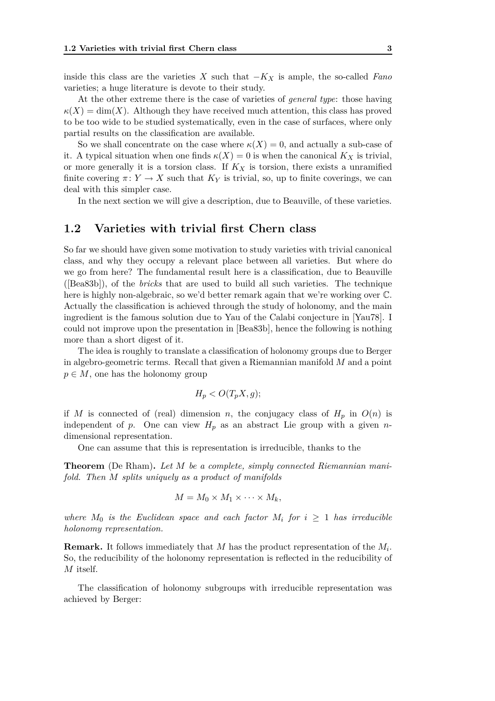inside this class are the varieties *X* such that *−K<sup>X</sup>* is ample, the so-called *Fano* varieties; a huge literature is devote to their study.

At the other extreme there is the case of varieties of *general type*: those having  $\kappa(X) = \dim(X)$ . Although they have received much attention, this class has proved to be too wide to be studied systematically, even in the case of surfaces, where only partial results on the classification are available.

So we shall concentrate on the case where  $\kappa(X) = 0$ , and actually a sub-case of it. A typical situation when one finds  $\kappa(X) = 0$  is when the canonical  $K_X$  is trivial, or more generally it is a torsion class. If *K<sup>X</sup>* is torsion, there exists a unramified finite covering  $\pi: Y \to X$  such that  $K_Y$  is trivial, so, up to finite coverings, we can deal with this simpler case.

In the next section we will give a description, due to Beauville, of these varieties.

### **1.2 Varieties with trivial first Chern class**

So far we should have given some motivation to study varieties with trivial canonical class, and why they occupy a relevant place between all varieties. But where do we go from here? The fundamental result here is a classification, due to Beauville ([Bea83b]), of the *bricks* that are used to build all such varieties. The technique here is highly non-algebraic, so we'd better remark again that we're working over C. Actually the classification is achieved through the study of holonomy, and the main ingredient is the famous solution due to Yau of the Calabi conjecture in [Yau78]. I could not improve upon the presentation in [Bea83b], hence the following is nothing more than a short digest of it.

The idea is roughly to translate a classification of holonomy groups due to Berger in algebro-geometric terms. Recall that given a Riemannian manifold *M* and a point  $p \in M$ , one has the holonomy group

$$
H_p < O(T_p X, g);
$$

if *M* is connected of (real) dimension *n*, the conjugacy class of  $H_p$  in  $O(n)$  is independent of *p*. One can view  $H_p$  as an abstract Lie group with a given *n*dimensional representation.

One can assume that this is representation is irreducible, thanks to the

**Theorem** (De Rham)**.** *Let M be a complete, simply connected Riemannian manifold. Then M splits uniquely as a product of manifolds*

$$
M = M_0 \times M_1 \times \cdots \times M_k,
$$

*where*  $M_0$  *is the Euclidean space and each factor*  $M_i$  *for*  $i \geq 1$  *has irreducible holonomy representation.*

**Remark.** It follows immediately that *M* has the product representation of the *M<sup>i</sup>* . So, the reducibility of the holonomy representation is reflected in the reducibility of *M* itself.

The classification of holonomy subgroups with irreducible representation was achieved by Berger: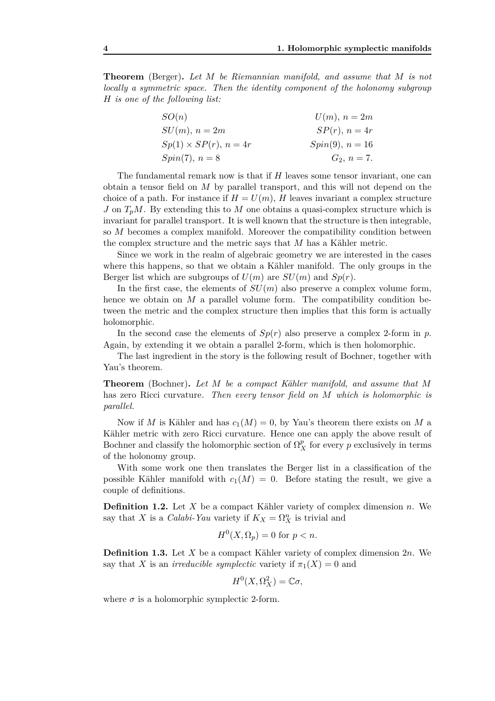**Theorem** (Berger)**.** *Let M be Riemannian manifold, and assume that M is not locally a symmetric space. Then the identity component of the holonomy subgroup H is one of the following list:*

| SO(n)                           | $U(m)$ , $n=2m$    |
|---------------------------------|--------------------|
| $SU(m), n=2m$                   | $SP(r)$ , $n = 4r$ |
| $Sp(1) \times SP(r)$ , $n = 4r$ | $Spin(9), n = 16$  |
| $Spin(7), n=8$                  | $G_2, n = 7.$      |

The fundamental remark now is that if *H* leaves some tensor invariant, one can obtain a tensor field on *M* by parallel transport, and this will not depend on the choice of a path. For instance if  $H = U(m)$ , H leaves invariant a complex structure *J* on  $T_pM$ . By extending this to *M* one obtains a quasi-complex structure which is invariant for parallel transport. It is well known that the structure is then integrable, so *M* becomes a complex manifold. Moreover the compatibility condition between the complex structure and the metric says that *M* has a Kähler metric.

Since we work in the realm of algebraic geometry we are interested in the cases where this happens, so that we obtain a Kähler manifold. The only groups in the Berger list which are subgroups of  $U(m)$  are  $SU(m)$  and  $Sp(r)$ .

In the first case, the elements of  $SU(m)$  also preserve a complex volume form, hence we obtain on *M* a parallel volume form. The compatibility condition between the metric and the complex structure then implies that this form is actually holomorphic.

In the second case the elements of  $Sp(r)$  also preserve a complex 2-form in p. Again, by extending it we obtain a parallel 2-form, which is then holomorphic.

The last ingredient in the story is the following result of Bochner, together with Yau's theorem.

**Theorem** (Bochner)**.** *Let M be a compact Kähler manifold, and assume that M* has zero Ricci curvature*. Then every tensor field on M which is holomorphic is parallel.*

Now if *M* is Kähler and has  $c_1(M) = 0$ , by Yau's theorem there exists on *M* a Kähler metric with zero Ricci curvature. Hence one can apply the above result of Bochner and classify the holomorphic section of  $\Omega_X^p$  for every *p* exclusively in terms of the holonomy group.

With some work one then translates the Berger list in a classification of the possible Kähler manifold with  $c_1(M) = 0$ . Before stating the result, we give a couple of definitions.

**Definition 1.2.** Let *X* be a compact Kähler variety of complex dimension *n*. We say that *X* is a *Calabi-Yau* variety if  $K_X = \Omega_X^n$  is trivial and

$$
H^0(X, \Omega_p) = 0 \text{ for } p < n.
$$

**Definition 1.3.** Let *X* be a compact Kähler variety of complex dimension 2*n*. We say that *X* is an *irreducible symplectic* variety if  $\pi_1(X) = 0$  and

$$
H^0(X, \Omega_X^2) = \mathbb{C}\sigma,
$$

where  $\sigma$  is a holomorphic symplectic 2-form.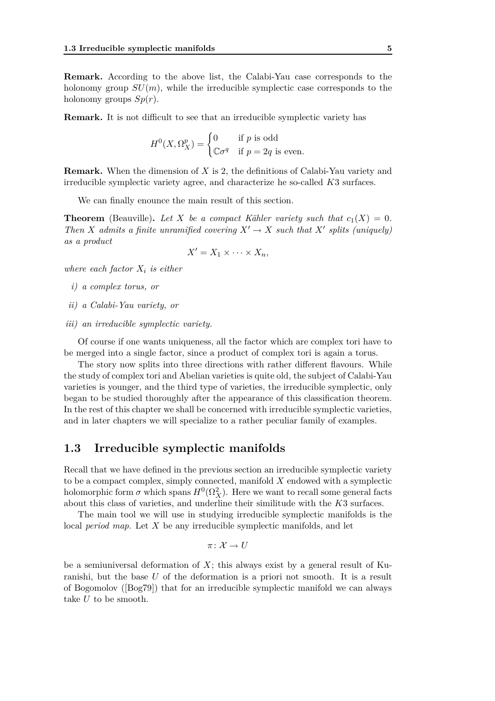**Remark.** According to the above list, the Calabi-Yau case corresponds to the holonomy group  $SU(m)$ , while the irreducible symplectic case corresponds to the holonomy groups *Sp*(*r*).

**Remark.** It is not difficult to see that an irreducible symplectic variety has

$$
H^{0}(X, \Omega_{X}^{p}) = \begin{cases} 0 & \text{if } p \text{ is odd} \\ \mathbb{C}\sigma^{q} & \text{if } p = 2q \text{ is even.} \end{cases}
$$

**Remark.** When the dimension of *X* is 2, the definitions of Calabi-Yau variety and irreducible symplectic variety agree, and characterize he so-called *K*3 surfaces.

We can finally enounce the main result of this section.

**Theorem** (Beauville). Let X be a compact Kähler variety such that  $c_1(X) = 0$ . *Then X admits a finite unramified covering*  $X' \to X$  *such that*  $X'$  *splits (uniquely) as a product*

$$
X'=X_1\times\cdots\times X_n,
$$

*where each factor X<sup>i</sup> is either*

- *i) a complex torus, or*
- *ii) a Calabi-Yau variety, or*
- *iii) an irreducible symplectic variety.*

Of course if one wants uniqueness, all the factor which are complex tori have to be merged into a single factor, since a product of complex tori is again a torus.

The story now splits into three directions with rather different flavours. While the study of complex tori and Abelian varieties is quite old, the subject of Calabi-Yau varieties is younger, and the third type of varieties, the irreducible symplectic, only began to be studied thoroughly after the appearance of this classification theorem. In the rest of this chapter we shall be concerned with irreducible symplectic varieties, and in later chapters we will specialize to a rather peculiar family of examples.

#### **1.3 Irreducible symplectic manifolds**

Recall that we have defined in the previous section an irreducible symplectic variety to be a compact complex, simply connected, manifold *X* endowed with a symplectic holomorphic form  $\sigma$  which spans  $H^0(\Omega_X^2)$ . Here we want to recall some general facts about this class of varieties, and underline their similitude with the *K*3 surfaces.

The main tool we will use in studying irreducible symplectic manifolds is the local *period map*. Let *X* be any irreducible symplectic manifolds, and let

$$
\pi\colon \mathcal{X}\to U
$$

be a semiuniversal deformation of *X*; this always exist by a general result of Kuranishi, but the base *U* of the deformation is a priori not smooth. It is a result of Bogomolov ([Bog79]) that for an irreducible symplectic manifold we can always take *U* to be smooth.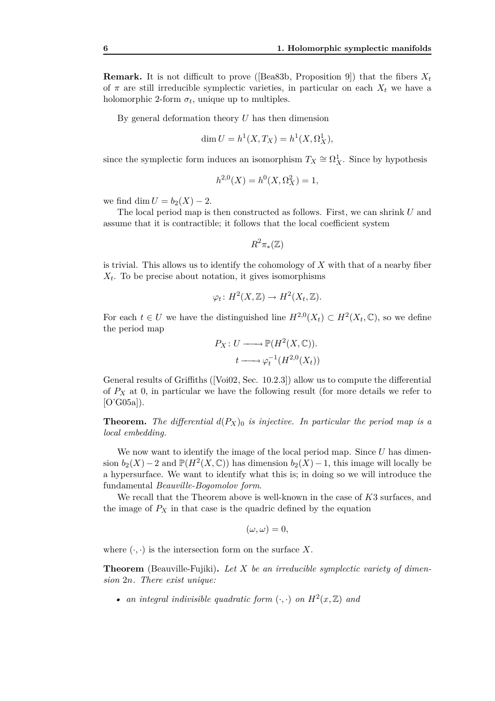**Remark.** It is not difficult to prove ([Bea83b, Proposition 9]) that the fibers  $X_t$ of  $\pi$  are still irreducible symplectic varieties, in particular on each  $X_t$  we have a holomorphic 2-form  $\sigma_t$ , unique up to multiples.

By general deformation theory *U* has then dimension

$$
\dim U = h^1(X, T_X) = h^1(X, \Omega^1_X),
$$

since the symplectic form induces an isomorphism  $T_X \cong \Omega^1_X$ . Since by hypothesis

$$
h^{2,0}(X) = h^0(X, \Omega_X^2) = 1,
$$

we find dim  $U = b_2(X) - 2$ .

The local period map is then constructed as follows. First, we can shrink *U* and assume that it is contractible; it follows that the local coefficient system

$$
R^2\pi_*({\mathbb Z})
$$

is trivial. This allows us to identify the cohomology of *X* with that of a nearby fiber *X<sup>t</sup>* . To be precise about notation, it gives isomorphisms

$$
\varphi_t \colon H^2(X, \mathbb{Z}) \to H^2(X_t, \mathbb{Z}).
$$

For each  $t \in U$  we have the distinguished line  $H^{2,0}(X_t) \subset H^2(X_t,\mathbb{C})$ , so we define the period map

$$
P_X: U \longrightarrow \mathbb{P}(H^2(X, \mathbb{C})).
$$
  

$$
t \longrightarrow \varphi_t^{-1}(H^{2,0}(X_t))
$$

General results of Griffiths ([Voi02, Sec. 10*.*2*.*3]) allow us to compute the differential of *P<sup>X</sup>* at 0, in particular we have the following result (for more details we refer to  $[O'G05a]$ ).

**Theorem.** The differential  $d(P_X)$  is injective. In particular the period map is a *local embedding.*

We now want to identify the image of the local period map. Since *U* has dimension  $b_2(X) - 2$  and  $\mathbb{P}(H^2(X, \mathbb{C}))$  has dimension  $b_2(X) - 1$ , this image will locally be a hypersurface. We want to identify what this is; in doing so we will introduce the fundamental *Beauville-Bogomolov form*.

We recall that the Theorem above is well-known in the case of *K*3 surfaces, and the image of  $P_X$  in that case is the quadric defined by the equation

$$
(\omega,\omega)=0,
$$

where  $(\cdot, \cdot)$  is the intersection form on the surface X.

**Theorem** (Beauville-Fujiki)**.** *Let X be an irreducible symplectic variety of dimension* 2*n. There exist unique:*

• *an integral indivisible quadratic form*  $(\cdot, \cdot)$  *on*  $H^2(x, \mathbb{Z})$  *and*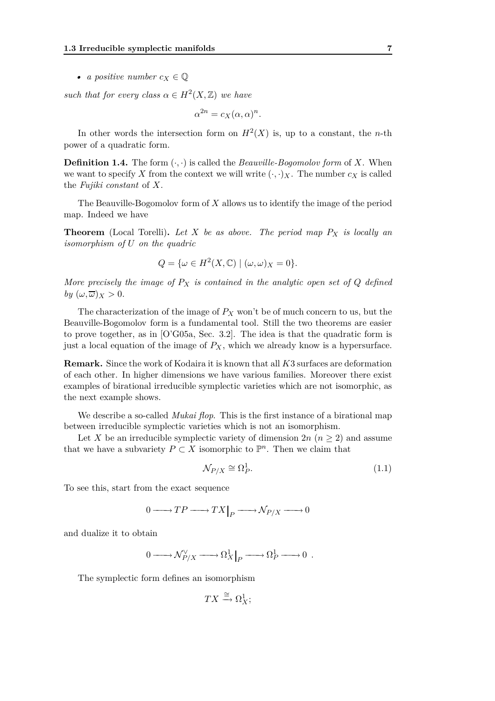• *a positive number*  $c_X \in \mathbb{Q}$ 

*such that for every class*  $\alpha \in H^2(X, \mathbb{Z})$  *we have* 

 $\alpha^{2n} = c_X(\alpha, \alpha)^n$ .

In other words the intersection form on  $H^2(X)$  is, up to a constant, the *n*-th power of a quadratic form.

**Definition 1.4.** The form (*·, ·*) is called the *Beauville-Bogomolov form* of *X*. When we want to specify X from the context we will write  $(\cdot, \cdot)_X$ . The number  $c_X$  is called the *Fujiki constant* of *X*.

The Beauville-Bogomolov form of *X* allows us to identify the image of the period map. Indeed we have

**Theorem** (Local Torelli)**.** *Let X be as above. The period map P<sup>X</sup> is locally an isomorphism of U on the quadric*

$$
Q = \{ \omega \in H^2(X, \mathbb{C}) \mid (\omega, \omega)_X = 0 \}.
$$

*More precisely the image of*  $P_X$  *is contained in the analytic open set of*  $Q$  *defined by*  $(\omega, \overline{\omega})_X > 0$ .

The characterization of the image of  $P_X$  won't be of much concern to us, but the Beauville-Bogomolov form is a fundamental tool. Still the two theorems are easier to prove together, as in [O'G05a, Sec. 3*.*2]. The idea is that the quadratic form is just a local equation of the image of  $P_X$ , which we already know is a hypersurface.

**Remark.** Since the work of Kodaira it is known that all *K*3 surfaces are deformation of each other. In higher dimensions we have various families. Moreover there exist examples of birational irreducible symplectic varieties which are not isomorphic, as the next example shows.

We describe a so-called *Mukai flop*. This is the first instance of a birational map between irreducible symplectic varieties which is not an isomorphism.

Let X be an irreducible symplectic variety of dimension  $2n$  ( $n \geq 2$ ) and assume that we have a subvariety  $P \subset X$  isomorphic to  $\mathbb{P}^n$ . Then we claim that

$$
\mathcal{N}_{P/X} \cong \Omega_P^1. \tag{1.1}
$$

To see this, start from the exact sequence

$$
0 \longrightarrow TP \longrightarrow TX|_P \longrightarrow \mathcal{N}_{P/X} \longrightarrow 0
$$

and dualize it to obtain

$$
0 \longrightarrow \mathcal{N}_{P/X}^{\vee} \longrightarrow \Omega_X^1 \Big|_P \longrightarrow \Omega_P^1 \longrightarrow 0 .
$$

The symplectic form defines an isomorphism

$$
TX \xrightarrow{\cong} \Omega^1_X;
$$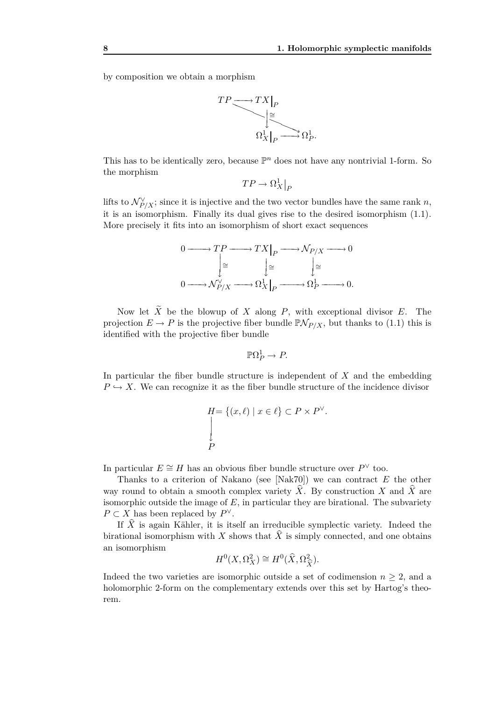by composition we obtain a morphism



This has to be identically zero, because  $\mathbb{P}^n$  does not have any nontrivial 1-form. So the morphism

 $TP \rightarrow \Omega_X^1\big|_P$ 

lifts to  $\mathcal{N}_{P/X}^{\vee}$ ; since it is injective and the two vector bundles have the same rank *n*, it is an isomorphism. Finally its dual gives rise to the desired isomorphism (1.1). More precisely it fits into an isomorphism of short exact sequences

$$
\begin{aligned} 0 @>>> TP @>>> TX \big|_P @>>> \mathcal{N}_{P/X} @>>> 0 \\ & \Bigg| \cong & \Bigg| \cong & \Bigg| \cong \\ 0 @>>> \mathcal{N}_{P/X}^\vee @>>> \Omega_X^1 \big|_P @>>> \Omega_P^1 @>>> 0. \end{aligned}
$$

Now let  $\tilde{X}$  be the blowup of *X* along *P*, with exceptional divisor *E*. The projection  $E \to P$  is the projective fiber bundle  $\mathbb{P} \mathcal{N}_{P/X}$ , but thanks to (1.1) this is identified with the projective fiber bundle

$$
\mathbb{P}\Omega_P^1 \to P.
$$

In particular the fiber bundle structure is independent of *X* and the embedding  $P \hookrightarrow X$ . We can recognize it as the fiber bundle structure of the incidence divisor

$$
H = \{(x, \ell) \mid x \in \ell\} \subset P \times P^{\vee}.
$$
  
\n
$$
\downarrow
$$
  
\n
$$
P
$$

In particular  $E \cong H$  has an obvious fiber bundle structure over  $P^{\vee}$  too.

Thanks to a criterion of Nakano (see [Nak70]) we can contract *E* the other way round to obtain a smooth complex variety  $\hat{X}$ . By construction *X* and  $\hat{X}$  are isomorphic outside the image of *E*, in particular they are birational. The subvariety  $P \subset X$  has been replaced by  $P^{\vee}$ .

If  $\hat{X}$  is again Kähler, it is itself an irreducible symplectic variety. Indeed the birational isomorphism with *X* shows that  $\hat{X}$  is simply connected, and one obtains an isomorphism

$$
H^0(X, \Omega_X^2) \cong H^0(\widehat{X}, \Omega_{\widehat{X}}^2).
$$

Indeed the two varieties are isomorphic outside a set of codimension  $n \geq 2$ , and a holomorphic 2-form on the complementary extends over this set by Hartog's theorem.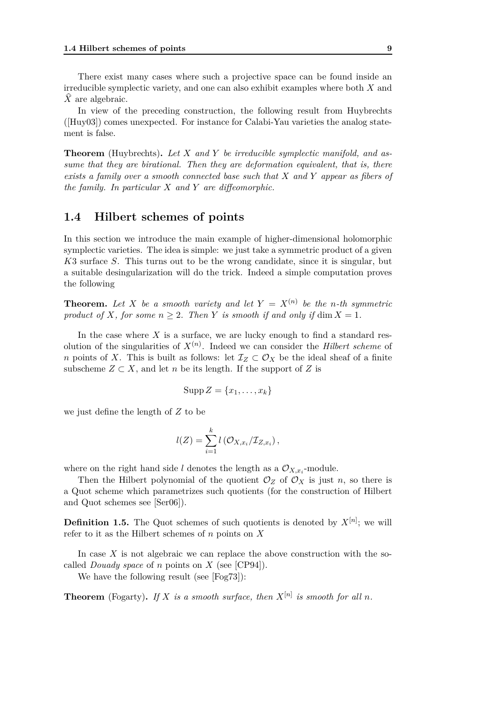There exist many cases where such a projective space can be found inside an irreducible symplectic variety, and one can also exhibit examples where both *X* and X are algebraic.

In view of the preceding construction, the following result from Huybrechts ([Huy03]) comes unexpected. For instance for Calabi-Yau varieties the analog statement is false.

**Theorem** (Huybrechts)**.** *Let X and Y be irreducible symplectic manifold, and assume that they are birational. Then they are deformation equivalent, that is, there exists a family over a smooth connected base such that X and Y appear as fibers of the family. In particular X and Y are diffeomorphic.*

### **1.4 Hilbert schemes of points**

In this section we introduce the main example of higher-dimensional holomorphic symplectic varieties. The idea is simple: we just take a symmetric product of a given *K*3 surface *S*. This turns out to be the wrong candidate, since it is singular, but a suitable desingularization will do the trick. Indeed a simple computation proves the following

**Theorem.** Let X be a smooth variety and let  $Y = X^{(n)}$  be the *n*-th symmetric *product of X, for some*  $n \geq 2$ *. Then Y is smooth if and only if* dim  $X = 1$ *.* 

In the case where  $X$  is a surface, we are lucky enough to find a standard resolution of the singularities of  $X^{(n)}$ . Indeed we can consider the *Hilbert scheme* of *n* points of *X*. This is built as follows: let  $\mathcal{I}_Z \subset \mathcal{O}_X$  be the ideal sheaf of a finite subscheme  $Z \subset X$ , and let *n* be its length. If the support of  $Z$  is

$$
\mathrm{Supp}\,Z=\{x_1,\ldots,x_k\}
$$

we just define the length of *Z* to be

$$
l(Z) = \sum_{i=1}^{k} l\left(\mathcal{O}_{X,x_i}/\mathcal{I}_{Z,x_i}\right),
$$

where on the right hand side *l* denotes the length as a  $\mathcal{O}_{X,x_i}$ -module.

Then the Hilbert polynomial of the quotient  $\mathcal{O}_Z$  of  $\mathcal{O}_X$  is just *n*, so there is a Quot scheme which parametrizes such quotients (for the construction of Hilbert and Quot schemes see [Ser06]).

**Definition 1.5.** The Quot schemes of such quotients is denoted by  $X^{[n]}$ ; we will refer to it as the Hilbert schemes of *n* points on *X*

In case *X* is not algebraic we can replace the above construction with the socalled *Douady space* of *n* points on *X* (see [CP94]).

We have the following result (see [Fog73]):

**Theorem** (Fogarty). If X is a smooth surface, then  $X^{[n]}$  is smooth for all n.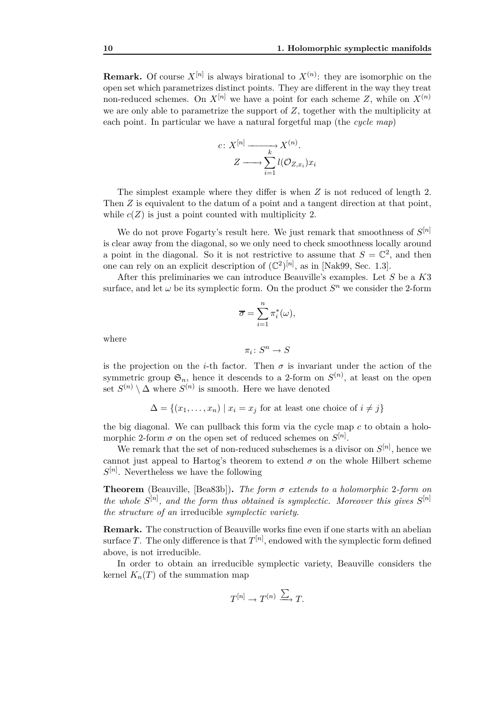**Remark.** Of course  $X^{[n]}$  is always birational to  $X^{(n)}$ : they are isomorphic on the open set which parametrizes distinct points. They are different in the way they treat non-reduced schemes. On  $X^{[n]}$  we have a point for each scheme Z, while on  $X^{(n)}$ we are only able to parametrize the support of *Z*, together with the multiplicity at each point. In particular we have a natural forgetful map (the *cycle map*)

$$
c: X^{[n]} \longrightarrow X^{(n)}.
$$

$$
Z \longrightarrow \sum_{i=1}^{k} l(\mathcal{O}_{Z,x_i}) x_i
$$

The simplest example where they differ is when *Z* is not reduced of length 2. Then *Z* is equivalent to the datum of a point and a tangent direction at that point, while  $c(Z)$  is just a point counted with multiplicity 2.

We do not prove Fogarty's result here. We just remark that smoothness of *S* [*n*] is clear away from the diagonal, so we only need to check smoothness locally around a point in the diagonal. So it is not restrictive to assume that  $S = \mathbb{C}^2$ , and then one can rely on an explicit description of  $(\mathbb{C}^2)^{[n]}$ , as in [Nak99, Sec. 1.3].

After this preliminaries we can introduce Beauville's examples. Let *S* be a *K*3 surface, and let  $\omega$  be its symplectic form. On the product  $S<sup>n</sup>$  we consider the 2-form

$$
\overline{\sigma} = \sum_{i=1}^{n} \pi_i^*(\omega),
$$

where

$$
\pi_i\colon S^n\to S
$$

is the projection on the *i*-th factor. Then  $\sigma$  is invariant under the action of the symmetric group  $\mathfrak{S}_n$ , hence it descends to a 2-form on  $S^{(n)}$ , at least on the open set  $S^{(n)} \setminus \Delta$  where  $S^{(n)}$  is smooth. Here we have denoted

$$
\Delta = \{(x_1, \dots, x_n) \mid x_i = x_j \text{ for at least one choice of } i \neq j\}
$$

the big diagonal. We can pullback this form via the cycle map *c* to obtain a holomorphic 2-form  $\sigma$  on the open set of reduced schemes on  $S^{[n]}$ .

We remark that the set of non-reduced subschemes is a divisor on  $S^{[n]}$ , hence we cannot just appeal to Hartog's theorem to extend  $\sigma$  on the whole Hilbert scheme  $S^{[n]}$ . Nevertheless we have the following

**Theorem** (Beauville, [Bea83b])**.** *The form σ extends to a holomorphic* 2*-form on the whole*  $S^{[n]}$ , and the form thus obtained is symplectic. Moreover this gives  $S^{[n]}$ *the structure of an* irreducible *symplectic variety.*

**Remark.** The construction of Beauville works fine even if one starts with an abelian surface *T*. The only difference is that  $T^{[n]}$ , endowed with the symplectic form defined above, is not irreducible.

In order to obtain an irreducible symplectic variety, Beauville considers the kernel  $K_n(T)$  of the summation map

$$
T^{[n]}\to T^{(n)}\xrightarrow{\sum} T.
$$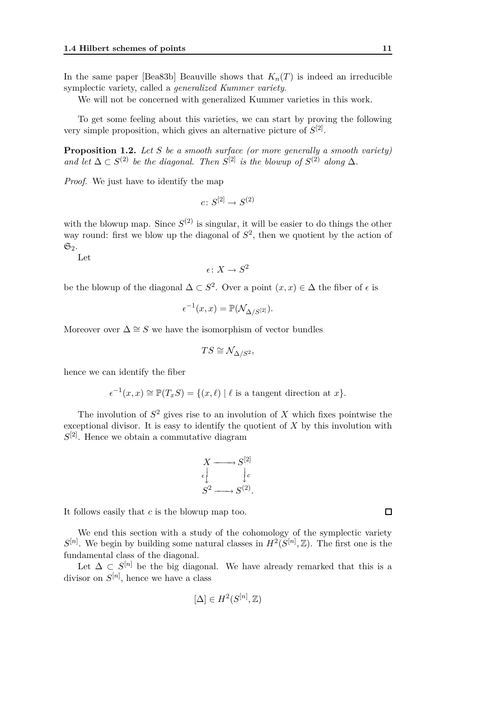In the same paper [Bea83b] Beauville shows that  $K_n(T)$  is indeed an irreducible symplectic variety, called a *generalized Kummer variety*.

We will not be concerned with generalized Kummer varieties in this work.

To get some feeling about this varieties, we can start by proving the following very simple proposition, which gives an alternative picture of  $S^{[2]}$ .

**Proposition 1.2.** *Let S be a smooth surface (or more generally a smooth variety) and let*  $\Delta \subset S^{(2)}$  *be the diagonal. Then*  $S^{[2]}$  *is the blowup of*  $S^{(2)}$  *along*  $\Delta$ *.* 

*Proof.* We just have to identify the map

 $c\colon S^{[2]}\to S^{(2)}$ 

with the blowup map. Since  $S^{(2)}$  is singular, it will be easier to do things the other way round: first we blow up the diagonal of  $S<sup>2</sup>$ , then we quotient by the action of  $\mathfrak{S}_2$ .

Let

$$
\epsilon\colon X\to S^2
$$

be the blowup of the diagonal  $\Delta \subset S^2$ . Over a point  $(x, x) \in \Delta$  the fiber of  $\epsilon$  is

$$
\epsilon^{-1}(x,x)=\mathbb{P}(\mathcal{N}_{\Delta/S^{[2]}}).
$$

Moreover over  $\Delta \cong S$  we have the isomorphism of vector bundles

$$
TS \cong \mathcal{N}_{\Delta/S^2},
$$

hence we can identify the fiber

$$
\epsilon^{-1}(x,x) \cong \mathbb{P}(T_xS) = \{(x,\ell) \mid \ell \text{ is a tangent direction at } x\}.
$$

The involution of  $S^2$  gives rise to an involution of  $X$  which fixes pointwise the exceptional divisor. It is easy to identify the quotient of *X* by this involution with *S* [2]. Hence we obtain a commutative diagram

$$
X \longrightarrow S^{[2]} \downarrow
$$
  

$$
\epsilon \downarrow \qquad \downarrow c
$$
  

$$
S^2 \longrightarrow S^{(2)}.
$$

It follows easily that *c* is the blowup map too.

We end this section with a study of the cohomology of the symplectic variety  $S^{[n]}$ . We begin by building some natural classes in  $H^2(S^{[n]}, \mathbb{Z})$ . The first one is the fundamental class of the diagonal.

Let  $\Delta \subset S^{[n]}$  be the big diagonal. We have already remarked that this is a divisor on  $S^{[n]}$ , hence we have a class

$$
[\Delta] \in H^2(S^{[n]},\mathbb{Z})
$$

 $\Box$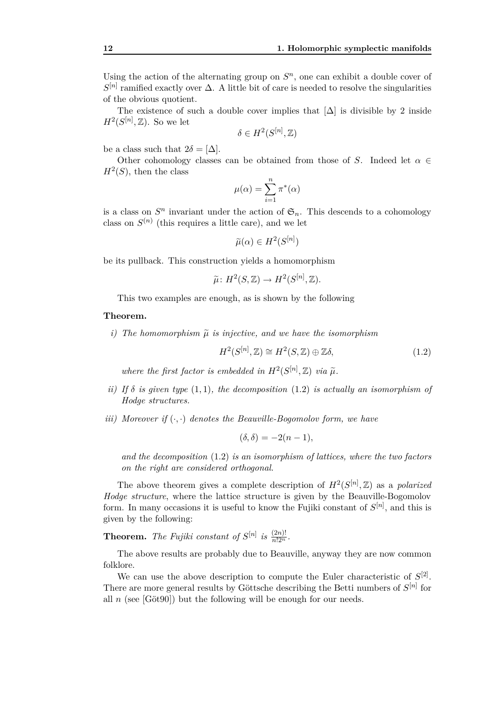Using the action of the alternating group on  $S<sup>n</sup>$ , one can exhibit a double cover of  $S^{[n]}$  ramified exactly over  $\Delta$ . A little bit of care is needed to resolve the singularities of the obvious quotient.

The existence of such a double cover implies that  $[\Delta]$  is divisible by 2 inside  $H^2(S^{[n]}, \mathbb{Z})$ . So we let

$$
\delta \in H^2(S^{[n]},{\mathbb Z})
$$

be a class such that  $2\delta = [\Delta]$ .

Other cohomology classes can be obtained from those of *S*. Indeed let  $\alpha \in$  $H^2(S)$ , then the class

$$
\mu(\alpha) = \sum_{i=1}^n \pi^*(\alpha)
$$

is a class on  $S<sup>n</sup>$  invariant under the action of  $\mathfrak{S}_n$ . This descends to a cohomology class on  $S^{(n)}$  (this requires a little care), and we let

$$
\widetilde{\mu}(\alpha) \in H^2(S^{[n]})
$$

be its pullback. This construction yields a homomorphism

$$
\widetilde{\mu} \colon H^2(S, \mathbb{Z}) \to H^2(S^{[n]}, \mathbb{Z}).
$$

This two examples are enough, as is shown by the following

#### **Theorem.**

*i)* The homomorphism  $\tilde{\mu}$  *is injective, and we have the isomorphism* 

$$
H^2(S^{[n]}, \mathbb{Z}) \cong H^2(S, \mathbb{Z}) \oplus \mathbb{Z}\delta,\tag{1.2}
$$

where the first factor is embedded in  $H^2(S^{[n]}, \mathbb{Z})$  *via*  $\widetilde{\mu}$ .

- *ii)* If  $\delta$  *is given type*  $(1,1)$ *, the decomposition*  $(1.2)$  *is actually an isomorphism of Hodge structures.*
- *iii)* Moreover if  $(\cdot, \cdot)$  denotes the Beauville-Bogomolov form, we have

$$
(\delta, \delta) = -2(n-1),
$$

*and the decomposition* (1.2) *is an isomorphism of lattices, where the two factors on the right are considered orthogonal.*

The above theorem gives a complete description of  $H^2(S^{[n]}, \mathbb{Z})$  as a *polarized Hodge structure*, where the lattice structure is given by the Beauville-Bogomolov form. In many occasions it is useful to know the Fujiki constant of *S* [*n*] , and this is given by the following:

**Theorem.** *The Fujiki constant of*  $S^{[n]}$  *is*  $\frac{(2n)!}{n!2^n}$ *.* 

The above results are probably due to Beauville, anyway they are now common folklore.

We can use the above description to compute the Euler characteristic of  $S^{[2]}$ . There are more general results by Göttsche describing the Betti numbers of  $S^{[n]}$  for all  $n$  (see [Göt90]) but the following will be enough for our needs.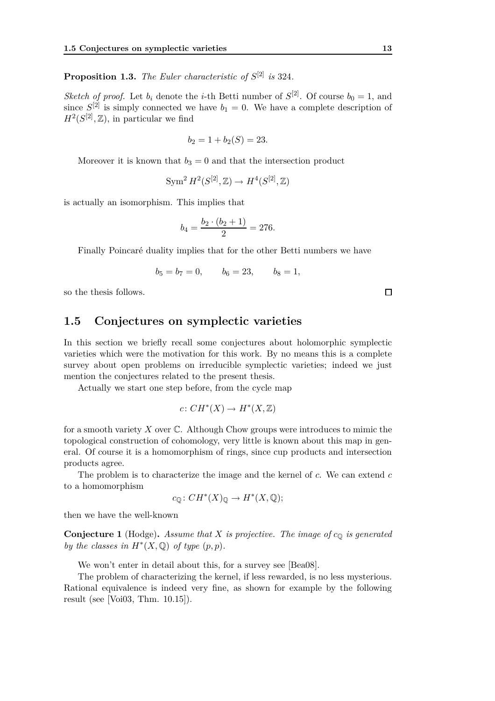**Proposition 1.3.** *The Euler characteristic of S* [2] *is* 324*.*

*Sketch of proof.* Let  $b_i$  denote the *i*-th Betti number of  $S^{[2]}$ . Of course  $b_0 = 1$ , and since  $S^{[2]}$  is simply connected we have  $b_1 = 0$ . We have a complete description of  $H^2(S^{[2]}, \mathbb{Z})$ , in particular we find

$$
b_2 = 1 + b_2(S) = 23.
$$

Moreover it is known that  $b_3 = 0$  and that the intersection product

$$
\operatorname{Sym}^2 H^2(S^{[2]},{\mathbb Z}) \to H^4(S^{[2]},{\mathbb Z})
$$

is actually an isomorphism. This implies that

$$
b_4 = \frac{b_2 \cdot (b_2 + 1)}{2} = 276.
$$

Finally Poincaré duality implies that for the other Betti numbers we have

$$
b_5 = b_7 = 0,
$$
  $b_6 = 23,$   $b_8 = 1,$ 

so the thesis follows.

### **1.5 Conjectures on symplectic varieties**

In this section we briefly recall some conjectures about holomorphic symplectic varieties which were the motivation for this work. By no means this is a complete survey about open problems on irreducible symplectic varieties; indeed we just mention the conjectures related to the present thesis.

Actually we start one step before, from the cycle map

$$
c\colon CH^*(X)\to H^*(X,\mathbb{Z})
$$

for a smooth variety *X* over C. Although Chow groups were introduces to mimic the topological construction of cohomology, very little is known about this map in general. Of course it is a homomorphism of rings, since cup products and intersection products agree.

The problem is to characterize the image and the kernel of *c*. We can extend *c* to a homomorphism

$$
c_{\mathbb{Q}}\colon CH^*(X)_{\mathbb{Q}} \to H^*(X, \mathbb{Q});
$$

then we have the well-known

**Conjecture 1** (Hodge)**.** *Assume that X is projective. The image of c*<sup>Q</sup> *is generated by the classes in*  $H^*(X, \mathbb{Q})$  *of type*  $(p, p)$ *.* 

We won't enter in detail about this, for a survey see [Bea08].

The problem of characterizing the kernel, if less rewarded, is no less mysterious. Rational equivalence is indeed very fine, as shown for example by the following result (see [Voi03, Thm. 10*.*15]).

 $\Box$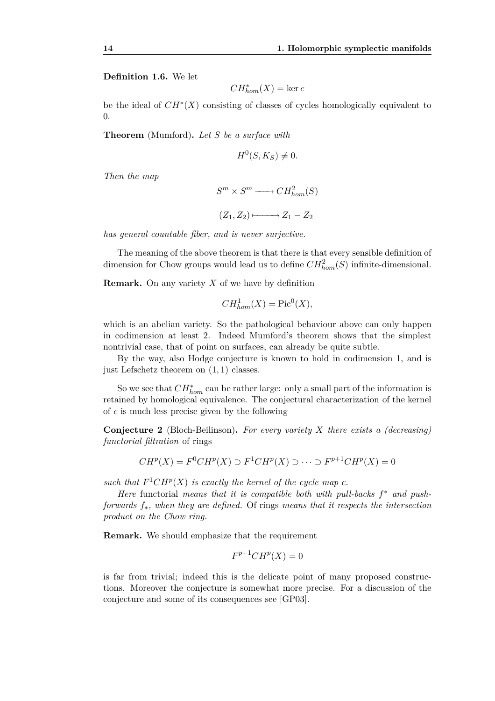**Definition 1.6.** We let

$$
CH^*_{hom}(X) = \ker c
$$

be the ideal of *CH<sup>∗</sup>* (*X*) consisting of classes of cycles homologically equivalent to 0.

**Theorem** (Mumford)**.** *Let S be a surface with*

$$
H^0(S, K_S) \neq 0.
$$

*Then the map*

$$
S^m \times S^m \longrightarrow CH_{hom}^2(S)
$$
  

$$
(Z_1, Z_2) \longmapsto Z_1 - Z_2
$$

*has general countable fiber, and is never surjective.*

The meaning of the above theorem is that there is that every sensible definition of dimension for Chow groups would lead us to define  $CH_{hom}^2(S)$  infinite-dimensional.

**Remark.** On any variety *X* of we have by definition

$$
CH_{hom}^1(X) = \text{Pic}^0(X),
$$

which is an abelian variety. So the pathological behaviour above can only happen in codimension at least 2. Indeed Mumford's theorem shows that the simplest nontrivial case, that of point on surfaces, can already be quite subtle.

By the way, also Hodge conjecture is known to hold in codimension 1, and is just Lefschetz theorem on (1*,* 1) classes.

So we see that *CH<sup>∗</sup> hom* can be rather large: only a small part of the information is retained by homological equivalence. The conjectural characterization of the kernel of *c* is much less precise given by the following

**Conjecture 2** (Bloch-Beilinson)**.** *For every variety X there exists a (decreasing) functorial filtration* of rings

$$
CH^p(X) = F^0CH^p(X) \supset F^1CH^p(X) \supset \cdots \supset F^{p+1}CH^p(X) = 0
$$

such that  $F^1CH^p(X)$  is exactly the kernel of the cycle map  $c$ .

*Here* functorial *means that it is compatible both with pull-backs f <sup>∗</sup> and pushforwards f∗, when they are defined.* Of rings *means that it respects the intersection product on the Chow ring.*

**Remark.** We should emphasize that the requirement

$$
F^{p+1}CH^p(X) = 0
$$

is far from trivial; indeed this is the delicate point of many proposed constructions. Moreover the conjecture is somewhat more precise. For a discussion of the conjecture and some of its consequences see [GP03].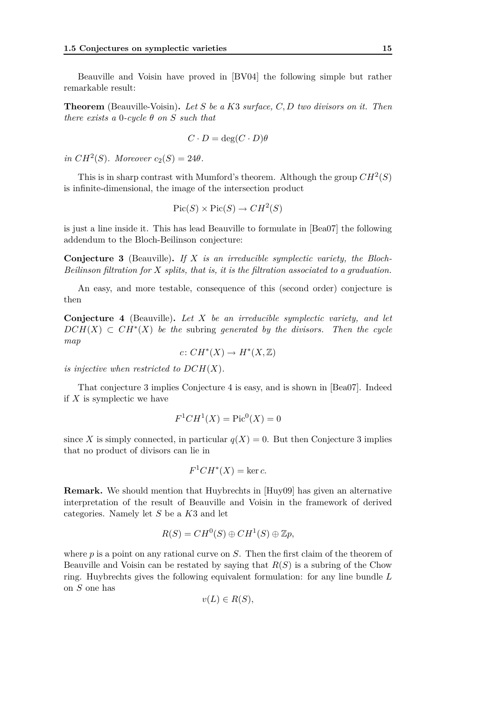Beauville and Voisin have proved in [BV04] the following simple but rather remarkable result:

**Theorem** (Beauville-Voisin)**.** *Let S be a K*3 *surface, C, D two divisors on it. Then there exists a*  $0$ -*cycle*  $\theta$  *on*  $S$  *such that* 

$$
C \cdot D = \deg(C \cdot D)\theta
$$

 $in CH<sup>2</sup>(S)$ *. Moreover*  $c_2(S) = 24\theta$ *.* 

This is in sharp contrast with Mumford's theorem. Although the group  $CH^2(S)$ is infinite-dimensional, the image of the intersection product

$$
Pic(S) \times Pic(S) \to CH^2(S)
$$

is just a line inside it. This has lead Beauville to formulate in [Bea07] the following addendum to the Bloch-Beilinson conjecture:

**Conjecture 3** (Beauville)**.** *If X is an irreducible symplectic variety, the Bloch-Beilinson filtration for X splits, that is, it is the filtration associated to a graduation.*

An easy, and more testable, consequence of this (second order) conjecture is then

**Conjecture 4** (Beauville)**.** *Let X be an irreducible symplectic variety, and let*  $DCH(X) \subset CH^*(X)$  *be the* subring *generated by the divisors. Then the cycle map*

$$
c\colon CH^*(X) \to H^*(X,\mathbb{Z})
$$

*is injective when restricted to*  $DCH(X)$ *.* 

That conjecture 3 implies Conjecture 4 is easy, and is shown in [Bea07]. Indeed if *X* is symplectic we have

$$
F^1CH^1(X) = \text{Pic}^0(X) = 0
$$

since X is simply connected, in particular  $q(X) = 0$ . But then Conjecture 3 implies that no product of divisors can lie in

$$
F^1CH^*(X) = \ker c.
$$

**Remark.** We should mention that Huybrechts in [Huy09] has given an alternative interpretation of the result of Beauville and Voisin in the framework of derived categories. Namely let *S* be a *K*3 and let

$$
R(S) = CH^0(S) \oplus CH^1(S) \oplus \mathbb{Z}p,
$$

where *p* is a point on any rational curve on *S*. Then the first claim of the theorem of Beauville and Voisin can be restated by saying that *R*(*S*) is a subring of the Chow ring. Huybrechts gives the following equivalent formulation: for any line bundle *L* on *S* one has

$$
v(L) \in R(S),
$$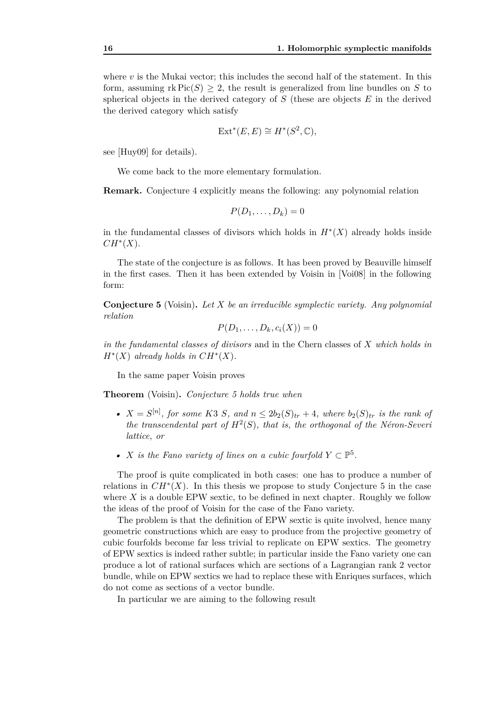where  $v$  is the Mukai vector; this includes the second half of the statement. In this form, assuming  $\text{rk Pic}(S) \geq 2$ , the result is generalized from line bundles on *S* to spherical objects in the derived category of *S* (these are objects *E* in the derived the derived category which satisfy

$$
Ext^*(E, E) \cong H^*(S^2, \mathbb{C}),
$$

see [Huy09] for details).

We come back to the more elementary formulation.

**Remark.** Conjecture 4 explicitly means the following: any polynomial relation

$$
P(D_1,\ldots,D_k)=0
$$

in the fundamental classes of divisors which holds in  $H^*(X)$  already holds inside *CH<sup>∗</sup>* (*X*).

The state of the conjecture is as follows. It has been proved by Beauville himself in the first cases. Then it has been extended by Voisin in [Voi08] in the following form:

**Conjecture 5** (Voisin)**.** *Let X be an irreducible symplectic variety. Any polynomial relation*

$$
P(D_1,\ldots,D_k,c_i(X))=0
$$

*in the fundamental classes of divisors* and in the Chern classes of *X which holds in*  $H^*(X)$  *already holds in*  $CH^*(X)$ *.* 

In the same paper Voisin proves

**Theorem** (Voisin)**.** *Conjecture 5 holds true when*

- $X = S^{[n]}$ , for some K3 *S*, and  $n \leq 2b_2(S)_{tr} + 4$ , where  $b_2(S)_{tr}$  is the rank of *the transcendental part of*  $H^2(S)$ *, that is, the orthogonal of the Néron-Severi lattice, or*
- *X is the Fano variety of lines on a cubic fourfold*  $Y \subset \mathbb{P}^5$ .

The proof is quite complicated in both cases: one has to produce a number of relations in  $CH^*(X)$ . In this thesis we propose to study Conjecture 5 in the case where *X* is a double EPW sextic, to be defined in next chapter. Roughly we follow the ideas of the proof of Voisin for the case of the Fano variety.

The problem is that the definition of EPW sextic is quite involved, hence many geometric constructions which are easy to produce from the projective geometry of cubic fourfolds become far less trivial to replicate on EPW sextics. The geometry of EPW sextics is indeed rather subtle; in particular inside the Fano variety one can produce a lot of rational surfaces which are sections of a Lagrangian rank 2 vector bundle, while on EPW sextics we had to replace these with Enriques surfaces, which do not come as sections of a vector bundle.

In particular we are aiming to the following result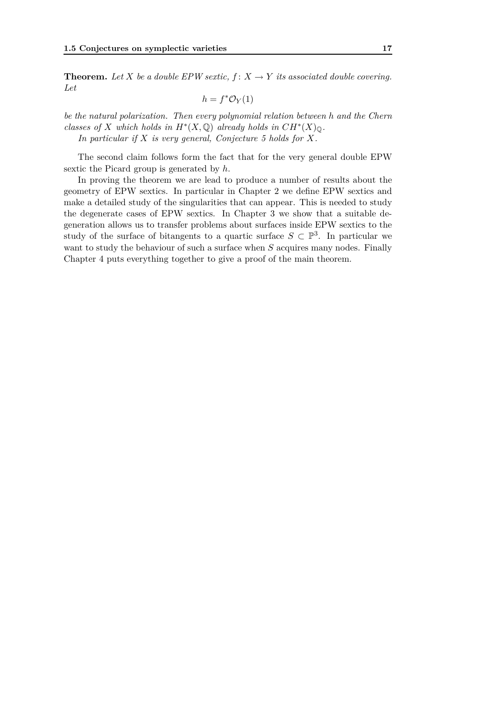**Theorem.** Let *X* be a double EPW sextic,  $f: X \to Y$  its associated double covering. *Let*

$$
h = f^* \mathcal{O}_Y(1)
$$

*be the natural polarization. Then every polynomial relation between h and the Chern classes of X which holds in*  $H^*(X, \mathbb{Q})$  *already holds in*  $CH^*(X)_{\mathbb{Q}}$ *. In particular if X is very general, Conjecture 5 holds for X.*

The second claim follows form the fact that for the very general double EPW sextic the Picard group is generated by *h*.

In proving the theorem we are lead to produce a number of results about the geometry of EPW sextics. In particular in Chapter 2 we define EPW sextics and make a detailed study of the singularities that can appear. This is needed to study the degenerate cases of EPW sextics. In Chapter 3 we show that a suitable degeneration allows us to transfer problems about surfaces inside EPW sextics to the study of the surface of bitangents to a quartic surface  $S \subset \mathbb{P}^3$ . In particular we want to study the behaviour of such a surface when *S* acquires many nodes. Finally Chapter 4 puts everything together to give a proof of the main theorem.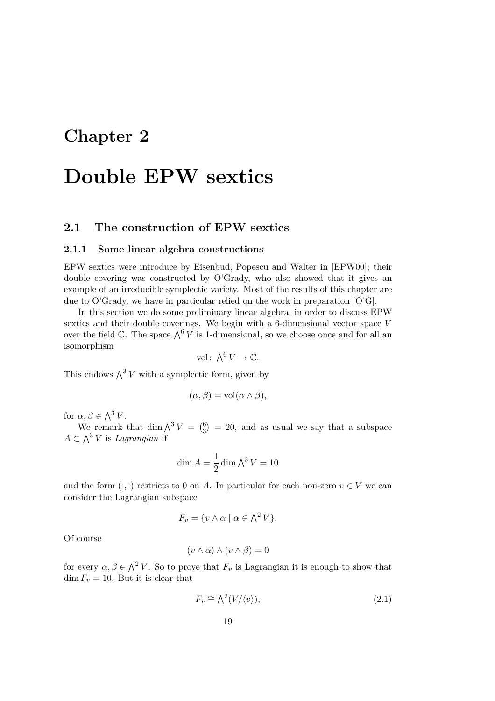# **Chapter 2**

# **Double EPW sextics**

## **2.1 The construction of EPW sextics**

#### **2.1.1 Some linear algebra constructions**

EPW sextics were introduce by Eisenbud, Popescu and Walter in [EPW00]; their double covering was constructed by O'Grady, who also showed that it gives an example of an irreducible symplectic variety. Most of the results of this chapter are due to O'Grady, we have in particular relied on the work in preparation  $[O'G]$ .

In this section we do some preliminary linear algebra, in order to discuss EPW sextics and their double coverings. We begin with a 6-dimensional vector space *V* over the field  $\mathbb{C}$ . The space  $\bigwedge^6 V$  is 1-dimensional, so we choose once and for all an isomorphism

$$
\text{vol}\colon \bigwedge^6 V \to \mathbb{C}.
$$

This endows  $\bigwedge^3 V$  with a symplectic form, given by

$$
(\alpha, \beta) = \text{vol}(\alpha \wedge \beta),
$$

for  $\alpha, \beta \in \Lambda^3 V$ .

We remark that dim  $\bigwedge^3 V = \begin{pmatrix} 6 \\ 3 \end{pmatrix}$  $_3^6$  = 20, and as usual we say that a subspace  $A \subset \bigwedge^3 V$  is *Lagrangian* if

$$
\dim A = \frac{1}{2} \dim \bigwedge^3 V = 10
$$

and the form  $(\cdot, \cdot)$  restricts to 0 on *A*. In particular for each non-zero  $v \in V$  we can consider the Lagrangian subspace

$$
F_v = \{ v \wedge \alpha \mid \alpha \in \Lambda^2 V \}.
$$

Of course

$$
(v \wedge \alpha) \wedge (v \wedge \beta) = 0
$$

for every  $\alpha, \beta \in \Lambda^2 V$ . So to prove that  $F_v$  is Lagrangian it is enough to show that  $\dim F_v = 10$ . But it is clear that

$$
F_v \cong \bigwedge^2 (V/\langle v \rangle),\tag{2.1}
$$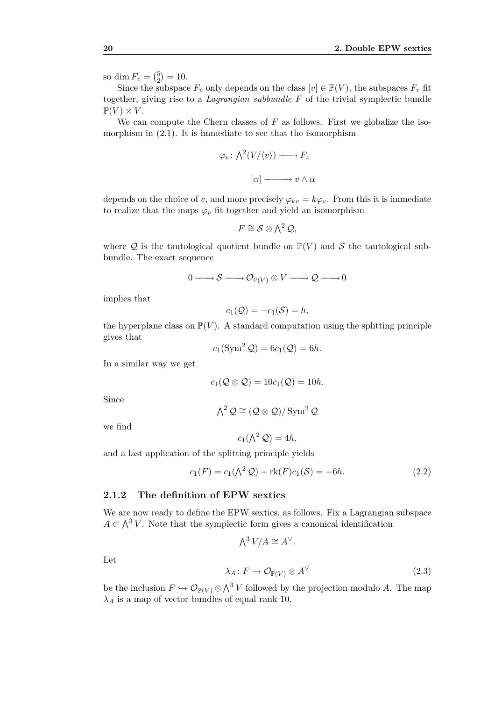so dim  $F_v = \binom{5}{2}$  $_{2}^{5}$ ) = 10.

Since the subspace  $F_v$  only depends on the class  $[v] \in \mathbb{P}(V)$ , the subspaces  $F_v$  fit together, giving rise to a *Lagrangian subbundle F* of the trivial symplectic bundle  $\mathbb{P}(V) \times V$ .

We can compute the Chern classes of *F* as follows. First we globalize the isomorphism in  $(2.1)$ . It is immediate to see that the isomorphism

$$
\varphi_v \colon \bigwedge^2 (V/\langle v \rangle) \longrightarrow F_v
$$

$$
[\alpha] \longrightarrow v \wedge \alpha
$$

depends on the choice of *v*, and more precisely  $\varphi_{kv} = k\varphi_v$ . From this it is immediate to realize that the maps  $\varphi_v$  fit together and yield an isomorphism

$$
F \cong \mathcal{S} \otimes \bigwedge^2 \mathcal{Q},
$$

where  $Q$  is the tautological quotient bundle on  $\mathbb{P}(V)$  and  $S$  the tautological subbundle. The exact sequence

$$
0 \longrightarrow S \longrightarrow \mathcal{O}_{\mathbb{P}(V)} \otimes V \longrightarrow \mathcal{Q} \longrightarrow 0
$$

implies that

$$
c_1(\mathcal{Q}) = -c_1(\mathcal{S}) = h,
$$

the hyperplane class on  $\mathbb{P}(V)$ . A standard computation using the splitting principle gives that

$$
c_1(\operatorname{Sym}^2 \mathcal{Q}) = 6c_1(\mathcal{Q}) = 6h.
$$

In a similar way we get

$$
c_1(\mathcal{Q} \otimes \mathcal{Q}) = 10c_1(\mathcal{Q}) = 10h.
$$

Since

$$
\textstyle{\bigwedge}^2{\mathcal Q}\cong ({\mathcal Q}\otimes{\mathcal Q})/\operatorname{Sym}^2{\mathcal Q}
$$

we find

$$
c_1(\bigwedge^2 \mathcal{Q}) = 4h,
$$

and a last application of the splitting principle yields

$$
c_1(F) = c_1(\bigwedge^2 \mathcal{Q}) + \text{rk}(F)c_1(\mathcal{S}) = -6h. \tag{2.2}
$$

#### **2.1.2 The definition of EPW sextics**

We are now ready to define the EPW sextics, as follows. Fix a Lagrangian subspace  $A \subset \Lambda^3 V$ . Note that the symplectic form gives a canonical identification

$$
\bigwedge^3 V/A \cong A^{\vee}.
$$

Let

$$
\lambda_A \colon F \to \mathcal{O}_{\mathbb{P}(V)} \otimes A^{\vee} \tag{2.3}
$$

be the inclusion  $F \hookrightarrow \mathcal{O}_{\mathbb{P}(V)} \otimes \bigwedge^3 V$  followed by the projection modulo A. The map  $λ$ <sup>*A*</sup> is a map of vector bundles of equal rank 10.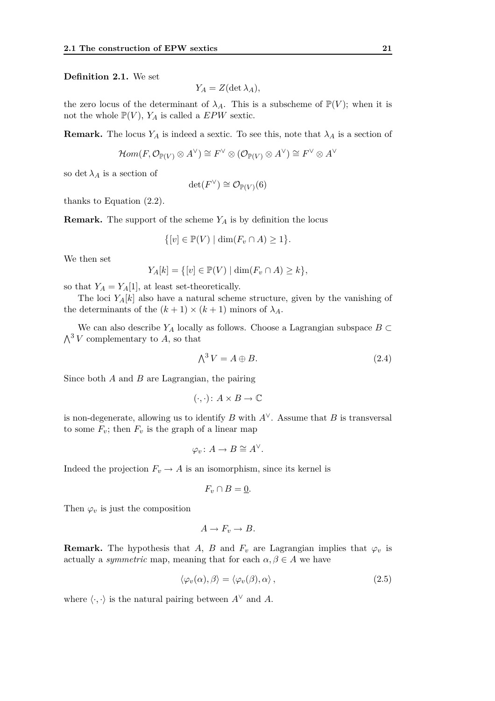**Definition 2.1.** We set

$$
Y_A = Z(\det \lambda_A),
$$

the zero locus of the determinant of  $\lambda_A$ . This is a subscheme of  $\mathbb{P}(V)$ ; when it is not the whole  $\mathbb{P}(V)$ ,  $Y_A$  is called a *EPW* sextic.

**Remark.** The locus  $Y_A$  is indeed a sextic. To see this, note that  $\lambda_A$  is a section of

$$
\mathcal{H}om(F,\mathcal{O}_{\mathbb{P}(V)}\otimes A^{\vee})\cong F^{\vee}\otimes (\mathcal{O}_{\mathbb{P}(V)}\otimes A^{\vee})\cong F^{\vee}\otimes A^{\vee}
$$

so det  $\lambda_A$  is a section of

$$
\det(F^{\vee}) \cong \mathcal{O}_{\mathbb{P}(V)}(6)
$$

thanks to Equation (2.2).

**Remark.** The support of the scheme *Y<sup>A</sup>* is by definition the locus

$$
\{[v] \in \mathbb{P}(V) \mid \dim(F_v \cap A) \ge 1\}.
$$

We then set

$$
Y_A[k] = \{ [v] \in \mathbb{P}(V) \mid \dim(F_v \cap A) \ge k \},\
$$

so that  $Y_A = Y_A[1]$ , at least set-theoretically.

The loci  $Y_A[k]$  also have a natural scheme structure, given by the vanishing of the determinants of the  $(k + 1) \times (k + 1)$  minors of  $\lambda_A$ .

We can also describe  $Y_A$  locally as follows. Choose a Lagrangian subspace  $B \subset$  $\bigwedge^3 V$  complementary to A, so that

$$
\bigwedge^3 V = A \oplus B. \tag{2.4}
$$

Since both *A* and *B* are Lagrangian, the pairing

$$
(\cdot, \cdot) \colon A \times B \to \mathbb{C}
$$

is non-degenerate, allowing us to identify *B* with  $A^{\vee}$ . Assume that *B* is transversal to some  $F_v$ ; then  $F_v$  is the graph of a linear map

$$
\varphi_v \colon A \to B \cong A^{\vee}.
$$

Indeed the projection  $F_v \to A$  is an isomorphism, since its kernel is

$$
F_v \cap B = \underline{0}.
$$

Then  $\varphi_v$  is just the composition

$$
A \to F_v \to B.
$$

**Remark.** The hypothesis that *A*, *B* and  $F_v$  are Lagrangian implies that  $\varphi_v$  is actually a *symmetric* map, meaning that for each  $\alpha, \beta \in A$  we have

$$
\langle \varphi_v(\alpha), \beta \rangle = \langle \varphi_v(\beta), \alpha \rangle , \qquad (2.5)
$$

where  $\langle \cdot, \cdot \rangle$  is the natural pairing between  $A^{\vee}$  and A.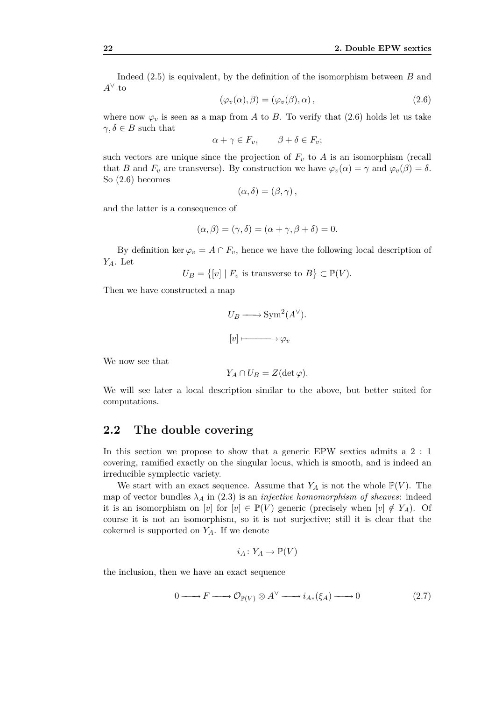Indeed (2.5) is equivalent, by the definition of the isomorphism between *B* and *A<sup>∨</sup>* to

$$
(\varphi_v(\alpha), \beta) = (\varphi_v(\beta), \alpha) , \qquad (2.6)
$$

where now  $\varphi_v$  is seen as a map from *A* to *B*. To verify that (2.6) holds let us take  $\gamma, \delta \in B$  such that

$$
\alpha + \gamma \in F_v, \qquad \beta + \delta \in F_v;
$$

such vectors are unique since the projection of  $F_v$  to  $A$  is an isomorphism (recall that *B* and  $F_v$  are transverse). By construction we have  $\varphi_v(\alpha) = \gamma$  and  $\varphi_v(\beta) = \delta$ . So (2.6) becomes

$$
(\alpha,\delta)=(\beta,\gamma)\,,
$$

and the latter is a consequence of

$$
(\alpha, \beta) = (\gamma, \delta) = (\alpha + \gamma, \beta + \delta) = 0.
$$

By definition ker  $\varphi_v = A \cap F_v$ , hence we have the following local description of *YA*. Let

$$
U_B = \{ [v] \mid F_v \text{ is transverse to } B \} \subset \mathbb{P}(V).
$$

Then we have constructed a map

$$
U_B \longrightarrow \text{Sym}^2(A^{\vee}).
$$
  

$$
[v] \longmapsto \varphi_v
$$

We now see that

$$
Y_A \cap U_B = Z(\det \varphi).
$$

We will see later a local description similar to the above, but better suited for computations.

#### **2.2 The double covering**

In this section we propose to show that a generic EPW sextics admits a 2 : 1 covering, ramified exactly on the singular locus, which is smooth, and is indeed an irreducible symplectic variety.

We start with an exact sequence. Assume that  $Y_A$  is not the whole  $\mathbb{P}(V)$ . The map of vector bundles  $\lambda_A$  in (2.3) is an *injective homomorphism of sheaves*: indeed it is an isomorphism on [*v*] for  $[v] \in \mathbb{P}(V)$  generic (precisely when  $[v] \notin Y_A$ ). Of course it is not an isomorphism, so it is not surjective; still it is clear that the cokernel is supported on *YA*. If we denote

$$
i_A\colon Y_A\to \mathbb{P}(V)
$$

the inclusion, then we have an exact sequence

$$
0 \longrightarrow F \longrightarrow \mathcal{O}_{\mathbb{P}(V)} \otimes A^{\vee} \longrightarrow i_{A*}(\xi_A) \longrightarrow 0 \tag{2.7}
$$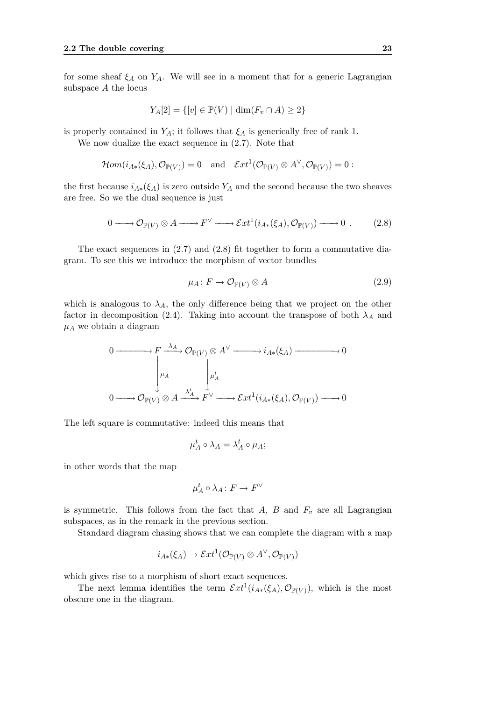for some sheaf  $\xi_A$  on  $Y_A$ . We will see in a moment that for a generic Lagrangian subspace *A* the locus

$$
Y_A[2] = \{ [v] \in \mathbb{P}(V) \mid \dim(F_v \cap A) \ge 2 \}
$$

is properly contained in  $Y_A$ ; it follows that  $\xi_A$  is generically free of rank 1.

We now dualize the exact sequence in (2.7). Note that

$$
\mathcal{H}om(i_{A*}(\xi_A), \mathcal{O}_{\mathbb{P}(V)}) = 0 \text{ and } \mathcal{E}xt^{1}(\mathcal{O}_{\mathbb{P}(V)} \otimes A^{\vee}, \mathcal{O}_{\mathbb{P}(V)}) = 0:
$$

the first because  $i_{A*}(\xi_A)$  is zero outside  $Y_A$  and the second because the two sheaves are free. So we the dual sequence is just

$$
0 \longrightarrow {\mathcal O}_{{\mathbb P}(V)} \otimes A \longrightarrow F^{\vee} \longrightarrow \mathcal{E}xt^{1}(i_{A*}(\xi_{A}), {\mathcal O}_{{\mathbb P}(V)}) \longrightarrow 0 . \tag{2.8}
$$

The exact sequences in (2.7) and (2.8) fit together to form a commutative diagram. To see this we introduce the morphism of vector bundles

$$
\mu_A \colon F \to \mathcal{O}_{\mathbb{P}(V)} \otimes A \tag{2.9}
$$

which is analogous to  $\lambda_A$ , the only difference being that we project on the other factor in decomposition (2.4). Taking into account the transpose of both  $\lambda_A$  and  $\mu_A$  we obtain a diagram

$$
0 \longrightarrow F \xrightarrow{\lambda_A} \mathcal{O}_{\mathbb{P}(V)} \otimes A^{\vee} \longrightarrow i_{A*}(\xi_A) \longrightarrow 0
$$
  
\n
$$
\downarrow^{\mu_A} \qquad \qquad \downarrow^{\mu_A'} \qquad \downarrow^{\mu_A'} \qquad \qquad 0 \longrightarrow \mathcal{O}_{\mathbb{P}(V)} \otimes A \xrightarrow{\lambda_A^t} F^{\vee} \longrightarrow \mathcal{E}xt^1(i_{A*}(\xi_A), \mathcal{O}_{\mathbb{P}(V)}) \longrightarrow 0
$$

The left square is commutative: indeed this means that

$$
\mu_A^t \circ \lambda_A = \lambda_A^t \circ \mu_A;
$$

in other words that the map

$$
\mu_A^t \circ \lambda_A \colon F \to F^\vee
$$

is symmetric. This follows from the fact that  $A$ ,  $B$  and  $F<sub>v</sub>$  are all Lagrangian subspaces, as in the remark in the previous section.

Standard diagram chasing shows that we can complete the diagram with a map

$$
i_{A*}(\xi_A) \to \mathcal{E}xt^1(\mathcal{O}_{\mathbb{P}(V)} \otimes A^{\vee}, \mathcal{O}_{\mathbb{P}(V)})
$$

which gives rise to a morphism of short exact sequences.

The next lemma identifies the term  $\mathcal{E}xt^1(i_{A*}(\xi_A), \mathcal{O}_{\mathbb{P}(V)})$ , which is the most obscure one in the diagram.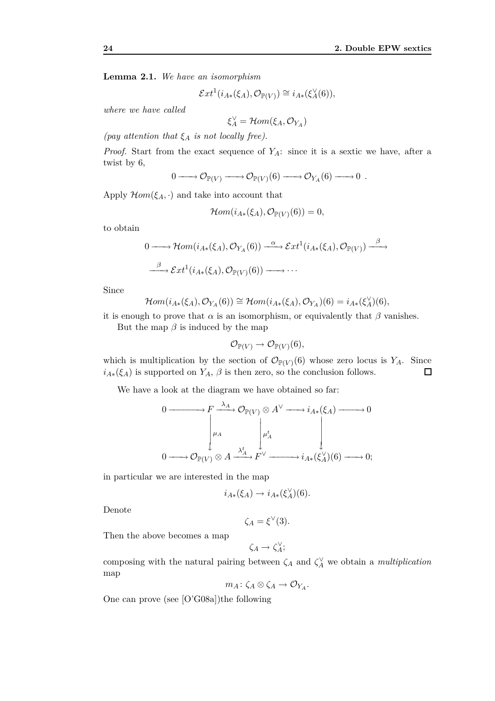**Lemma 2.1.** *We have an isomorphism*

$$
\mathcal{E}xt^{1}(i_{A*}(\xi_{A}),\mathcal{O}_{\mathbb{P}(V)})\cong i_{A*}(\xi_{A}^{\vee}(6)),
$$

*where we have called*

$$
\xi_A^\vee = \mathcal{H}om(\xi_A, \mathcal{O}_{Y_A})
$$

*(pay attention that ξ<sup>A</sup> is not locally free).*

*Proof.* Start from the exact sequence of *YA*: since it is a sextic we have, after a twist by 6,

$$
0 \longrightarrow \mathcal{O}_{\mathbb{P}(V)} \longrightarrow \mathcal{O}_{\mathbb{P}(V)}(6) \longrightarrow \mathcal{O}_{Y_A}(6) \longrightarrow 0 .
$$

Apply  $\mathcal{H}$ *om*( $\xi_A$ , $\cdot$ ) and take into account that

$$
\mathcal{H}om(i_{A*}(\xi_A), \mathcal{O}_{\mathbb{P}(V)}(6)) = 0,
$$

to obtain

$$
0 \longrightarrow \mathcal{H}om(i_{A*}(\xi_A), \mathcal{O}_{Y_A}(6)) \xrightarrow{\alpha} \mathcal{E}xt^{1}(i_{A*}(\xi_A), \mathcal{O}_{\mathbb{P}(V)}) \xrightarrow{\beta} \mathcal{E}xt^{1}(i_{A*}(\xi_A), \mathcal{O}_{\mathbb{P}(V)}(6)) \longrightarrow \cdots
$$

Since

$$
\mathcal{H}om(i_{A*}(\xi_A),\mathcal{O}_{Y_A}(6)) \cong \mathcal{H}om(i_{A*}(\xi_A),\mathcal{O}_{Y_A})(6) = i_{A*}(\xi_A^{\vee})(6),
$$

it is enough to prove that  $\alpha$  is an isomorphism, or equivalently that  $\beta$  vanishes.

But the map  $\beta$  is induced by the map

$$
\mathcal{O}_{\mathbb{P}(V)} \to \mathcal{O}_{\mathbb{P}(V)}(6),
$$

which is multiplication by the section of  $\mathcal{O}_{\mathbb{P}(V)}(6)$  whose zero locus is  $Y_A$ . Since  $i_{A*}(\xi_A)$  is supported on  $Y_A$ ,  $\beta$  is then zero, so the conclusion follows.  $\Box$ 

We have a look at the diagram we have obtained so far:

$$
0 \longrightarrow F \xrightarrow{\lambda_A} \mathcal{O}_{\mathbb{P}(V)} \otimes A^{\vee} \longrightarrow i_{A*}(\xi_A) \longrightarrow 0
$$
  
\n
$$
\downarrow^{\mu_A} \qquad \qquad \downarrow^{\mu'_A} \qquad \qquad \downarrow^{\mu'_A} \qquad \qquad \downarrow^{\mu'_{A}} \qquad \qquad \downarrow^{\mu'_{A}} \qquad \qquad \downarrow^{\mu'_{A}} \qquad \qquad \downarrow^{\mu'_{A}} \qquad \qquad \downarrow^{\mu'_{A}} \qquad \qquad \downarrow^{\mu'_{A}} \qquad \qquad \downarrow^{\mu'_{A}} \qquad \qquad \downarrow^{\mu'_{A}} \qquad \qquad \downarrow^{\mu'_{A}} \qquad \qquad \downarrow^{\mu'_{A}} \qquad \qquad \downarrow^{\mu'_{A}} \qquad \qquad \downarrow^{\mu'_{A}} \qquad \qquad \downarrow^{\mu'_{A}} \qquad \qquad \downarrow^{\mu'_{A}} \qquad \qquad \downarrow^{\mu'_{A}} \qquad \qquad \downarrow^{\mu'_{A}} \qquad \qquad \downarrow^{\mu'_{A}} \qquad \qquad \downarrow^{\mu'_{A}} \qquad \qquad \downarrow^{\mu'_{A}} \qquad \qquad \downarrow^{\mu'_{A}} \qquad \qquad \downarrow^{\mu'_{A}} \qquad \qquad \downarrow^{\mu'_{A}} \qquad \qquad \downarrow^{\mu'_{A}} \qquad \qquad \downarrow^{\mu'_{A}} \qquad \qquad \downarrow^{\mu'_{A}} \qquad \qquad \downarrow^{\mu'_{A}} \qquad \qquad \downarrow^{\mu'_{A}} \qquad \qquad \downarrow^{\mu'_{A}} \qquad \qquad \downarrow^{\mu'_{A}} \qquad \qquad \downarrow^{\mu'_{A}} \qquad \qquad \downarrow^{\mu'_{A}} \qquad \qquad \downarrow^{\mu'_{A}} \qquad \qquad \downarrow^{\mu'_{A}} \qquad \qquad \downarrow^{\mu'_{A}} \qquad \qquad \downarrow^{\mu'_{A}} \qquad \qquad \downarrow^{\mu'_{A}} \qquad \qquad \downarrow^{\mu'_{A}} \qquad \qquad \downarrow^{\mu'_{A}} \qquad \qquad \downarrow^{\mu'_{A}} \qquad \qquad \downarrow^{\mu'_{A}} \qquad \qquad \downarrow^{\mu'_{A}} \qquad \q
$$

in particular we are interested in the map

$$
i_{A*}(\xi_A) \to i_{A*}(\xi_A^{\vee})(6).
$$

Denote

$$
\zeta_A = \xi^{\vee}(3).
$$

Then the above becomes a map

$$
\zeta_A \to \zeta_A^{\vee};
$$

composing with the natural pairing between  $\zeta_A$  and  $\zeta_A^{\vee}$  we obtain a *multiplication* map

$$
m_A\colon \zeta_A\otimes \zeta_A\to \mathcal{O}_{Y_A}.
$$

One can prove (see [O'G08a])the following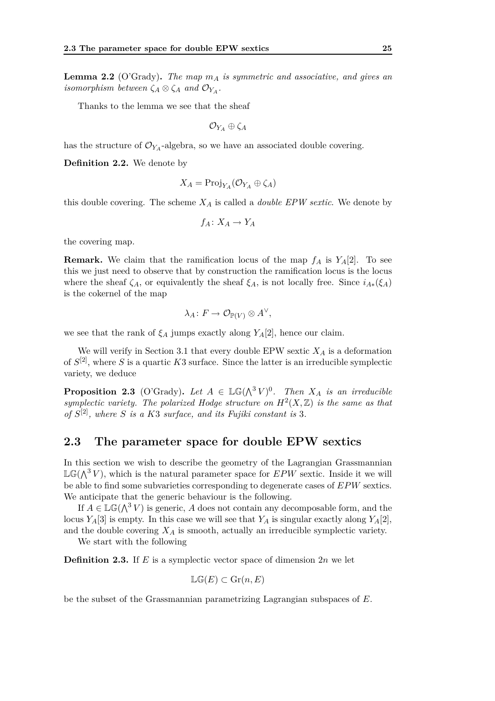**Lemma 2.2** (O'Grady)**.** *The map m<sup>A</sup> is symmetric and associative, and gives an isomorphism between*  $\zeta_A \otimes \zeta_A$  *and*  $\mathcal{O}_{Y_A}$ *.* 

Thanks to the lemma we see that the sheaf

$$
\mathcal{O}_{Y_A} \oplus \zeta_A
$$

has the structure of  $\mathcal{O}_{Y_A}$ -algebra, so we have an associated double covering.

**Definition 2.2.** We denote by

$$
X_A = \text{Proj}_{Y_A}(\mathcal{O}_{Y_A} \oplus \zeta_A)
$$

this double covering. The scheme  $X_A$  is called a *double EPW sextic*. We denote by

$$
f_A\colon X_A\to Y_A
$$

the covering map.

**Remark.** We claim that the ramification locus of the map  $f_A$  is  $Y_A[2]$ . To see this we just need to observe that by construction the ramification locus is the locus where the sheaf  $\zeta_A$ , or equivalently the sheaf  $\xi_A$ , is not locally free. Since  $i_{A*}(\xi_A)$ is the cokernel of the map

$$
\lambda_A\colon F\to \mathcal{O}_{\mathbb{P}(V)}\otimes A^\vee,
$$

we see that the rank of  $\xi_A$  jumps exactly along  $Y_A[2]$ , hence our claim.

We will verify in Section 3.1 that every double EPW sextic  $X_A$  is a deformation of  $S^{[2]}$ , where *S* is a quartic *K*3 surface. Since the latter is an irreducible symplectic variety, we deduce

**Proposition 2.3** (O'Grady). Let  $A \in \mathbb{LG}(\Lambda^3 V)^0$ . Then  $X_A$  is an irreducible symplectic variety. The polarized Hodge structure on  $H^2(X,\mathbb{Z})$  is the same as that *of S* [2]*, where S is a K*3 *surface, and its Fujiki constant is* 3*.*

#### **2.3 The parameter space for double EPW sextics**

In this section we wish to describe the geometry of the Lagrangian Grassmannian  $\mathbb{LG}(\bigwedge^3 V)$ , which is the natural parameter space for *EPW* sextic. Inside it we will be able to find some subvarieties corresponding to degenerate cases of *EPW* sextics. We anticipate that the generic behaviour is the following.

If  $A \in \mathbb{LG}(\bigwedge^3 V)$  is generic, A does not contain any decomposable form, and the locus  $Y_A[3]$  is empty. In this case we will see that  $Y_A$  is singular exactly along  $Y_A[2]$ , and the double covering *X<sup>A</sup>* is smooth, actually an irreducible symplectic variety.

We start with the following

**Definition 2.3.** If *E* is a symplectic vector space of dimension 2*n* we let

$$
\mathbb{LG}(E) \subset \mathcal{G}r(n, E)
$$

be the subset of the Grassmannian parametrizing Lagrangian subspaces of *E*.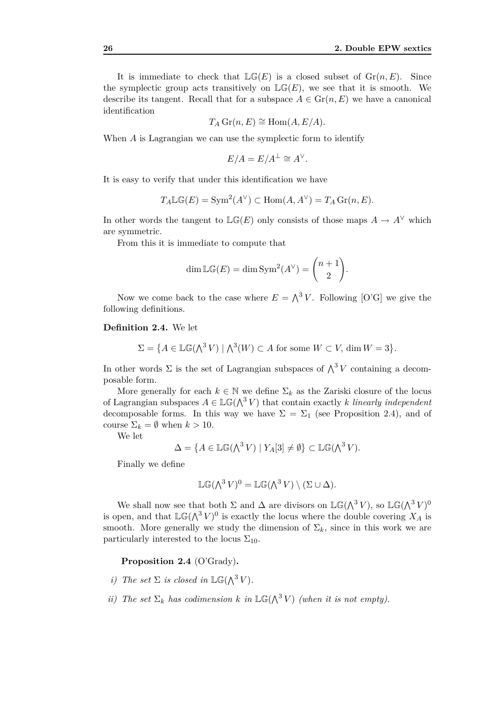It is immediate to check that  $\mathbb{LG}(E)$  is a closed subset of  $\mathrm{Gr}(n, E)$ . Since the symplectic group acts transitively on  $\mathbb{LG}(E)$ , we see that it is smooth. We describe its tangent. Recall that for a subspace  $A \in \mathrm{Gr}(n, E)$  we have a canonical identification

$$
T_A \operatorname{Gr}(n, E) \cong \operatorname{Hom}(A, E/A).
$$

When *A* is Lagrangian we can use the symplectic form to identify

$$
E/A = E/A^{\perp} \cong A^{\vee}.
$$

It is easy to verify that under this identification we have

$$
T_A \mathbb{LG}(E) = \text{Sym}^2(A^{\vee}) \subset \text{Hom}(A, A^{\vee}) = T_A \text{Gr}(n, E).
$$

In other words the tangent to  $\mathbb{LG}(E)$  only consists of those maps  $A \to A^{\vee}$  which are symmetric.

From this it is immediate to compute that

$$
\dim \mathbb{LG}(E) = \dim \operatorname{Sym}^2(A^{\vee}) = \binom{n+1}{2}.
$$

Now we come back to the case where  $E = \bigwedge^3 V$ . Following [O'G] we give the following definitions.

#### **Definition 2.4.** We let

$$
\Sigma = \{ A \in \mathbb{LG}(\bigwedge^3 V) \mid \bigwedge^3(W) \subset A \text{ for some } W \subset V, \dim W = 3 \}.
$$

In other words  $\Sigma$  is the set of Lagrangian subspaces of  $\bigwedge^3 V$  containing a decomposable form.

More generally for each  $k \in \mathbb{N}$  we define  $\Sigma_k$  as the Zariski closure of the locus of Lagrangian subspaces  $A \in \mathbb{LG}(\bigwedge^3 V)$  that contain exactly *k linearly independent* decomposable forms. In this way we have  $\Sigma = \Sigma_1$  (see Proposition 2.4), and of course  $\Sigma_k = \emptyset$  when  $k > 10$ .

We let

$$
\Delta = \{ A \in \mathbb{LG}(\Lambda^3 V) \mid Y_A[3] \neq \emptyset \} \subset \mathbb{LG}(\Lambda^3 V).
$$

Finally we define

$$
\mathbb{LG}(\bigwedge^3 V)^0 = \mathbb{LG}(\bigwedge^3 V) \setminus (\Sigma \cup \Delta).
$$

We shall now see that both  $\Sigma$  and  $\Delta$  are divisors on  $\mathbb{LG}(\bigwedge^3 V)$ , so  $\mathbb{LG}(\bigwedge^3 V)^0$ is open, and that  $\mathbb{LG}(\bigwedge^3 V)^0$  is exactly the locus where the double covering  $X_A$  is smooth. More generally we study the dimension of  $\Sigma_k$ , since in this work we are particularly interested to the locus  $\Sigma_{10}$ .

**Proposition 2.4** (O'Grady)**.**

- *i)* The set  $\Sigma$  *is closed in*  $\mathbb{LG}(\Lambda^3 V)$ *.*
- *ii)* The set  $\Sigma_k$  has codimension  $k$  *in*  $\mathbb{LG}(\Lambda^3 V)$  *(when it is not empty).*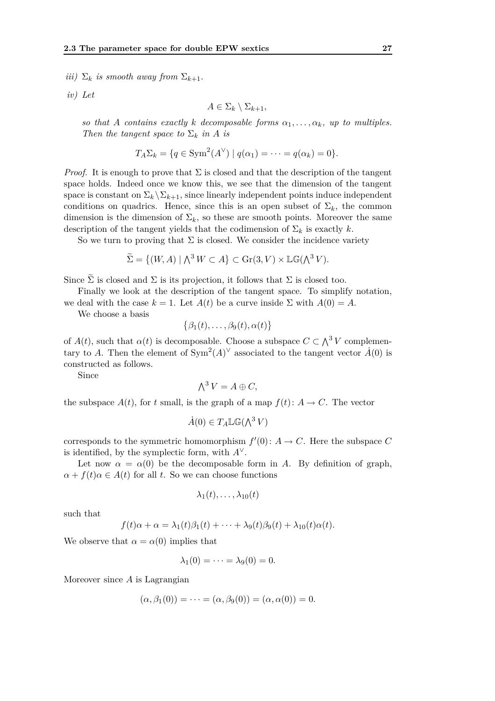*iii*)  $\Sigma_k$  *is smooth away from*  $\Sigma_{k+1}$ *.* 

*iv) Let*

$$
A \in \Sigma_k \setminus \Sigma_{k+1},
$$

*so that A contains exactly k decomposable forms*  $\alpha_1, \ldots, \alpha_k$ *, up to multiples. Then the tangent space to*  $\Sigma_k$  *in A is* 

$$
T_A \Sigma_k = \{ q \in \text{Sym}^2(A^{\vee}) \mid q(\alpha_1) = \cdots = q(\alpha_k) = 0 \}.
$$

*Proof.* It is enough to prove that  $\Sigma$  is closed and that the description of the tangent space holds. Indeed once we know this, we see that the dimension of the tangent space is constant on  $\Sigma_k \backslash \Sigma_{k+1}$ , since linearly independent points induce independent conditions on quadrics. Hence, since this is an open subset of  $\Sigma_k$ , the common dimension is the dimension of  $\Sigma_k$ , so these are smooth points. Moreover the same description of the tangent yields that the codimension of  $\Sigma_k$  is exactly *k*.

So we turn to proving that  $\Sigma$  is closed. We consider the incidence variety

$$
\widetilde{\Sigma} = \{ (W, A) \mid \bigwedge^3 W \subset A \} \subset \text{Gr}(3, V) \times \mathbb{LG}(\bigwedge^3 V).
$$

Since  $\tilde{\Sigma}$  is closed and  $\Sigma$  is its projection, it follows that  $\Sigma$  is closed too.

Finally we look at the description of the tangent space. To simplify notation,

we deal with the case  $k = 1$ . Let  $A(t)$  be a curve inside  $\Sigma$  with  $A(0) = A$ .

We choose a basis

$$
\{\beta_1(t),\ldots,\beta_9(t),\alpha(t)\}\
$$

of  $A(t)$ , such that  $\alpha(t)$  is decomposable. Choose a subspace  $C \subset \Lambda^3 V$  complementary to *A*. Then the element of  $Sym^2(A)^\vee$  associated to the tangent vector  $\dot{A}(0)$  is constructed as follows.

Since

$$
\bigwedge^3 V = A \oplus C,
$$

the subspace  $A(t)$ , for *t* small, is the graph of a map  $f(t)$ :  $A \rightarrow C$ . The vector

$$
\dot{A}(0) \in T_A \mathbb{LG}(\bigwedge^3 V)
$$

corresponds to the symmetric homomorphism  $f'(0)$ :  $A \to C$ . Here the subspace C is identified, by the symplectic form, with  $A^{\vee}$ .

Let now  $\alpha = \alpha(0)$  be the decomposable form in *A*. By definition of graph,  $\alpha + f(t)\alpha \in A(t)$  for all *t*. So we can choose functions

$$
\lambda_1(t),\ldots,\lambda_{10}(t)
$$

such that

$$
f(t)\alpha + \alpha = \lambda_1(t)\beta_1(t) + \cdots + \lambda_9(t)\beta_9(t) + \lambda_{10}(t)\alpha(t).
$$

We observe that  $\alpha = \alpha(0)$  implies that

$$
\lambda_1(0)=\cdots=\lambda_9(0)=0.
$$

Moreover since *A* is Lagrangian

$$
(\alpha, \beta_1(0)) = \cdots = (\alpha, \beta_9(0)) = (\alpha, \alpha(0)) = 0.
$$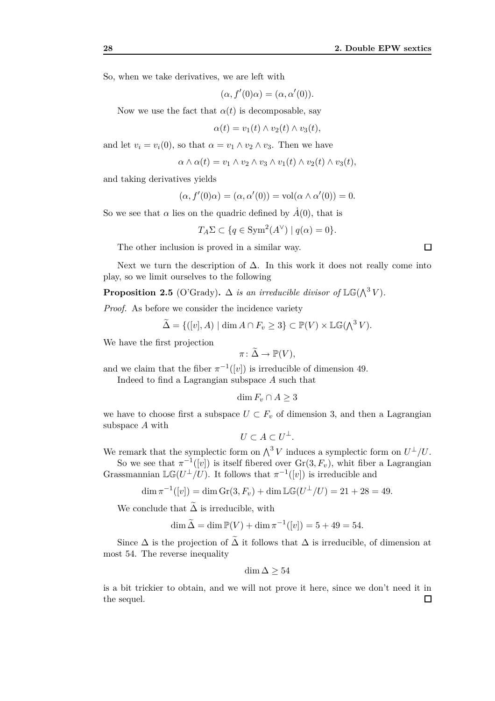So, when we take derivatives, we are left with

$$
(\alpha, f'(0)\alpha) = (\alpha, \alpha'(0)).
$$

Now we use the fact that  $\alpha(t)$  is decomposable, say

$$
\alpha(t) = v_1(t) \wedge v_2(t) \wedge v_3(t),
$$

and let  $v_i = v_i(0)$ , so that  $\alpha = v_1 \wedge v_2 \wedge v_3$ . Then we have

$$
\alpha \wedge \alpha(t) = v_1 \wedge v_2 \wedge v_3 \wedge v_1(t) \wedge v_2(t) \wedge v_3(t),
$$

and taking derivatives yields

$$
(\alpha, f'(0)\alpha) = (\alpha, \alpha'(0)) = \text{vol}(\alpha \wedge \alpha'(0)) = 0.
$$

So we see that  $\alpha$  lies on the quadric defined by  $\dot{A}(0)$ , that is

$$
T_A \Sigma \subset \{ q \in \text{Sym}^2(A^{\vee}) \mid q(\alpha) = 0 \}.
$$

The other inclusion is proved in a similar way.

Next we turn the description of  $\Delta$ . In this work it does not really come into play, so we limit ourselves to the following

**Proposition 2.5** (O'Grady).  $\Delta$  *is an irreducible divisor of*  $\mathbb{LG}(\Lambda^3 V)$ *.* 

*Proof.* As before we consider the incidence variety

$$
\widetilde{\Delta} = \{ ([v], A) \mid \dim A \cap F_v \ge 3 \} \subset \mathbb{P}(V) \times \mathbb{LG}(\Lambda^3 V).
$$

We have the first projection

$$
\pi\colon\tilde\Delta\to\mathbb P(V),
$$

and we claim that the fiber  $\pi^{-1}([v])$  is irreducible of dimension 49.

Indeed to find a Lagrangian subspace *A* such that

$$
\dim F_v \cap A \ge 3
$$

we have to choose first a subspace  $U \subset F_v$  of dimension 3, and then a Lagrangian subspace *A* with

$$
U \subset A \subset U^{\perp}.
$$

We remark that the symplectic form on  $\bigwedge^3 V$  induces a symplectic form on  $U^{\perp}/U$ .

So we see that  $\pi^{-1}([v])$  is itself fibered over  $\text{Gr}(3, F_v)$ , whit fiber a Lagrangian Grassmannian  $\mathbb{LG}(U^{\perp}/U)$ . It follows that  $\pi^{-1}([v])$  is irreducible and

$$
\dim \pi^{-1}([v]) = \dim \text{Gr}(3, F_v) + \dim \mathbb{LG}(U^{\perp}/U) = 21 + 28 = 49.
$$

We conclude that  $\widetilde{\Delta}$  is irreducible, with

$$
\dim \tilde{\Delta} = \dim \mathbb{P}(V) + \dim \pi^{-1}([v]) = 5 + 49 = 54.
$$

Since  $\Delta$  is the projection of  $\Delta$  it follows that  $\Delta$  is irreducible, of dimension at most 54. The reverse inequality

$$
\dim \Delta \geq 54
$$

is a bit trickier to obtain, and we will not prove it here, since we don't need it in the sequel. $\Box$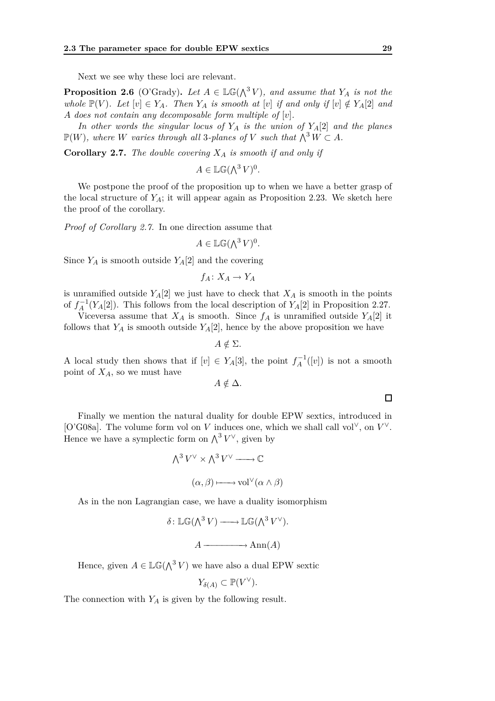Next we see why these loci are relevant.

**Proposition 2.6** (O'Grady). Let  $A \in \mathbb{LG}(\bigwedge^3 V)$ , and assume that  $Y_A$  is not the *whole*  $\mathbb{P}(V)$ *. Let*  $[v] \in Y_A$ *. Then*  $Y_A$  *is smooth at*  $[v]$  *if and only if*  $[v] \notin Y_A[2]$  *and A does not contain any decomposable form multiple of* [*v*]*.*

*In other words the singular locus of Y<sup>A</sup> is the union of YA*[2] *and the planes*  $\mathbb{P}(W)$ *, where W varies through all* 3*-planes of V such that*  $\bigwedge^3 W \subset A$ *.* 

**Corollary 2.7.** *The double covering X<sup>A</sup> is smooth if and only if*

 $A \in \mathbb{LG}(\bigwedge^3 V)^0$ .

We postpone the proof of the proposition up to when we have a better grasp of the local structure of  $Y_A$ ; it will appear again as Proposition 2.23. We sketch here the proof of the corollary.

*Proof of Corollary 2.7.* In one direction assume that

$$
A \in \mathbb{LG}(\bigwedge^3 V)^0.
$$

Since  $Y_A$  is smooth outside  $Y_A[2]$  and the covering

$$
f_A\colon X_A\to Y_A
$$

is unramified outside  $Y_A[2]$  we just have to check that  $X_A$  is smooth in the points of  $f_A^{-1}(Y_A[2])$ . This follows from the local description of  $Y_A[2]$  in Proposition 2.27.

Viceversa assume that  $X_A$  is smooth. Since  $f_A$  is unramified outside  $Y_A[2]$  it follows that  $Y_A$  is smooth outside  $Y_A[2]$ , hence by the above proposition we have

$$
A \notin \Sigma.
$$

A local study then shows that if  $[v] \in Y_A[3]$ , the point  $f_A^{-1}([v])$  is not a smooth point of *XA*, so we must have

 $A \notin \Delta$ *.* 

Finally we mention the natural duality for double EPW sextics, introduced in [O'G08a]. The volume form vol on *V* induces one, which we shall call vol*∨*, on *V ∨*. Hence we have a symplectic form on  $\bigwedge^3 V^{\vee}$ , given by

$$
\Lambda^3 V^{\vee} \times \Lambda^3 V^{\vee} \longrightarrow \mathbb{C}
$$

$$
(\alpha, \beta) \longmapsto \text{vol}^{\vee}(\alpha \wedge \beta)
$$

As in the non Lagrangian case, we have a duality isomorphism

$$
\delta: \mathbb{LG}(\Lambda^3 V) \longrightarrow \mathbb{LG}(\Lambda^3 V^{\vee}).
$$

$$
A \longrightarrow \text{Ann}(A)
$$

Hence, given  $A \in \mathbb{LG}(\bigwedge^3 V)$  we have also a dual EPW sextic

$$
Y_{\delta(A)} \subset \mathbb{P}(V^{\vee}).
$$

The connection with *Y<sup>A</sup>* is given by the following result.

```
\Box
```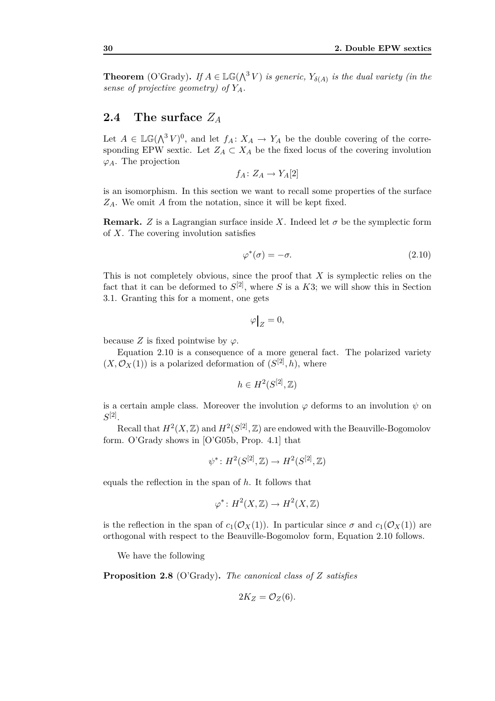**Theorem** (O'Grady). If  $A \in \mathbb{LG}(\Lambda^3 V)$  is generic,  $Y_{\delta(A)}$  is the dual variety (in the *sense of projective geometry) of YA.*

# **2.4 The surface** *Z<sup>A</sup>*

Let  $A \in \mathbb{LG}(\bigwedge^3 V)^0$ , and let  $f_A: X_A \to Y_A$  be the double covering of the corresponding EPW sextic. Let  $Z_A \subset X_A$  be the fixed locus of the covering involution  $\varphi_A$ . The projection

$$
f_A\colon Z_A\to Y_A[2]
$$

is an isomorphism. In this section we want to recall some properties of the surface *ZA*. We omit *A* from the notation, since it will be kept fixed.

**Remark.** *Z* is a Lagrangian surface inside *X*. Indeed let  $\sigma$  be the symplectic form of *X*. The covering involution satisfies

$$
\varphi^*(\sigma) = -\sigma. \tag{2.10}
$$

This is not completely obvious, since the proof that *X* is symplectic relies on the fact that it can be deformed to  $S^{[2]}$ , where *S* is a *K*3; we will show this in Section 3.1. Granting this for a moment, one gets

$$
\varphi\big|_Z=0,
$$

because *Z* is fixed pointwise by  $\varphi$ .

Equation 2.10 is a consequence of a more general fact. The polarized variety  $(X, \mathcal{O}_X(1))$  is a polarized deformation of  $(S^{[2]}, h)$ , where

$$
h \in H^2(S^{[2]},{\mathbb Z})
$$

is a certain ample class. Moreover the involution  $\varphi$  deforms to an involution  $\psi$  on  $S^{[2]}.$ 

Recall that  $H^2(X,\mathbb{Z})$  and  $H^2(S^{[2]},\mathbb{Z})$  are endowed with the Beauville-Bogomolov form. O'Grady shows in [O'G05b, Prop. 4*.*1] that

$$
\psi^*\colon H^2(S^{[2]},{\mathbb Z})\to H^2(S^{[2]},{\mathbb Z})
$$

equals the reflection in the span of *h*. It follows that

$$
\varphi^* \colon H^2(X, \mathbb{Z}) \to H^2(X, \mathbb{Z})
$$

is the reflection in the span of  $c_1(\mathcal{O}_X(1))$ . In particular since  $\sigma$  and  $c_1(\mathcal{O}_X(1))$  are orthogonal with respect to the Beauville-Bogomolov form, Equation 2.10 follows.

We have the following

**Proposition 2.8** (O'Grady)**.** *The canonical class of Z satisfies*

$$
2K_Z=\mathcal{O}_Z(6).
$$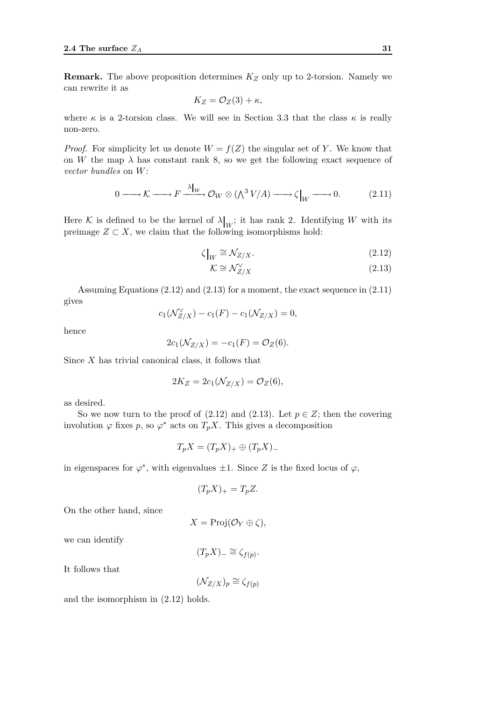**Remark.** The above proposition determines *K<sup>Z</sup>* only up to 2-torsion. Namely we can rewrite it as

$$
K_Z = \mathcal{O}_Z(3) + \kappa,
$$

where  $\kappa$  is a 2-torsion class. We will see in Section 3.3 that the class  $\kappa$  is really non-zero.

*Proof.* For simplicity let us denote  $W = f(Z)$  the singular set of *Y*. We know that on *W* the map  $\lambda$  has constant rank 8, so we get the following exact sequence of *vector bundles* on *W*:

$$
0 \longrightarrow K \longrightarrow F \xrightarrow{\lambda|_W} \mathcal{O}_W \otimes (\bigwedge^3 V/A) \longrightarrow \zeta|_W \longrightarrow 0. \tag{2.11}
$$

Here K is defined to be the kernel of  $\lambda|_W$ ; it has rank 2. Identifying W with its preimage  $Z \subset X$ , we claim that the following isomorphisms hold:

$$
\zeta|_W \cong \mathcal{N}_{Z/X}.\tag{2.12}
$$

$$
\mathcal{K} \cong \mathcal{N}_{Z/X}^{\vee} \tag{2.13}
$$

Assuming Equations (2.12) and (2.13) for a moment, the exact sequence in (2.11) gives

$$
c_1(\mathcal{N}_{Z/X}^{\vee}) - c_1(F) - c_1(\mathcal{N}_{Z/X}) = 0,
$$

hence

$$
2c_1(\mathcal{N}_{Z/X}) = -c_1(F) = \mathcal{O}_Z(6).
$$

Since *X* has trivial canonical class, it follows that

$$
2K_Z = 2c_1(\mathcal{N}_{Z/X}) = \mathcal{O}_Z(6),
$$

as desired.

So we now turn to the proof of  $(2.12)$  and  $(2.13)$ . Let  $p \in Z$ ; then the covering involution  $\varphi$  fixes *p*, so  $\varphi^*$  acts on  $T_pX$ . This gives a decomposition

$$
T_p X = (T_p X)_+ \oplus (T_p X)_-
$$

in eigenspaces for  $\varphi^*$ , with eigenvalues  $\pm 1$ . Since *Z* is the fixed locus of  $\varphi$ ,

$$
(T_p X)_+ = T_p Z.
$$

On the other hand, since

 $X = \text{Proj}(\mathcal{O}_Y \oplus \zeta),$ 

we can identify

$$
(T_p X)_{-} \cong \zeta_{f(p)}.
$$

It follows that

$$
(\mathcal{N}_{Z/X})_p \cong \zeta_{f(p)}
$$

and the isomorphism in (2.12) holds.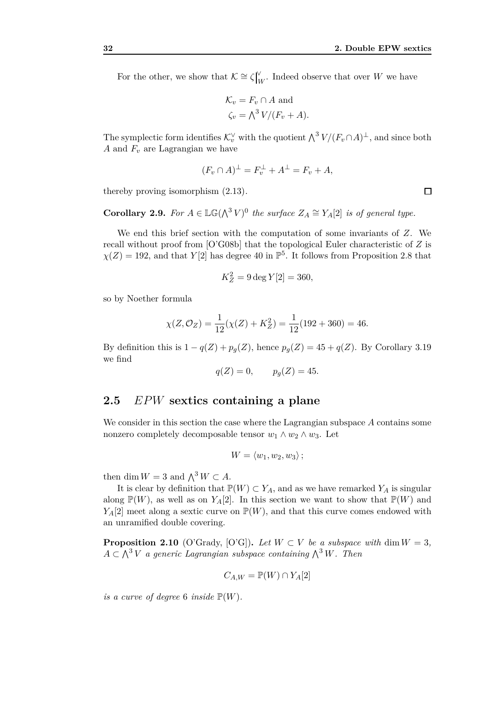For the other, we show that  $\mathcal{K} \cong \zeta \big|_{\mathcal{L}}^{\mathcal{V}}$  $W_W$ . Indeed observe that over *W* we have

$$
\mathcal{K}_v = F_v \cap A \text{ and}
$$
  

$$
\zeta_v = \bigwedge^3 V/(F_v + A).
$$

The symplectic form identifies  $\mathcal{K}^{\vee}_{v}$  with the quotient  $\bigwedge^{3} V/(F_{v} \cap A)^{\perp}$ , and since both *A* and *F<sup>v</sup>* are Lagrangian we have

$$
(F_v \cap A)^{\perp} = F_v^{\perp} + A^{\perp} = F_v + A,
$$

thereby proving isomorphism (2.13).

**Corollary 2.9.** For  $A \in \mathbb{LG}(\bigwedge^3 V)^0$  the surface  $Z_A \cong Y_A[2]$  is of general type.

We end this brief section with the computation of some invariants of *Z*. We recall without proof from [O'G08b] that the topological Euler characteristic of *Z* is  $\chi(Z) = 192$ , and that *Y*[2] has degree 40 in  $\mathbb{P}^5$ . It follows from Proposition 2.8 that

$$
K_Z^2 = 9 \deg Y[2] = 360,
$$

so by Noether formula

$$
\chi(Z, \mathcal{O}_Z) = \frac{1}{12}(\chi(Z) + K_Z^2) = \frac{1}{12}(192 + 360) = 46.
$$

By definition this is  $1 - q(Z) + p_g(Z)$ , hence  $p_g(Z) = 45 + q(Z)$ . By Corollary 3.19 we find

$$
q(Z) = 0, \qquad p_g(Z) = 45.
$$

# **2.5** *EPW* **sextics containing a plane**

We consider in this section the case where the Lagrangian subspace *A* contains some nonzero completely decomposable tensor  $w_1 \wedge w_2 \wedge w_3$ . Let

$$
W = \langle w_1, w_2, w_3 \rangle ;
$$

then dim  $W = 3$  and  $\bigwedge^3 W \subset A$ .

It is clear by definition that  $\mathbb{P}(W) \subset Y_A$ , and as we have remarked  $Y_A$  is singular along  $\mathbb{P}(W)$ , as well as on  $Y_A[2]$ . In this section we want to show that  $\mathbb{P}(W)$  and  $Y_A[2]$  meet along a sextic curve on  $\mathbb{P}(W)$ , and that this curve comes endowed with an unramified double covering.

**Proposition 2.10** (O'Grady, [O'G]). Let  $W \subset V$  be a subspace with dim  $W = 3$ ,  $A \subset \bigwedge^3 V$  *a generic Lagrangian subspace containing*  $\bigwedge^3 W$ *. Then* 

$$
C_{A,W} = \mathbb{P}(W) \cap Y_A[2]
$$

*is a curve of degree* 6 *inside*  $\mathbb{P}(W)$ *.*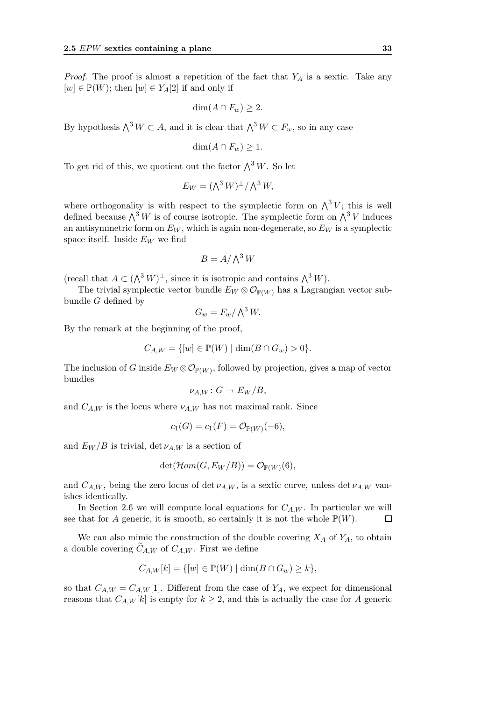*Proof.* The proof is almost a repetition of the fact that *Y<sup>A</sup>* is a sextic. Take any  $[w] \in \mathbb{P}(W)$ ; then  $[w] \in Y_A[2]$  if and only if

$$
\dim(A \cap F_w) \ge 2.
$$

By hypothesis  $\Lambda^3 W \subset A$ , and it is clear that  $\Lambda^3 W \subset F_w$ , so in any case

$$
\dim(A \cap F_w) \geq 1.
$$

To get rid of this, we quotient out the factor  $\bigwedge^3 W$ . So let

$$
E_W = (\bigwedge^3 W)^{\perp} / \bigwedge^3 W,
$$

where orthogonality is with respect to the symplectic form on  $\bigwedge^3 V$ ; this is well defined because  $\bigwedge^3 W$  is of course isotropic. The symplectic form on  $\bigwedge^3 V$  induces an antisymmetric form on  $E_W$ , which is again non-degenerate, so  $E_W$  is a symplectic space itself. Inside  $E_W$  we find

$$
B = A / \bigwedge^3 W
$$

 $(\text{recall that } A \subset (\bigwedge^3 W)^{\perp}, \text{ since it is isotropic and contains } \bigwedge^3 W).$ 

The trivial symplectic vector bundle  $E_W \otimes \mathcal{O}_{\mathbb{P}(W)}$  has a Lagrangian vector subbundle *G* defined by

$$
G_w = F_w / \bigwedge^3 W.
$$

By the remark at the beginning of the proof,

$$
C_{A,W} = \{ [w] \in \mathbb{P}(W) \mid \dim(B \cap G_w) > 0 \}.
$$

The inclusion of *G* inside  $E_W \otimes \mathcal{O}_{\mathbb{P}(W)}$ , followed by projection, gives a map of vector bundles

$$
\nu_{A,W} \colon G \to E_W/B,
$$

and  $C_{A,W}$  is the locus where  $\nu_{A,W}$  has not maximal rank. Since

$$
c_1(G) = c_1(F) = \mathcal{O}_{\mathbb{P}(W)}(-6),
$$

and  $E_W/B$  is trivial, det  $\nu_{A,W}$  is a section of

$$
\det(\mathcal{H}om(G, E_W/B)) = \mathcal{O}_{\mathbb{P}(W)}(6),
$$

and  $C_{A,W}$ , being the zero locus of det  $\nu_{A,W}$ , is a sextic curve, unless det  $\nu_{A,W}$  vanishes identically.

In Section 2.6 we will compute local equations for  $C_{A,W}$ . In particular we will see that for *A* generic, it is smooth, so certainly it is not the whole  $\mathbb{P}(W)$ .  $\Box$ 

We can also mimic the construction of the double covering  $X_A$  of  $Y_A$ , to obtain a double covering  $C_{A,W}$  of  $C_{A,W}$ . First we define

$$
C_{A,W}[k] = \{ [w] \in \mathbb{P}(W) \mid \dim(B \cap G_w) \ge k \},\
$$

so that  $C_{A,W} = C_{A,W}[1]$ . Different from the case of  $Y_A$ , we expect for dimensional reasons that  $C_{A,W}[k]$  is empty for  $k \geq 2$ , and this is actually the case for *A* generic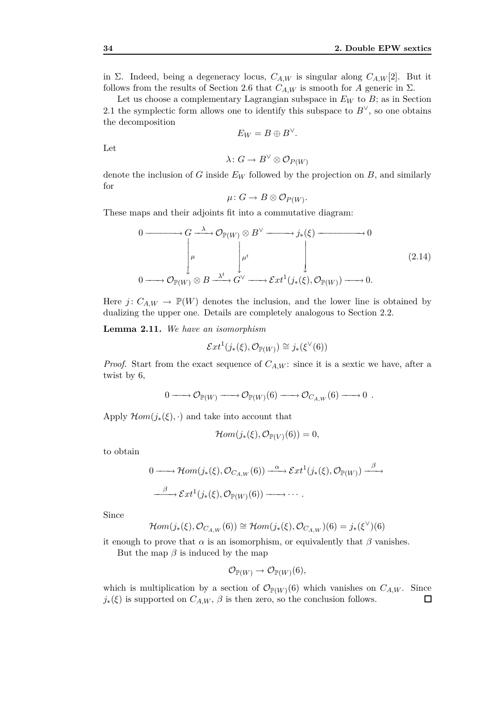in Σ. Indeed, being a degeneracy locus,  $C_{A,W}$  is singular along  $C_{A,W}[2]$ . But it follows from the results of Section 2.6 that  $C_{A,W}$  is smooth for *A* generic in  $\Sigma$ .

Let us choose a complementary Lagrangian subspace in *E<sup>W</sup>* to *B*; as in Section 2.1 the symplectic form allows one to identify this subspace to  $B^{\vee}$ , so one obtains the decomposition

$$
E_W=B\oplus B^{\vee}.
$$

Let

$$
\lambda\colon G\to B^\vee\otimes\mathcal{O}_{P(W)}
$$

denote the inclusion of *G* inside *E<sup>W</sup>* followed by the projection on *B*, and similarly for

$$
\mu\colon G\to B\otimes \mathcal{O}_{P(W)}.
$$

These maps and their adjoints fit into a commutative diagram:

$$
0 \longrightarrow G \longrightarrow G \longrightarrow \mathcal{O}_{\mathbb{P}(W)} \otimes B^{\vee} \longrightarrow j_{*}(\xi) \longrightarrow 0
$$
\n
$$
\downarrow \qquad \qquad \downarrow \qquad \qquad \downarrow
$$
\n
$$
0 \longrightarrow \mathcal{O}_{\mathbb{P}(W)} \otimes B \stackrel{\lambda^{t}}{\longrightarrow} G^{\vee} \longrightarrow \mathcal{E}xt^{1}(j_{*}(\xi), \mathcal{O}_{\mathbb{P}(W)}) \longrightarrow 0.
$$
\n
$$
(2.14)
$$

Here *j*:  $C_{A,W} \rightarrow \mathbb{P}(W)$  denotes the inclusion, and the lower line is obtained by dualizing the upper one. Details are completely analogous to Section 2.2.

**Lemma 2.11.** *We have an isomorphism*

$$
\mathcal{E}xt^{1}(j_{*}(\xi),\mathcal{O}_{\mathbb{P}(W)})\cong j_{*}(\xi^{\vee}(6))
$$

*Proof.* Start from the exact sequence of  $C_{A,W}$ : since it is a sextic we have, after a twist by 6,

$$
0 \longrightarrow \mathcal{O}_{\mathbb{P}(W)} \longrightarrow \mathcal{O}_{\mathbb{P}(W)}(6) \longrightarrow \mathcal{O}_{C_{A,W}}(6) \longrightarrow 0.
$$

Apply  $\mathcal{H}$ *om*( $j$ <sup>\*</sup>( $\xi$ ),  $\cdot$ ) and take into account that

$$
\mathcal{H}om(j_*(\xi),\mathcal{O}_{\mathbb{P}(V)}(6))=0,
$$

to obtain

$$
0 \longrightarrow \mathcal{H}om(j_*(\xi), \mathcal{O}_{C_{A,W}}(6)) \xrightarrow{\alpha} \mathcal{E}xt^1(j_*(\xi), \mathcal{O}_{\mathbb{P}(W)}) \xrightarrow{\beta} \mathcal{E}xt^1(j_*(\xi), \mathcal{O}_{\mathbb{P}(W)})
$$

Since

$$
\mathcal{H}om(j_*(\xi), \mathcal{O}_{C_{A,W}}(6)) \cong \mathcal{H}om(j_*(\xi), \mathcal{O}_{C_{A,W}})(6) = j_*(\xi^{\vee})(6)
$$

it enough to prove that  $\alpha$  is an isomorphism, or equivalently that  $\beta$  vanishes. But the map  $\beta$  is induced by the map

$$
\mathcal{O}_{\mathbb{P}(W)} \to \mathcal{O}_{\mathbb{P}(W)}(6),
$$

which is multiplication by a section of  $\mathcal{O}_{\mathbb{P}(W)}(6)$  which vanishes on  $C_{A,W}$ . Since  $j_*(\xi)$  is supported on  $C_{A,W}$ ,  $\beta$  is then zero, so the conclusion follows.  $\Box$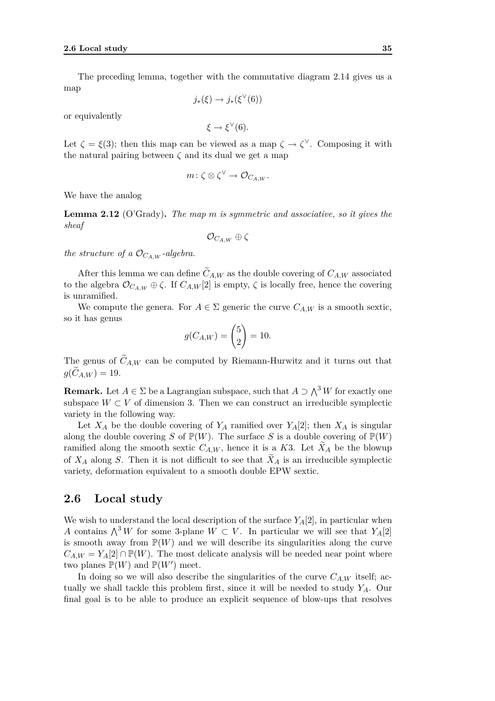The preceding lemma, together with the commutative diagram 2.14 gives us a map

*j*<sup>∗</sup>(*ξ*) → *j*<sup>\*</sup>(*ξ*<sup> $V$ </sup>(6))

or equivalently

$$
\xi \to \xi^{\vee}(6).
$$

Let  $\zeta = \xi(3)$ ; then this map can be viewed as a map  $\zeta \to \zeta^{\vee}$ . Composing it with the natural pairing between  $\zeta$  and its dual we get a map

$$
m\colon \zeta\otimes \zeta^\vee\to \mathcal{O}_{C_{A,W}}.
$$

We have the analog

**Lemma 2.12** (O'Grady)**.** *The map m is symmetric and associative, so it gives the sheaf*

$$
\mathcal{O}_{C_{A,W}} \oplus \zeta
$$

*the structure of a*  $\mathcal{O}_{C_A}$ <sub>*W*</sub> *-algebra.* 

After this lemma we can define  $C_{A,W}$  as the double covering of  $C_{A,W}$  associated to the algebra  $\mathcal{O}_{C_{A,W}} \oplus \zeta$ . If  $C_{A,W}[2]$  is empty,  $\zeta$  is locally free, hence the covering is unramified.

We compute the genera. For  $A \in \Sigma$  generic the curve  $C_{A,W}$  is a smooth sextic, so it has genus

$$
g(C_{A,W}) = {5 \choose 2} = 10.
$$

The genus of  $C_{A,W}$  can be computed by Riemann-Hurwitz and it turns out that  $g(C_{A,W}) = 19.$ 

**Remark.** Let  $A \in \Sigma$  be a Lagrangian subspace, such that  $A \supset \bigwedge^3 W$  for exactly one subspace  $W \subset V$  of dimension 3. Then we can construct an irreducible symplectic variety in the following way.

Let  $X_A$  be the double covering of  $Y_A$  ramified over  $Y_A[2]$ ; then  $X_A$  is singular along the double covering *S* of  $\mathbb{P}(W)$ . The surface *S* is a double covering of  $\mathbb{P}(W)$ ramified along the smooth sextic  $C_{A,W}$ , hence it is a *K*3. Let  $X_A$  be the blowup of  $X_A$  along *S*. Then it is not difficult to see that  $X_A$  is an irreducible symplectic variety, deformation equivalent to a smooth double EPW sextic.

## **2.6 Local study**

We wish to understand the local description of the surface  $Y_A[2]$ , in particular when *A* contains  $\bigwedge^3 W$  for some 3-plane  $W \subset V$ . In particular we will see that  $Y_A[2]$ is smooth away from  $\mathbb{P}(W)$  and we will describe its singularities along the curve  $C_{A|W} = Y_A[2] \cap \mathbb{P}(W)$ . The most delicate analysis will be needed near point where two planes  $\mathbb{P}(W)$  and  $\mathbb{P}(W')$  meet.

In doing so we will also describe the singularities of the curve  $C_{A,W}$  itself; actually we shall tackle this problem first, since it will be needed to study *YA*. Our final goal is to be able to produce an explicit sequence of blow-ups that resolves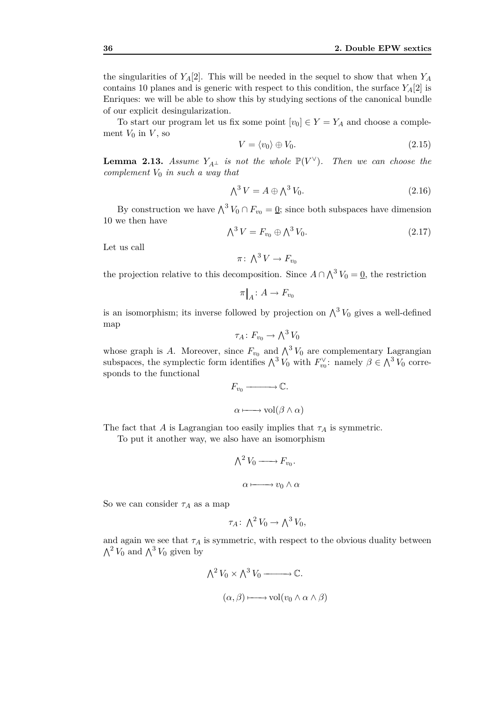the singularities of  $Y_A[2]$ . This will be needed in the sequel to show that when  $Y_A$ contains 10 planes and is generic with respect to this condition, the surface  $Y_A[2]$  is Enriques: we will be able to show this by studying sections of the canonical bundle of our explicit desingularization.

To start our program let us fix some point  $[v_0] \in Y = Y_A$  and choose a complement  $V_0$  in  $V$ , so

$$
V = \langle v_0 \rangle \oplus V_0. \tag{2.15}
$$

**Lemma 2.13.** *Assume*  $Y_{A^{\perp}}$  *is not the whole*  $\mathbb{P}(V^{\vee})$ *. Then we can choose the complement V*<sup>0</sup> *in such a way that*

$$
\bigwedge^3 V = A \oplus \bigwedge^3 V_0. \tag{2.16}
$$

By construction we have  $\bigwedge^3 V_0 \cap F_{v_0} = 0$ ; since both subspaces have dimension 10 we then have

$$
\bigwedge^3 V = F_{v_0} \oplus \bigwedge^3 V_0. \tag{2.17}
$$

Let us call

$$
\pi\colon \bigwedge^3 V \to F_{v_0}
$$

the projection relative to this decomposition. Since  $A \cap \Lambda^3 V_0 = 0$ , the restriction

$$
\pi|_A \colon A \to F_{v_0}
$$

is an isomorphism; its inverse followed by projection on  $\wedge^3 V_0$  gives a well-defined map

$$
\tau_A\colon F_{v_0}\to \bigwedge^3 V_0
$$

whose graph is *A*. Moreover, since  $F_{v_0}$  and  $\bigwedge^3 V_0$  are complementary Lagrangian subspaces, the symplectic form identifies  $\Lambda^3 V_0$  with  $F_{v_0}^{\vee}$ : namely  $\beta \in \Lambda^3 V_0$  corresponds to the functional

$$
F_{v_0} \longrightarrow \mathbb{C}.
$$

$$
\alpha \longmapsto \text{vol}(\beta \wedge \alpha)
$$

The fact that *A* is Lagrangian too easily implies that  $\tau_A$  is symmetric.

To put it another way, we also have an isomorphism

$$
\bigwedge^2 V_0 \longrightarrow F_{v_0}.
$$

$$
\alpha \longmapsto v_0 \wedge \alpha
$$

So we can consider  $\tau_A$  as a map

$$
\tau_A\colon \bigwedge^2 V_0 \to \bigwedge^3 V_0,
$$

and again we see that  $\tau_A$  is symmetric, with respect to the obvious duality between  $\bigwedge^2 V_0$  and  $\bigwedge^3 V_0$  given by

$$
\bigwedge^2 V_0 \times \bigwedge^3 V_0 \longrightarrow \mathbb{C}.
$$
  

$$
(\alpha, \beta) \longmapsto \text{vol}(v_0 \wedge \alpha \wedge \beta)
$$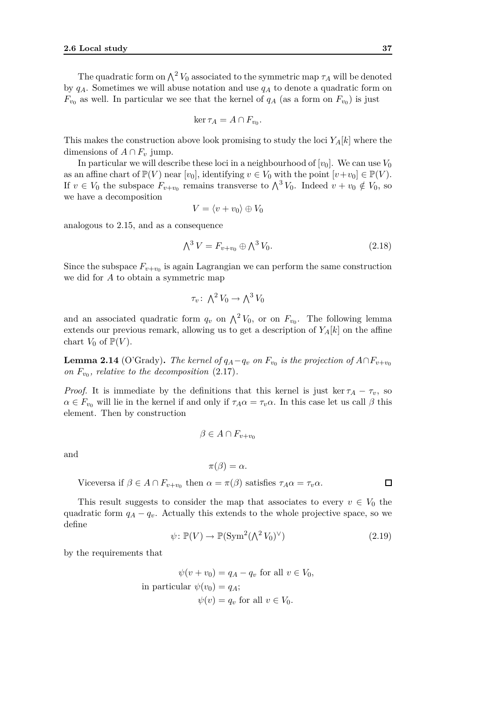The quadratic form on  $\Lambda^2 V_0$  associated to the symmetric map  $\tau_A$  will be denoted by *qA*. Sometimes we will abuse notation and use *q<sup>A</sup>* to denote a quadratic form on  $F_{v_0}$  as well. In particular we see that the kernel of  $q_A$  (as a form on  $F_{v_0}$ ) is just

$$
\ker \tau_A = A \cap F_{v_0}.
$$

This makes the construction above look promising to study the loci *YA*[*k*] where the dimensions of  $A \cap F_v$  jump.

In particular we will describe these loci in a neighbourhood of  $[v_0]$ . We can use  $V_0$ as an affine chart of  $\mathbb{P}(V)$  near  $[v_0]$ , identifying  $v \in V_0$  with the point  $[v+v_0] \in \mathbb{P}(V)$ . If  $v \in V_0$  the subspace  $F_{v+v_0}$  remains transverse to  $\bigwedge^3 V_0$ . Indeed  $v + v_0 \notin V_0$ , so we have a decomposition

$$
V = \langle v + v_0 \rangle \oplus V_0
$$

analogous to 2.15, and as a consequence

$$
\bigwedge^3 V = F_{v+v_0} \oplus \bigwedge^3 V_0. \tag{2.18}
$$

Since the subspace  $F_{v+v_0}$  is again Lagrangian we can perform the same construction we did for *A* to obtain a symmetric map

$$
\tau_v \colon \bigwedge^2 V_0 \to \bigwedge^3 V_0
$$

and an associated quadratic form  $q_v$  on  $\Lambda^2 V_0$ , or on  $F_{v_0}$ . The following lemma extends our previous remark, allowing us to get a description of  $Y_A[k]$  on the affine chart  $V_0$  of  $\mathbb{P}(V)$ .

 $\bf{Lemma 2.14}$  (O'Grady). *The kernel of*  $q_A − q_v$  *on*  $F_{v_0}$  *is the projection of*  $A ∩ F_{v+ v_0}$ *on*  $F_{v_0}$ *, relative to the decomposition* (2.17)*.* 

*Proof.* It is immediate by the definitions that this kernel is just ker  $\tau_A - \tau_v$ , so  $\alpha \in F_{v_0}$  will lie in the kernel if and only if  $\tau_A \alpha = \tau_v \alpha$ . In this case let us call  $\beta$  this element. Then by construction

$$
\beta \in A \cap F_{v+v_0}
$$

and

$$
\pi(\beta)=\alpha.
$$

Viceversa if  $\beta \in A \cap F_{v+v_0}$  then  $\alpha = \pi(\beta)$  satisfies  $\tau_A \alpha = \tau_v \alpha$ .

This result suggests to consider the map that associates to every  $v \in V_0$  the quadratic form  $q_A - q_v$ . Actually this extends to the whole projective space, so we define

$$
\psi \colon \mathbb{P}(V) \to \mathbb{P}(\operatorname{Sym}^2(\Lambda^2 V_0)^{\vee}) \tag{2.19}
$$

by the requirements that

$$
\psi(v + v_0) = q_A - q_v \text{ for all } v \in V_0,
$$
  
in particular  $\psi(v_0) = q_A$ ;  
 $\psi(v) = q_v \text{ for all } v \in V_0.$ 

□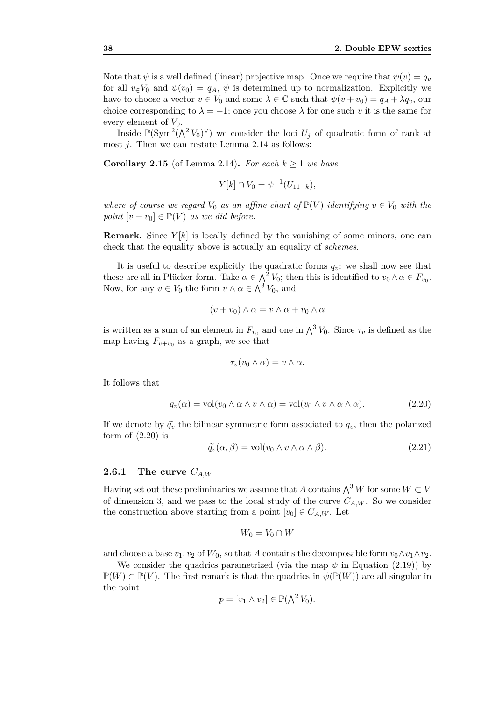Note that  $\psi$  is a well defined (linear) projective map. Once we require that  $\psi(v) = q_v$ for all  $v \in V_0$  and  $\psi(v_0) = q_A$ ,  $\psi$  is determined up to normalization. Explicitly we have to choose a vector  $v \in V_0$  and some  $\lambda \in \mathbb{C}$  such that  $\psi(v+v_0) = q_A + \lambda q_v$ , our choice corresponding to  $\lambda = -1$ ; once you choose  $\lambda$  for one such *v* it is the same for every element of  $V_0$ .

Inside  $\mathbb{P}(\text{Sym}^2(\bigwedge^2 V_0)^{\vee})$  we consider the loci  $U_j$  of quadratic form of rank at most *j*. Then we can restate Lemma 2.14 as follows:

**Corollary 2.15** (of Lemma 2.14). *For each*  $k \geq 1$  *we have* 

$$
Y[k] \cap V_0 = \psi^{-1}(U_{11-k}),
$$

*where of course we regard*  $V_0$  *as an affine chart of*  $\mathbb{P}(V)$  *identifying*  $v \in V_0$  *with the point*  $[v + v_0] \in \mathbb{P}(V)$  *as we did before.* 

**Remark.** Since *Y* [*k*] is locally defined by the vanishing of some minors, one can check that the equality above is actually an equality of *schemes*.

It is useful to describe explicitly the quadratic forms  $q_v$ : we shall now see that these are all in Plücker form. Take  $\alpha \in \Lambda^2 V_0$ ; then this is identified to  $v_0 \wedge \alpha \in F_{v_0}$ . Now, for any  $v \in V_0$  the form  $v \wedge \alpha \in \Lambda^3 V_0$ , and

$$
(v + v_0) \wedge \alpha = v \wedge \alpha + v_0 \wedge \alpha
$$

is written as a sum of an element in  $F_{v_0}$  and one in  $\bigwedge^3 V_0$ . Since  $\tau_v$  is defined as the map having  $F_{v+v_0}$  as a graph, we see that

$$
\tau_v(v_0 \wedge \alpha) = v \wedge \alpha.
$$

It follows that

$$
q_v(\alpha) = \text{vol}(v_0 \wedge \alpha \wedge v \wedge \alpha) = \text{vol}(v_0 \wedge v \wedge \alpha \wedge \alpha). \tag{2.20}
$$

If we denote by  $\tilde{q}_v$  the bilinear symmetric form associated to  $q_v$ , then the polarized form of  $(2.20)$  is

$$
\widetilde{q_v}(\alpha, \beta) = \text{vol}(v_0 \wedge v \wedge \alpha \wedge \beta). \tag{2.21}
$$

#### **2.6.1 The curve** *CA,W*

Having set out these preliminaries we assume that *A* contains  $\bigwedge^3 W$  for some  $W \subset V$ of dimension 3, and we pass to the local study of the curve  $C_{A,W}$ . So we consider the construction above starting from a point  $[v_0] \in C_{A,W}$ . Let

$$
W_0 = V_0 \cap W
$$

and choose a base  $v_1, v_2$  of  $W_0$ , so that *A* contains the decomposable form  $v_0 \wedge v_1 \wedge v_2$ .

We consider the quadrics parametrized (via the map  $\psi$  in Equation (2.19)) by  $\mathbb{P}(W) \subset \mathbb{P}(V)$ . The first remark is that the quadrics in  $\psi(\mathbb{P}(W))$  are all singular in the point

$$
p = [v_1 \wedge v_2] \in \mathbb{P}(\bigwedge^2 V_0).
$$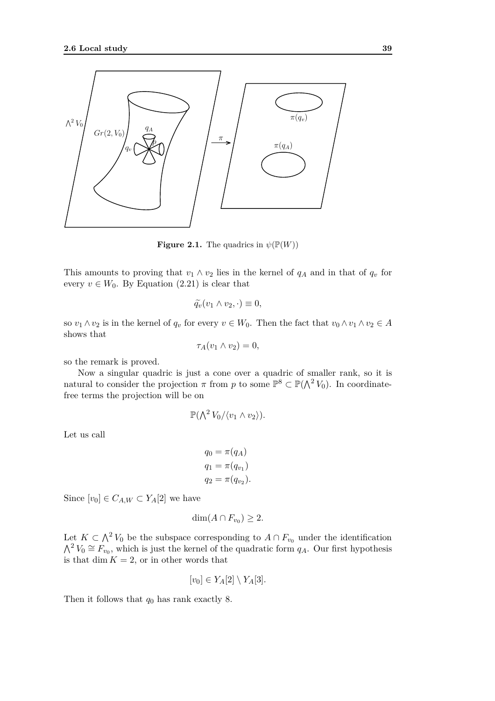

**Figure 2.1.** The quadrics in  $\psi(\mathbb{P}(W))$ 

This amounts to proving that  $v_1 \wedge v_2$  lies in the kernel of  $q_A$  and in that of  $q_v$  for every  $v \in W_0$ . By Equation (2.21) is clear that

$$
\widetilde{q_v}(v_1 \wedge v_2, \cdot) \equiv 0,
$$

so  $v_1 \wedge v_2$  is in the kernel of  $q_v$  for every  $v \in W_0$ . Then the fact that  $v_0 \wedge v_1 \wedge v_2 \in A$ shows that

$$
\tau_A(v_1 \wedge v_2) = 0,
$$

so the remark is proved.

Now a singular quadric is just a cone over a quadric of smaller rank, so it is natural to consider the projection  $\pi$  from  $p$  to some  $\mathbb{P}^8 \subset \mathbb{P}(\bigwedge^2 V_0)$ . In coordinatefree terms the projection will be on

$$
\mathbb{P}(\bigwedge^2 V_0/\langle v_1 \wedge v_2 \rangle).
$$

Let us call

$$
q_0 = \pi(q_A)
$$
  
\n
$$
q_1 = \pi(q_{v_1})
$$
  
\n
$$
q_2 = \pi(q_{v_2}).
$$

Since  $[v_0] \in C_{A,W} \subset Y_A[2]$  we have

$$
\dim(A \cap F_{v_0}) \geq 2.
$$

Let  $K \subset \Lambda^2 V_0$  be the subspace corresponding to  $A \cap F_{v_0}$  under the identification  $\bigwedge^2 V_0 \cong F_{v_0}$ , which is just the kernel of the quadratic form  $q_A$ . Our first hypothesis is that  $\dim K = 2$ , or in other words that

$$
[v_0] \in Y_A[2] \setminus Y_A[3].
$$

Then it follows that *q*<sup>0</sup> has rank exactly 8.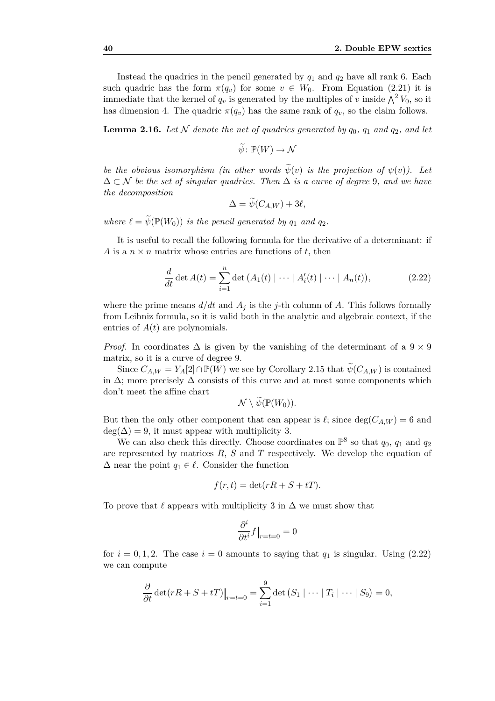Instead the quadrics in the pencil generated by  $q_1$  and  $q_2$  have all rank 6. Each such quadric has the form  $\pi(q_v)$  for some  $v \in W_0$ . From Equation (2.21) it is immediate that the kernel of  $q_v$  is generated by the multiples of *v* inside  $\bigwedge^2 V_0$ , so it has dimension 4. The quadric  $\pi(q_v)$  has the same rank of  $q_v$ , so the claim follows.

**Lemma 2.16.** Let  $N$  denote the net of quadrics generated by  $q_0$ ,  $q_1$  and  $q_2$ , and let

 $\widetilde{\psi}$ :  $\mathbb{P}(W) \to \mathcal{N}$ 

*be the obvious isomorphism (in other words*  $\widetilde{\psi}(v)$  *is the projection of*  $\psi(v)$ ). Let ∆ *⊂ N be the set of singular quadrics. Then* ∆ *is a curve of degree* 9*, and we have the decomposition*

$$
\Delta = \psi(C_{A,W}) + 3\ell,
$$

*where*  $\ell = \widetilde{\psi}(\mathbb{P}(W_0))$  *is the pencil generated by*  $q_1$  *and*  $q_2$ *.* 

It is useful to recall the following formula for the derivative of a determinant: if *A* is a  $n \times n$  matrix whose entries are functions of *t*, then

$$
\frac{d}{dt} \det A(t) = \sum_{i=1}^{n} \det (A_1(t) | \cdots | A'_i(t) | \cdots | A_n(t)), \qquad (2.22)
$$

where the prime means  $d/dt$  and  $A_j$  is the *j*-th column of *A*. This follows formally from Leibniz formula, so it is valid both in the analytic and algebraic context, if the entries of *A*(*t*) are polynomials.

*Proof.* In coordinates  $\Delta$  is given by the vanishing of the determinant of a  $9 \times 9$ matrix, so it is a curve of degree 9.

Since  $C_{A,W} = Y_A[2] \cap \mathbb{P}(W)$  we see by Corollary 2.15 that  $\widetilde{\psi}(C_{A,W})$  is contained in  $\Delta$ ; more precisely  $\Delta$  consists of this curve and at most some components which don't meet the affine chart

$$
\mathcal{N}\setminus \psi(\mathbb{P}(W_0)).
$$

But then the only other component that can appear is  $\ell$ ; since deg( $C_{A,W}$ ) = 6 and  $deg(\Delta) = 9$ , it must appear with multiplicity 3.

We can also check this directly. Choose coordinates on  $\mathbb{P}^8$  so that  $q_0$ ,  $q_1$  and  $q_2$ are represented by matrices *R*, *S* and *T* respectively. We develop the equation of  $\Delta$  near the point  $q_1 \in \ell$ . Consider the function

$$
f(r,t) = \det(rR + S + tT).
$$

To prove that  $\ell$  appears with multiplicity 3 in  $\Delta$  we must show that

$$
\frac{\partial^i}{\partial t^i}f\big|_{r=t=0}=0
$$

for  $i = 0, 1, 2$ . The case  $i = 0$  amounts to saying that  $q_1$  is singular. Using (2.22) we can compute

$$
\frac{\partial}{\partial t} \det(rR + S + tT)|_{r=t=0} = \sum_{i=1}^{9} \det (S_1 | \cdots | T_i | \cdots | S_9) = 0,
$$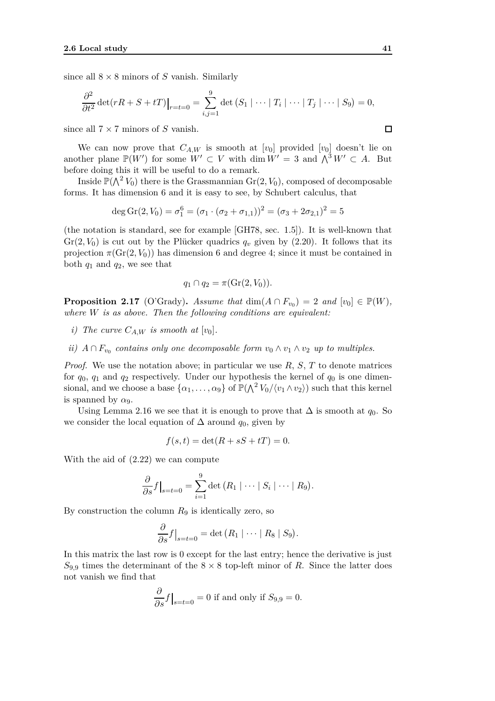since all  $8 \times 8$  minors of *S* vanish. Similarly

$$
\frac{\partial^2}{\partial t^2} \det(rR + S + tT)|_{r=t=0} = \sum_{i,j=1}^9 \det (S_1 | \cdots | T_i | \cdots | T_j | \cdots | S_9) = 0,
$$

since all 7 *×* 7 minors of *S* vanish.

We can now prove that  $C_{A,W}$  is smooth at  $[v_0]$  provided  $[v_0]$  doesn't lie on another plane  $\mathbb{P}(W')$  for some  $W' \subset V$  with dim  $W' = 3$  and  $\bigwedge^3 W' \subset A$ . But before doing this it will be useful to do a remark.

Inside  $\mathbb{P}(\bigwedge^2 V_0)$  there is the Grassmannian  $\mathrm{Gr}(2, V_0),$  composed of decomposable forms. It has dimension 6 and it is easy to see, by Schubert calculus, that

$$
\deg \operatorname{Gr}(2, V_0) = \sigma_1^6 = (\sigma_1 \cdot (\sigma_2 + \sigma_{1,1}))^2 = (\sigma_3 + 2\sigma_{2,1})^2 = 5
$$

(the notation is standard, see for example [GH78, sec. 1*.*5]). It is well-known that  $Gr(2, V_0)$  is cut out by the Plücker quadrics  $q_v$  given by  $(2.20)$ . It follows that its projection  $\pi(\text{Gr}(2, V_0))$  has dimension 6 and degree 4; since it must be contained in both *q*<sup>1</sup> and *q*2, we see that

$$
q_1 \cap q_2 = \pi(\mathrm{Gr}(2, V_0)).
$$

**Proposition 2.17** (O'Grady). *Assume that* dim( $A \cap F_{v_0}$ ) = 2 *and*  $[v_0] \in \mathbb{P}(W)$ *, where W is as above. Then the following conditions are equivalent:*

- *i*) The curve  $C_{A,W}$  *is smooth at*  $[v_0]$ *.*
- *ii*)  $A \cap F_{v_0}$  contains only one decomposable form  $v_0 \wedge v_1 \wedge v_2$  up to multiples.

*Proof.* We use the notation above; in particular we use *R*, *S*, *T* to denote matrices for  $q_0$ ,  $q_1$  and  $q_2$  respectively. Under our hypothesis the kernel of  $q_0$  is one dimensional, and we choose a base  $\{\alpha_1, \ldots, \alpha_9\}$  of  $\mathbb{P}(\bigwedge^2 V_0 / \langle v_1 \wedge v_2 \rangle)$  such that this kernel is spanned by  $\alpha_9$ .

Using Lemma 2.16 we see that it is enough to prove that  $\Delta$  is smooth at  $q_0$ . So we consider the local equation of  $\Delta$  around  $q_0$ , given by

$$
f(s,t) = \det(R + sS + tT) = 0.
$$

With the aid of (2.22) we can compute

$$
\frac{\partial}{\partial s}f\big|_{s=t=0} = \sum_{i=1}^9 \det (R_1 \mid \cdots \mid S_i \mid \cdots \mid R_9).
$$

By construction the column *R*<sup>9</sup> is identically zero, so

$$
\frac{\partial}{\partial s} f\big|_{s=t=0} = \det (R_1 \mid \cdots \mid R_8 \mid S_9).
$$

In this matrix the last row is 0 except for the last entry; hence the derivative is just  $S_{9,9}$  times the determinant of the  $8 \times 8$  top-left minor of *R*. Since the latter does not vanish we find that

$$
\frac{\partial}{\partial s} f\big|_{s=t=0} = 0
$$
 if and only if  $S_{9,9} = 0$ .

$$
\Box
$$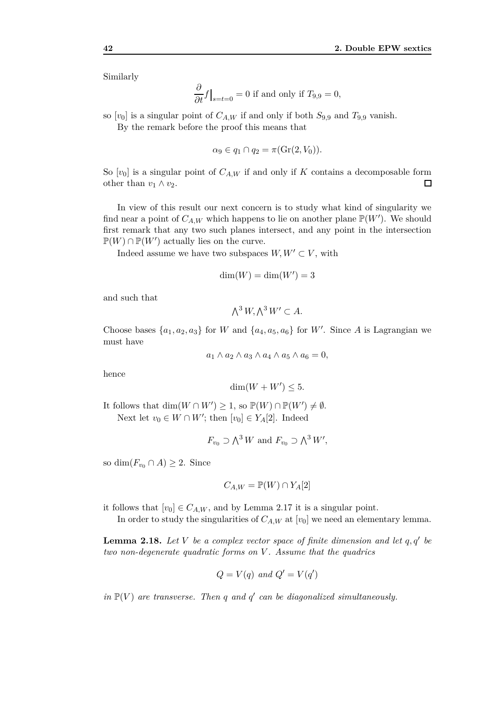Similarly

$$
\frac{\partial}{\partial t}f\big|_{s=t=0} = 0
$$
 if and only if  $T_{9,9} = 0$ ,

so  $[v_0]$  is a singular point of  $C_{A,W}$  if and only if both  $S_{9,9}$  and  $T_{9,9}$  vanish.

By the remark before the proof this means that

$$
\alpha_9 \in q_1 \cap q_2 = \pi(\operatorname{Gr}(2, V_0)).
$$

So  $[v_0]$  is a singular point of  $C_{A,W}$  if and only if *K* contains a decomposable form other than  $v_1 \wedge v_2$ . □

In view of this result our next concern is to study what kind of singularity we find near a point of  $C_{A,W}$  which happens to lie on another plane  $\mathbb{P}(W')$ . We should first remark that any two such planes intersect, and any point in the intersection  $\mathbb{P}(W) \cap \mathbb{P}(W')$  actually lies on the curve.

Indeed assume we have two subspaces  $W, W' \subset V$ , with

$$
\dim(W) = \dim(W') = 3
$$

and such that

$$
\bigwedge^3 W, \bigwedge^3 W' \subset A.
$$

Choose bases  $\{a_1, a_2, a_3\}$  for *W* and  $\{a_4, a_5, a_6\}$  for *W'*. Since *A* is Lagrangian we must have

$$
a_1 \wedge a_2 \wedge a_3 \wedge a_4 \wedge a_5 \wedge a_6 = 0,
$$

hence

$$
\dim(W + W') \le 5.
$$

It follows that  $\dim(W \cap W') \geq 1$ , so  $\mathbb{P}(W) \cap \mathbb{P}(W') \neq \emptyset$ . Next let  $v_0 \in W \cap W'$ ; then  $[v_0] \in Y_A[2]$ . Indeed

$$
F_{v_0} \supset \bigwedge^3 W
$$
 and  $F_{v_0} \supset \bigwedge^3 W'$ ,

so dim( $F_{v_0} \cap A$ )  $\geq 2$ . Since

$$
C_{A,W} = \mathbb{P}(W) \cap Y_A[2]
$$

it follows that  $[v_0] \in C_{A,W}$ , and by Lemma 2.17 it is a singular point.

In order to study the singularities of  $C_{A,W}$  at  $[v_0]$  we need an elementary lemma.

**Lemma 2.18.** *Let V be a complex vector space of finite dimension and let q, q′ be two non-degenerate quadratic forms on V . Assume that the quadrics*

$$
Q = V(q) \text{ and } Q' = V(q')
$$

*in*  $\mathbb{P}(V)$  *are transverse. Then q and q' can be diagonalized simultaneously.*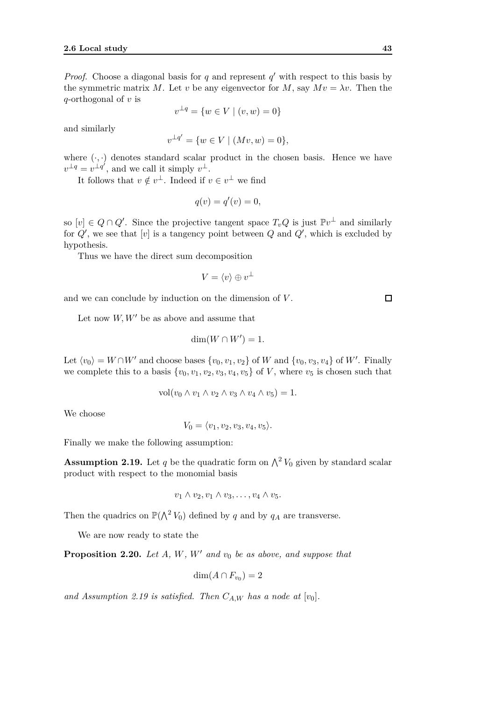*Proof.* Choose a diagonal basis for  $q$  and represent  $q'$  with respect to this basis by the symmetric matrix *M*. Let *v* be any eigenvector for *M*, say  $Mv = \lambda v$ . Then the *q*-orthogonal of *v* is

$$
v^{\perp q} = \{ w \in V \mid (v, w) = 0 \}
$$

and similarly

$$
v^{\perp q'} = \{ w \in V \mid (Mv, w) = 0 \},
$$

where  $(\cdot, \cdot)$  denotes standard scalar product in the chosen basis. Hence we have  $v^{\perp q} = v^{\perp q'}$ , and we call it simply  $v^{\perp}$ .

It follows that  $v \notin v^{\perp}$ . Indeed if  $v \in v^{\perp}$  we find

$$
q(v) = q'(v) = 0,
$$

so  $[v] \in Q \cap Q'$ . Since the projective tangent space  $T_v Q$  is just  $\mathbb{P}v^{\perp}$  and similarly for *Q′* , we see that [*v*] is a tangency point between *Q* and *Q′* , which is excluded by hypothesis.

Thus we have the direct sum decomposition

$$
V = \langle v \rangle \oplus v^{\perp}
$$

and we can conclude by induction on the dimension of *V* .

Let now *W, W′* be as above and assume that

$$
\dim(W \cap W') = 1.
$$

Let  $\langle v_0 \rangle = W \cap W'$  and choose bases  $\{v_0, v_1, v_2\}$  of *W* and  $\{v_0, v_3, v_4\}$  of *W'*. Finally we complete this to a basis  $\{v_0, v_1, v_2, v_3, v_4, v_5\}$  of *V*, where  $v_5$  is chosen such that

$$
vol(v_0 \wedge v_1 \wedge v_2 \wedge v_3 \wedge v_4 \wedge v_5) = 1.
$$

We choose

 $V_0 = \langle v_1, v_2, v_3, v_4, v_5 \rangle.$ 

Finally we make the following assumption:

**Assumption 2.19.** Let *q* be the quadratic form on  $\Lambda^2 V_0$  given by standard scalar product with respect to the monomial basis

$$
v_1 \wedge v_2, v_1 \wedge v_3, \ldots, v_4 \wedge v_5.
$$

Then the quadrics on  $\mathbb{P}(\bigwedge^2 V_0)$  defined by *q* and by *q<sub>A</sub>* are transverse.

We are now ready to state the

**Proposition 2.20.** *Let A, W, W′ and v*<sup>0</sup> *be as above, and suppose that*

$$
\dim(A \cap F_{v_0}) = 2
$$

and Assumption 2.19 is satisfied. Then  $C_{AW}$  has a node at  $[v_0]$ .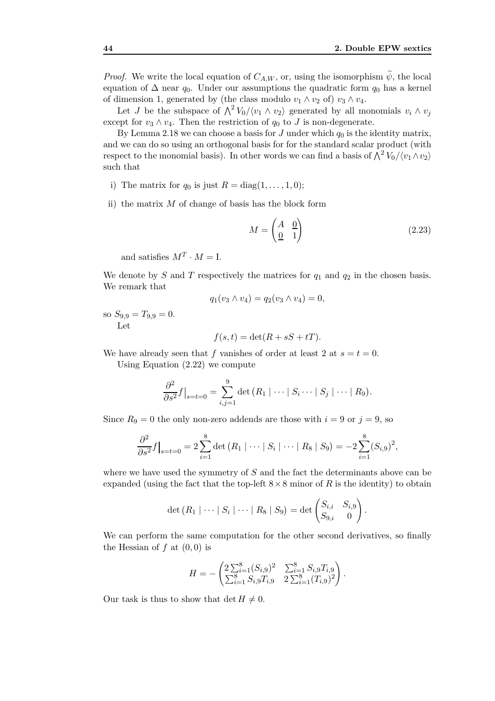*Proof.* We write the local equation of  $C_{A,W}$ , or, using the isomorphism  $\tilde{\psi}$ , the local equation of  $\Delta$  near  $q_0$ . Under our assumptions the quadratic form  $q_0$  has a kernel of dimension 1, generated by (the class modulo  $v_1 \wedge v_2$  of)  $v_3 \wedge v_4$ .

Let *J* be the subspace of  $\bigwedge^2 V_0 / \langle v_1 \wedge v_2 \rangle$  generated by all monomials  $v_i \wedge v_j$ except for  $v_3 \wedge v_4$ . Then the restriction of  $q_0$  to *J* is non-degenerate.

By Lemma 2.18 we can choose a basis for *J* under which  $q_0$  is the identity matrix, and we can do so using an orthogonal basis for for the standard scalar product (with respect to the monomial basis). In other words we can find a basis of  $\bigwedge^2 V_0 / \langle v_1 \wedge v_2 \rangle$ such that

- i) The matrix for  $q_0$  is just  $R = \text{diag}(1, \ldots, 1, 0);$
- ii) the matrix *M* of change of basis has the block form

$$
M = \begin{pmatrix} A & 0 \\ 0 & 1 \end{pmatrix} \tag{2.23}
$$

*.*

and satisfies  $M^T \cdot M = I$ .

We denote by  $S$  and  $T$  respectively the matrices for  $q_1$  and  $q_2$  in the chosen basis. We remark that

$$
q_1(v_3 \wedge v_4) = q_2(v_3 \wedge v_4) = 0,
$$

so  $S_{9,9} = T_{9,9} = 0.$ Let

$$
f(s,t) = \det(R + sS + tT).
$$

We have already seen that *f* vanishes of order at least 2 at  $s = t = 0$ . Using Equation (2.22) we compute

$$
\frac{\partial^2}{\partial s^2} f\big|_{s=t=0} = \sum_{i,j=1}^9 \det (R_1 \mid \cdots \mid S_i \cdots \mid S_j \mid \cdots \mid R_9).
$$

Since  $R_9 = 0$  the only non-zero addends are those with  $i = 9$  or  $j = 9$ , so

$$
\frac{\partial^2}{\partial s^2} f\big|_{s=t=0} = 2 \sum_{i=1}^8 \det \left(R_1 \mid \cdots \mid S_i \mid \cdots \mid R_8 \mid S_9\right) = -2 \sum_{i=1}^8 (S_{i,9})^2,
$$

where we have used the symmetry of *S* and the fact the determinants above can be expanded (using the fact that the top-left  $8 \times 8$  minor of *R* is the identity) to obtain

$$
\det (R_1 \mid \cdots \mid S_i \mid \cdots \mid R_8 \mid S_9) = \det \begin{pmatrix} S_{i,i} & S_{i,9} \\ S_{9,i} & 0 \end{pmatrix}
$$

We can perform the same computation for the other second derivatives, so finally the Hessian of  $f$  at  $(0,0)$  is

$$
H = -\begin{pmatrix} 2\sum_{i=1}^{8} (S_{i,9})^2 & \sum_{i=1}^{8} S_{i,9}T_{i,9} \\ \sum_{i=1}^{8} S_{i,9}T_{i,9} & 2\sum_{i=1}^{8} (T_{i,9})^2 \end{pmatrix}.
$$

Our task is thus to show that  $\det H \neq 0$ .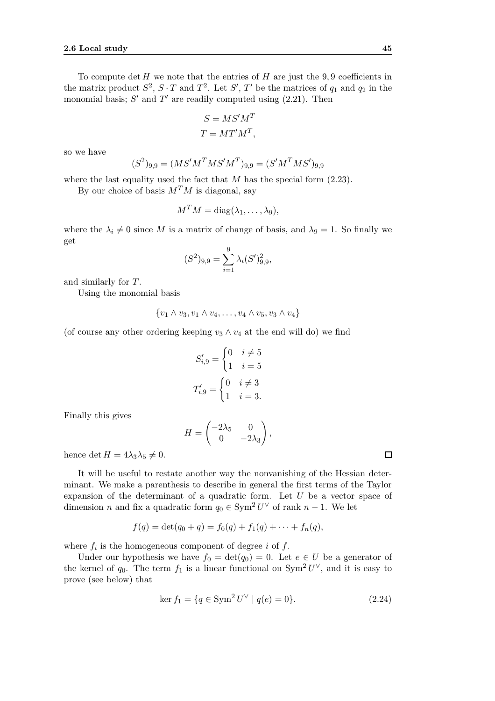To compute  $\det H$  we note that the entries of  $H$  are just the 9,9 coefficients in the matrix product  $S^2$ ,  $S \cdot T$  and  $T^2$ . Let  $S'$ ,  $T'$  be the matrices of  $q_1$  and  $q_2$  in the monomial basis;  $S'$  and  $T'$  are readily computed using  $(2.21)$ . Then

$$
S = MS'M^T
$$

$$
T = MT'M^T,
$$

so we have

$$
(S^2)_{9,9} = (MS'M^TMS'M^T)_{9,9} = (S'M^TMS')_{9,9}
$$

where the last equality used the fact that *M* has the special form  $(2.23)$ .

By our choice of basis  $M^T M$  is diagonal, say

$$
M^T M = \mathrm{diag}(\lambda_1, \ldots, \lambda_9),
$$

where the  $\lambda_i \neq 0$  since *M* is a matrix of change of basis, and  $\lambda_9 = 1$ . So finally we get

$$
(S^{2})_{9,9} = \sum_{i=1}^{9} \lambda_{i} (S')_{9,9}^{2},
$$

and similarly for *T*.

Using the monomial basis

$$
\{v_1 \wedge v_3, v_1 \wedge v_4, \ldots, v_4 \wedge v_5, v_3 \wedge v_4\}
$$

(of course any other ordering keeping  $v_3 \wedge v_4$  at the end will do) we find

$$
S'_{i,9} = \begin{cases} 0 & i \neq 5 \\ 1 & i = 5 \end{cases}
$$

$$
T'_{i,9} = \begin{cases} 0 & i \neq 3 \\ 1 & i = 3 \end{cases}
$$

Finally this gives

$$
H = \begin{pmatrix} -2\lambda_5 & 0 \\ 0 & -2\lambda_3 \end{pmatrix},
$$

hence det  $H = 4\lambda_3\lambda_5 \neq 0$ .

It will be useful to restate another way the nonvanishing of the Hessian determinant. We make a parenthesis to describe in general the first terms of the Taylor expansion of the determinant of a quadratic form. Let *U* be a vector space of dimension *n* and fix a quadratic form  $q_0 \in \text{Sym}^2 U^\vee$  of rank  $n-1$ . We let

$$
f(q) = \det(q_0 + q) = f_0(q) + f_1(q) + \cdots + f_n(q),
$$

where  $f_i$  is the homogeneous component of degree  $i$  of  $f$ .

Under our hypothesis we have  $f_0 = det(q_0) = 0$ . Let  $e \in U$  be a generator of the kernel of  $q_0$ . The term  $f_1$  is a linear functional on  $Sym^2 U^{\vee}$ , and it is easy to prove (see below) that

$$
\ker f_1 = \{ q \in \text{Sym}^2 U^\vee \mid q(e) = 0 \}. \tag{2.24}
$$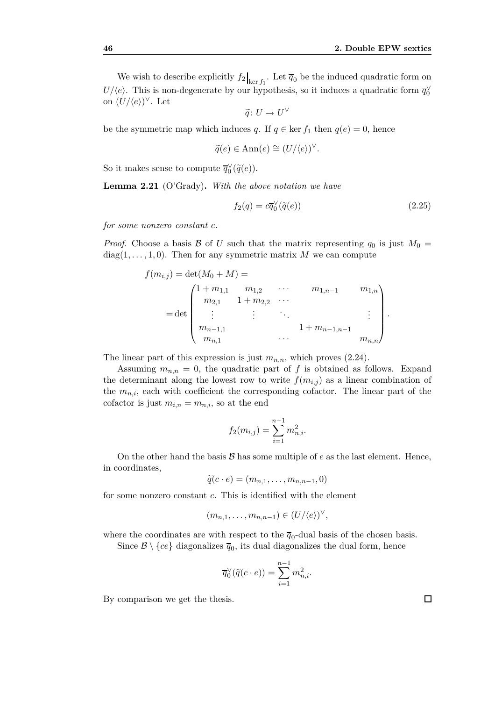We wish to describe explicitly  $f_2|_{\text{ker } f_1}$ . Let  $\overline{q}_0$  be the induced quadratic form on *U/* $\langle e \rangle$ . This is non-degenerate by our hypothesis, so it induces a quadratic form  $\overline{q}_0^{\vee}$ on  $(U/\langle e \rangle)^\vee$ . Let

$$
\widetilde{q}\colon U\to U^\vee
$$

be the symmetric map which induces *q*. If  $q \in \text{ker } f_1$  then  $q(e) = 0$ , hence

$$
\widetilde{q}(e) \in \text{Ann}(e) \cong (U/\langle e \rangle)^{\vee}.
$$

So it makes sense to compute  $\overline{q}_0^{\vee}(\tilde{q}(e)).$ 

**Lemma 2.21** (O'Grady)**.** *With the above notation we have*

$$
f_2(q) = c\overline{q}_0^\vee(\tilde{q}(e))\tag{2.25}
$$

*for some nonzero constant c.*

*Proof.* Choose a basis  $\beta$  of *U* such that the matrix representing  $q_0$  is just  $M_0 =$  $diag(1, \ldots, 1, 0)$ . Then for any symmetric matrix M we can compute

$$
f(m_{i,j}) = \det(M_0 + M) =
$$
  
= det  $\begin{pmatrix} 1 + m_{1,1} & m_{1,2} & \cdots & m_{1,n-1} & m_{1,n} \\ m_{2,1} & 1 + m_{2,2} & \cdots & & \cdots & \cdots \\ \vdots & \vdots & \ddots & & \vdots & \vdots \\ m_{n-1,1} & \cdots & 1 + m_{n-1,n-1} & m_{n,n} \end{pmatrix}$ .

The linear part of this expression is just  $m_{n,n}$ , which proves  $(2.24)$ .

Assuming  $m_{n,n} = 0$ , the quadratic part of f is obtained as follows. Expand the determinant along the lowest row to write  $f(m_{i,j})$  as a linear combination of the  $m_{n,i}$ , each with coefficient the corresponding cofactor. The linear part of the cofactor is just  $m_{i,n} = m_{n,i}$ , so at the end

$$
f_2(m_{i,j}) = \sum_{i=1}^{n-1} m_{n,i}^2.
$$

On the other hand the basis  $\mathcal{B}$  has some multiple of  $e$  as the last element. Hence, in coordinates,

$$
\widetilde{q}(c \cdot e) = (m_{n,1}, \ldots, m_{n,n-1}, 0)
$$

for some nonzero constant *c*. This is identified with the element

$$
(m_{n,1},\ldots,m_{n,n-1})\in (U/\langle e\rangle)^{\vee},
$$

where the coordinates are with respect to the  $\overline{q}_0$ -dual basis of the chosen basis.

Since  $\mathcal{B} \setminus \{ce\}$  diagonalizes  $\overline{q}_0$ , its dual diagonalizes the dual form, hence

$$
\overline{q}_0^{\vee}(\widetilde{q}(c \cdot e)) = \sum_{i=1}^{n-1} m_{n,i}^2.
$$

By comparison we get the thesis.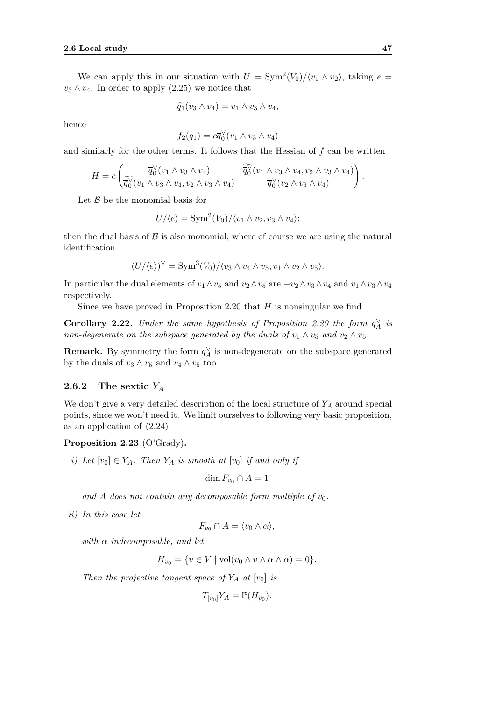We can apply this in our situation with  $U = \text{Sym}^2(V_0)/\langle v_1 \wedge v_2 \rangle$ , taking  $e =$  $v_3 \wedge v_4$ . In order to apply (2.25) we notice that

$$
\widetilde{q_1}(v_3 \wedge v_4) = v_1 \wedge v_3 \wedge v_4,
$$

hence

$$
f_2(q_1) = c\overline{q}_0^\vee(v_1 \wedge v_3 \wedge v_4)
$$

and similarly for the other terms. It follows that the Hessian of *f* can be written

$$
H = c \left( \overline{q_0^{\vee}} (v_1 \wedge v_3 \wedge v_4) \overline{q_0^{\vee}} (v_1 \wedge v_3 \wedge v_4, v_2 \wedge v_3 \wedge v_4) \right).
$$
  

$$
\overline{q_0^{\vee}} (v_1 \wedge v_3 \wedge v_4, v_2 \wedge v_3 \wedge v_4) \overline{q_0^{\vee}} (v_2 \wedge v_3 \wedge v_4) \right).
$$

Let *B* be the monomial basis for

$$
U/\langle e \rangle = \text{Sym}^2(V_0)/\langle v_1 \wedge v_2, v_3 \wedge v_4 \rangle;
$$

then the dual basis of  $\beta$  is also monomial, where of course we are using the natural identification

$$
(U/\langle e \rangle)^{\vee} = \text{Sym}^{3}(V_{0})/\langle v_{3} \wedge v_{4} \wedge v_{5}, v_{1} \wedge v_{2} \wedge v_{5} \rangle.
$$

In particular the dual elements of  $v_1 \wedge v_5$  and  $v_2 \wedge v_5$  are  $-v_2 \wedge v_3 \wedge v_4$  and  $v_1 \wedge v_3 \wedge v_4$ respectively.

Since we have proved in Proposition 2.20 that *H* is nonsingular we find

**Corollary 2.22.** *Under the same hypothesis of Proposition 2.20 the form*  $q_A^{\vee}$  *is non-degenerate on the subspace generated by the duals of*  $v_1 \wedge v_5$  *and*  $v_2 \wedge v_5$ *.* 

**Remark.** By symmetry the form  $q_A^{\vee}$  is non-degenerate on the subspace generated by the duals of  $v_3 \wedge v_5$  and  $v_4 \wedge v_5$  too.

#### **2.6.2 The sextic** *Y<sup>A</sup>*

We don't give a very detailed description of the local structure of *Y<sup>A</sup>* around special points, since we won't need it. We limit ourselves to following very basic proposition, as an application of (2.24).

#### **Proposition 2.23** (O'Grady)**.**

*i)* Let  $[v_0] \in Y_A$ . Then  $Y_A$  *is smooth at*  $[v_0]$  *if and only if* 

$$
\dim F_{v_0} \cap A = 1
$$

and A does not contain any decomposable form multiple of  $v_0$ .

*ii) In this case let*

$$
F_{v_0} \cap A = \langle v_0 \wedge \alpha \rangle,
$$

*with α indecomposable, and let*

$$
H_{v_0} = \{ v \in V \mid \text{vol}(v_0 \wedge v \wedge \alpha \wedge \alpha) = 0 \}.
$$

*Then the projective tangent space of*  $Y_A$  *at*  $[v_0]$  *is* 

$$
T_{[v_0]}Y_A=\mathbb{P}(H_{v_0}).
$$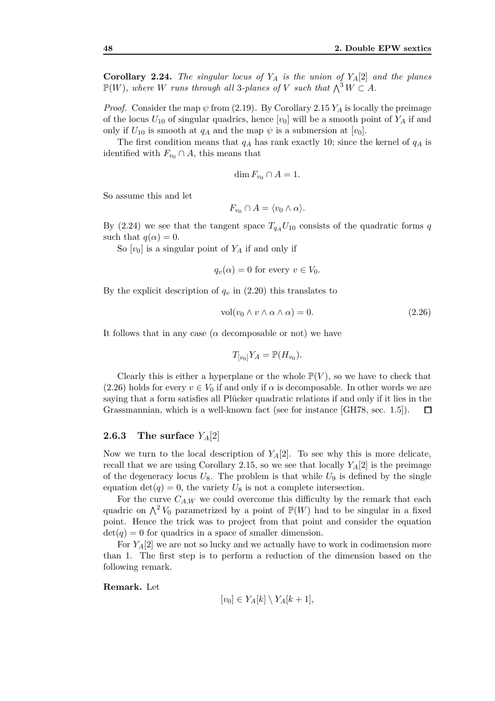**Corollary 2.24.** *The singular locus of Y<sup>A</sup> is the union of YA*[2] *and the planes*  $\mathbb{P}(W)$ *, where W* runs through all 3-planes of *V* such that  $\bigwedge^3 W \subset A$ *.* 

*Proof.* Consider the map  $\psi$  from (2.19). By Corollary 2.15  $Y_A$  is locally the preimage of the locus  $U_{10}$  of singular quadrics, hence  $[v_0]$  will be a smooth point of  $Y_A$  if and only if  $U_{10}$  is smooth at  $q_A$  and the map  $\psi$  is a submersion at  $[v_0]$ .

The first condition means that  $q_A$  has rank exactly 10; since the kernel of  $q_A$  is identified with  $F_{v_0} \cap A$ , this means that

$$
\dim F_{v_0} \cap A = 1.
$$

So assume this and let

$$
F_{v_0} \cap A = \langle v_0 \wedge \alpha \rangle.
$$

By (2.24) we see that the tangent space  $T_{q_A} U_{10}$  consists of the quadratic forms *q* such that  $q(\alpha) = 0$ .

So  $[v_0]$  is a singular point of  $Y_A$  if and only if

$$
q_v(\alpha) = 0
$$
 for every  $v \in V_0$ .

By the explicit description of  $q_v$  in (2.20) this translates to

$$
vol(v_0 \wedge v \wedge \alpha \wedge \alpha) = 0. \qquad (2.26)
$$

It follows that in any case ( $\alpha$  decomposable or not) we have

$$
T_{[v_0]}Y_A=\mathbb{P}(H_{v_0}).
$$

Clearly this is either a hyperplane or the whole  $\mathbb{P}(V)$ , so we have to check that (2.26) holds for every  $v \in V_0$  if and only if  $\alpha$  is decomposable. In other words we are saying that a form satisfies all Plücker quadratic relations if and only if it lies in the Grassmannian, which is a well-known fact (see for instance [GH78, sec. 1*.*5]).  $\Box$ 

#### **2.6.3** The surface  $Y_A[2]$

Now we turn to the local description of  $Y_A[2]$ . To see why this is more delicate, recall that we are using Corollary 2.15, so we see that locally  $Y_A[2]$  is the preimage of the degeneracy locus  $U_8$ . The problem is that while  $U_9$  is defined by the single equation  $\det(q) = 0$ , the variety  $U_8$  is not a complete intersection.

For the curve  $C_{A,W}$  we could overcome this difficulty by the remark that each quadric on  $\bigwedge^2 V_0$  parametrized by a point of  $\mathbb{P}(W)$  had to be singular in a fixed point. Hence the trick was to project from that point and consider the equation  $det(q) = 0$  for quadrics in a space of smaller dimension.

For  $Y_A[2]$  we are not so lucky and we actually have to work in codimension more than 1. The first step is to perform a reduction of the dimension based on the following remark.

**Remark.** Let

$$
[v_0] \in Y_A[k] \setminus Y_A[k+1],
$$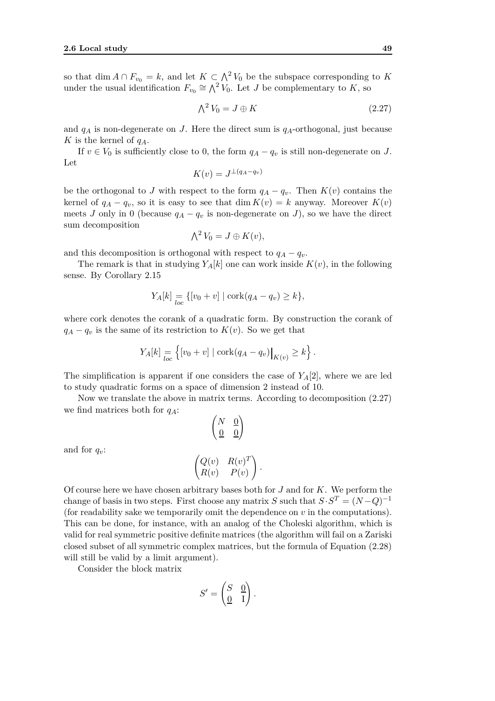so that dim  $A \cap F_{v_0} = k$ , and let  $K \subset \Lambda^2 V_0$  be the subspace corresponding to K under the usual identification  $F_{v_0} \cong \bigwedge^2 V_0$ . Let *J* be complementary to *K*, so

$$
\bigwedge^2 V_0 = J \oplus K \tag{2.27}
$$

and  $q_A$  is non-degenerate on *J*. Here the direct sum is  $q_A$ -orthogonal, just because *K* is the kernel of *qA*.

If  $v \in V_0$  is sufficiently close to 0, the form  $q_A - q_v$  is still non-degenerate on *J*. Let

$$
K(v) = J^{\perp(q_A - q_v)}
$$

be the orthogonal to *J* with respect to the form  $q_A - q_v$ . Then  $K(v)$  contains the kernel of  $q_A - q_v$ , so it is easy to see that dim  $K(v) = k$  anyway. Moreover  $K(v)$ meets *J* only in 0 (because  $q_A - q_v$  is non-degenerate on *J*), so we have the direct sum decomposition

$$
\bigwedge^2 V_0 = J \oplus K(v),
$$

and this decomposition is orthogonal with respect to  $q_A - q_v$ .

The remark is that in studying  $Y_A[k]$  one can work inside  $K(v)$ , in the following sense. By Corollary 2.15

$$
Y_A[k] = \{ [v_0 + v] \mid \operatorname{cork}(q_A - q_v) \ge k \},
$$

where cork denotes the corank of a quadratic form. By construction the corank of  $q_A - q_v$  is the same of its restriction to  $K(v)$ . So we get that

$$
Y_A[k] = \left\{ [v_0 + v] \mid \operatorname{cork}(q_A - q_v) \big|_{K(v)} \ge k \right\}.
$$

The simplification is apparent if one considers the case of *YA*[2], where we are led to study quadratic forms on a space of dimension 2 instead of 10.

Now we translate the above in matrix terms. According to decomposition (2.27) we find matrices both for *qA*:

!

 $\begin{pmatrix} N & \underline{0} \end{pmatrix}$  $\underline{0}$   $\underline{0}$ 

and for 
$$
q_v
$$
:

$$
\begin{pmatrix} Q(v) & R(v)^T \ R(v) & P(v) \end{pmatrix}.
$$

Of course here we have chosen arbitrary bases both for *J* and for *K*. We perform the change of basis in two steps. First choose any matrix *S* such that  $S \cdot S^T = (N - Q)^{-1}$ (for readability sake we temporarily omit the dependence on *v* in the computations). This can be done, for instance, with an analog of the Choleski algorithm, which is valid for real symmetric positive definite matrices (the algorithm will fail on a Zariski closed subset of all symmetric complex matrices, but the formula of Equation (2.28) will still be valid by a limit argument).

Consider the block matrix

$$
S' = \begin{pmatrix} S & \underline{0} \\ \underline{0} & \overline{1} \end{pmatrix}.
$$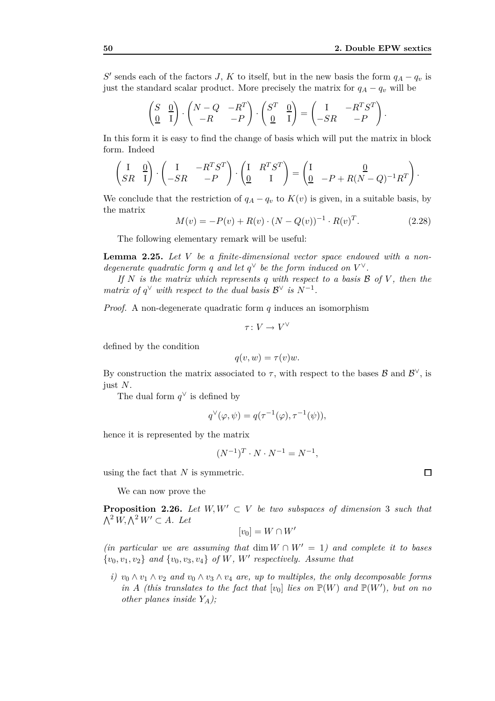*.*

*S*<sup> $\prime$ </sup> sends each of the factors *J*, *K* to itself, but in the new basis the form  $q_A - q_v$  is just the standard scalar product. More precisely the matrix for  $q_A - q_v$  will be

$$
\begin{pmatrix} S & \underline{0} \\ \underline{0} & I \end{pmatrix} \cdot \begin{pmatrix} N - Q & -R^T \\ -R & -P \end{pmatrix} \cdot \begin{pmatrix} S^T & \underline{0} \\ \underline{0} & I \end{pmatrix} = \begin{pmatrix} I & -R^T S^T \\ -SR & -P \end{pmatrix}
$$

In this form it is easy to find the change of basis which will put the matrix in block form. Indeed

$$
\begin{pmatrix} I & \underline{0} \\ SR & I \end{pmatrix} \cdot \begin{pmatrix} I & -R^T S^T \\ -SR & -P \end{pmatrix} \cdot \begin{pmatrix} I & R^T S^T \\ \underline{0} & I \end{pmatrix} = \begin{pmatrix} I & \underline{0} \\ \underline{0} & -P + R(N - Q)^{-1} R^T \end{pmatrix}.
$$

We conclude that the restriction of  $q_A - q_v$  to  $K(v)$  is given, in a suitable basis, by the matrix

$$
M(v) = -P(v) + R(v) \cdot (N - Q(v))^{-1} \cdot R(v)^{T}.
$$
 (2.28)

The following elementary remark will be useful:

**Lemma 2.25.** *Let V be a finite-dimensional vector space endowed with a nondegenerate quadratic form q and let*  $q^{\vee}$  *be the form induced on*  $V^{\vee}$ *.* 

*If N is the matrix which represents q with respect to a basis B of V , then the matrix of*  $q^{\vee}$  *with respect to the dual basis*  $\mathcal{B}^{\vee}$  *is*  $N^{-1}$ *.* 

*Proof.* A non-degenerate quadratic form *q* induces an isomorphism

$$
\tau\colon V\to V^\vee
$$

defined by the condition

$$
q(v, w) = \tau(v)w.
$$

By construction the matrix associated to  $\tau$ , with respect to the bases  $\mathcal{B}$  and  $\mathcal{B}^{\vee}$ , is just *N*.

The dual form  $q^{\vee}$  is defined by

$$
q^{\vee}(\varphi, \psi) = q(\tau^{-1}(\varphi), \tau^{-1}(\psi)),
$$

hence it is represented by the matrix

$$
(N^{-1})^T \cdot N \cdot N^{-1} = N^{-1},
$$

using the fact that *N* is symmetric.

We can now prove the

**Proposition 2.26.** *Let*  $W, W' \subset V$  *be two subspaces of dimension* 3 *such that*  $\bigwedge^2 W$ ,  $\bigwedge^2 W'$  ⊂ *A.* Let

$$
[v_0]=W\cap W'
$$

*(in particular we are assuming that* dim  $W \cap W' = 1$ *) and complete it to bases {v*0*, v*1*, v*2*} and {v*0*, v*3*, v*4*} of W, W′ respectively. Assume that*

*i)*  $v_0 \wedge v_1 \wedge v_2$  and  $v_0 \wedge v_3 \wedge v_4$  are, up to multiples, the only decomposable forms *in A (this translates to the fact that*  $[v_0]$  *lies on*  $\mathbb{P}(W)$  *and*  $\mathbb{P}(W')$ *, but on no other planes inside YA);*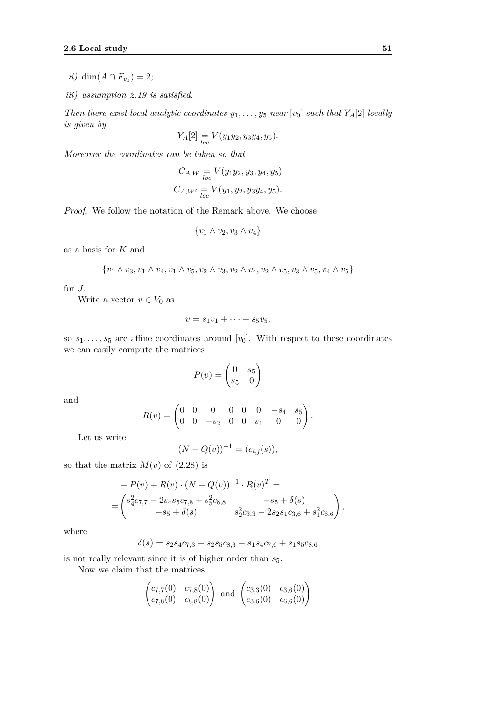- *ii*) dim( $A ∩ F$ <sub>*v*0</sub></sub> $) = 2$ *;*
- *iii) assumption 2.19 is satisfied.*

*Then there exist local analytic coordinates*  $y_1, \ldots, y_5$  *near* [ $v_0$ ] *such that*  $Y_A[2]$  *locally is given by*

$$
Y_A[2] = V(y_1y_2, y_3y_4, y_5).
$$

*Moreover the coordinates can be taken so that*

$$
C_{A,W} = V(y_1y_2, y_3, y_4, y_5)
$$
  

$$
C_{A,W'} = V(y_1, y_2, y_3y_4, y_5).
$$

*Proof.* We follow the notation of the Remark above. We choose

$$
\{v_1 \wedge v_2, v_3 \wedge v_4\}
$$

as a basis for *K* and

$$
\{v_1 \wedge v_3, v_1 \wedge v_4, v_1 \wedge v_5, v_2 \wedge v_3, v_2 \wedge v_4, v_2 \wedge v_5, v_3 \wedge v_5, v_4 \wedge v_5\}
$$

for *J*.

Write a vector  $v \in V_0$  as

$$
v = s_1v_1 + \cdots + s_5v_5,
$$

so  $s_1, \ldots, s_5$  are affine coordinates around [ $v_0$ ]. With respect to these coordinates we can easily compute the matrices

$$
P(v) = \begin{pmatrix} 0 & s_5 \\ s_5 & 0 \end{pmatrix}
$$

and

$$
R(v) = \begin{pmatrix} 0 & 0 & 0 & 0 & 0 & 0 & -s_4 & s_5 \\ 0 & 0 & -s_2 & 0 & 0 & s_1 & 0 & 0 \end{pmatrix}.
$$

Let us write

$$
(N - Q(v))^{-1} = (c_{i,j}(s)),
$$

so that the matrix  $M(v)$  of  $(2.28)$  is

$$
- P(v) + R(v) \cdot (N - Q(v))^{-1} \cdot R(v)^{T} =
$$
  
=  $\begin{pmatrix} s_{4}^{2}c_{7,7} - 2s_{4}s_{5}c_{7,8} + s_{5}^{2}c_{8,8} & -s_{5} + \delta(s) \\ -s_{5} + \delta(s) & s_{2}^{2}c_{3,3} - 2s_{2}s_{1}c_{3,6} + s_{1}^{2}c_{6,6} \end{pmatrix},$ 

where

 $\delta(s) = s_2s_4c_{7,3} - s_2s_5c_{8,3} - s_1s_4c_{7,6} + s_1s_5c_{8,6}$ 

is not really relevant since it is of higher order than  $s_5$ .

Now we claim that the matrices

 $\mathbb{R}^2$ 

$$
\begin{pmatrix} c_{7,7}(0) & c_{7,8}(0) \\ c_{7,8}(0) & c_{8,8}(0) \end{pmatrix}
$$
 and 
$$
\begin{pmatrix} c_{3,3}(0) & c_{3,6}(0) \\ c_{3,6}(0) & c_{6,6}(0) \end{pmatrix}
$$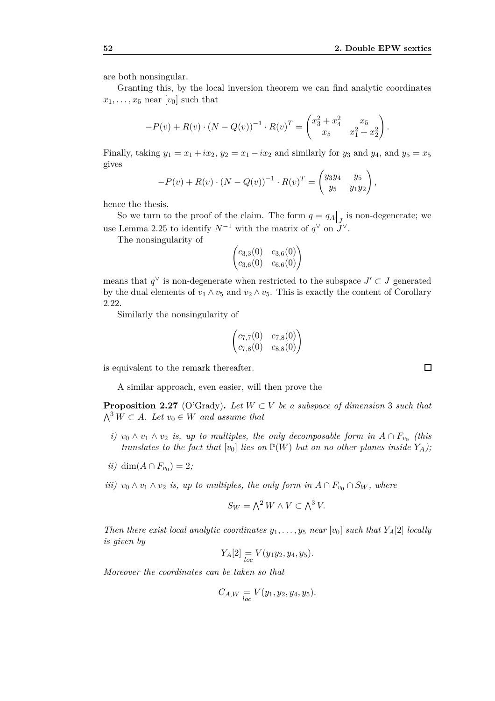are both nonsingular.

Granting this, by the local inversion theorem we can find analytic coordinates  $x_1, \ldots, x_5$  near  $[v_0]$  such that

$$
-P(v) + R(v) \cdot (N - Q(v))^{-1} \cdot R(v)^{T} = \begin{pmatrix} x_3^2 + x_4^2 & x_5 \ x_5 & x_1^2 + x_2^2 \end{pmatrix}.
$$

Finally, taking  $y_1 = x_1 + ix_2$ ,  $y_2 = x_1 - ix_2$  and similarly for  $y_3$  and  $y_4$ , and  $y_5 = x_5$ gives

$$
-P(v) + R(v) \cdot (N - Q(v))^{-1} \cdot R(v)^{T} = \begin{pmatrix} y_3y_4 & y_5 \ y_5 & y_1y_2 \end{pmatrix},
$$

hence the thesis.

So we turn to the proof of the claim. The form  $q = q_A \big|_J$  is non-degenerate; we use Lemma 2.25 to identify  $N^{-1}$  with the matrix of  $q^{\vee}$  on  $J^{\vee}$ .

The nonsingularity of

 $\begin{pmatrix} c_{3,3}(0) & c_{3,6}(0) \\ c_{3,6}(0) & c_{6,6}(0) \end{pmatrix}$ 

means that  $q^{\vee}$  is non-degenerate when restricted to the subspace  $J' \subset J$  generated by the dual elements of  $v_1 \wedge v_5$  and  $v_2 \wedge v_5$ . This is exactly the content of Corollary 2.22.

Similarly the nonsingularity of

$$
\begin{pmatrix} c_{7,7}(0) & c_{7,8}(0) \\ c_{7,8}(0) & c_{8,8}(0) \end{pmatrix}
$$

is equivalent to the remark thereafter.

A similar approach, even easier, will then prove the

**Proposition 2.27** (O'Grady). Let  $W \subset V$  be a subspace of dimension 3 such that  $\bigwedge^3 W \subset A$ *. Let v*<sub>0</sub> ∈ *W and assume that* 

- *i)*  $v_0 \wedge v_1 \wedge v_2$  *is, up to multiples, the only decomposable form in*  $A ∩ F_{v_0}$  (*this translates to the fact that*  $[v_0]$  *lies on*  $\mathbb{P}(W)$  *but on no other planes inside*  $Y_A$ *)*;
- *ii*) dim( $A ∩ F$ <sub>*v*0</sub></sub> $) = 2$ *;*
- *iii)*  $v_0 \wedge v_1 \wedge v_2$  *is, up to multiples, the only form in*  $A \cap F_{v_0} \cap S_W$ *, where*

$$
S_W = \bigwedge^2 W \wedge V \subset \bigwedge^3 V.
$$

*Then there exist local analytic coordinates*  $y_1, \ldots, y_5$  *near* [ $v_0$ ] *such that*  $Y_A[2]$  *locally is given by*

$$
Y_A[2] = V(y_1y_2, y_4, y_5).
$$

*Moreover the coordinates can be taken so that*

$$
C_{A,W} = V(y_1, y_2, y_4, y_5).
$$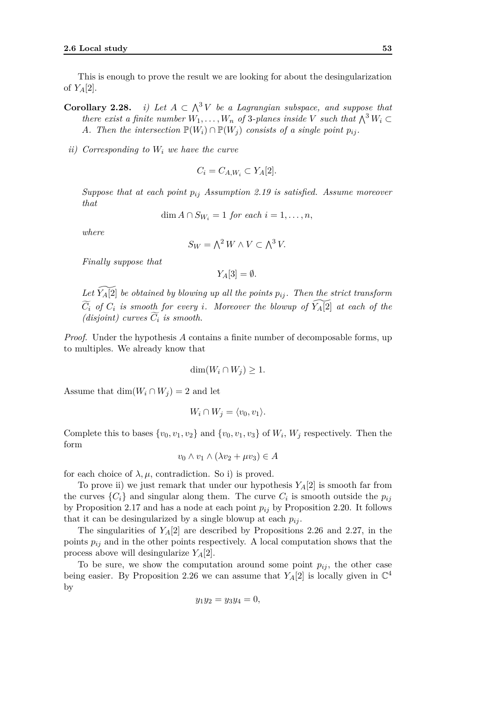This is enough to prove the result we are looking for about the desingularization of  $Y_A[2]$ .

**Corollary 2.28.** *i) Let A ⊂ i*) Let  $A \subset \Lambda^3 V$  be a Lagrangian subspace, and suppose that *there exist a finite number*  $W_1, \ldots, W_n$  *of* 3*-planes inside*  $V$  *such that*  $\bigwedge^3 W_i \subset$ *A. Then the intersection*  $\mathbb{P}(W_i) \cap \mathbb{P}(W_j)$  *consists of a single point*  $p_{ij}$ *.* 

*ii) Corresponding to W<sup>i</sup> we have the curve*

$$
C_i = C_{A,W_i} \subset Y_A[2].
$$

*Suppose that at each point pij Assumption 2.19 is satisfied. Assume moreover that*

$$
\dim A \cap S_{W_i} = 1 \text{ for each } i = 1, \dots, n,
$$

*where*

$$
S_W = \bigwedge^2 W \wedge V \subset \bigwedge^3 V.
$$

*Finally suppose that*

$$
Y_A[3] = \emptyset.
$$

Let  $\widetilde{Y_A[2]}$  be obtained by blowing up all the points  $p_{ij}$ . Then the strict transform  $\widetilde{C}_i$  *of*  $C_i$  *is smooth for every i.* Moreover the blowup of  $\widetilde{Y_A[2]}$  *at each of the (disjoint)* curves  $C_i$  *is smooth.* 

*Proof.* Under the hypothesis *A* contains a finite number of decomposable forms, up to multiples. We already know that

$$
\dim(W_i \cap W_j) \ge 1.
$$

Assume that  $\dim(W_i \cap W_j) = 2$  and let

$$
W_i \cap W_j = \langle v_0, v_1 \rangle.
$$

Complete this to bases  $\{v_0, v_1, v_2\}$  and  $\{v_0, v_1, v_3\}$  of  $W_i$ ,  $W_j$  respectively. Then the form

$$
v_0 \wedge v_1 \wedge (\lambda v_2 + \mu v_3) \in A
$$

for each choice of  $\lambda, \mu$ , contradiction. So i) is proved.

To prove ii) we just remark that under our hypothesis  $Y_A[2]$  is smooth far from the curves  $\{C_i\}$  and singular along them. The curve  $C_i$  is smooth outside the  $p_{ij}$ by Proposition 2.17 and has a node at each point  $p_{ij}$  by Proposition 2.20. It follows that it can be desingularized by a single blowup at each  $p_{ij}$ .

The singularities of  $Y_A[2]$  are described by Propositions 2.26 and 2.27, in the points  $p_{ij}$  and in the other points respectively. A local computation shows that the process above will desingularize *YA*[2].

To be sure, we show the computation around some point  $p_{ij}$ , the other case being easier. By Proposition 2.26 we can assume that  $Y_A[2]$  is locally given in  $\mathbb{C}^4$ by

$$
y_1 y_2 = y_3 y_4 = 0,
$$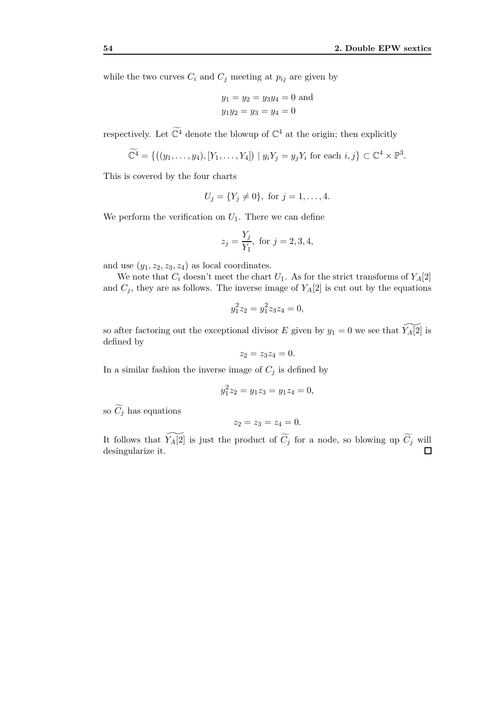while the two curves  $C_i$  and  $C_j$  meeting at  $p_{ij}$  are given by

$$
y_1 = y_2 = y_3y_4 = 0
$$
 and  
 $y_1y_2 = y_3 = y_4 = 0$ 

respectively. Let  $\mathbb{C}^4$  denote the blowup of  $\mathbb{C}^4$  at the origin; then explicitly

$$
\widetilde{\mathbb{C}^4} = \{ ((y_1,\ldots,y_4), [Y_1,\ldots,Y_4]) \mid y_i Y_j = y_j Y_i \text{ for each } i,j \} \subset \mathbb{C}^4 \times \mathbb{P}^3.
$$

This is covered by the four charts

$$
U_j = \{Y_j \neq 0\}
$$
, for  $j = 1, ..., 4$ .

We perform the verification on  $U_1$ . There we can define

$$
z_j = \frac{Y_j}{Y_1}
$$
, for  $j = 2, 3, 4$ ,

and use  $(y_1, z_2, z_3, z_4)$  as local coordinates.

We note that  $C_i$  doesn't meet the chart  $U_1$ . As for the strict transforms of  $Y_A[2]$ and  $C_j$ , they are as follows. The inverse image of  $Y_A[2]$  is cut out by the equations

$$
y_1^2 z_2 = y_1^2 z_3 z_4 = 0,
$$

so after factoring out the exceptional divisor *E* given by  $y_1 = 0$  we see that  $\widetilde{Y_A[2]}$  is defined by

$$
z_2 = z_3 z_4 = 0.
$$

In a similar fashion the inverse image of  $C_j$  is defined by

$$
y_1^2 z_2 = y_1 z_3 = y_1 z_4 = 0,
$$

so  $\widetilde{C}_j$  has equations

 $z_2 = z_3 = z_4 = 0.$ 

It follows that  $\widetilde{Y_A[2]}$  is just the product of  $\widetilde{C_j}$  for a node, so blowing up  $\widetilde{C_j}$  will desingularize it. $\Box$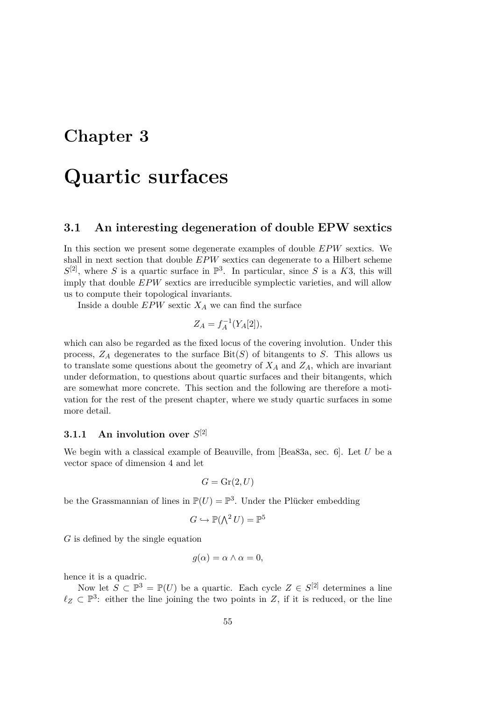# **Chapter 3**

# **Quartic surfaces**

### **3.1 An interesting degeneration of double EPW sextics**

In this section we present some degenerate examples of double *EPW* sextics. We shall in next section that double *EPW* sextics can degenerate to a Hilbert scheme  $S^{[2]}$ , where *S* is a quartic surface in  $\mathbb{P}^3$ . In particular, since *S* is a *K*3, this will imply that double *EPW* sextics are irreducible symplectic varieties, and will allow us to compute their topological invariants.

Inside a double  $EPW$  sextic  $X_A$  we can find the surface

$$
Z_A = f_A^{-1}(Y_A[2]),
$$

which can also be regarded as the fixed locus of the covering involution. Under this process,  $Z_A$  degenerates to the surface  $\text{Bit}(S)$  of bitangents to *S*. This allows us to translate some questions about the geometry of  $X_A$  and  $Z_A$ , which are invariant under deformation, to questions about quartic surfaces and their bitangents, which are somewhat more concrete. This section and the following are therefore a motivation for the rest of the present chapter, where we study quartic surfaces in some more detail.

# **3.1.1 An involution over** *S* [2]

We begin with a classical example of Beauville, from [Bea83a, sec. 6]. Let *U* be a vector space of dimension 4 and let

$$
G = \operatorname{Gr}(2, U)
$$

be the Grassmannian of lines in  $\mathbb{P}(U) = \mathbb{P}^3$ . Under the Plücker embedding

$$
G \hookrightarrow \mathbb{P}(\bigwedge^2 U) = \mathbb{P}^5
$$

*G* is defined by the single equation

$$
g(\alpha) = \alpha \wedge \alpha = 0,
$$

hence it is a quadric.

Now let  $S \subset \mathbb{P}^3 = \mathbb{P}(U)$  be a quartic. Each cycle  $Z \in S^{[2]}$  determines a line  $\ell_Z \subset \mathbb{P}^3$ : either the line joining the two points in *Z*, if it is reduced, or the line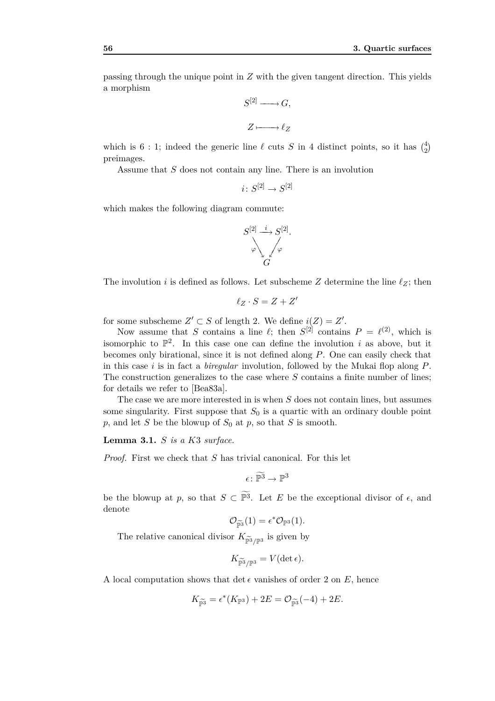passing through the unique point in *Z* with the given tangent direction. This yields a morphism

$$
S^{[2]} \longrightarrow G,
$$
  

$$
Z \longmapsto \ell_Z
$$

which is 6 : 1; indeed the generic line  $\ell$  cuts *S* in 4 distinct points, so it has  $\binom{4}{2}$ preimages.

Assume that *S* does not contain any line. There is an involution

 $i: S^{[2]} \to S^{[2]}$ 

which makes the following diagram commute:



The involution *i* is defined as follows. Let subscheme *Z* determine the line  $\ell_Z$ ; then

$$
\ell_Z\cdot S=Z+Z'
$$

for some subscheme  $Z' \subset S$  of length 2. We define  $i(Z) = Z'$ .

Now assume that *S* contains a line  $\ell$ ; then  $S^{[2]}$  contains  $P = \ell^{(2)}$ , which is isomorphic to  $\mathbb{P}^2$ . In this case one can define the involution *i* as above, but it becomes only birational, since it is not defined along *P*. One can easily check that in this case *i* is in fact a *biregular* involution, followed by the Mukai flop along *P*. The construction generalizes to the case where *S* contains a finite number of lines; for details we refer to [Bea83a].

The case we are more interested in is when *S* does not contain lines, but assumes some singularity. First suppose that  $S_0$  is a quartic with an ordinary double point  $p$ , and let *S* be the blowup of  $S_0$  at  $p$ , so that *S* is smooth.

**Lemma 3.1.** *S is a K*3 *surface.*

*Proof.* First we check that *S* has trivial canonical. For this let

 $\epsilon \colon \widetilde{\mathbb{P}^3} \to \mathbb{P}^3$ 

be the blowup at *p*, so that  $S \subset \mathbb{P}^3$ . Let *E* be the exceptional divisor of  $\epsilon$ , and denote

$$
\mathcal{O}_{\widetilde{\mathbb{P}^3}}(1) = \epsilon^* \mathcal{O}_{\mathbb{P}^3}(1).
$$

The relative canonical divisor  $K_{\widetilde{\mathbb{P}^3}/\mathbb{P}^3}$  is given by

$$
K_{\widetilde{\mathbb{P}^3}/\mathbb{P}^3}=V(\det\epsilon).
$$

A local computation shows that det  $\epsilon$  vanishes of order 2 on *E*, hence

$$
K_{\widetilde{\mathbb{P}^3}} = \epsilon^*(K_{\mathbb{P}^3}) + 2E = \mathcal{O}_{\widetilde{\mathbb{P}^3}}(-4) + 2E.
$$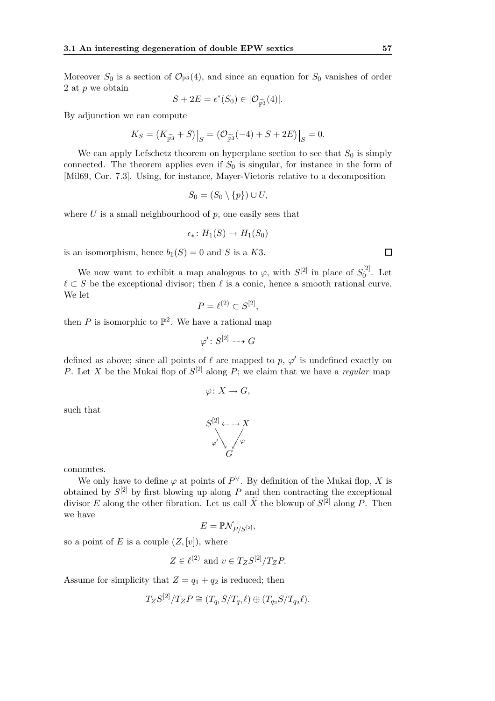Moreover  $S_0$  is a section of  $\mathcal{O}_{\mathbb{P}^3}(4)$ , and since an equation for  $S_0$  vanishes of order 2 at *p* we obtain

$$
S + 2E = \epsilon^*(S_0) \in |\mathcal{O}_{\widetilde{\mathbb{P}^3}}(4)|.
$$

By adjunction we can compute

$$
K_S = (K_{\widetilde{\mathbb{P}^3}} + S)|_S = (\mathcal{O}_{\widetilde{\mathbb{P}^3}}(-4) + S + 2E)|_S = 0.
$$

We can apply Lefschetz theorem on hyperplane section to see that  $S_0$  is simply connected. The theorem applies even if  $S_0$  is singular, for instance in the form of [Mil69, Cor. 7*.*3]. Using, for instance, Mayer-Vietoris relative to a decomposition

$$
S_0 = (S_0 \setminus \{p\}) \cup U,
$$

where  $U$  is a small neighbourhood of  $p$ , one easily sees that

$$
\epsilon_*\colon H_1(S)\to H_1(S_0)
$$

is an isomorphism, hence  $b_1(S) = 0$  and *S* is a *K*3.

We now want to exhibit a map analogous to  $\varphi$ , with  $S^{[2]}$  in place of  $S_0^{[2]}$  $_0^{\{2\}}$ . Let  $\ell \subset S$  be the exceptional divisor; then  $\ell$  is a conic, hence a smooth rational curve. We let

$$
P = \ell^{(2)} \subset S^{[2]},
$$

then  $P$  is isomorphic to  $\mathbb{P}^2$ . We have a rational map

$$
\varphi' \colon S^{[2]} \dashrightarrow G
$$

defined as above; since all points of  $\ell$  are mapped to  $p, \varphi'$  is undefined exactly on *P*. Let *X* be the Mukai flop of  $S^{[2]}$  along *P*; we claim that we have a *regular* map

$$
\varphi\colon X\to G,
$$

such that

$$
S^{[2]} \leftarrow \rightarrow X
$$
  

$$
\varphi' \downarrow \varphi \varphi
$$
  

$$
G
$$

commutes.

We only have to define  $\varphi$  at points of  $P^{\vee}$ . By definition of the Mukai flop, X is obtained by  $S^{[2]}$  by first blowing up along  $P$  and then contracting the exceptional divisor *E* along the other fibration. Let us call  $\tilde{X}$  the blowup of  $S^{[2]}$  along *P*. Then we have

$$
E = \mathbb{P}\mathcal{N}_{P/S^{[2]}},
$$

so a point of *E* is a couple  $(Z, [v])$ , where

$$
Z \in \ell^{(2)} \text{ and } v \in T_Z S^{[2]}/T_Z P.
$$

Assume for simplicity that  $Z = q_1 + q_2$  is reduced; then

$$
T_Z S^{[2]}/T_Z P \cong (T_{q_1} S/T_{q_1} \ell) \oplus (T_{q_2} S/T_{q_2} \ell).
$$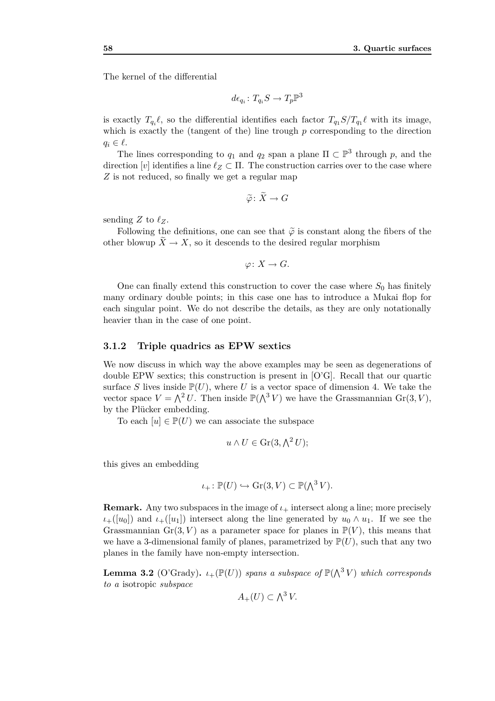The kernel of the differential

$$
d\epsilon_{q_i} \colon T_{q_i}S \to T_p\mathbb{P}^3
$$

is exactly  $T_{q_i} \ell$ , so the differential identifies each factor  $T_{q_1} S/T_{q_1} \ell$  with its image, which is exactly the (tangent of the) line trough *p* corresponding to the direction  $q_i \in \ell$ .

The lines corresponding to  $q_1$  and  $q_2$  span a plane  $\Pi \subset \mathbb{P}^3$  through *p*, and the direction  $[v]$  identifies a line  $\ell_Z \subset \Pi$ . The construction carries over to the case where *Z* is not reduced, so finally we get a regular map

$$
\widetilde{\varphi}\colon \widetilde{X}\to G
$$

sending  $Z$  to  $\ell_Z$ .

Following the definitions, one can see that  $\tilde{\varphi}$  is constant along the fibers of the other blowup  $\tilde{X} \to X$ , so it descends to the desired regular morphism

$$
\varphi\colon X\to G.
$$

One can finally extend this construction to cover the case where  $S_0$  has finitely many ordinary double points; in this case one has to introduce a Mukai flop for each singular point. We do not describe the details, as they are only notationally heavier than in the case of one point.

#### **3.1.2 Triple quadrics as EPW sextics**

We now discuss in which way the above examples may be seen as degenerations of double EPW sextics; this construction is present in [O'G]. Recall that our quartic surface *S* lives inside  $\mathbb{P}(U)$ , where *U* is a vector space of dimension 4. We take the vector space  $V = \Lambda^2 U$ . Then inside  $\mathbb{P}(\Lambda^3 V)$  we have the Grassmannian Gr(3*, V*), by the Plücker embedding.

To each  $[u] \in \mathbb{P}(U)$  we can associate the subspace

$$
u \wedge U \in \operatorname{Gr}(3, \Lambda^2 U);
$$

this gives an embedding

$$
\iota_+ \colon \mathbb{P}(U) \hookrightarrow \operatorname{Gr}(3, V) \subset \mathbb{P}(\bigwedge^3 V).
$$

**Remark.** Any two subspaces in the image of  $\iota_{+}$  intersect along a line; more precisely  $\iota_{+}([u_0])$  and  $\iota_{+}([u_1])$  intersect along the line generated by  $u_0 \wedge u_1$ . If we see the Grassmannian  $Gr(3, V)$  as a parameter space for planes in  $\mathbb{P}(V)$ , this means that we have a 3-dimensional family of planes, parametrized by  $\mathbb{P}(U)$ , such that any two planes in the family have non-empty intersection.

**Lemma 3.2** (O'Grady).  $\iota_+(\mathbb{P}(U))$  *spans a subspace of*  $\mathbb{P}(\bigwedge^3 V)$  *which corresponds to a* isotropic *subspace*

$$
A_+(U) \subset \bigwedge^3 V.
$$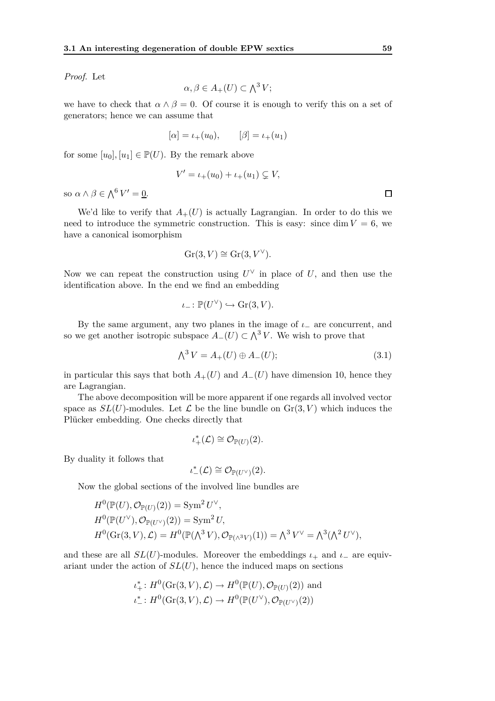*Proof.* Let

$$
\alpha, \beta \in A_+(U) \subset \Lambda^3 V;
$$

we have to check that  $\alpha \wedge \beta = 0$ . Of course it is enough to verify this on a set of generators; hence we can assume that

$$
[\alpha] = \iota_{+}(u_{0}), \qquad [\beta] = \iota_{+}(u_{1})
$$

for some  $[u_0], [u_1] \in \mathbb{P}(U)$ . By the remark above

$$
V' = \iota_+(u_0) + \iota_+(u_1) \subsetneq V,
$$

so  $\alpha \wedge \beta \in \bigwedge^6 V' = 0.$ 

We'd like to verify that  $A_{+}(U)$  is actually Lagrangian. In order to do this we need to introduce the symmetric construction. This is easy: since dim  $V = 6$ , we have a canonical isomorphism

$$
Gr(3, V) \cong Gr(3, V^{\vee}).
$$

Now we can repeat the construction using  $U^{\vee}$  in place of *U*, and then use the identification above. In the end we find an embedding

$$
\iota_- \colon \mathbb{P}(U^{\vee}) \hookrightarrow \text{Gr}(3, V).
$$

By the same argument, any two planes in the image of  $\iota$ <sub>−</sub> are concurrent, and so we get another isotropic subspace  $A$ <sup>*−*</sup>(*U*)  $\subset \Lambda$ <sup>3</sup>*V*. We wish to prove that

$$
\bigwedge^3 V = A_+(U) \oplus A_-(U); \tag{3.1}
$$

in particular this says that both  $A_{+}(U)$  and  $A_{-}(U)$  have dimension 10, hence they are Lagrangian.

The above decomposition will be more apparent if one regards all involved vector space as  $SL(U)$ -modules. Let  $\mathcal L$  be the line bundle on  $Gr(3, V)$  which induces the Plücker embedding. One checks directly that

$$
\iota^*_+(\mathcal{L}) \cong \mathcal{O}_{\mathbb{P}(U)}(2).
$$

By duality it follows that

$$
\iota^*_{-}(\mathcal{L}) \cong \mathcal{O}_{\mathbb{P}(U^{\vee})}(2).
$$

Now the global sections of the involved line bundles are

$$
H^0(\mathbb{P}(U), \mathcal{O}_{\mathbb{P}(U)}(2)) = \text{Sym}^2 U^\vee,
$$
  
\n
$$
H^0(\mathbb{P}(U^\vee), \mathcal{O}_{\mathbb{P}(U^\vee)}(2)) = \text{Sym}^2 U,
$$
  
\n
$$
H^0(\text{Gr}(3, V), \mathcal{L}) = H^0(\mathbb{P}(\Lambda^3 V), \mathcal{O}_{\mathbb{P}(\Lambda^3 V)}(1)) = \Lambda^3 V^\vee = \Lambda^3 (\Lambda^2 U^\vee),
$$

and these are all  $SL(U)$ -modules. Moreover the embeddings  $\iota_+$  and  $\iota_-$  are equivariant under the action of  $SL(U)$ , hence the induced maps on sections

$$
\iota_+^*: H^0(\mathrm{Gr}(3, V), \mathcal{L}) \to H^0(\mathbb{P}(U), \mathcal{O}_{\mathbb{P}(U)}(2)) \text{ and}
$$
  

$$
\iota_-^*: H^0(\mathrm{Gr}(3, V), \mathcal{L}) \to H^0(\mathbb{P}(U^\vee), \mathcal{O}_{\mathbb{P}(U^\vee)}(2))
$$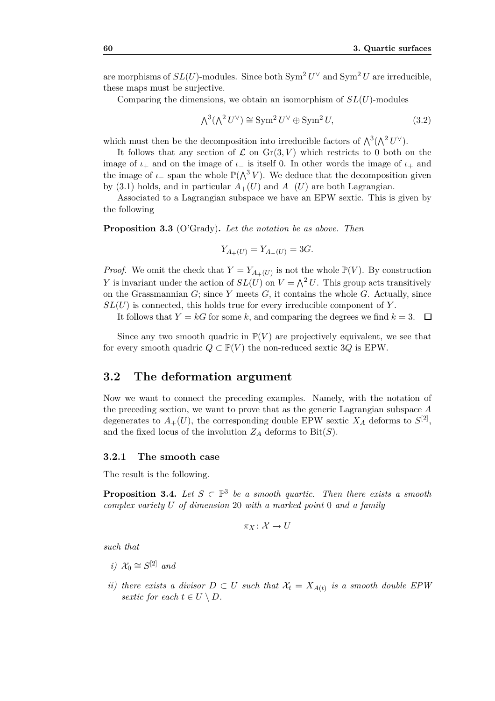are morphisms of  $SL(U)$ -modules. Since both  $Sym^2 U^{\vee}$  and  $Sym^2 U$  are irreducible, these maps must be surjective.

Comparing the dimensions, we obtain an isomorphism of *SL*(*U*)-modules

$$
\Lambda^3(\Lambda^2 U^\vee) \cong \text{Sym}^2 U^\vee \oplus \text{Sym}^2 U,\tag{3.2}
$$

which must then be the decomposition into irreducible factors of  $\Lambda^3(\Lambda^2 U^{\vee})$ .

It follows that any section of  $\mathcal L$  on  $\text{Gr}(3, V)$  which restricts to 0 both on the image of  $\iota_+$  and on the image of  $\iota_-$  is itself 0. In other words the image of  $\iota_+$  and the image of  $\iota$ <sub>−</sub> span the whole  $\mathbb{P}(\bigwedge^3 V)$ . We deduce that the decomposition given by (3.1) holds, and in particular  $A_{+}(U)$  and  $A_{-}(U)$  are both Lagrangian.

Associated to a Lagrangian subspace we have an EPW sextic. This is given by the following

**Proposition 3.3** (O'Grady)**.** *Let the notation be as above. Then*

$$
Y_{A_{+}(U)} = Y_{A_{-}(U)} = 3G.
$$

*Proof.* We omit the check that  $Y = Y_{A_{+}(U)}$  is not the whole  $\mathbb{P}(V)$ . By construction *Y* is invariant under the action of  $SL(U)$  on  $V = \bigwedge^2 U$ . This group acts transitively on the Grassmannian  $G$ ; since  $Y$  meets  $G$ , it contains the whole  $G$ . Actually, since  $SL(U)$  is connected, this holds true for every irreducible component of  $Y$ .

It follows that  $Y = kG$  for some k, and comparing the degrees we find  $k = 3$ .  $\Box$ 

Since any two smooth quadric in  $\mathbb{P}(V)$  are projectively equivalent, we see that for every smooth quadric  $Q \subset \mathbb{P}(V)$  the non-reduced sextic 3Q is EPW.

#### **3.2 The deformation argument**

Now we want to connect the preceding examples. Namely, with the notation of the preceding section, we want to prove that as the generic Lagrangian subspace *A* degenerates to  $A_+(U)$ , the corresponding double EPW sextic  $X_A$  deforms to  $S^{[2]}$ , and the fixed locus of the involution  $Z_A$  deforms to  $\text{Bit}(S)$ .

#### **3.2.1 The smooth case**

The result is the following.

**Proposition 3.4.** Let  $S \subset \mathbb{P}^3$  be a smooth quartic. Then there exists a smooth *complex variety U of dimension* 20 *with a marked point* 0 *and a family*

$$
\pi_X\colon \mathcal{X} \to U
$$

*such that*

- *i*)  $\mathcal{X}_0 \cong S^{[2]}$  *and*
- *ii)* there exists a divisor  $D \subset U$  such that  $\mathcal{X}_t = X_{A(t)}$  is a smooth double EPW *sextic for each*  $t \in U \setminus D$ .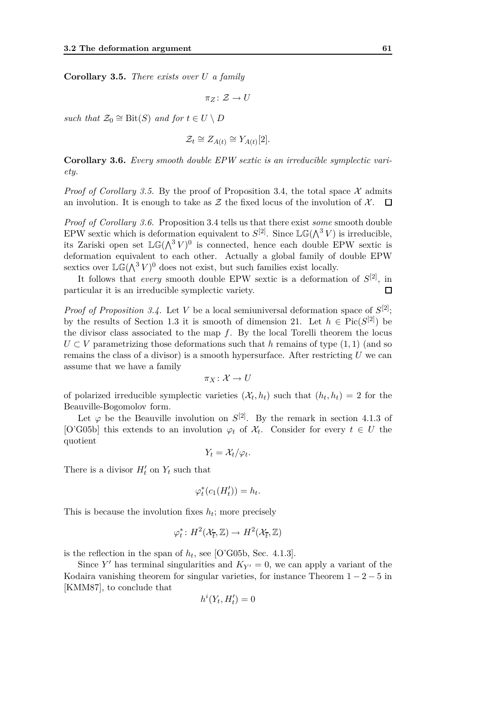**Corollary 3.5.** *There exists over U a family*

$$
\pi_Z\colon \mathcal{Z}\to U
$$

*such that*  $\mathcal{Z}_0 \cong \text{Bit}(S)$  *and for*  $t \in U \setminus D$ 

$$
\mathcal{Z}_t \cong Z_{A(t)} \cong Y_{A(t)}[2].
$$

**Corollary 3.6.** *Every smooth double EPW sextic is an irreducible symplectic variety.*

*Proof of Corollary 3.5.* By the proof of Proposition 3.4, the total space  $\mathcal X$  admits an involution. It is enough to take as  $\mathcal Z$  the fixed locus of the involution of  $\mathcal X$ .  $\Box$ 

*Proof of Corollary 3.6.* Proposition 3.4 tells us that there exist *some* smooth double EPW sextic which is deformation equivalent to  $S^{[2]}$ . Since  $\mathbb{LG}(\Lambda^3 V)$  is irreducible, its Zariski open set  $\mathbb{LG}(\Lambda^3 V)^0$  is connected, hence each double EPW sextic is deformation equivalent to each other. Actually a global family of double EPW sextics over  $\mathbb{LG}(\wedge^3 V)^0$  does not exist, but such families exist locally.

It follows that *every* smooth double EPW sextic is a deformation of *S* [2], in particular it is an irreducible symplectic variety.  $\Box$ 

*Proof of Proposition 3.4.* Let *V* be a local semiuniversal deformation space of  $S^{[2]}$ ; by the results of Section 1.3 it is smooth of dimension 21. Let  $h \in Pic(S^{[2]})$  be the divisor class associated to the map *f*. By the local Torelli theorem the locus  $U \subset V$  parametrizing those deformations such that *h* remains of type  $(1,1)$  (and so remains the class of a divisor) is a smooth hypersurface. After restricting *U* we can assume that we have a family

$$
\pi_X\colon \mathcal{X}\to U
$$

of polarized irreducible symplectic varieties  $(\mathcal{X}_t, h_t)$  such that  $(h_t, h_t) = 2$  for the Beauville-Bogomolov form.

Let  $\varphi$  be the Beauville involution on  $S^{[2]}$ . By the remark in section 4.1.3 of [O'G05b] this extends to an involution  $\varphi_t$  of  $\mathcal{X}_t$ . Consider for every  $t \in U$  the quotient

$$
Y_t = \mathcal{X}_t/\varphi_t.
$$

There is a divisor  $H'_t$  on  $Y_t$  such that

$$
\varphi_t^*(c_1(H'_t)) = h_t.
$$

This is because the involution fixes  $h_t$ ; more precisely

$$
\varphi_t^* \colon H^2(\mathcal{X}_{\overline{t}}, \mathbb{Z}) \to H^2(\mathcal{X}_{\overline{t}}, \mathbb{Z})
$$

is the reflection in the span of  $h_t$ , see [O'G05b, Sec. 4.1.3].

Since *Y'* has terminal singularities and  $K_{Y'} = 0$ , we can apply a variant of the Kodaira vanishing theorem for singular varieties, for instance Theorem  $1 - 2 - 5$  in [KMM87], to conclude that

$$
h^i(Y_t, H'_t) = 0
$$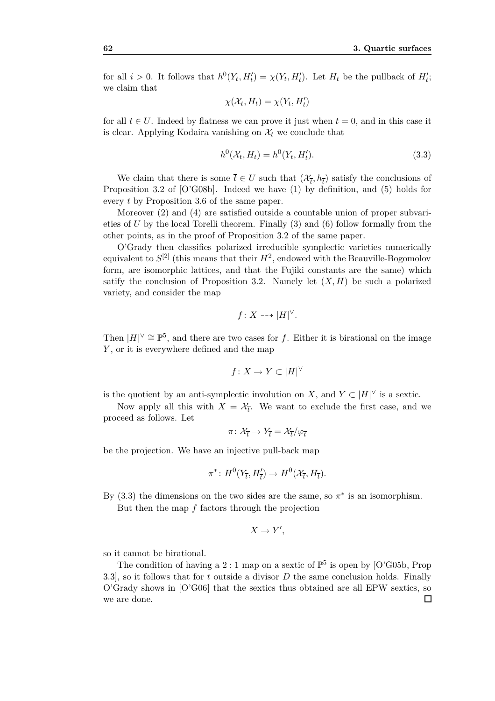for all  $i > 0$ . It follows that  $h^0(Y_t, H'_t) = \chi(Y_t, H'_t)$ . Let  $H_t$  be the pullback of  $H'_t$ ; we claim that

$$
\chi(\mathcal{X}_t, H_t) = \chi(Y_t, H_t')
$$

for all  $t \in U$ . Indeed by flatness we can prove it just when  $t = 0$ , and in this case it is clear. Applying Kodaira vanishing on  $\mathcal{X}_t$  we conclude that

$$
h^0(\mathcal{X}_t, H_t) = h^0(Y_t, H_t').
$$
\n
$$
(3.3)
$$

We claim that there is some  $\overline{t} \in U$  such that  $(\mathcal{X}_{\overline{t}}, h_{\overline{t}})$  satisfy the conclusions of Proposition 3*.*2 of [O'G08b]. Indeed we have (1) by definition, and (5) holds for every *t* by Proposition 3*.*6 of the same paper.

Moreover (2) and (4) are satisfied outside a countable union of proper subvarieties of *U* by the local Torelli theorem. Finally (3) and (6) follow formally from the other points, as in the proof of Proposition 3*.*2 of the same paper.

O'Grady then classifies polarized irreducible symplectic varieties numerically equivalent to  $S^{[2]}$  (this means that their  $H^2$ , endowed with the Beauville-Bogomolov form, are isomorphic lattices, and that the Fujiki constants are the same) which satify the conclusion of Proposition 3.2. Namely let  $(X, H)$  be such a polarized variety, and consider the map

$$
f\colon X\dashrightarrow |H|^\vee.
$$

Then  $|H|<sup>V</sup> \cong \mathbb{P}^5$ , and there are two cases for *f*. Either it is birational on the image *Y* , or it is everywhere defined and the map

$$
f \colon X \to Y \subset |H|^\vee
$$

is the quotient by an anti-symplectic involution on *X*, and  $Y \subset |H|^\vee$  is a sextic.

Now apply all this with  $X = \mathcal{X}_{\bar{t}}$ . We want to exclude the first case, and we proceed as follows. Let

$$
\pi\colon \mathcal{X}_{\overline{t}} \to Y_{\overline{t}} = \mathcal{X}_{\overline{t}}/\varphi_{\overline{t}}
$$

be the projection. We have an injective pull-back map

$$
\pi^* \colon H^0(Y_{\overline{t}}, H'_{\overline{t}}) \to H^0(\mathcal{X}_{\overline{t}}, H_{\overline{t}}).
$$

By  $(3.3)$  the dimensions on the two sides are the same, so  $\pi^*$  is an isomorphism. But then the map *f* factors through the projection

$$
X \to Y',
$$

so it cannot be birational.

The condition of having a 2 : 1 map on a sextic of  $\mathbb{P}^5$  is open by [O'G05b, Prop 3*.*3], so it follows that for *t* outside a divisor *D* the same conclusion holds. Finally O'Grady shows in [O'G06] that the sextics thus obtained are all EPW sextics, so we are done. $\Box$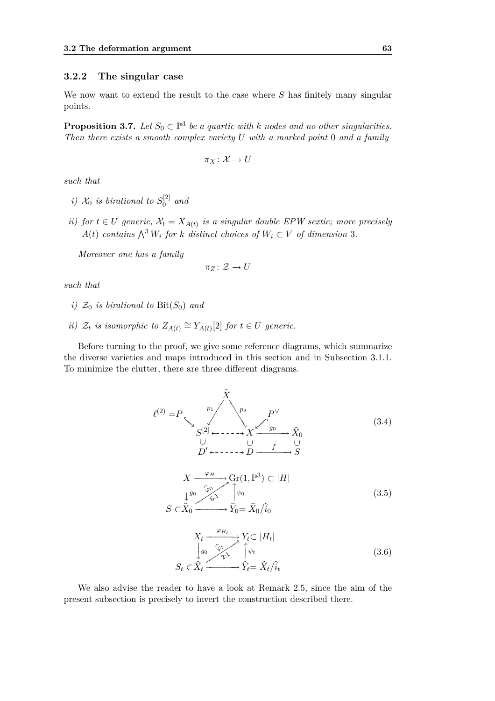#### **3.2.2 The singular case**

We now want to extend the result to the case where *S* has finitely many singular points.

**Proposition 3.7.** *Let*  $S_0 \subset \mathbb{P}^3$  *be a quartic with k nodes and no other singularities. Then there exists a smooth complex variety U with a marked point* 0 *and a family*

$$
\pi_X\colon \mathcal{X} \to U
$$

*such that*

- *i*)  $\mathcal{X}_0$  *is birational to*  $S_0^{[2]}$  $\int_{0}^{\lfloor 2 \rfloor}$  and
- *ii)* for  $t \in U$  generic,  $\mathcal{X}_t = X_{A(t)}$  is a singular double EPW sextic; more precisely  $A(t)$  *contains*  $\bigwedge^3 W_i$  *for k distinct choices of*  $W_i \subset V$  *of dimension* 3*.*

*Moreover one has a family*

$$
\pi_Z\colon \mathcal{Z}\to U
$$

*such that*

- *i*)  $\mathcal{Z}_0$  *is birational to* Bit( $S_0$ ) *and*
- *ii*)  $Z_t$  *is isomorphic to*  $Z_{A(t)} \cong Y_{A(t)}[2]$  *for*  $t \in U$  *generic.*

Before turning to the proof, we give some reference diagrams, which summarize the diverse varieties and maps introduced in this section and in Subsection 3.1.1. To minimize the clutter, there are three different diagrams.

*−−−−− p*1 *−−−−−− p*2 *֒−− −−֒ −−−−−− <sup>g</sup>*<sup>0</sup> *⊂ ⊂−−−−−− <sup>f</sup> <sup>⊂</sup> X*e *ℓ* (2) =*P P <sup>∨</sup> S* [2] *X X*<sup>b</sup> 0 *D ′ D S* (3.4) *−−−g*0 *−−−−−− <sup>ϕ</sup><sup>H</sup> <sup>ϕ</sup>*<sup>b</sup><sup>0</sup> *X* Gr(1*,* P 3 ) *⊂ |H|*

$$
S \subset \widehat{X}_0 \xrightarrow{\widehat{\varphi}_0, \widehat{Y}_0} \widehat{Y}_0 = \widehat{X}_0 / \widehat{i}_0 \tag{3.5}
$$

$$
X_t \xrightarrow{\varphi_{H_t}} Y_t \subset |H_t|
$$
  
\n
$$
\downarrow g_0 \xrightarrow{\widehat{\varphi}^t} \uparrow \psi_t
$$
  
\n
$$
S_t \subset \widehat{X}_t \xrightarrow{\widehat{X}_t} \widehat{Y}_t = \widehat{X}_t / \widehat{i}_t
$$
\n(3.6)

We also advise the reader to have a look at Remark 2.5, since the aim of the present subsection is precisely to invert the construction described there.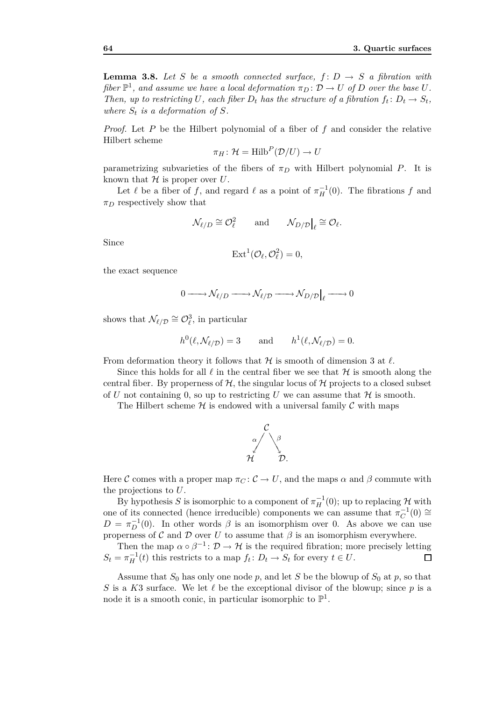**Lemma 3.8.** Let S be a smooth connected surface,  $f: D \rightarrow S$  a fibration with *fiber*  $\mathbb{P}^1$ *, and assume we have a local deformation*  $\pi_D \colon \mathcal{D} \to U$  *of D over the base U. Then, up to restricting U, each fiber*  $D_t$  *has the structure of a fibration*  $f_t: D_t \to S_t$ , where  $S_t$  is a deformation of  $S$ *.* 

*Proof.* Let *P* be the Hilbert polynomial of a fiber of *f* and consider the relative Hilbert scheme

$$
\pi_H\colon \mathcal{H}=\text{Hilb}^P(\mathcal{D}/U)\to U
$$

parametrizing subvarieties of the fibers of  $\pi_D$  with Hilbert polynomial *P*. It is known that  $H$  is proper over  $U$ .

Let  $\ell$  be a fiber of  $f$ , and regard  $\ell$  as a point of  $\pi_H^{-1}(0)$ . The fibrations  $f$  and *π<sup>D</sup>* respectively show that

$$
\mathcal{N}_{\ell/D} \cong \mathcal{O}_{\ell}^2 \quad \text{and} \quad \mathcal{N}_{D/\mathcal{D}}\big|_{\ell} \cong \mathcal{O}_{\ell}.
$$

Since

$$
Ext^1(\mathcal{O}_{\ell}, \mathcal{O}_{\ell}^2) = 0,
$$

the exact sequence

$$
0 \longrightarrow \mathcal{N}_{\ell/D} \longrightarrow \mathcal{N}_{\ell/D} \longrightarrow \mathcal{N}_{D/D}|_{\ell} \longrightarrow 0
$$

shows that  $\mathcal{N}_{\ell/\mathcal{D}} \cong \mathcal{O}_{\ell}^3$ , in particular

$$
h^0(\ell, \mathcal{N}_{\ell/\mathcal{D}}) = 3 \quad \text{and} \quad h^1(\ell, \mathcal{N}_{\ell/\mathcal{D}}) = 0.
$$

From deformation theory it follows that *H* is smooth of dimension 3 at *ℓ*.

Since this holds for all  $\ell$  in the central fiber we see that  $\mathcal H$  is smooth along the central fiber. By properness of  $H$ , the singular locus of  $H$  projects to a closed subset of *U* not containing 0, so up to restricting *U* we can assume that  $H$  is smooth.

The Hilbert scheme  $H$  is endowed with a universal family  $C$  with maps



Here *C* comes with a proper map  $\pi$ *C* :  $\mathcal{C} \to U$ , and the maps  $\alpha$  and  $\beta$  commute with the projections to *U*.

By hypothesis *S* is isomorphic to a component of  $\pi_H^{-1}(0)$ ; up to replacing  $\mathcal{H}$  with one of its connected (hence irreducible) components we can assume that  $\pi_C^{-1}(0) \cong$  $D = \pi_D^{-1}(0)$ . In other words  $\beta$  is an isomorphism over 0. As above we can use properness of  $\mathcal C$  and  $\mathcal D$  over  $U$  to assume that  $\beta$  is an isomorphism everywhere.

Then the map  $\alpha \circ \beta^{-1}$ :  $\mathcal{D} \to \mathcal{H}$  is the required fibration; more precisely letting  $S_t = \pi_H^{-1}(t)$  this restricts to a map  $f_t: D_t \to S_t$  for every  $t \in U$ .  $\Box$ 

Assume that  $S_0$  has only one node  $p$ , and let  $S$  be the blowup of  $S_0$  at  $p$ , so that *S* is a *K*3 surface. We let *ℓ* be the exceptional divisor of the blowup; since *p* is a node it is a smooth conic, in particular isomorphic to  $\mathbb{P}^1$ .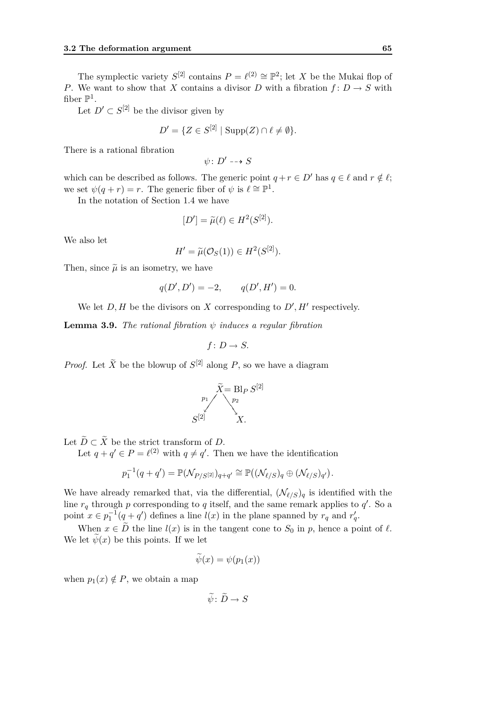The symplectic variety  $S^{[2]}$  contains  $P = \ell^{(2)} \cong \mathbb{P}^2$ ; let *X* be the Mukai flop of *P*. We want to show that *X* contains a divisor *D* with a fibration  $f: D \to S$  with fiber  $\mathbb{P}^1$ .

Let  $D' \subset S^{[2]}$  be the divisor given by

$$
D' = \{ Z \in S^{[2]} \mid \text{Supp}(Z) \cap \ell \neq \emptyset \}.
$$

There is a rational fibration

$$
\psi\colon D'\dashrightarrow S
$$

which can be described as follows. The generic point  $q + r \in D'$  has  $q \in \ell$  and  $r \notin \ell$ ; we set  $\psi(q+r) = r$ . The generic fiber of  $\psi$  is  $\ell \cong \mathbb{P}^1$ .

In the notation of Section 1.4 we have

$$
[D'] = \widetilde{\mu}(\ell) \in H^2(S^{[2]}).
$$

We also let

$$
H' = \widetilde{\mu}(\mathcal{O}_S(1)) \in H^2(S^{[2]}).
$$

Then, since  $\tilde{\mu}$  is an isometry, we have

$$
q(D', D') = -2, \qquad q(D', H') = 0.
$$

We let  $D, H$  be the divisors on  $X$  corresponding to  $D', H'$  respectively.

**Lemma 3.9.** *The rational fibration*  $\psi$  *induces a regular fibration* 

$$
f\colon D\to S.
$$

*Proof.* Let  $\widetilde{X}$  be the blowup of  $S^{[2]}$  along P, so we have a diagram

$$
\tilde{X} = \text{Bl}_{P} S^{[2]}
$$
\n
$$
S^{[2]}
$$
\n
$$
X.
$$

Let  $\widetilde{D} \subset \widetilde{X}$  be the strict transform of *D*.

Let  $q + q' \in P = \ell^{(2)}$  with  $q \neq q'$ . Then we have the identification

$$
p_1^{-1}(q+q') = \mathbb{P}(\mathcal{N}_{P/S^{[2]}})_{q+q'} \cong \mathbb{P}((\mathcal{N}_{\ell/S})_q \oplus (\mathcal{N}_{\ell/S})_{q'}).
$$

We have already remarked that, via the differential,  $(\mathcal{N}_{\ell/S})_q$  is identified with the line  $r_q$  through  $p$  corresponding to  $q$  itself, and the same remark applies to  $q'$ . So a point  $x \in p_1^{-1}(q + q')$  defines a line  $l(x)$  in the plane spanned by  $r_q$  and  $r'_q$ .

When  $x \in \tilde{D}$  the line  $l(x)$  is in the tangent cone to  $S_0$  in  $p$ , hence a point of  $\ell$ . We let  $\psi(x)$  be this points. If we let

$$
\psi(x) = \psi(p_1(x))
$$

when  $p_1(x) \notin P$ , we obtain a map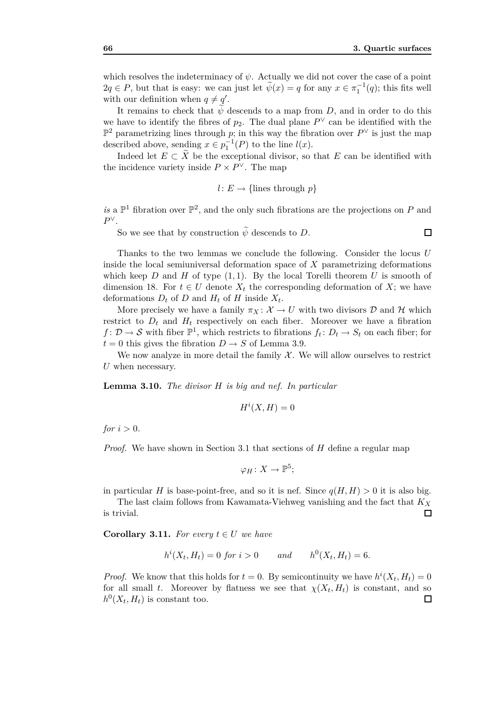which resolves the indeterminacy of  $\psi$ . Actually we did not cover the case of a point  $2q \in P$ , but that is easy: we can just let  $\tilde{\psi}(x) = q$  for any  $x \in \pi_1^{-1}(q)$ ; this fits well with our definition when  $q \neq q'$ .

It remains to check that  $\psi$  descends to a map from *D*, and in order to do this we have to identify the fibres of  $p_2$ . The dual plane  $P^{\vee}$  can be identified with the P <sup>2</sup> parametrizing lines through *p*; in this way the fibration over *P <sup>∨</sup>* is just the map described above, sending  $x \in p_1^{-1}(P)$  to the line  $l(x)$ .

Indeed let  $E \subset \tilde{X}$  be the exceptional divisor, so that  $E$  can be identified with the incidence variety inside  $P \times P^{\vee}$ . The map

$$
l: E \to \{\text{lines through } p\}
$$

is a  $\mathbb{P}^1$  fibration over  $\mathbb{P}^2$ , and the only such fibrations are the projections on *P* and *P ∨*.

So we see that by construction  $\widetilde{\psi}$  descends to *D*.

 $\Box$ 

Thanks to the two lemmas we conclude the following. Consider the locus *U* inside the local semiuniversal deformation space of *X* parametrizing deformations which keep  $D$  and  $H$  of type  $(1, 1)$ . By the local Torelli theorem  $U$  is smooth of dimension 18. For  $t \in U$  denote  $X_t$  the corresponding deformation of  $X$ ; we have deformations  $D_t$  of  $D$  and  $H_t$  of  $H$  inside  $X_t$ .

More precisely we have a family  $\pi_X : \mathcal{X} \to U$  with two divisors  $\mathcal D$  and  $\mathcal H$  which restrict to  $D_t$  and  $H_t$  respectively on each fiber. Moreover we have a fibration  $f: \mathcal{D} \to \mathcal{S}$  with fiber  $\mathbb{P}^1$ , which restricts to fibrations  $f_t: D_t \to S_t$  on each fiber; for  $t = 0$  this gives the fibration  $D \rightarrow S$  of Lemma 3.9.

We now analyze in more detail the family  $X$ . We will allow ourselves to restrict *U* when necessary.

**Lemma 3.10.** *The divisor H is big and nef. In particular*

$$
H^i(X, H) = 0
$$

*for*  $i > 0$ *.* 

*Proof.* We have shown in Section 3.1 that sections of *H* define a regular map

$$
\varphi_H\colon X\to\mathbb P^5;
$$

in particular *H* is base-point-free, and so it is nef. Since  $q(H, H) > 0$  it is also big.

The last claim follows from Kawamata-Viehweg vanishing and the fact that *K<sup>X</sup>* is trivial. □

**Corollary 3.11.** For every  $t \in U$  we have

$$
h^{i}(X_{t}, H_{t}) = 0 \text{ for } i > 0
$$
 and  $h^{0}(X_{t}, H_{t}) = 6.$ 

*Proof.* We know that this holds for  $t = 0$ . By semicontinuity we have  $h^{i}(X_t, H_t) = 0$ for all small *t*. Moreover by flatness we see that  $\chi(X_t, H_t)$  is constant, and so  $h^0(X_t, H_t)$  is constant too.  $\Box$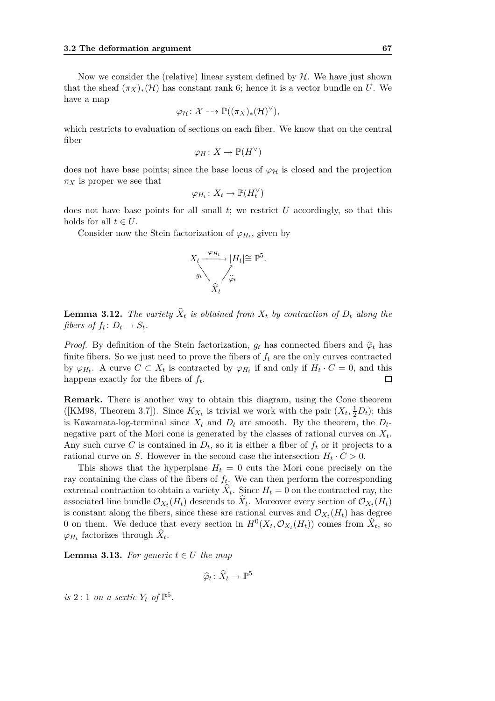Now we consider the (relative) linear system defined by *H*. We have just shown that the sheaf  $(\pi_X)_*(\mathcal{H})$  has constant rank 6; hence it is a vector bundle on *U*. We have a map

$$
\varphi_{\mathcal{H}}\colon \mathcal{X} \dashrightarrow \mathbb{P}((\pi_X)_*(\mathcal{H})^{\vee}),
$$

which restricts to evaluation of sections on each fiber. We know that on the central fiber

$$
\varphi_H\colon X\to {\mathbb P}(H^\vee)
$$

does not have base points; since the base locus of  $\varphi_H$  is closed and the projection  $\pi_X$  is proper we see that *∨*

$$
\varphi_{H_t}: X_t \to \mathbb{P}(H_t^{\vee})
$$

does not have base points for all small *t*; we restrict *U* accordingly, so that this holds for all  $t \in U$ .

Consider now the Stein factorization of  $\varphi_{H_t}$ , given by



**Lemma 3.12.** The variety  $X_t$  is obtained from  $X_t$  by contraction of  $D_t$  along the *fibers of*  $f_t: D_t \to S_t$ .

*Proof.* By definition of the Stein factorization,  $g_t$  has connected fibers and  $\hat{\varphi}_t$  has finite fibers. So we just need to prove the fibers of  $f_t$  are the only curves contracted by  $\varphi_{H_t}$ . A curve  $C \subset X_t$  is contracted by  $\varphi_{H_t}$  if and only if  $H_t \cdot C = 0$ , and this  $\Box$ happens exactly for the fibers of *f<sup>t</sup>* .

**Remark.** There is another way to obtain this diagram, using the Cone theorem ([KM98, Theorem 3.7]). Since  $K_{X_t}$  is trivial we work with the pair  $(X_t, \frac{1}{2}D_t)$ ; this is Kawamata-log-terminal since  $X_t$  and  $D_t$  are smooth. By the theorem, the  $D_t$ negative part of the Mori cone is generated by the classes of rational curves on *X<sup>t</sup>* . Any such curve C is contained in  $D_t$ , so it is either a fiber of  $f_t$  or it projects to a rational curve on *S*. However in the second case the intersection  $H_t \cdot C > 0$ .

This shows that the hyperplane  $H_t = 0$  cuts the Mori cone precisely on the ray containing the class of the fibers of *f<sup>t</sup>* . We can then perform the corresponding extremal contraction to obtain a variety  $X_t$ . Since  $H_t = 0$  on the contracted ray, the associated line bundle  $\mathcal{O}_{X_t}(H_t)$  descends to  $X_t$ . Moreover every section of  $\mathcal{O}_{X_t}(H_t)$ is constant along the fibers, since these are rational curves and  $\mathcal{O}_{X_t}(H_t)$  has degree 0 on them. We deduce that every section in  $H^0(X_t, \mathcal{O}_{X_t}(H_t))$  comes from  $\hat{X}_t$ , so  $\varphi_{H_t}$  factorizes through  $X_t$ .

**Lemma 3.13.** For generic  $t \in U$  the map

$$
\widehat{\varphi}_t \colon \widehat{X}_t \to \mathbb{P}^5
$$

*is* 2 : 1 *on a sextic*  $Y_t$  *of*  $\mathbb{P}^5$ *.*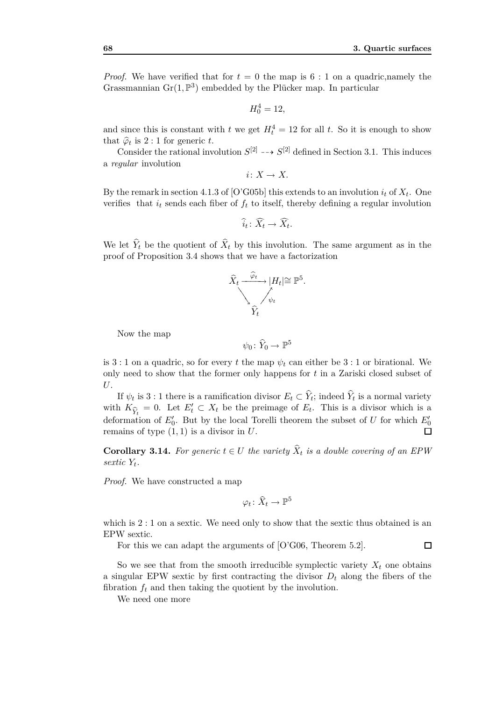$\Box$ 

*Proof.* We have verified that for  $t = 0$  the map is  $6:1$  on a quadric, namely the Grassmannian  $\text{Gr}(1,\mathbb{P}^3)$  embedded by the Plücker map. In particular

$$
H_0^4 = 12,
$$

and since this is constant with  $t$  we get  $H_t^4 = 12$  for all  $t$ . So it is enough to show that  $\hat{\varphi}_t$  is 2 : 1 for generic *t*.

Consider the rational involution  $S^{[2]} \dashrightarrow S^{[2]}$  defined in Section 3.1. This induces a *regular* involution

$$
i\colon X\to X.
$$

By the remark in section 4.1.3 of [O'G05b] this extends to an involution  $i_t$  of  $X_t$ . One verifies that  $i_t$  sends each fiber of  $f_t$  to itself, thereby defining a regular involution

$$
\widehat{i}_t \colon \widehat{X}_t \to \widehat{X}_t.
$$

We let  $Y_t$  be the quotient of  $X_t$  by this involution. The same argument as in the proof of Proposition 3.4 shows that we have a factorization



Now the map

$$
\psi_0\colon \widehat{Y}_0\to \mathbb{P}^5
$$

is 3 : 1 on a quadric, so for every *t* the map  $\psi_t$  can either be 3 : 1 or birational. We only need to show that the former only happens for *t* in a Zariski closed subset of *U*.

If  $\psi_t$  is 3 : 1 there is a ramification divisor  $E_t \subset Y_t$ ; indeed  $Y_t$  is a normal variety with  $K_{\hat{\mathcal{Y}}_t} = 0$ . Let  $E'_t \subset X_t$  be the preimage of  $E_t$ . This is a divisor which is a defermation of  $E'$ . But by the local Toyelli theorem the subset of  $U$  for which  $F'$ . deformation of  $E'_{0}$ . But by the local Torelli theorem the subset of *U* for which  $E'_{0}$ remains of type  $(1, 1)$  is a divisor in  $U$ .

**Corollary 3.14.** For generic  $t \in U$  the variety  $X_t$  is a double covering of an EPW *sextic Y<sup>t</sup> .*

*Proof.* We have constructed a map

 $\varphi_t \colon \widehat{X}_t \to \mathbb{P}^5$ 

which is  $2:1$  on a sextic. We need only to show that the sextic thus obtained is an EPW sextic.

For this we can adapt the arguments of [O'G06, Theorem 5*.*2].

So we see that from the smooth irreducible symplectic variety  $X_t$  one obtains a singular EPW sextic by first contracting the divisor  $D_t$  along the fibers of the fibration  $f_t$  and then taking the quotient by the involution.

We need one more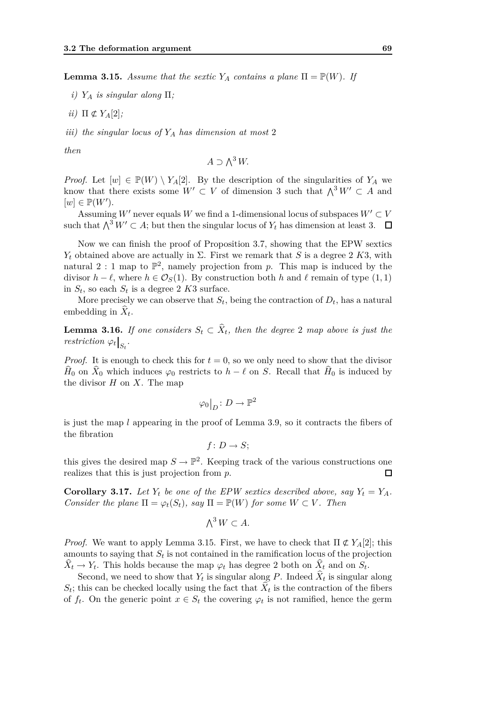**Lemma 3.15.** *Assume that the sextic*  $Y_A$  *contains a plane*  $\Pi = \mathbb{P}(W)$ *. If* 

- *i) Y<sup>A</sup> is singular along* Π*;*
- *ii*)  $\Pi \not\subset Y_A[2]$ *;*

*iii) the singular locus of Y<sup>A</sup> has dimension at most* 2

*then*

$$
A \supset \bigwedge^3 W.
$$

*Proof.* Let  $[w] \in \mathbb{P}(W) \setminus Y_A[2]$ . By the description of the singularities of  $Y_A$  we know that there exists some  $W' \subset V$  of dimension 3 such that  $\bigwedge^3 W' \subset A$  and  $[w] \in \mathbb{P}(W')$ .

Assuming *W*<sup>*′*</sup> never equals *W* we find a 1-dimensional locus of subspaces  $W' \subset V$ such that  $\bigwedge^3 W' \subset A$ ; but then the singular locus of  $Y_t$  has dimension at least 3.  $\Box$ 

Now we can finish the proof of Proposition 3.7, showing that the EPW sextics *Y*<sup>*t*</sup> obtained above are actually in Σ. First we remark that *S* is a degree 2 *K*3, with natural 2 : 1 map to  $\mathbb{P}^2$ , namely projection from p. This map is induced by the divisor *h* −  $\ell$ , where *h* ∈  $\mathcal{O}_S(1)$ . By construction both *h* and  $\ell$  remain of type (1, 1) in  $S_t$ , so each  $S_t$  is a degree 2  $K3$  surface.

More precisely we can observe that  $S_t$ , being the contraction of  $D_t$ , has a natural embedding in  $X_t$ .

**Lemma 3.16.** *If one considers*  $S_t \subset X_t$ , then the degree 2 *map above is just the restriction*  $\varphi_t|_{S_t}$ .

*Proof.* It is enough to check this for  $t = 0$ , so we only need to show that the divisor *H*<sup>0</sup> on *X*<sup>0</sup> which induces  $\varphi_0$  restricts to *h* −  $\ell$  on *S*. Recall that *H*<sup>0</sup> is induced by the divisor *H* on *X*. The map

$$
\varphi_0\big|_D\colon D\to\mathbb{P}^2
$$

is just the map *l* appearing in the proof of Lemma 3.9, so it contracts the fibers of the fibration

$$
f\colon D\to S;
$$

this gives the desired map  $S \to \mathbb{P}^2$ . Keeping track of the various constructions one realizes that this is just projection from *p*. 囗

**Corollary 3.17.** Let  $Y_t$  be one of the EPW sextics described above, say  $Y_t = Y_A$ . *Consider the plane*  $\Pi = \varphi_t(S_t)$ *, say*  $\Pi = \mathbb{P}(W)$  *for some*  $W \subset V$ *. Then* 

$$
\bigwedge^3 W \subset A.
$$

*Proof.* We want to apply Lemma 3.15. First, we have to check that  $\Pi \notin Y_A[2]$ ; this amounts to saying that  $S_t$  is not contained in the ramification locus of the projection  $X_t \to Y_t$ . This holds because the map  $\varphi_t$  has degree 2 both on  $X_t$  and on  $S_t$ .

Second, we need to show that  $Y_t$  is singular along P. Indeed  $X_t$  is singular along  $S_t$ ; this can be checked locally using the fact that  $X_t$  is the contraction of the fibers of  $f_t$ . On the generic point  $x \in S_t$  the covering  $\varphi_t$  is not ramified, hence the germ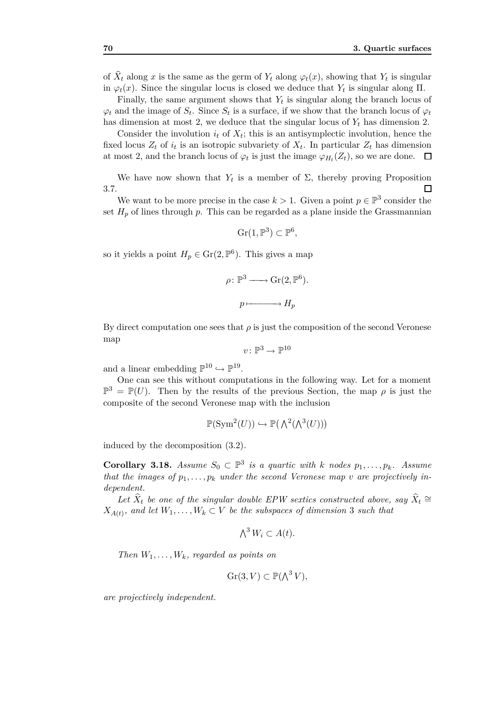of  $X_t$  along  $x$  is the same as the germ of  $Y_t$  along  $\varphi_t(x)$ , showing that  $Y_t$  is singular in  $\varphi_t(x)$ . Since the singular locus is closed we deduce that  $Y_t$  is singular along  $\Pi$ .

Finally, the same argument shows that  $Y_t$  is singular along the branch locus of  $\varphi_t$  and the image of  $S_t$ . Since  $S_t$  is a surface, if we show that the branch locus of  $\varphi_t$ has dimension at most 2, we deduce that the singular locus of  $Y_t$  has dimension 2.

Consider the involution  $i_t$  of  $X_t$ ; this is an antisymplectic involution, hence the fixed locus  $Z_t$  of  $i_t$  is an isotropic subvariety of  $X_t$ . In particular  $Z_t$  has dimension at most 2, and the branch locus of  $\varphi_t$  is just the image  $\varphi_{H_t}(Z_t)$ , so we are done.

We have now shown that  $Y_t$  is a member of  $\Sigma$ , thereby proving Proposition 3.7.  $\Box$ 

We want to be more precise in the case  $k > 1$ . Given a point  $p \in \mathbb{P}^3$  consider the set  $H_p$  of lines through  $p$ . This can be regarded as a plane inside the Grassmannian

$$
\operatorname{Gr}(1,\mathbb{P}^3) \subset \mathbb{P}^6,
$$

so it yields a point  $H_p \in \text{Gr}(2, \mathbb{P}^6)$ . This gives a map

$$
\rho \colon \mathbb{P}^3 \longrightarrow \text{Gr}(2, \mathbb{P}^6).
$$

$$
p \longmapsto H_p
$$

By direct computation one sees that  $\rho$  is just the composition of the second Veronese map

$$
v\colon \mathbb{P}^3\to \mathbb{P}^{10}
$$

and a linear embedding  $\mathbb{P}^{10} \hookrightarrow \mathbb{P}^{19}$ .

One can see this without computations in the following way. Let for a moment  $\mathbb{P}^3 = \mathbb{P}(U)$ . Then by the results of the previous Section, the map  $\rho$  is just the composite of the second Veronese map with the inclusion

$$
\mathbb{P}(\operatorname{Sym}^2(U)) \hookrightarrow \mathbb{P}(\bigwedge^2(\bigwedge^3(U)))
$$

induced by the decomposition (3.2).

**Corollary 3.18.** *Assume*  $S_0 \subset \mathbb{P}^3$  *is a quartic with k* nodes  $p_1, \ldots, p_k$ *. Assume that the images of*  $p_1, \ldots, p_k$  *under the second Veronese map v are projectively independent.*

Let  $\widehat{X}_t$  be one of the singular double EPW sextics constructed above, say  $\widehat{X}_t \cong$  $X_{A(t)}$ , and let  $W_1, \ldots, W_k \subset V$  be the subspaces of dimension 3 such that

$$
\bigwedge^3 W_i \subset A(t).
$$

*Then*  $W_1, \ldots, W_k$ *, regarded as points on* 

$$
\operatorname{Gr}(3, V) \subset \mathbb{P}(\bigwedge^3 V),
$$

*are projectively independent.*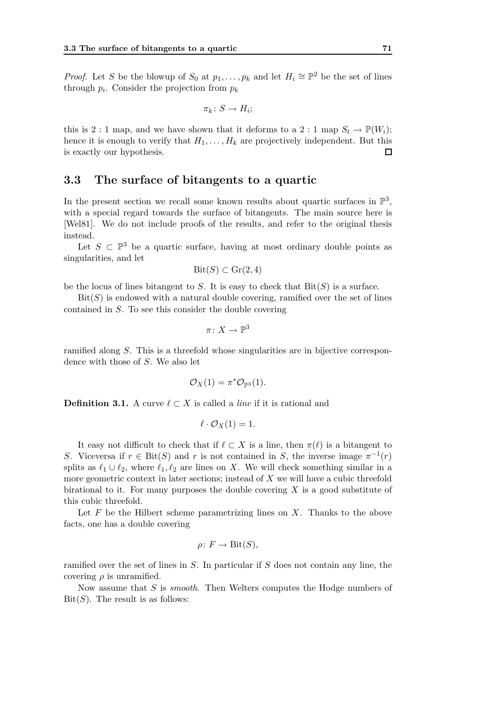*Proof.* Let *S* be the blowup of  $S_0$  at  $p_1, \ldots, p_k$  and let  $H_i \cong \mathbb{P}^2$  be the set of lines through  $p_i$ . Consider the projection from  $p_k$ 

$$
\pi_k\colon S\to H_i;
$$

this is 2 : 1 map, and we have shown that it deforms to a 2 : 1 map  $S_t \to \mathbb{P}(W_i)$ ; hence it is enough to verify that  $H_1, \ldots, H_k$  are projectively independent. But this is exactly our hypothesis.  $\Box$ 

## **3.3 The surface of bitangents to a quartic**

In the present section we recall some known results about quartic surfaces in  $\mathbb{P}^3$ , with a special regard towards the surface of bitangents. The main source here is [Wel81]. We do not include proofs of the results, and refer to the original thesis instead.

Let  $S \subset \mathbb{P}^3$  be a quartic surface, having at most ordinary double points as singularities, and let

$$
\mathrm{Bit}(S) \subset \mathrm{Gr}(2,4)
$$

be the locus of lines bitangent to  $S$ . It is easy to check that  $\text{Bit}(S)$  is a surface.

 $\text{Bit}(S)$  is endowed with a natural double covering, ramified over the set of lines contained in *S*. To see this consider the double covering

$$
\pi\colon X\to \mathbb{P}^3
$$

ramified along *S*. This is a threefold whose singularities are in bijective correspondence with those of *S*. We also let

$$
\mathcal{O}_X(1) = \pi^* \mathcal{O}_{\mathbb{P}^3}(1).
$$

**Definition 3.1.** A curve  $\ell \subset X$  is called a *line* if it is rational and

$$
\ell \cdot \mathcal{O}_X(1) = 1.
$$

It easy not difficult to check that if  $\ell \subset X$  is a line, then  $\pi(\ell)$  is a bitangent to *S*. Viceversa if  $r \in \text{Bit}(S)$  and *r* is not contained in *S*, the inverse image  $\pi^{-1}(r)$ splits as  $\ell_1 \cup \ell_2$ , where  $\ell_1, \ell_2$  are lines on *X*. We will check something similar in a more geometric context in later sections; instead of *X* we will have a cubic threefold birational to it. For many purposes the double covering *X* is a good substitute of this cubic threefold.

Let *F* be the Hilbert scheme parametrizing lines on *X*. Thanks to the above facts, one has a double covering

$$
\rho\colon F\to \mathrm{Bit}(S),
$$

ramified over the set of lines in *S*. In particular if *S* does not contain any line, the covering  $\rho$  is unramified.

Now assume that *S* is *smooth*. Then Welters computes the Hodge numbers of  $Bit(S)$ . The result is as follows: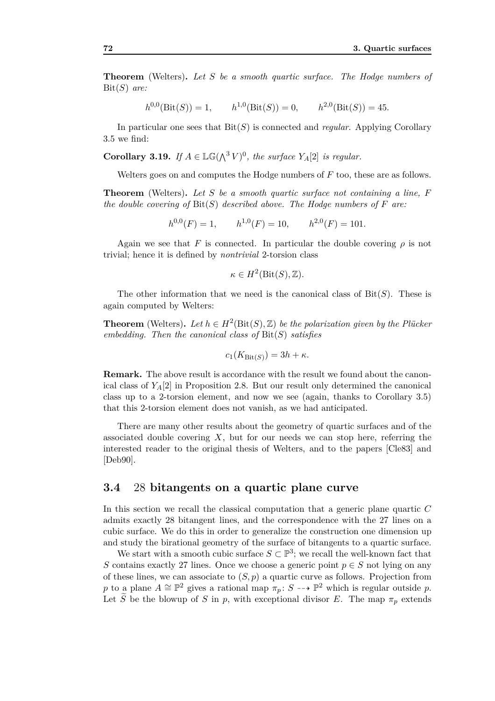**Theorem** (Welters)**.** *Let S be a smooth quartic surface. The Hodge numbers of* Bit(*S*) *are:*

 $h^{0,0}(\text{Bit}(S)) = 1, \quad h^{1,0}(\text{Bit}(S)) = 0, \quad h^{2,0}(\text{Bit}(S)) = 45.$ 

In particular one sees that Bit(*S*) is connected and *regular*. Applying Corollary 3.5 we find:

**Corollary 3.19.** *If*  $A \in \mathbb{LG}(\bigwedge^3 V)^0$ , the surface  $Y_A[2]$  is regular.

Welters goes on and computes the Hodge numbers of *F* too, these are as follows.

**Theorem** (Welters)**.** *Let S be a smooth quartic surface not containing a line, F the double covering of* Bit(*S*) *described above. The Hodge numbers of F are:*

$$
h^{0,0}(F) = 1, \qquad h^{1,0}(F) = 10, \qquad h^{2,0}(F) = 101.
$$

Again we see that *F* is connected. In particular the double covering  $\rho$  is not trivial; hence it is defined by *nontrivial* 2-torsion class

$$
\kappa \in H^2(\mathrm{Bit}(S), \mathbb{Z}).
$$

The other information that we need is the canonical class of Bit(*S*). These is again computed by Welters:

**Theorem** (Welters). Let  $h \in H^2(\text{Bit}(S), \mathbb{Z})$  be the polarization given by the Plücker *embedding. Then the canonical class of* Bit(*S*) *satisfies*

$$
c_1(K_{\text{Bit}(S)}) = 3h + \kappa.
$$

**Remark.** The above result is accordance with the result we found about the canonical class of  $Y_A[2]$  in Proposition 2.8. But our result only determined the canonical class up to a 2-torsion element, and now we see (again, thanks to Corollary 3.5) that this 2-torsion element does not vanish, as we had anticipated.

There are many other results about the geometry of quartic surfaces and of the associated double covering *X*, but for our needs we can stop here, referring the interested reader to the original thesis of Welters, and to the papers [Cle83] and [Deb90].

### **3.4** 28 **bitangents on a quartic plane curve**

In this section we recall the classical computation that a generic plane quartic *C* admits exactly 28 bitangent lines, and the correspondence with the 27 lines on a cubic surface. We do this in order to generalize the construction one dimension up and study the birational geometry of the surface of bitangents to a quartic surface.

We start with a smooth cubic surface  $S \subset \mathbb{P}^3$ ; we recall the well-known fact that *S* contains exactly 27 lines. Once we choose a generic point  $p \in S$  not lying on any of these lines, we can associate to  $(S, p)$  a quartic curve as follows. Projection from *p* to a plane  $A \cong \mathbb{P}^2$  gives a rational map  $\pi_p: S \dashrightarrow \mathbb{P}^2$  which is regular outside *p*. Let  $\widetilde{S}$  be the blowup of *S* in *p*, with exceptional divisor *E*. The map  $\pi_p$  extends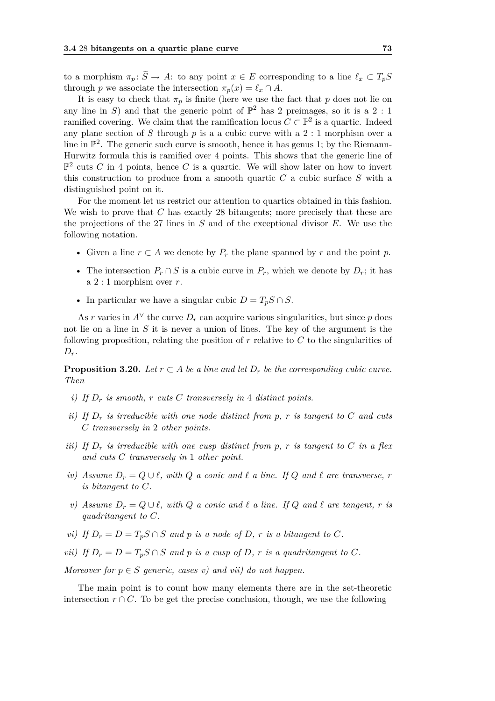to a morphism  $\pi_p: \widetilde{S} \to A$ : to any point  $x \in E$  corresponding to a line  $\ell_x \subset T_pS$ through *p* we associate the intersection  $\pi_p(x) = \ell_x \cap A$ .

It is easy to check that  $\pi_p$  is finite (here we use the fact that p does not lie on any line in *S*) and that the generic point of  $\mathbb{P}^2$  has 2 preimages, so it is a 2 : 1 ramified covering. We claim that the ramification locus  $C \subset \mathbb{P}^2$  is a quartic. Indeed any plane section of *S* through *p* is a a cubic curve with a 2 : 1 morphism over a line in  $\mathbb{P}^2$ . The generic such curve is smooth, hence it has genus 1; by the Riemann-Hurwitz formula this is ramified over 4 points. This shows that the generic line of  $\mathbb{P}^2$  cuts *C* in 4 points, hence *C* is a quartic. We will show later on how to invert this construction to produce from a smooth quartic *C* a cubic surface *S* with a distinguished point on it.

For the moment let us restrict our attention to quartics obtained in this fashion. We wish to prove that *C* has exactly 28 bitangents; more precisely that these are the projections of the 27 lines in *S* and of the exceptional divisor *E*. We use the following notation.

- Given a line  $r \subset A$  we denote by  $P_r$  the plane spanned by  $r$  and the point  $p$ .
- The intersection  $P_r \cap S$  is a cubic curve in  $P_r$ , which we denote by  $D_r$ ; it has a 2 : 1 morphism over *r*.
- In particular we have a singular cubic  $D = T_p S \cap S$ .

As *r* varies in  $A^{\vee}$  the curve  $D_r$  can acquire various singularities, but since *p* does not lie on a line in *S* it is never a union of lines. The key of the argument is the following proposition, relating the position of *r* relative to *C* to the singularities of  $D_r$ .

**Proposition 3.20.** *Let*  $r \subset A$  *be a line and let*  $D_r$  *be the corresponding cubic curve. Then*

- *i) If D<sup>r</sup> is smooth, r cuts C transversely in* 4 *distinct points.*
- *ii)* If  $D_r$  *is irreducible with one node distinct from p, r <i>is tangent to*  $C$  *and cuts C transversely in* 2 *other points.*
- *iii)* If  $D_r$  *is irreducible with one cusp distinct from p, r is tangent to C in a flex and cuts C transversely in* 1 *other point.*
- *iv)* Assume  $D_r = Q \cup \ell$ , with  $Q$  *a conic and*  $\ell$  *a line. If*  $Q$  *and*  $\ell$  *are transverse,*  $r$ *is bitangent to C.*
- *v)* Assume  $D_r = Q \cup \ell$ , with  $Q$  *a conic and*  $\ell$  *a line. If*  $Q$  *and*  $\ell$  *are tangent,*  $r$  *is quadritangent to C.*
- *vi)* If  $D_r = D = T_p S \cap S$  and *p is a node of D*, *r is a bitangent to C*.
- *vii)* If  $D_r = D = T_p S \cap S$  *and p is a cusp of D, r is a quadritangent to C.*

*Moreover for*  $p \in S$  *generic, cases v)* and *vii)* do not happen.

The main point is to count how many elements there are in the set-theoretic intersection  $r \cap C$ . To be get the precise conclusion, though, we use the following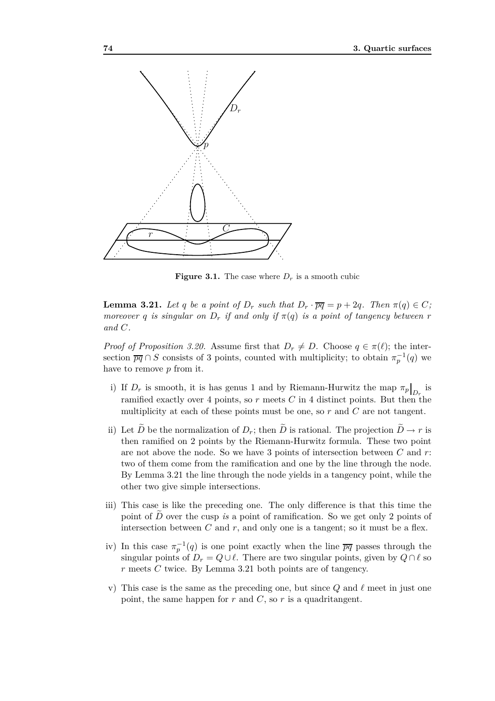

**Figure 3.1.** The case where  $D_r$  is a smooth cubic

**Lemma 3.21.** *Let q be a point of*  $D_r$  *such that*  $D_r \cdot \overline{pq} = p + 2q$ *. Then*  $\pi(q) \in C$ *; moreover q is singular on*  $D_r$  *if and only if*  $\pi(q)$  *is a point of tangency between r and C.*

*Proof of Proposition 3.20.* Assume first that  $D_r \neq D$ . Choose  $q \in \pi(\ell)$ ; the intersection  $\overline{pq} \cap S$  consists of 3 points, counted with multiplicity; to obtain  $\pi_p^{-1}(q)$  we have to remove *p* from it.

- i) If  $D_r$  is smooth, it is has genus 1 and by Riemann-Hurwitz the map  $\pi_p|_{D_r}$  is ramified exactly over 4 points, so  $r$  meets  $C$  in 4 distinct points. But then the multiplicity at each of these points must be one, so *r* and *C* are not tangent.
- ii) Let  $\tilde{D}$  be the normalization of  $D_r$ ; then  $\tilde{D}$  is rational. The projection  $\tilde{D} \to r$  is then ramified on 2 points by the Riemann-Hurwitz formula. These two point are not above the node. So we have 3 points of intersection between *C* and *r*: two of them come from the ramification and one by the line through the node. By Lemma 3.21 the line through the node yields in a tangency point, while the other two give simple intersections.
- iii) This case is like the preceding one. The only difference is that this time the point of *D* over the cusp *is* a point of ramification. So we get only 2 points of intersection between  $C$  and  $r$ , and only one is a tangent; so it must be a flex.
- iv) In this case  $\pi_p^{-1}(q)$  is one point exactly when the line  $\overline{pq}$  passes through the singular points of  $D_r = Q \cup \ell$ . There are two singular points, given by  $Q \cap \ell$  so *r* meets *C* twice. By Lemma 3.21 both points are of tangency.
- v) This case is the same as the preceding one, but since  $Q$  and  $\ell$  meet in just one point, the same happen for  $r$  and  $C$ , so  $r$  is a quadritangent.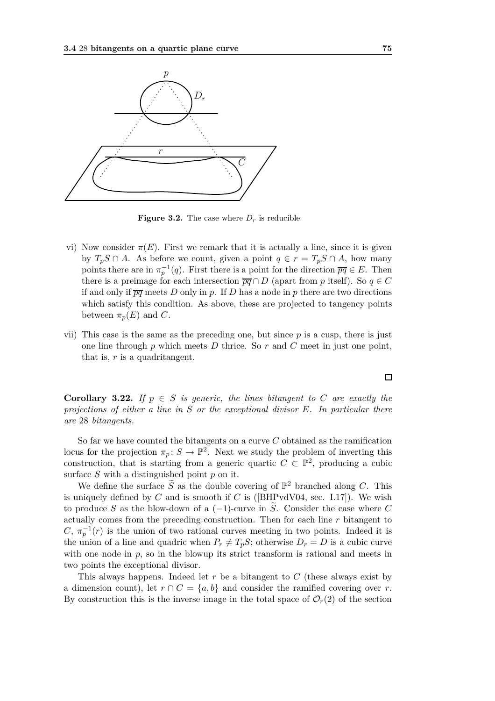

**Figure 3.2.** The case where  $D_r$  is reducible

- vi) Now consider  $\pi(E)$ . First we remark that it is actually a line, since it is given by  $T_pS \cap A$ . As before we count, given a point  $q \in r = T_pS \cap A$ , how many points there are in  $\pi_p^{-1}(q)$ . First there is a point for the direction  $\overline{pq} \in E$ . Then there is a preimage for each intersection  $\overline{pq} \cap D$  (apart from *p* itself). So  $q \in C$ if and only if  $\overline{pq}$  meets *D* only in *p*. If *D* has a node in *p* there are two directions which satisfy this condition. As above, these are projected to tangency points between  $\pi_p(E)$  and *C*.
- vii) This case is the same as the preceding one, but since *p* is a cusp, there is just one line through *p* which meets *D* thrice. So *r* and *C* meet in just one point, that is, *r* is a quadritangent.

**Corollary 3.22.** *If*  $p \in S$  *is generic, the lines bitangent to C are exactly the projections of either a line in S or the exceptional divisor E. In particular there are* 28 *bitangents.*

So far we have counted the bitangents on a curve *C* obtained as the ramification locus for the projection  $\pi_p: S \to \mathbb{P}^2$ . Next we study the problem of inverting this construction, that is starting from a generic quartic  $C \subset \mathbb{P}^2$ , producing a cubic surface *S* with a distinguished point *p* on it.

We define the surface  $\tilde{S}$  as the double covering of  $\mathbb{P}^2$  branched along *C*. This is uniquely defined by  $C$  and is smooth if  $C$  is ([BHPvdV04, sec. I.17]). We wish to produce *S* as the blow-down of a  $(-1)$ -curve in  $\tilde{S}$ . Consider the case where *C* actually comes from the preceding construction. Then for each line *r* bitangent to *C*,  $\pi_p^{-1}(r)$  is the union of two rational curves meeting in two points. Indeed it is the union of a line and quadric when  $P_r \neq T_p S$ ; otherwise  $D_r = D$  is a cubic curve with one node in  $p$ , so in the blowup its strict transform is rational and meets in two points the exceptional divisor.

This always happens. Indeed let *r* be a bitangent to *C* (these always exist by a dimension count), let  $r \cap C = \{a, b\}$  and consider the ramified covering over *r*. By construction this is the inverse image in the total space of  $\mathcal{O}_r(2)$  of the section

 $\Box$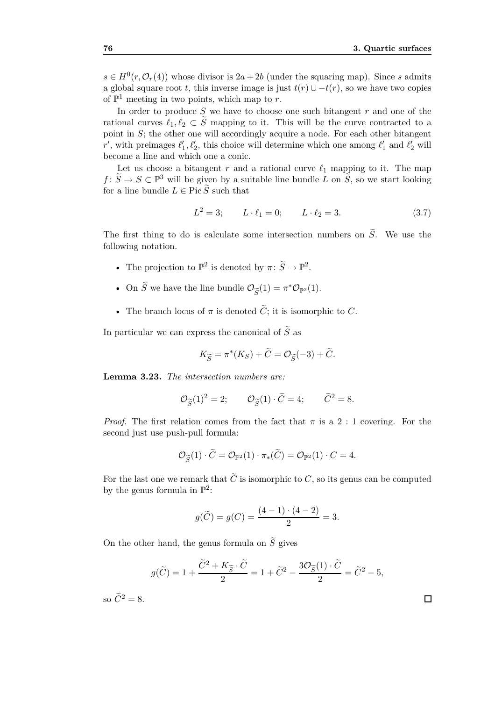$s \in H^0(r, \mathcal{O}_r(4))$  whose divisor is  $2a + 2b$  (under the squaring map). Since *s* admits a global square root *t*, this inverse image is just  $t(r) \cup t(r)$ , so we have two copies of  $\mathbb{P}^1$  meeting in two points, which map to *r*.

In order to produce *S* we have to choose one such bitangent *r* and one of the rational curves  $\ell_1, \ell_2 \subset \tilde{S}$  mapping to it. This will be the curve contracted to a point in *S*; the other one will accordingly acquire a node. For each other bitangent *r'*, with preimages  $\ell'_1, \ell'_2$ , this choice will determine which one among  $\ell'_1$  and  $\ell'_2$  will become a line and which one a conic.

Let us choose a bitangent  $r$  and a rational curve  $\ell_1$  mapping to it. The map *f* :  $\widetilde{S}$  →  $S \subset \mathbb{P}^3$  will be given by a suitable line bundle *L* on  $\widetilde{S}$ , so we start looking for a line bundle  $L \in \text{Pic } \widetilde{S}$  such that

$$
L^2 = 3; \t L \cdot \ell_1 = 0; \t L \cdot \ell_2 = 3.
$$
 (3.7)

The first thing to do is calculate some intersection numbers on  $\tilde{S}$ . We use the following notation.

- The projection to  $\mathbb{P}^2$  is denoted by  $\pi: \widetilde{S} \to \mathbb{P}^2$ .
- On  $\tilde{S}$  we have the line bundle  $\mathcal{O}_{\widetilde{S}}(1) = \pi^* \mathcal{O}_{\mathbb{P}^2}(1)$ .
- The branch locus of  $\pi$  is denoted  $\widetilde{C}$ ; it is isomorphic to *C*.

In particular we can express the canonical of  $\tilde{S}$  as

$$
K_{\widetilde{S}} = \pi^*(K_S) + \widetilde{C} = \mathcal{O}_{\widetilde{S}}(-3) + \widetilde{C}.
$$

**Lemma 3.23.** *The intersection numbers are:*

$$
\mathcal{O}_{\widetilde{S}}(1)^2 = 2; \qquad \mathcal{O}_{\widetilde{S}}(1) \cdot \widetilde{C} = 4; \qquad \widetilde{C}^2 = 8.
$$

*Proof.* The first relation comes from the fact that  $\pi$  is a 2 : 1 covering. For the second just use push-pull formula:

$$
\mathcal{O}_{\widetilde{S}}(1) \cdot \widetilde{C} = \mathcal{O}_{\mathbb{P}^2}(1) \cdot \pi_*(\widetilde{C}) = \mathcal{O}_{\mathbb{P}^2}(1) \cdot C = 4.
$$

For the last one we remark that  $\tilde{C}$  is isomorphic to *C*, so its genus can be computed by the genus formula in  $\mathbb{P}^2$ :

$$
g(\widetilde{C}) = g(C) = \frac{(4-1) \cdot (4-2)}{2} = 3.
$$

On the other hand, the genus formula on  $\tilde{S}$  gives

$$
g(\widetilde{C}) = 1 + \frac{\widetilde{C}^2 + K_{\widetilde{S}} \cdot \widetilde{C}}{2} = 1 + \widetilde{C}^2 - \frac{3\mathcal{O}_{\widetilde{S}}(1) \cdot \widetilde{C}}{2} = \widetilde{C}^2 - 5,
$$

so  $\widetilde{C}^2 = 8$ .

 $\Box$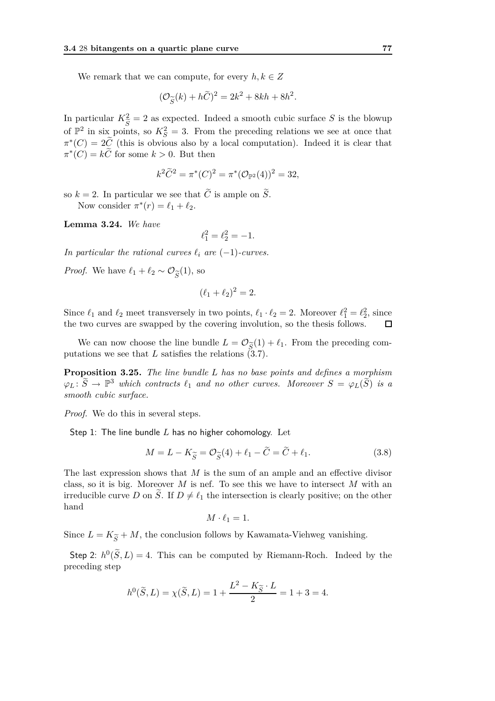We remark that we can compute, for every  $h, k \in \mathbb{Z}$ 

$$
(\mathcal{O}_{\widetilde{S}}(k) + h\widetilde{C})^2 = 2k^2 + 8kh + 8h^2.
$$

In particular  $K^2_{\tilde{C}} = 2$  as expected. Indeed a smooth cubic surface S is the blowup of  $\mathbb{P}^2$  in six points, so  $K_S^2 = 3$ . From the preceding relations we see at once that  $\pi^*(C) = 2\tilde{C}$  (this is obvious also by a local computation). Indeed it is clear that  $\pi^*(C) = k\tilde{C}$  for some  $k > 0$ . But then

$$
k^2 \tilde{C}^2 = \pi^*(C)^2 = \pi^*(\mathcal{O}_{\mathbb{P}^2}(4))^2 = 32,
$$

so  $k = 2$ . In particular we see that  $\tilde{C}$  is ample on  $\tilde{S}$ . Now consider  $\pi^*(r) = \ell_1 + \ell_2$ .

**Lemma 3.24.** *We have*

$$
\ell_1^2 = \ell_2^2 = -1.
$$

*In particular the rational curves*  $\ell_i$  *are*  $(-1)$ *-curves.* 

*Proof.* We have  $\ell_1 + \ell_2 \sim \mathcal{O}_{\widetilde{S}}(1)$ , so

$$
(\ell_1+\ell_2)^2=2.
$$

Since  $\ell_1$  and  $\ell_2$  meet transversely in two points,  $\ell_1 \cdot \ell_2 = 2$ . Moreover  $\ell_1^2 = \ell_2^2$ , since the two curves are swapped by the covering involution, so the thesis follows.  $\Box$ 

We can now choose the line bundle  $L = \mathcal{O}_{\widetilde{S}}(1) + \ell_1$ . From the preceding computations we see that  $L$  satisfies the relations  $(3.7)$ .

**Proposition 3.25.** *The line bundle L has no base points and defines a morphism*  $\varphi_L$ :  $\widetilde{S} \to \mathbb{P}^3$  *which contracts*  $\ell_1$  *and no other curves. Moreover*  $S = \varphi_L(\widetilde{S})$  *is a smooth cubic surface.*

*Proof.* We do this in several steps.

Step 1: The line bundle *L* has no higher cohomology. Let

$$
M = L - K_{\widetilde{S}} = \mathcal{O}_{\widetilde{S}}(4) + \ell_1 - \widetilde{C} = \widetilde{C} + \ell_1.
$$
 (3.8)

The last expression shows that *M* is the sum of an ample and an effective divisor class, so it is big. Moreover *M* is nef. To see this we have to intersect *M* with an irreducible curve *D* on  $\tilde{S}$ . If  $D \neq \ell_1$  the intersection is clearly positive; on the other hand

$$
M\cdot \ell_1=1.
$$

Since  $L = K_{\widetilde{S}} + M$ , the conclusion follows by Kawamata-Viehweg vanishing.

Step 2:  $h^0(\tilde{S}, L) = 4$ . This can be computed by Riemann-Roch. Indeed by the preceding step

$$
h^{0}(\tilde{S}, L) = \chi(\tilde{S}, L) = 1 + \frac{L^{2} - K_{\tilde{S}} \cdot L}{2} = 1 + 3 = 4.
$$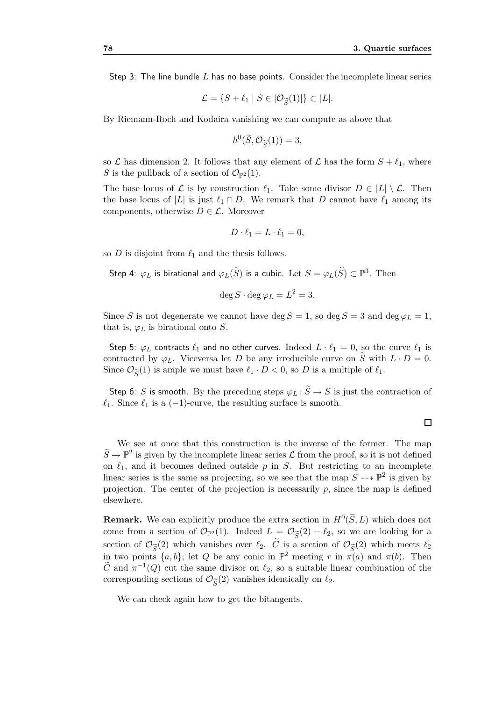Step 3: The line bundle *L* has no base points. Consider the incomplete linear series

$$
\mathcal{L} = \{ S + \ell_1 \mid S \in |\mathcal{O}_{\widetilde{S}}(1)| \} \subset |L|.
$$

By Riemann-Roch and Kodaira vanishing we can compute as above that

$$
h^0(\widetilde{S}, \mathcal{O}_{\widetilde{S}}(1)) = 3,
$$

so  $\mathcal L$  has dimension 2. It follows that any element of  $\mathcal L$  has the form  $S + \ell_1$ , where *S* is the pullback of a section of  $\mathcal{O}_{\mathbb{P}^2}(1)$ .

The base locus of  $\mathcal{L}$  is by construction  $\ell_1$ . Take some divisor  $D \in |L| \setminus \mathcal{L}$ . Then the base locus of  $|L|$  is just  $\ell_1 \cap D$ . We remark that *D* cannot have  $\ell_1$  among its components, otherwise  $D \in \mathcal{L}$ . Moreover

$$
D \cdot \ell_1 = L \cdot \ell_1 = 0,
$$

so *D* is disjoint from  $\ell_1$  and the thesis follows.

Step 4:  $\varphi_L$  is birational and  $\varphi_L(\widetilde{S})$  is a cubic. Let  $S=\varphi_L(\widetilde{S})\subset \mathbb{P}^3.$  Then

$$
\deg S \cdot \deg \varphi_L = L^2 = 3.
$$

Since *S* is not degenerate we cannot have deg  $S = 1$ , so deg  $S = 3$  and deg  $\varphi_L = 1$ , that is,  $\varphi_L$  is birational onto *S*.

Step 5:  $\varphi_L$  contracts  $\ell_1$  and no other curves. Indeed  $L \cdot \ell_1 = 0$ , so the curve  $\ell_1$  is contracted by  $\varphi_L$ . Viceversa let *D* be any irreducible curve on *S* with  $L \cdot D = 0$ . Since  $\mathcal{O}_{\widetilde{S}}(1)$  is ample we must have  $\ell_1 \cdot D < 0$ , so *D* is a multiple of  $\ell_1$ .

Step 6: *S* is smooth. By the preceding steps  $\varphi_L: \widetilde{S} \to S$  is just the contraction of  $\ell_1$ . Since  $\ell_1$  is a (-1)-curve, the resulting surface is smooth.

#### $\Box$

We see at once that this construction is the inverse of the former. The map  $\tilde{S} \to \mathbb{P}^2$  is given by the incomplete linear series  $\mathcal{L}$  from the proof, so it is not defined on  $\ell_1$ , and it becomes defined outside  $p$  in  $S$ . But restricting to an incomplete linear series is the same as projecting, so we see that the map  $S \dashrightarrow \mathbb{P}^2$  is given by projection. The center of the projection is necessarily *p*, since the map is defined elsewhere.

**Remark.** We can explicitly produce the extra section in  $H^0(\tilde{S}, L)$  which does not come from a section of  $\mathcal{O}_{\mathbb{P}^2}(1)$ . Indeed  $L = \mathcal{O}_{\widetilde{S}}(2) - \ell_2$ , so we are looking for a section of  $\mathcal{O}_{\widetilde{S}}(2)$  which vanishes over  $\ell_2$ . *C* is a section of  $\mathcal{O}_{\widetilde{S}}(2)$  which meets  $\ell_2$ <br>in two points  $\lceil a, b \rceil$ , let *O* be any copie in  $\mathbb{P}^2$  meeting r in  $\pi(a)$  and  $\pi(b)$ . Then in two points  $\{a, b\}$ ; let *Q* be any conic in  $\mathbb{P}^2$  meeting *r* in  $\pi(a)$  and  $\pi(b)$ . Then  $\tilde{C}$  and  $\pi^{-1}(Q)$  cut the same divisor on  $\ell_2$ , so a suitable linear combination of the corresponding sections of  $\mathcal{O}_{\widetilde{S}}(2)$  vanishes identically on  $\ell_2$ .

We can check again how to get the bitangents.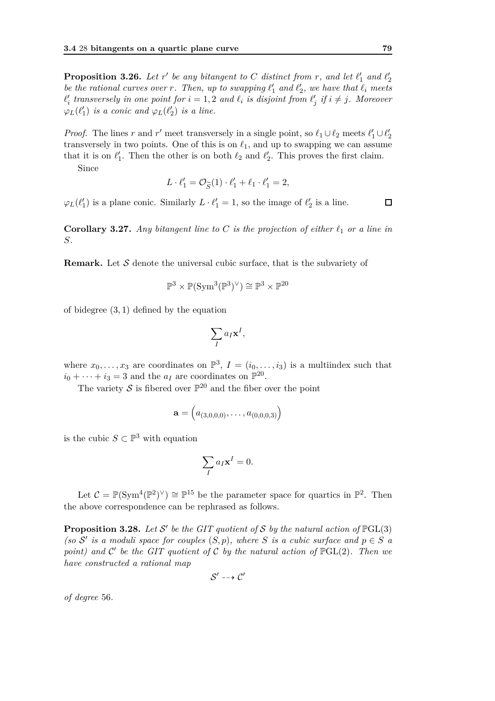**Proposition 3.26.** Let  $r'$  be any bitangent to  $C$  distinct from  $r$ , and let  $\ell'_1$  and  $\ell'_2$ *be the rational curves over r. Then, up to swapping*  $\ell'_1$  *and*  $\ell'_2$ *, we have that*  $\ell_i$  *meets*  $\ell'_i$  transversely in one point for  $i = 1, 2$  and  $\ell_i$  is disjoint from  $\ell'_j$  if  $i \neq j$ . Moreover  $\varphi_L(\ell'_1)$  *is a conic and*  $\varphi_L(\ell'_2)$  *is a line.* 

*Proof.* The lines *r* and *r'* meet transversely in a single point, so  $\ell_1 \cup \ell_2$  meets  $\ell'_1 \cup \ell'_2$ transversely in two points. One of this is on  $\ell_1$ , and up to swapping we can assume that it is on  $\ell'_1$ . Then the other is on both  $\ell_2$  and  $\ell'_2$ . This proves the first claim.

Since

$$
L \cdot \ell'_1 = \mathcal{O}_{\widetilde{S}}(1) \cdot \ell'_1 + \ell_1 \cdot \ell'_1 = 2,
$$

 $\varphi_L(\ell'_1)$  is a plane conic. Similarly  $L \cdot \ell'_1 = 1$ , so the image of  $\ell'_2$  is a line.

**Corollary 3.27.** *Any bitangent line to C is the projection of either ℓ*<sup>1</sup> *or a line in S.*

**Remark.** Let *S* denote the universal cubic surface, that is the subvariety of

$$
\mathbb{P}^3 \times \mathbb{P}(\operatorname{Sym}^3(\mathbb{P}^3)^{\vee}) \cong \mathbb{P}^3 \times \mathbb{P}^{20}
$$

of bidegree (3*,* 1) defined by the equation

$$
\sum_{I} a_I \mathbf{x}^I,
$$

where  $x_0, \ldots, x_3$  are coordinates on  $\mathbb{P}^3$ ,  $I = (i_0, \ldots, i_3)$  is a multiindex such that  $i_0 + \cdots + i_3 = 3$  and the  $a_I$  are coordinates on  $\mathbb{P}^{20}$ .

The variety  $S$  is fibered over  $\mathbb{P}^{20}$  and the fiber over the point

$$
\mathbf{a} = \left( a_{(3,0,0,0)}, \ldots, a_{(0,0,0,3)} \right)
$$

is the cubic  $S \subset \mathbb{P}^3$  with equation

$$
\sum_{I} a_I \mathbf{x}^I = 0.
$$

Let  $C = \mathbb{P}(\text{Sym}^4(\mathbb{P}^2)^{\vee}) \cong \mathbb{P}^{15}$  be the parameter space for quartics in  $\mathbb{P}^2$ . Then the above correspondence can be rephrased as follows.

**Proposition 3.28.** Let S' be the GIT quotient of S by the natural action of  $\mathbb{P}GL(3)$ *(so*  $S'$  *is a moduli space for couples*  $(S, p)$ *, where S is a cubic surface and*  $p \in S$  *a point)* and  $\mathcal{C}'$  be the GIT quotient of  $\mathcal{C}$  by the natural action of  $\mathbb{P}GL(2)$ *. Then we have constructed a rational map*

$$
\mathcal{S}' \dashrightarrow \mathcal{C}'
$$

*of degree* 56*.*

 $\Box$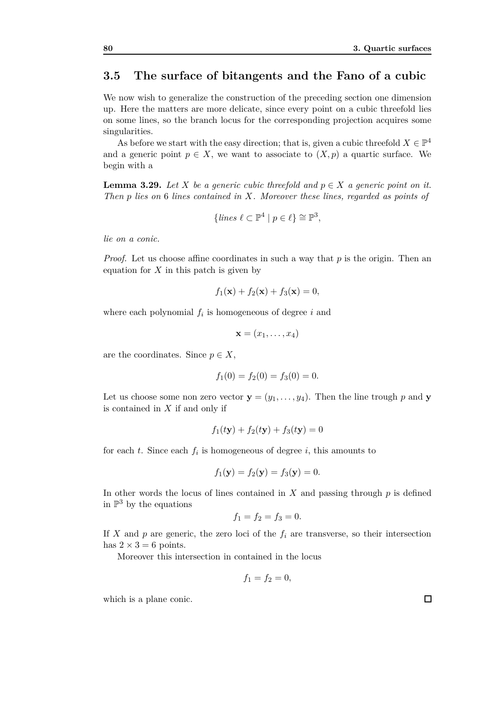## **3.5 The surface of bitangents and the Fano of a cubic**

We now wish to generalize the construction of the preceding section one dimension up. Here the matters are more delicate, since every point on a cubic threefold lies on some lines, so the branch locus for the corresponding projection acquires some singularities.

As before we start with the easy direction; that is, given a cubic threefold  $X \in \mathbb{P}^4$ and a generic point  $p \in X$ , we want to associate to  $(X, p)$  a quartic surface. We begin with a

**Lemma 3.29.** Let *X* be a generic cubic threefold and  $p \in X$  a generic point on it. *Then p lies on* 6 *lines contained in X. Moreover these lines, regarded as points of*

$$
\{lines \ell \subset \mathbb{P}^4 \mid p \in \ell\} \cong \mathbb{P}^3,
$$

*lie on a conic.*

*Proof.* Let us choose affine coordinates in such a way that p is the origin. Then an equation for *X* in this patch is given by

$$
f_1(\mathbf{x}) + f_2(\mathbf{x}) + f_3(\mathbf{x}) = 0,
$$

where each polynomial  $f_i$  is homogeneous of degree  $i$  and

$$
\mathbf{x}=(x_1,\ldots,x_4)
$$

are the coordinates. Since  $p \in X$ ,

$$
f_1(0) = f_2(0) = f_3(0) = 0.
$$

Let us choose some non zero vector  $\mathbf{y} = (y_1, \ldots, y_4)$ . Then the line trough p and **y** is contained in *X* if and only if

$$
f_1(t{\bf y}) + f_2(t{\bf y}) + f_3(t{\bf y}) = 0
$$

for each  $t$ . Since each  $f_i$  is homogeneous of degree  $i$ , this amounts to

$$
f_1(\mathbf{y}) = f_2(\mathbf{y}) = f_3(\mathbf{y}) = 0.
$$

In other words the locus of lines contained in  $X$  and passing through  $p$  is defined in  $\mathbb{P}^3$  by the equations

$$
f_1 = f_2 = f_3 = 0.
$$

If *X* and *p* are generic, the zero loci of the  $f_i$  are transverse, so their intersection has  $2 \times 3 = 6$  points.

Moreover this intersection in contained in the locus

$$
f_1 = f_2 = 0,
$$

which is a plane conic.

 $\Box$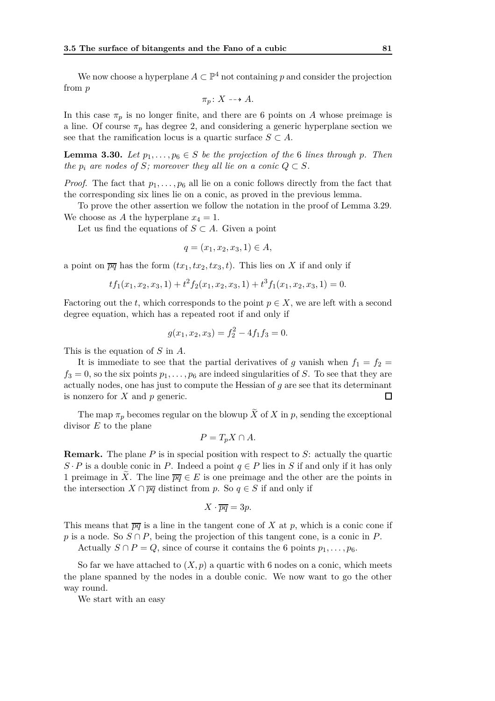We now choose a hyperplane  $A \subset \mathbb{P}^4$  not containing p and consider the projection from *p*

$$
\pi_p \colon X \dashrightarrow A.
$$

In this case  $\pi_p$  is no longer finite, and there are 6 points on *A* whose preimage is a line. Of course  $\pi_p$  has degree 2, and considering a generic hyperplane section we see that the ramification locus is a quartic surface  $S \subset A$ .

**Lemma 3.30.** *Let*  $p_1, \ldots, p_6 \in S$  *be the projection of the* 6 *lines through p. Then the*  $p_i$  are nodes of *S*; moreover they all lie on a conic  $Q \subset S$ .

*Proof.* The fact that  $p_1, \ldots, p_6$  all lie on a conic follows directly from the fact that the corresponding six lines lie on a conic, as proved in the previous lemma.

To prove the other assertion we follow the notation in the proof of Lemma 3.29. We choose as *A* the hyperplane  $x_4 = 1$ .

Let us find the equations of  $S \subset A$ . Given a point

$$
q = (x_1, x_2, x_3, 1) \in A,
$$

a point on  $\overline{pq}$  has the form  $(tx_1, tx_2, tx_3, t)$ . This lies on X if and only if

$$
tf_1(x_1, x_2, x_3, 1) + t^2 f_2(x_1, x_2, x_3, 1) + t^3 f_1(x_1, x_2, x_3, 1) = 0.
$$

Factoring out the *t*, which corresponds to the point  $p \in X$ , we are left with a second degree equation, which has a repeated root if and only if

$$
g(x_1, x_2, x_3) = f_2^2 - 4f_1f_3 = 0.
$$

This is the equation of *S* in *A*.

It is immediate to see that the partial derivatives of *g* vanish when  $f_1 = f_2$  $f_3 = 0$ , so the six points  $p_1, \ldots, p_6$  are indeed singularities of *S*. To see that they are actually nodes, one has just to compute the Hessian of *g* are see that its determinant is nonzero for *X* and *p* generic.  $\Box$ 

The map  $\pi_p$  becomes regular on the blowup  $\widetilde{X}$  of  $X$  in  $p$ , sending the exceptional divisor *E* to the plane

$$
P = T_p X \cap A.
$$

**Remark.** The plane *P* is in special position with respect to *S*: actually the quartic  $S \cdot P$  is a double conic in *P*. Indeed a point  $q \in P$  lies in *S* if and only if it has only 1 preimage in  $\tilde{X}$ . The line  $\overline{pq} \in E$  is one preimage and the other are the points in the intersection  $X \cap \overline{pq}$  distinct from *p*. So  $q \in S$  if and only if

$$
X\cdot \overline{pq} = 3p.
$$

This means that  $\overline{pq}$  is a line in the tangent cone of *X* at *p*, which is a conic cone if *p* is a node. So *S* ∩ *P*, being the projection of this tangent cone, is a conic in *P*.

Actually  $S \cap P = Q$ , since of course it contains the 6 points  $p_1, \ldots, p_6$ .

So far we have attached to  $(X, p)$  a quartic with 6 nodes on a conic, which meets the plane spanned by the nodes in a double conic. We now want to go the other way round.

We start with an easy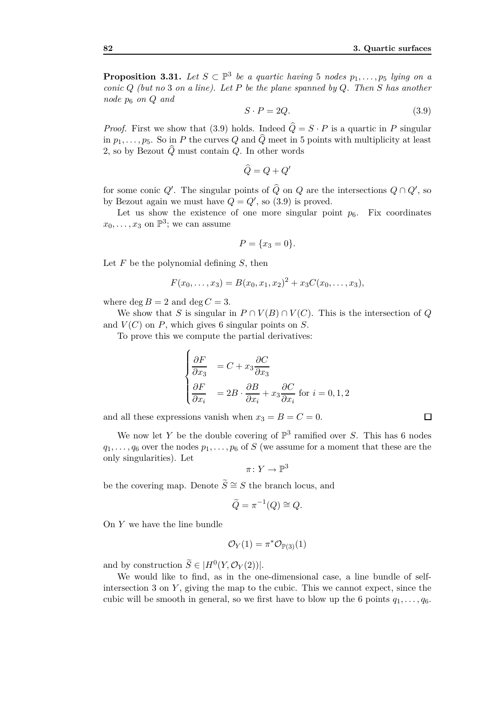**Proposition 3.31.** Let  $S \subset \mathbb{P}^3$  be a quartic having 5 nodes  $p_1, \ldots, p_5$  lying on a *conic Q (but no* 3 *on a line). Let P be the plane spanned by Q. Then S has another node p*<sup>6</sup> *on Q and*

$$
S \cdot P = 2Q.\tag{3.9}
$$

*Proof.* First we show that (3.9) holds. Indeed  $\hat{Q} = S \cdot P$  is a quartic in *P* singular in  $p_1, \ldots, p_5$ . So in P the curves Q and  $\widehat{Q}$  meet in 5 points with multiplicity at least 2, so by Bezout  $\widehat{Q}$  must contain  $Q$ . In other words

$$
\widehat{Q} = Q + Q'
$$

for some conic  $Q'$ . The singular points of  $\widehat{Q}$  on  $Q$  are the intersections  $Q \cap Q'$ , so by Bezout again we must have  $Q = Q'$ , so (3.9) is proved.

Let us show the existence of one more singular point  $p_6$ . Fix coordinates  $x_0, \ldots, x_3$  on  $\mathbb{P}^3$ ; we can assume

$$
P = \{x_3 = 0\}.
$$

Let *F* be the polynomial defining *S*, then

$$
F(x_0,...,x_3) = B(x_0,x_1,x_2)^2 + x_3C(x_0,...,x_3),
$$

where  $\deg B = 2$  and  $\deg C = 3$ .

We show that *S* is singular in  $P \cap V(B) \cap V(C)$ . This is the intersection of *Q* and  $V(C)$  on  $P$ , which gives 6 singular points on  $S$ .

To prove this we compute the partial derivatives:

$$
\begin{cases} \frac{\partial F}{\partial x_3} &= C + x_3 \frac{\partial C}{\partial x_3} \\ \frac{\partial F}{\partial x_i} &= 2B \cdot \frac{\partial B}{\partial x_i} + x_3 \frac{\partial C}{\partial x_i} \text{ for } i = 0, 1, 2 \end{cases}
$$

and all these expressions vanish when  $x_3 = B = C = 0$ .

We now let *Y* be the double covering of  $\mathbb{P}^3$  ramified over *S*. This has 6 nodes  $q_1, \ldots, q_6$  over the nodes  $p_1, \ldots, p_6$  of *S* (we assume for a moment that these are the only singularities). Let

$$
\pi\colon Y\to \mathbb{P}^3
$$

be the covering map. Denote  $\widetilde{S} \cong S$  the branch locus, and

$$
\widetilde{Q} = \pi^{-1}(Q) \cong Q.
$$

On *Y* we have the line bundle

$$
\mathcal{O}_Y(1) = \pi^* \mathcal{O}_{\mathbb{P}(3)}(1)
$$

and by construction  $\widetilde{S} \in |H^0(Y, \mathcal{O}_Y(2))|$ .

We would like to find, as in the one-dimensional case, a line bundle of selfintersection  $3$  on  $Y$ , giving the map to the cubic. This we cannot expect, since the cubic will be smooth in general, so we first have to blow up the 6 points  $q_1, \ldots, q_6$ .

$$
\qquad \qquad \Box
$$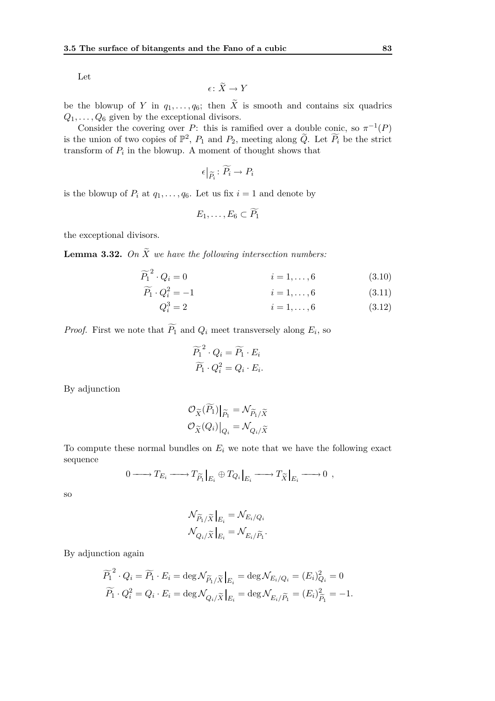Let

$$
\epsilon \colon \widetilde{X} \to Y
$$

be the blowup of *Y* in  $q_1, \ldots, q_6$ ; then  $\tilde{X}$  is smooth and contains six quadrics  $Q_1, \ldots, Q_6$  given by the exceptional divisors.

Consider the covering over *P*: this is ramified over a double conic, so  $\pi^{-1}(P)$ is the union of two copies of  $\mathbb{P}^2$ ,  $P_1$  and  $P_2$ , meeting along  $\widetilde{Q}$ . Let  $\widetilde{P_i}$  be the strict transform of  $P_i$  in the blowup. A moment of thought shows that

$$
\epsilon|_{\widetilde{P}_i} \colon \widetilde{P}_i \to P_i
$$

is the blowup of  $P_i$  at  $q_1, \ldots, q_6$ . Let us fix  $i = 1$  and denote by

$$
E_1,\ldots,E_6\subset P_1
$$

the exceptional divisors.

**Lemma 3.32.** *On*  $\widetilde{X}$  *we have the following intersection numbers:* 

$$
\widetilde{P_1}^2 \cdot Q_i = 0 \qquad \qquad i = 1, \dots, 6 \qquad (3.10)
$$

$$
\widetilde{P_1} \cdot Q_i^2 = -1 \qquad \qquad i = 1, \dots, 6 \qquad (3.11)
$$

$$
Q_i^3 = 2 \qquad \qquad i = 1, \dots, 6 \qquad (3.12)
$$

*Proof.* First we note that  $P_1$  and  $Q_i$  meet transversely along  $E_i$ , so

$$
\widetilde{P_1}^2 \cdot Q_i = \widetilde{P_1} \cdot E_i
$$

$$
\widetilde{P_1} \cdot Q_i^2 = Q_i \cdot E_i.
$$

By adjunction

$$
\mathcal{O}_{\widetilde{X}}(\overline{P_1})|_{\widetilde{P_1}} = \mathcal{N}_{\widetilde{P_1}/\widetilde{X}}
$$

$$
\mathcal{O}_{\widetilde{X}}(Q_i)|_{Q_i} = \mathcal{N}_{Q_i/\widetilde{X}}
$$

To compute these normal bundles on  $E_i$  we note that we have the following exact sequence

$$
0 \longrightarrow T_{E_i} \longrightarrow T_{\widetilde{P}_1}|_{E_i} \oplus T_{Q_i}|_{E_i} \longrightarrow T_{\widetilde{X}}|_{E_i} \longrightarrow 0 ,
$$

so

$$
\begin{split} \mathcal{N}_{\widetilde{P}_1/\widetilde{X}}\big|_{E_i} &= \mathcal{N}_{E_i/Q_i} \\ \mathcal{N}_{Q_i/\widetilde{X}}\big|_{E_i} &= \mathcal{N}_{E_i/\widetilde{P}_1}. \end{split}
$$

By adjunction again

$$
\widetilde{P_1}^2 \cdot Q_i = \widetilde{P_1} \cdot E_i = \deg \mathcal{N}_{\widetilde{P_1}/\widetilde{X}}|_{E_i} = \deg \mathcal{N}_{E_i/Q_i} = (E_i)_{Q_i}^2 = 0
$$
  

$$
\widetilde{P_1} \cdot Q_i^2 = Q_i \cdot E_i = \deg \mathcal{N}_{Q_i/\widetilde{X}}|_{E_i} = \deg \mathcal{N}_{E_i/\widetilde{P_1}} = (E_i)_{\widetilde{P_1}}^2 = -1.
$$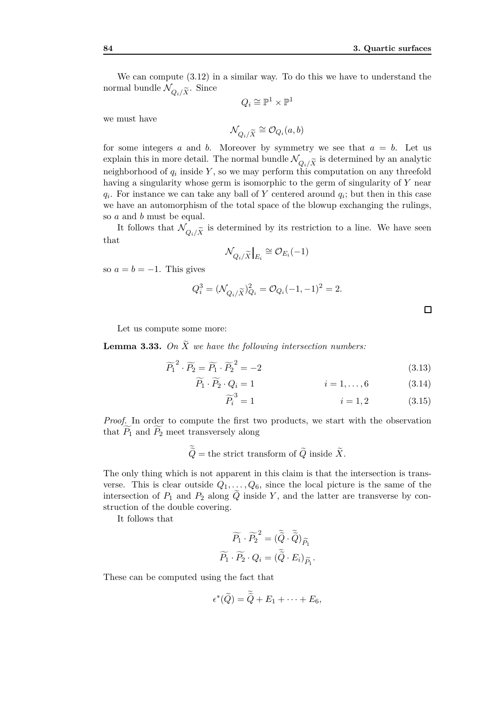We can compute (3.12) in a similar way. To do this we have to understand the normal bundle  $\mathcal{N}_{Q_i/\widetilde{X}}$ . Since

$$
Q_i \cong \mathbb{P}^1 \times \mathbb{P}^1
$$

we must have

$$
\mathcal{N}_{Q_i/\widetilde{X}}\cong \mathcal{O}_{Q_i}(a,b)
$$

for some integers  $a$  and  $b$ . Moreover by symmetry we see that  $a = b$ . Let us explain this in more detail. The normal bundle  $\mathcal{N}_{Q_i/\widetilde{X}}$  is determined by an analytic<br>pairblankand of a inside  $Y$  as we way perform this computation on any throughly neighborhood of  $q_i$  inside  $Y$ , so we may perform this computation on any threefold having a singularity whose germ is isomorphic to the germ of singularity of *Y* near  $q_i$ . For instance we can take any ball of *Y* centered around  $q_i$ ; but then in this case we have an automorphism of the total space of the blowup exchanging the rulings, so *a* and *b* must be equal.

It follows that  $\mathcal{N}_{Q_i/\widetilde{X}}$  is determined by its restriction to a line. We have seen that

$$
\mathcal{N}_{Q_i/\widetilde{X}}\big|_{E_i} \cong \mathcal{O}_{E_i}(-1)
$$

so  $a = b = -1$ . This gives

$$
Q_i^3 = (\mathcal{N}_{Q_i/\widetilde{X}})_{Q_i}^2 = \mathcal{O}_{Q_i}(-1,-1)^2 = 2.
$$

 $\Box$ 

Let us compute some more:

**Lemma 3.33.** On  $\widetilde{X}$  *we have the following intersection numbers:* 

$$
\widetilde{P_1}^2 \cdot \widetilde{P_2} = \widetilde{P_1} \cdot \widetilde{P_2}^2 = -2 \tag{3.13}
$$

$$
P_1 \cdot P_2 \cdot Q_i = 1 \qquad \qquad i = 1, \dots, 6 \qquad (3.14)
$$

$$
\widetilde{P}_i^3 = 1 \tag{3.15}
$$

*Proof.* In order to compute the first two products, we start with the observation that  $P_1$  and  $P_2$  meet transversely along

$$
\widetilde{\widetilde{Q}} = \text{the strict transform of } \widetilde{Q} \text{ inside } \widetilde{X}.
$$

The only thing which is not apparent in this claim is that the intersection is transverse. This is clear outside  $Q_1, \ldots, Q_6$ , since the local picture is the same of the intersection of  $P_1$  and  $P_2$  along  $\tilde{Q}$  inside *Y*, and the latter are transverse by construction of the double covering.

It follows that

$$
\widetilde{P_1} \cdot \widetilde{P_2}^2 = (\widetilde{\widetilde{Q}} \cdot \widetilde{\widetilde{Q}})_{\widetilde{P_1}}
$$

$$
\widetilde{P_1} \cdot \widetilde{P_2} \cdot Q_i = (\widetilde{\widetilde{Q}} \cdot E_i)_{\widetilde{P_1}}.
$$

These can be computed using the fact that

$$
\epsilon^*(\widetilde{Q})=\widetilde{\widetilde{Q}}+E_1+\cdots+E_6,
$$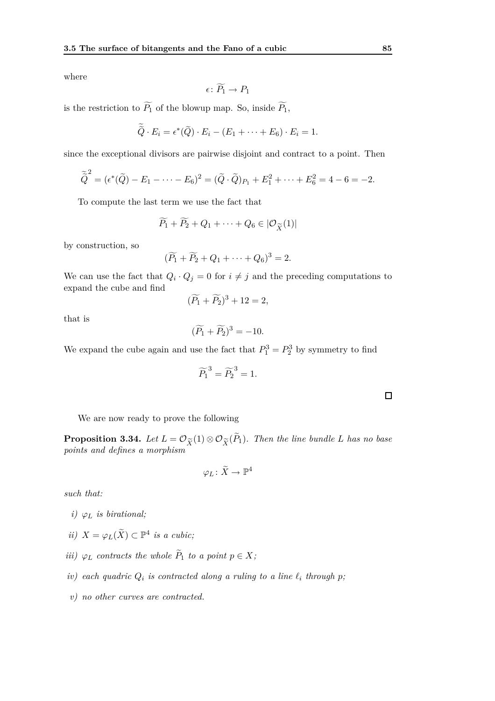where

$$
\epsilon\colon \widetilde{P_1}\to P_1
$$

is the restriction to  $\widetilde{P_1}$  of the blowup map. So, inside  $\widetilde{P_1}$ ,

$$
\widetilde{\widetilde{Q}} \cdot E_i = \epsilon^*(\widetilde{Q}) \cdot E_i - (E_1 + \cdots + E_6) \cdot E_i = 1.
$$

since the exceptional divisors are pairwise disjoint and contract to a point. Then

$$
\widetilde{\tilde{Q}}^2 = (\epsilon^*(\tilde{Q}) - E_1 - \dots - E_6)^2 = (\tilde{Q} \cdot \tilde{Q})_{P_1} + E_1^2 + \dots + E_6^2 = 4 - 6 = -2.
$$

To compute the last term we use the fact that

$$
\widetilde{P}_1 + \widetilde{P}_2 + Q_1 + \cdots + Q_6 \in |\mathcal{O}_{\widetilde{X}}(1)|
$$

by construction, so

$$
(\widetilde{P_1} + \widetilde{P_2} + Q_1 + \cdots + Q_6)^3 = 2.
$$

We can use the fact that  $Q_i \cdot Q_j = 0$  for  $i \neq j$  and the preceding computations to expand the cube and find

$$
(\widetilde{P_1} + \widetilde{P_2})^3 + 12 = 2,
$$

that is

$$
(\widetilde{P_1} + \widetilde{P_2})^3 = -10.
$$

We expand the cube again and use the fact that  $P_1^3 = P_2^3$  by symmetry to find

$$
\widetilde{P_1}^3 = \widetilde{P_2}^3 = 1.
$$

 $\Box$ 

We are now ready to prove the following

**Proposition 3.34.** Let  $L = \mathcal{O}_{\widetilde{X}}(1) \otimes \mathcal{O}_{\widetilde{X}}(P_1)$ . Then the line bundle *L* has no base *points and defines a morphism*

$$
\varphi_L \colon \widetilde{X} \to \mathbb{P}^4
$$

*such that:*

- *i*)  $\varphi_L$  *is birational*;
- *ii*)  $X = \varphi_L(\tilde{X})$  ⊂  $\mathbb{P}^4$  *is a cubic;*
- *iii*)  $\varphi_L$  *contracts the whole*  $P_1$  *to a point*  $p \in X$ ;
- *iv*) each quadric  $Q_i$  is contracted along a ruling to a line  $\ell_i$  through p;
- *v) no other curves are contracted.*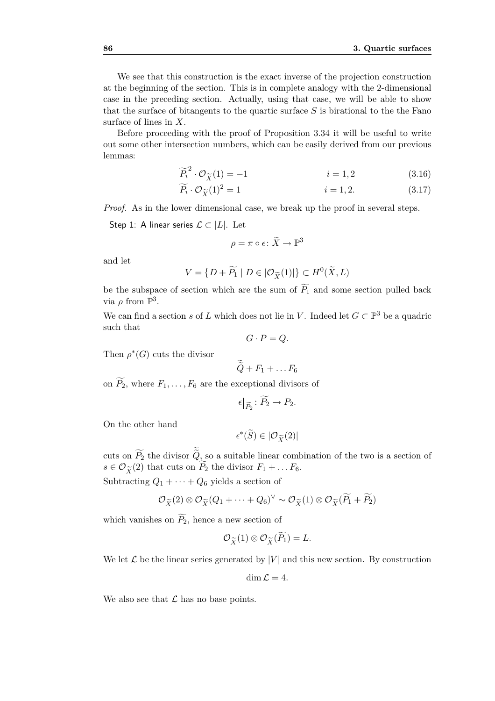We see that this construction is the exact inverse of the projection construction at the beginning of the section. This is in complete analogy with the 2-dimensional case in the preceding section. Actually, using that case, we will be able to show that the surface of bitangents to the quartic surface *S* is birational to the the Fano surface of lines in *X*.

Before proceeding with the proof of Proposition 3.34 it will be useful to write out some other intersection numbers, which can be easily derived from our previous lemmas:

$$
\widetilde{P}_i^2 \cdot \mathcal{O}_{\widetilde{X}}(1) = -1 \qquad \qquad i = 1, 2 \qquad (3.16)
$$

$$
\widetilde{P_i} \cdot \mathcal{O}_{\widetilde{X}}(1)^2 = 1 \qquad \qquad i = 1, 2. \tag{3.17}
$$

*Proof.* As in the lower dimensional case, we break up the proof in several steps.

Step 1: A linear series 
$$
\mathcal{L} \subset |L|
$$
. Let

$$
\rho = \pi \circ \epsilon \colon \widetilde{X} \to \mathbb{P}^3
$$

and let

$$
V = \{ D + \widetilde{P_1} \mid D \in | \mathcal{O}_{\widetilde{X}}(1)| \} \subset H^0(\widetilde{X}, L)
$$

be the subspace of section which are the sum of  $P_1$  and some section pulled back via  $\rho$  from  $\mathbb{P}^3$ .

We can find a section *s* of *L* which does not lie in *V*. Indeed let  $G \subset \mathbb{P}^3$  be a quadric such that

$$
G \cdot P = Q.
$$

Then  $\rho^*(G)$  cuts the divisor

$$
\widetilde{\widetilde{Q}} + F_1 + \ldots F_6
$$

on  $\widetilde{P}_2$ , where  $F_1, \ldots, F_6$  are the exceptional divisors of

$$
\epsilon|_{\widetilde{P_2}}\colon \widetilde{P_2}\to P_2.
$$

On the other hand

$$
\epsilon^*(\widetilde{S}) \in |\mathcal{O}_{\widetilde{X}}(2)|
$$

cuts on  $P_2$  the divisor  $Q_2$  so a suitable linear combination of the two is a section of  $s \in \mathcal{O}_{\widetilde{X}}(2)$  that cuts on  $P_2$  the divisor  $F_1 + \dots F_6$ .

Subtracting  $Q_1 + \cdots + Q_6$  yields a section of

$$
\mathcal{O}_{\widetilde{X}}(2)\otimes\mathcal{O}_{\widetilde{X}}(Q_1+\cdots+Q_6)^{\vee}\sim\mathcal{O}_{\widetilde{X}}(1)\otimes\mathcal{O}_{\widetilde{X}}(\widetilde{P_1}+\widetilde{P_2})
$$

which vanishes on  $\widetilde{P}_2$ , hence a new section of

$$
\mathcal{O}_{\widetilde{X}}(1)\otimes \mathcal{O}_{\widetilde{X}}(\widetilde{P}_1)=L.
$$

We let  $\mathcal L$  be the linear series generated by  $|V|$  and this new section. By construction

$$
\dim \mathcal{L}=4.
$$

We also see that  $\mathcal L$  has no base points.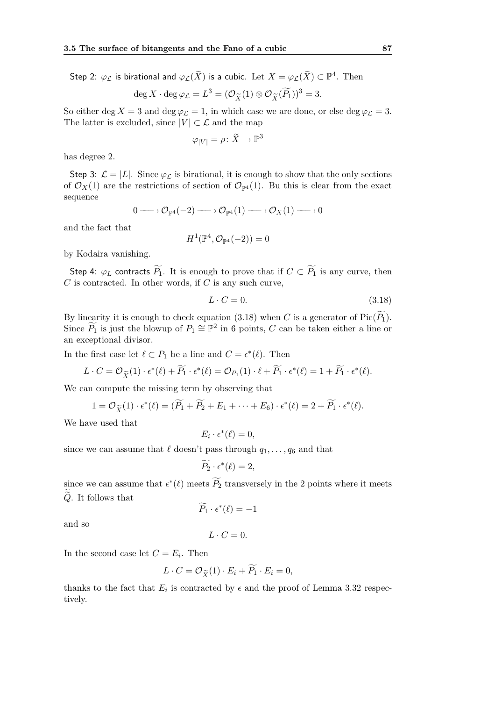Step 2:  $\varphi_{\mathcal L}$  is birational and  $\varphi_{\mathcal L}(\widetilde X)$  is a cubic. Let  $X=\varphi_{\mathcal L}(\widetilde X)\subset \mathbb P^4.$  Then

$$
\deg X \cdot \deg \varphi_{\mathcal{L}} = L^3 = (\mathcal{O}_{\widetilde{X}}(1) \otimes \mathcal{O}_{\widetilde{X}}(\widetilde{P_1}))^3 = 3.
$$

So either deg  $X = 3$  and deg  $\varphi_L = 1$ , in which case we are done, or else deg  $\varphi_L = 3$ . The latter is excluded, since  $|V| \subset \mathcal{L}$  and the map

$$
\varphi_{|V|} = \rho \colon \widetilde{X} \to \mathbb{P}^3
$$

has degree 2.

Step 3:  $\mathcal{L} = |L|$ . Since  $\varphi_{\mathcal{L}}$  is birational, it is enough to show that the only sections of  $\mathcal{O}_X(1)$  are the restrictions of section of  $\mathcal{O}_{\mathbb{P}^4}(1)$ . Bu this is clear from the exact sequence

$$
0 \longrightarrow {\mathcal O}_{{\mathbb P}^4}(-2) \longrightarrow {\mathcal O}_{{\mathbb P}^4}(1) \longrightarrow {\mathcal O}_X(1) \longrightarrow 0
$$

and the fact that

$$
H^1(\mathbb{P}^4, \mathcal{O}_{\mathbb{P}^4}(-2))=0
$$

by Kodaira vanishing.

Step 4:  $\varphi_L$  contracts  $\widetilde{P_1}$ . It is enough to prove that if  $C \subset \widetilde{P_1}$  is any curve, then *C* is contracted. In other words, if *C* is any such curve,

$$
L \cdot C = 0. \tag{3.18}
$$

By linearity it is enough to check equation (3.18) when *C* is a generator of Pic( $\widetilde{P_1}$ ). Since  $\widetilde{P}_1$  is just the blowup of  $P_1 \cong \mathbb{P}^2$  in 6 points, *C* can be taken either a line or an exceptional divisor.

In the first case let  $\ell \subset P_1$  be a line and  $C = \epsilon^*(\ell)$ . Then

$$
L \cdot C = \mathcal{O}_{\widetilde{X}}(1) \cdot \epsilon^*(\ell) + \widetilde{P_1} \cdot \epsilon^*(\ell) = \mathcal{O}_{P_1}(1) \cdot \ell + \widetilde{P_1} \cdot \epsilon^*(\ell) = 1 + \widetilde{P_1} \cdot \epsilon^*(\ell).
$$

We can compute the missing term by observing that

$$
1 = \mathcal{O}_{\widetilde{X}}(1) \cdot \epsilon^*(\ell) = (\widetilde{P_1} + \widetilde{P_2} + E_1 + \cdots + E_6) \cdot \epsilon^*(\ell) = 2 + \widetilde{P_1} \cdot \epsilon^*(\ell).
$$

We have used that

$$
E_i \cdot \epsilon^*(\ell) = 0,
$$

since we can assume that  $\ell$  doesn't pass through  $q_1, \ldots, q_6$  and that

$$
\widetilde{P_2}\cdot \epsilon^*(\ell)=2,
$$

since we can assume that  $\epsilon^*(\ell)$  meets  $P_2$  transversely in the 2 points where it meets  $\tilde{Q}$ . It follows that

$$
\widetilde{P_1}\cdot \epsilon^*(\ell)=-1
$$

and so

$$
L\cdot C=0.
$$

In the second case let  $C = E_i$ . Then

$$
L \cdot C = \mathcal{O}_{\widetilde{X}}(1) \cdot E_i + \widetilde{P_1} \cdot E_i = 0,
$$

thanks to the fact that  $E_i$  is contracted by  $\epsilon$  and the proof of Lemma 3.32 respectively.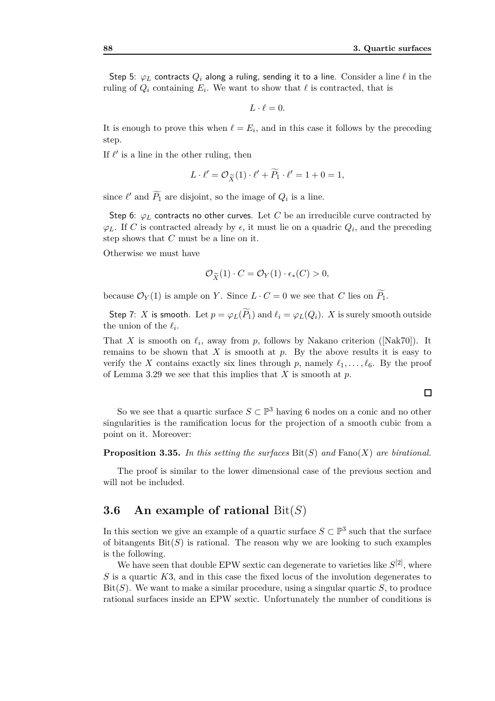Step 5:  $\varphi_L$  contracts  $Q_i$  along a ruling, sending it to a line. Consider a line  $\ell$  in the ruling of  $Q_i$  containing  $E_i$ . We want to show that  $\ell$  is contracted, that is

$$
L\cdot \ell=0.
$$

It is enough to prove this when  $\ell = E_i$ , and in this case it follows by the preceding step.

If  $\ell'$  is a line in the other ruling, then

$$
L \cdot \ell' = \mathcal{O}_{\widetilde{X}}(1) \cdot \ell' + \widetilde{P_1} \cdot \ell' = 1 + 0 = 1,
$$

since  $\ell'$  and  $\tilde{P_1}$  are disjoint, so the image of  $Q_i$  is a line.

Step 6:  $\varphi_L$  contracts no other curves. Let *C* be an irreducible curve contracted by  $\varphi$ *L*. If *C* is contracted already by  $\epsilon$ , it must lie on a quadric  $Q_i$ , and the preceding step shows that *C* must be a line on it.

Otherwise we must have

$$
\mathcal{O}_{\widetilde{X}}(1) \cdot C = \mathcal{O}_Y(1) \cdot \epsilon_*(C) > 0,
$$

because  $\mathcal{O}_Y(1)$  is ample on *Y*. Since  $L \cdot C = 0$  we see that *C* lies on  $\widetilde{P}_1$ .

Step 7: *X* is smooth. Let  $p = \varphi_L(\widetilde{P}_1)$  and  $\ell_i = \varphi_L(Q_i)$ . *X* is surely smooth outside the union of the  $\ell_i$ .

That *X* is smooth on  $\ell_i$ , away from *p*, follows by Nakano criterion ([Nak70]). It remains to be shown that  $X$  is smooth at  $p$ . By the above results it is easy to verify the *X* contains exactly six lines through *p*, namely  $\ell_1, \ldots, \ell_6$ . By the proof of Lemma 3.29 we see that this implies that *X* is smooth at *p*.

So we see that a quartic surface  $S \subset \mathbb{P}^3$  having 6 nodes on a conic and no other singularities is the ramification locus for the projection of a smooth cubic from a point on it. Moreover:

**Proposition 3.35.** *In this setting the surfaces* Bit(*S*) *and* Fano(*X*) *are birational.*

The proof is similar to the lower dimensional case of the previous section and will not be included.

# **3.6 An example of rational** Bit(*S*)

In this section we give an example of a quartic surface  $S \subset \mathbb{P}^3$  such that the surface of bitangents  $\text{Bit}(S)$  is rational. The reason why we are looking to such examples is the following.

We have seen that double EPW sextic can degenerate to varieties like  $S^{[2]}$ , where *S* is a quartic *K*3, and in this case the fixed locus of the involution degenerates to Bit $(S)$ . We want to make a similar procedure, using a singular quartic  $S$ , to produce rational surfaces inside an EPW sextic. Unfortunately the number of conditions is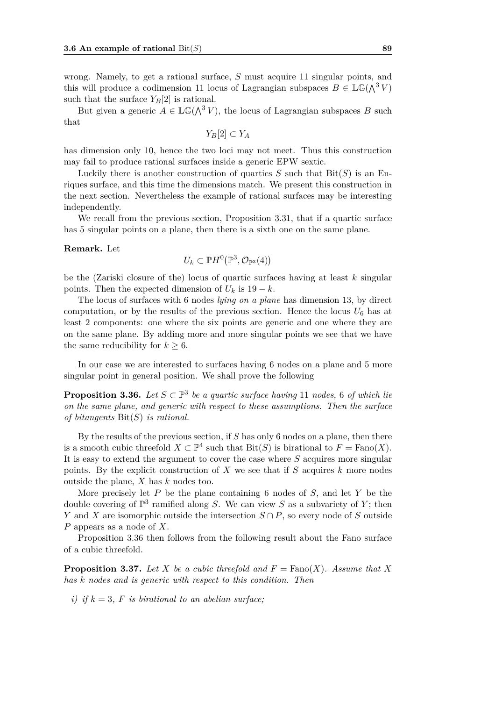wrong. Namely, to get a rational surface, *S* must acquire 11 singular points, and this will produce a codimension 11 locus of Lagrangian subspaces  $B \in \mathbb{LG}(\Lambda^3 V)$ such that the surface  $Y_B[2]$  is rational.

But given a generic  $A \in \mathbb{LG}(\Lambda^3 V)$ , the locus of Lagrangian subspaces *B* such that

$$
Y_B[2]\subset Y_A
$$

has dimension only 10, hence the two loci may not meet. Thus this construction may fail to produce rational surfaces inside a generic EPW sextic.

Luckily there is another construction of quartics  $S$  such that  $\text{Bit}(S)$  is an Enriques surface, and this time the dimensions match. We present this construction in the next section. Nevertheless the example of rational surfaces may be interesting independently.

We recall from the previous section, Proposition 3.31, that if a quartic surface has 5 singular points on a plane, then there is a sixth one on the same plane.

#### **Remark.** Let

$$
U_k\subset \mathbb{P} H^0\big(\mathbb{P}^3,\mathcal{O}_{\mathbb{P}^3}(4)\big)
$$

be the (Zariski closure of the) locus of quartic surfaces having at least *k* singular points. Then the expected dimension of  $U_k$  is 19 −  $k$ .

The locus of surfaces with 6 nodes *lying on a plane* has dimension 13, by direct computation, or by the results of the previous section. Hence the locus  $U_6$  has at least 2 components: one where the six points are generic and one where they are on the same plane. By adding more and more singular points we see that we have the same reducibility for  $k \geq 6$ .

In our case we are interested to surfaces having 6 nodes on a plane and 5 more singular point in general position. We shall prove the following

**Proposition 3.36.** Let  $S \subset \mathbb{P}^3$  be a quartic surface having 11 nodes, 6 of which lie *on the same plane, and generic with respect to these assumptions. Then the surface of bitangents* Bit(*S*) *is rational.*

By the results of the previous section, if *S* has only 6 nodes on a plane, then there is a smooth cubic threefold  $X \subset \mathbb{P}^4$  such that  $\text{Bit}(S)$  is birational to  $F = \text{Fano}(X)$ . It is easy to extend the argument to cover the case where *S* acquires more singular points. By the explicit construction of *X* we see that if *S* acquires *k* more nodes outside the plane, *X* has *k* nodes too.

More precisely let *P* be the plane containing 6 nodes of *S*, and let *Y* be the double covering of  $\mathbb{P}^3$  ramified along *S*. We can view *S* as a subvariety of *Y*; then *Y* and *X* are isomorphic outside the intersection *S ∩ P*, so every node of *S* outside *P* appears as a node of *X*.

Proposition 3.36 then follows from the following result about the Fano surface of a cubic threefold.

**Proposition 3.37.** Let *X* be a cubic threefold and  $F = \text{Fano}(X)$ . Assume that X *has k nodes and is generic with respect to this condition. Then*

*i)* if  $k = 3$ ,  $F$  *is birational to an abelian surface:*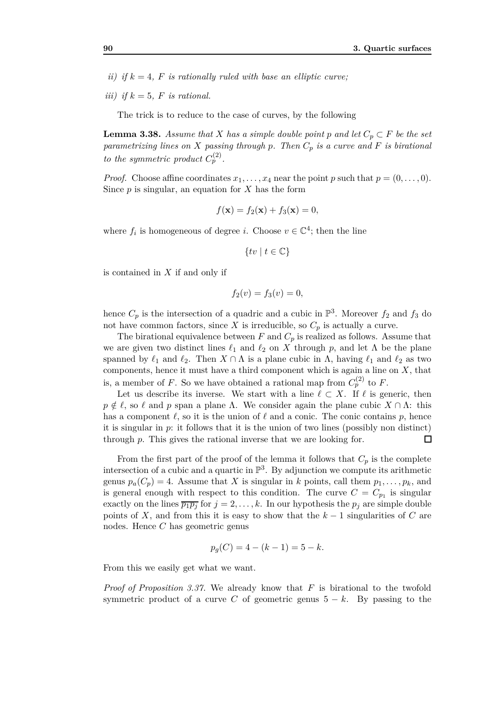*ii)* if  $k = 4$ ,  $F$  is rationally ruled with base an elliptic curve;

*iii*) if  $k = 5$ , *F is rational.* 

The trick is to reduce to the case of curves, by the following

**Lemma 3.38.** *Assume that X has a simple double point p* and let  $C_p \subset F$  *be the set parametrizing lines on X passing through p. Then C<sup>p</sup> is a curve and F is birational to the symmetric product*  $C_p^{(2)}$ *.* 

*Proof.* Choose affine coordinates  $x_1, \ldots, x_4$  near the point *p* such that  $p = (0, \ldots, 0)$ . Since *p* is singular, an equation for *X* has the form

$$
f(\mathbf{x}) = f_2(\mathbf{x}) + f_3(\mathbf{x}) = 0,
$$

where  $f_i$  is homogeneous of degree *i*. Choose  $v \in \mathbb{C}^4$ ; then the line

$$
\{tv \mid t \in \mathbb{C}\}
$$

is contained in *X* if and only if

$$
f_2(v) = f_3(v) = 0,
$$

hence  $C_p$  is the intersection of a quadric and a cubic in  $\mathbb{P}^3$ . Moreover  $f_2$  and  $f_3$  do not have common factors, since X is irreducible, so  $C_p$  is actually a curve.

The birational equivalence between  $F$  and  $C_p$  is realized as follows. Assume that we are given two distinct lines  $\ell_1$  and  $\ell_2$  on X through p, and let  $\Lambda$  be the plane spanned by  $\ell_1$  and  $\ell_2$ . Then  $X \cap \Lambda$  is a plane cubic in  $\Lambda$ , having  $\ell_1$  and  $\ell_2$  as two components, hence it must have a third component which is again a line on *X*, that is, a member of *F*. So we have obtained a rational map from  $C_p^{(2)}$  to *F*.

Let us describe its inverse. We start with a line  $\ell \subset X$ . If  $\ell$  is generic, then  $p \notin \ell$ , so  $\ell$  and  $p$  span a plane  $\Lambda$ . We consider again the plane cubic  $X \cap \Lambda$ : this has a component  $\ell$ , so it is the union of  $\ell$  and a conic. The conic contains  $p$ , hence it is singular in *p*: it follows that it is the union of two lines (possibly non distinct) through *p*. This gives the rational inverse that we are looking for. □

From the first part of the proof of the lemma it follows that  $C_p$  is the complete intersection of a cubic and a quartic in  $\mathbb{P}^3$ . By adjunction we compute its arithmetic genus  $p_a(C_p) = 4$ . Assume that *X* is singular in *k* points, call them  $p_1, \ldots, p_k$ , and is general enough with respect to this condition. The curve  $C = C_{p_1}$  is singular exactly on the lines  $\overline{p_1p_j}$  for  $j = 2, \ldots, k$ . In our hypothesis the  $p_j$  are simple double points of *X*, and from this it is easy to show that the  $k-1$  singularities of *C* are nodes. Hence *C* has geometric genus

$$
p_g(C) = 4 - (k - 1) = 5 - k.
$$

From this we easily get what we want.

*Proof of Proposition 3.37.* We already know that *F* is birational to the twofold symmetric product of a curve C of geometric genus  $5 - k$ . By passing to the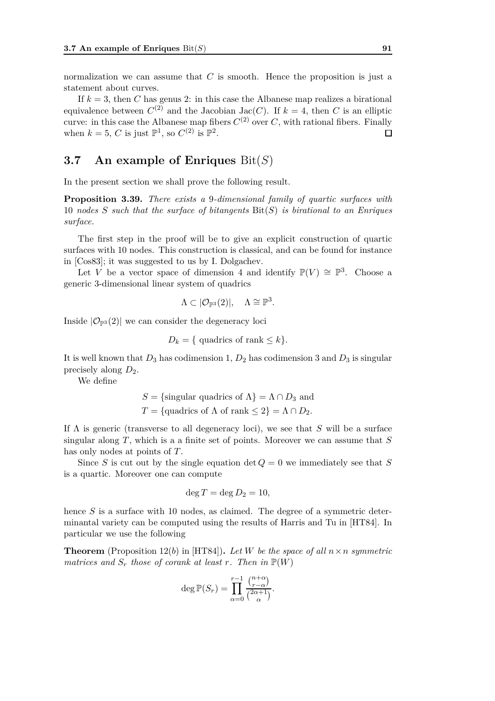normalization we can assume that *C* is smooth. Hence the proposition is just a statement about curves.

If  $k = 3$ , then *C* has genus 2: in this case the Albanese map realizes a birational equivalence between  $C^{(2)}$  and the Jacobian Jac(*C*). If  $k = 4$ , then *C* is an elliptic curve: in this case the Albanese map fibers  $C^{(2)}$  over  $C$ , with rational fibers. Finally when  $k = 5$ , *C* is just  $\mathbb{P}^1$ , so  $C^{(2)}$  is  $\mathbb{P}^2$ .  $\Box$ 

# **3.7 An example of Enriques** Bit(*S*)

In the present section we shall prove the following result.

**Proposition 3.39.** *There exists a* 9*-dimensional family of quartic surfaces with* 10 *nodes S such that the surface of bitangents* Bit(*S*) *is birational to an Enriques surface.*

The first step in the proof will be to give an explicit construction of quartic surfaces with 10 nodes. This construction is classical, and can be found for instance in [Cos83]; it was suggested to us by I. Dolgachev.

Let *V* be a vector space of dimension 4 and identify  $\mathbb{P}(V) \cong \mathbb{P}^3$ . Choose a generic 3-dimensional linear system of quadrics

$$
\Lambda \subset |\mathcal{O}_{\mathbb{P}^3}(2)|, \quad \Lambda \cong \mathbb{P}^3.
$$

Inside  $|\mathcal{O}_{\mathbb{P}^3}(2)|$  we can consider the degeneracy loci

$$
D_k = \{ \text{ quadrics of rank} \le k \}.
$$

It is well known that  $D_3$  has codimension 1,  $D_2$  has codimension 3 and  $D_3$  is singular precisely along *D*2.

We define

$$
S = \{\text{singular quadrics of } \Lambda\} = \Lambda \cap D_3 \text{ and}
$$
  

$$
T = \{\text{quadrics of } \Lambda \text{ of rank } \le 2\} = \Lambda \cap D_2.
$$

If Λ is generic (transverse to all degeneracy loci), we see that *S* will be a surface singular along *T*, which is a a finite set of points. Moreover we can assume that *S* has only nodes at points of *T*.

Since *S* is cut out by the single equation det  $Q = 0$  we immediately see that *S* is a quartic. Moreover one can compute

$$
\deg T = \deg D_2 = 10,
$$

hence *S* is a surface with 10 nodes, as claimed. The degree of a symmetric determinantal variety can be computed using the results of Harris and Tu in [HT84]. In particular we use the following

**Theorem** (Proposition 12(*b*) in [HT84]). Let *W* be the space of all  $n \times n$  symmetric *matrices and*  $S_r$  *those of corank at least r. Then in*  $\mathbb{P}(W)$ 

$$
\deg \mathbb{P}(S_r) = \prod_{\alpha=0}^{r-1} \frac{\binom{n+\alpha}{r-\alpha}}{\binom{2\alpha+1}{\alpha}}.
$$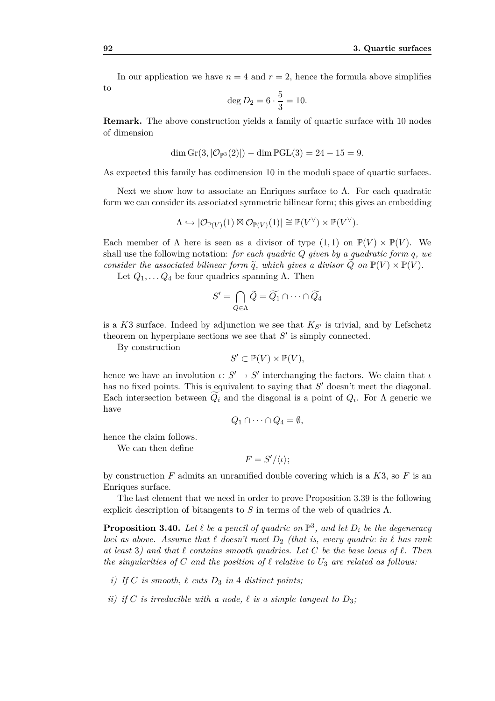In our application we have  $n = 4$  and  $r = 2$ , hence the formula above simplifies to

$$
\deg D_2 = 6 \cdot \frac{5}{3} = 10.
$$

**Remark.** The above construction yields a family of quartic surface with 10 nodes of dimension

$$
\dim \mathrm{Gr}(3, |\mathcal{O}_{\mathbb{P}^3}(2)|) - \dim \mathbb{P} GL(3) = 24 - 15 = 9.
$$

As expected this family has codimension 10 in the moduli space of quartic surfaces.

Next we show how to associate an Enriques surface to  $\Lambda$ . For each quadratic form we can consider its associated symmetric bilinear form; this gives an embedding

$$
\Lambda \hookrightarrow |\mathcal{O}_{\mathbb{P}(V)}(1) \boxtimes \mathcal{O}_{\mathbb{P}(V)}(1)| \cong \mathbb{P}(V^{\vee}) \times \mathbb{P}(V^{\vee}).
$$

Each member of  $\Lambda$  here is seen as a divisor of type  $(1,1)$  on  $\mathbb{P}(V) \times \mathbb{P}(V)$ . We shall use the following notation: *for each quadric Q given by a quadratic form q, we consider the associated bilinear form*  $\tilde{q}$ *, which gives a divisor*  $Q$  *on*  $\mathbb{P}(V) \times \mathbb{P}(V)$ *.* 

Let  $Q_1, \ldots Q_4$  be four quadrics spanning  $\Lambda$ . Then

$$
S'=\bigcap_{Q\in\Lambda}\widetilde{Q}=\widetilde{Q_1}\cap\cdots\cap\widetilde{Q_4}
$$

is a  $K3$  surface. Indeed by adjunction we see that  $K_{S'}$  is trivial, and by Lefschetz theorem on hyperplane sections we see that *S ′* is simply connected.

By construction

$$
S' \subset \mathbb{P}(V) \times \mathbb{P}(V),
$$

hence we have an involution  $\iota: S' \to S'$  interchanging the factors. We claim that  $\iota$ has no fixed points. This is equivalent to saying that  $S'$  doesn't meet the diagonal. Each intersection between  $Q_i$  and the diagonal is a point of  $Q_i$ . For  $\Lambda$  generic we have

$$
Q_1 \cap \cdots \cap Q_4 = \emptyset,
$$

hence the claim follows.

We can then define

$$
F = S'/\langle \iota \rangle;
$$

by construction *F* admits an unramified double covering which is a *K*3, so *F* is an Enriques surface.

The last element that we need in order to prove Proposition 3.39 is the following explicit description of bitangents to  $S$  in terms of the web of quadrics  $\Lambda$ .

**Proposition 3.40.** Let  $\ell$  be a pencil of quadric on  $\mathbb{P}^3$ , and let  $D_i$  be the degeneracy *loci as above. Assume that ℓ doesn't meet D*<sup>2</sup> *(that is, every quadric in ℓ has rank at least* 3*) and that ℓ contains smooth quadrics. Let C be the base locus of ℓ. Then the singularities of C and the position of*  $\ell$  *relative to*  $U_3$  *are related as follows:* 

- *i)* If C is smooth,  $\ell$  *cuts*  $D_3$  *in* 4 *distinct points;*
- *ii)* if C is irreducible with a node,  $\ell$  is a simple tangent to  $D_3$ ;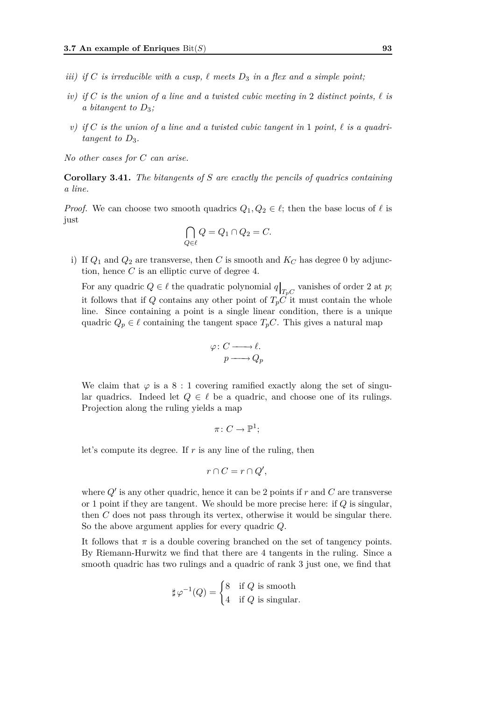- *iii)* if C is irreducible with a cusp,  $\ell$  meets  $D_3$  in a flex and a simple point;
- *iv) if C is the union of a line and a twisted cubic meeting in* 2 *distinct points, ℓ is a bitangent to D*3*;*
- *v*) if C is the union of a line and a twisted cubic tangent in 1 point,  $\ell$  is a quadri*tangent to*  $D_3$ *.*

*No other cases for C can arise.*

**Corollary 3.41.** *The bitangents of S are exactly the pencils of quadrics containing a line.*

*Proof.* We can choose two smooth quadrics  $Q_1, Q_2 \in \ell$ ; then the base locus of  $\ell$  is just

$$
\bigcap_{Q \in \ell} Q = Q_1 \cap Q_2 = C.
$$

i) If  $Q_1$  and  $Q_2$  are transverse, then *C* is smooth and  $K_C$  has degree 0 by adjunction, hence *C* is an elliptic curve of degree 4.

For any quadric  $Q \in \ell$  the quadratic polynomial  $q|_{T_pC}$  vanishes of order 2 at *p*; it follows that if *Q* contains any other point of  $T_pC$  it must contain the whole line. Since containing a point is a single linear condition, there is a unique quadric  $Q_p \in \ell$  containing the tangent space  $T_pC$ . This gives a natural map

$$
\varphi: C \longrightarrow \ell.
$$
  

$$
p \longrightarrow Q_p
$$

We claim that  $\varphi$  is a 8 : 1 covering ramified exactly along the set of singular quadrics. Indeed let  $Q \in \ell$  be a quadric, and choose one of its rulings. Projection along the ruling yields a map

$$
\pi\colon C\to \mathbb{P}^1;
$$

let's compute its degree. If *r* is any line of the ruling, then

$$
r \cap C = r \cap Q',
$$

where  $Q'$  is any other quadric, hence it can be 2 points if  $r$  and  $C$  are transverse or 1 point if they are tangent. We should be more precise here: if *Q* is singular, then *C* does not pass through its vertex, otherwise it would be singular there. So the above argument applies for every quadric *Q*.

It follows that  $\pi$  is a double covering branched on the set of tangency points. By Riemann-Hurwitz we find that there are 4 tangents in the ruling. Since a smooth quadric has two rulings and a quadric of rank 3 just one, we find that

$$
\sharp \varphi^{-1}(Q) = \begin{cases} 8 & \text{if } Q \text{ is smooth} \\ 4 & \text{if } Q \text{ is singular.} \end{cases}
$$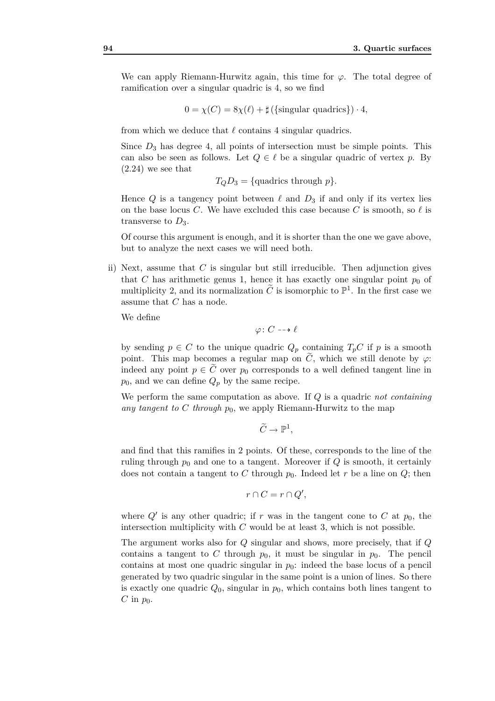We can apply Riemann-Hurwitz again, this time for  $\varphi$ . The total degree of ramification over a singular quadric is 4, so we find

$$
0 = \chi(C) = 8\chi(\ell) + \sharp (\{\text{singular quadrics}\}) \cdot 4,
$$

from which we deduce that  $\ell$  contains 4 singular quadrics.

Since  $D_3$  has degree 4, all points of intersection must be simple points. This can also be seen as follows. Let  $Q \in \ell$  be a singular quadric of vertex p. By (2.24) we see that

 $T_O D_3 = \{$ quadrics through *p* $\}$ *.* 

Hence  $Q$  is a tangency point between  $\ell$  and  $D_3$  if and only if its vertex lies on the base locus *C*. We have excluded this case because *C* is smooth, so  $\ell$  is transverse to  $D_3$ .

Of course this argument is enough, and it is shorter than the one we gave above, but to analyze the next cases we will need both.

ii) Next, assume that *C* is singular but still irreducible. Then adjunction gives that *C* has arithmetic genus 1, hence it has exactly one singular point  $p_0$  of multiplicity 2, and its normalization  $\tilde{C}$  is isomorphic to  $\mathbb{P}^1$ . In the first case we assume that *C* has a node.

We define

 $ϕ: C → ∅$ 

by sending  $p \in C$  to the unique quadric  $Q_p$  containing  $T_pC$  if  $p$  is a smooth point. This map becomes a regular map on  $\tilde{C}$ , which we still denote by  $\varphi$ : indeed any point  $p \in C$  over  $p_0$  corresponds to a well defined tangent line in  $p_0$ , and we can define  $Q_p$  by the same recipe.

We perform the same computation as above. If *Q* is a quadric *not containing any tangent to C through p*0, we apply Riemann-Hurwitz to the map

$$
\widetilde{C}\to \mathbb{P}^1,
$$

and find that this ramifies in 2 points. Of these, corresponds to the line of the ruling through  $p_0$  and one to a tangent. Moreover if  $Q$  is smooth, it certainly does not contain a tangent to C through  $p_0$ . Indeed let r be a line on  $Q$ ; then

$$
r \cap C = r \cap Q',
$$

where  $Q'$  is any other quadric; if  $r$  was in the tangent cone to  $C$  at  $p_0$ , the intersection multiplicity with *C* would be at least 3, which is not possible.

The argument works also for *Q* singular and shows, more precisely, that if *Q* contains a tangent to C through  $p_0$ , it must be singular in  $p_0$ . The pencil contains at most one quadric singular in  $p_0$ : indeed the base locus of a pencil generated by two quadric singular in the same point is a union of lines. So there is exactly one quadric  $Q_0$ , singular in  $p_0$ , which contains both lines tangent to  $C$  in  $p_0$ .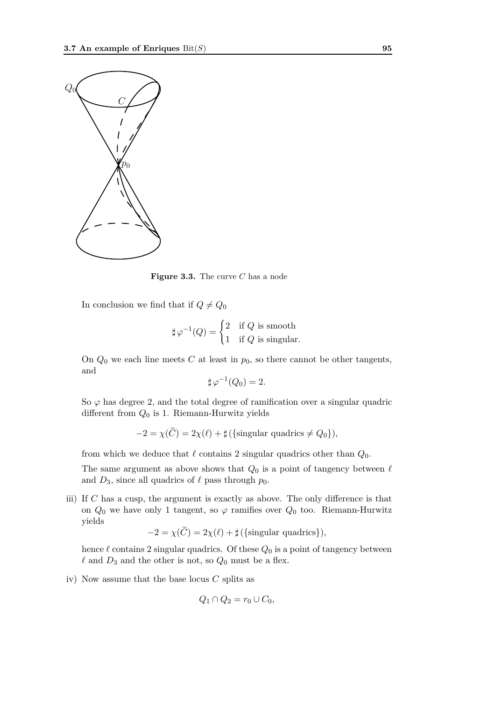

**Figure 3.3.** The curve *C* has a node

In conclusion we find that if  $Q \neq Q_0$ 

$$
\sharp \varphi^{-1}(Q) = \begin{cases} 2 & \text{if } Q \text{ is smooth} \\ 1 & \text{if } Q \text{ is singular.} \end{cases}
$$

On  $Q_0$  we each line meets  $C$  at least in  $p_0$ , so there cannot be other tangents, and

$$
\sharp \varphi^{-1}(Q_0) = 2.
$$

So  $\varphi$  has degree 2, and the total degree of ramification over a singular quadric different from *Q*<sup>0</sup> is 1. Riemann-Hurwitz yields

$$
-2 = \chi(C) = 2\chi(\ell) + \sharp(\{\text{singular quadrics} \neq Q_0\}),
$$

from which we deduce that  $\ell$  contains 2 singular quadrics other than  $Q_0$ .

The same argument as above shows that  $Q_0$  is a point of tangency between  $\ell$ and  $D_3$ , since all quadrics of  $\ell$  pass through  $p_0$ .

iii) If *C* has a cusp, the argument is exactly as above. The only difference is that on  $Q_0$  we have only 1 tangent, so  $\varphi$  ramifies over  $Q_0$  too. Riemann-Hurwitz yields

$$
-2 = \chi(C) = 2\chi(\ell) + \sharp(\{\text{singular quadrics}\}),
$$

hence  $\ell$  contains 2 singular quadrics. Of these  $Q_0$  is a point of tangency between  $\ell$  and  $D_3$  and the other is not, so  $Q_0$  must be a flex.

iv) Now assume that the base locus *C* splits as

$$
Q_1 \cap Q_2 = r_0 \cup C_0,
$$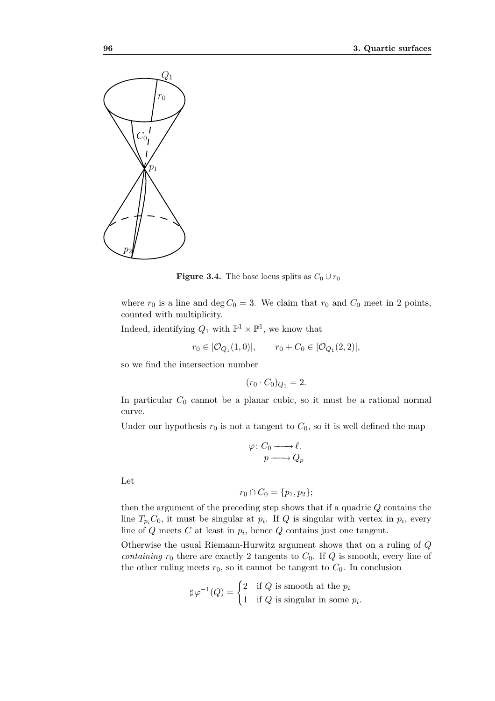

**Figure 3.4.** The base locus splits as  $C_0 \cup r_0$ 

where  $r_0$  is a line and deg  $C_0 = 3$ . We claim that  $r_0$  and  $C_0$  meet in 2 points, counted with multiplicity.

Indeed, identifying  $Q_1$  with  $\mathbb{P}^1 \times \mathbb{P}^1$ , we know that

$$
r_0 \in |\mathcal{O}_{Q_1}(1,0)|, \qquad r_0 + C_0 \in |\mathcal{O}_{Q_1}(2,2)|,
$$

so we find the intersection number

$$
(r_0 \cdot C_0)_{Q_1} = 2.
$$

In particular *C*<sup>0</sup> cannot be a planar cubic, so it must be a rational normal curve.

Under our hypothesis  $r_0$  is not a tangent to  $C_0$ , so it is well defined the map

$$
\varphi: C_0 \longrightarrow \ell.
$$
  

$$
p \longrightarrow Q_p
$$

Let

$$
r_0 \cap C_0 = \{p_1, p_2\};
$$

then the argument of the preceding step shows that if a quadric *Q* contains the line  $T_{p_i}C_0$ , it must be singular at  $p_i$ . If *Q* is singular with vertex in  $p_i$ , every line of *Q* meets *C* at least in *p<sup>i</sup>* , hence *Q* contains just one tangent.

Otherwise the usual Riemann-Hurwitz argument shows that on a ruling of *Q containing*  $r_0$  there are exactly 2 tangents to  $C_0$ . If  $Q$  is smooth, every line of the other ruling meets  $r_0$ , so it cannot be tangent to  $C_0$ . In conclusion

$$
\sharp \varphi^{-1}(Q) = \begin{cases} 2 & \text{if } Q \text{ is smooth at the } p_i \\ 1 & \text{if } Q \text{ is singular in some } p_i. \end{cases}
$$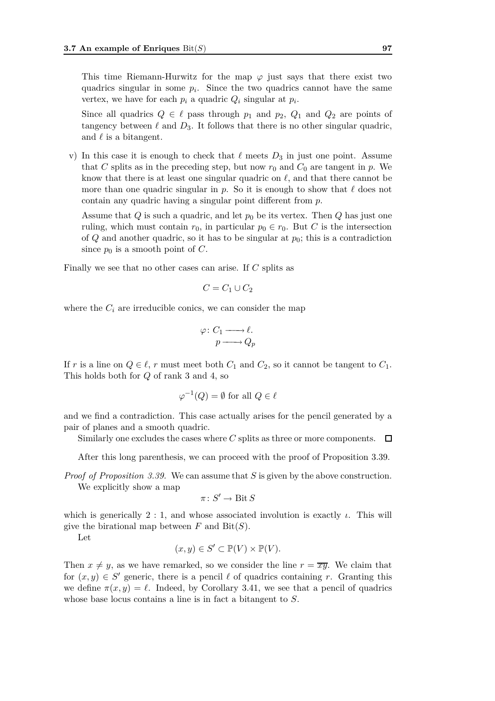This time Riemann-Hurwitz for the map  $\varphi$  just says that there exist two quadrics singular in some  $p_i$ . Since the two quadrics cannot have the same vertex, we have for each  $p_i$  a quadric  $Q_i$  singular at  $p_i$ .

Since all quadrics  $Q \in \ell$  pass through  $p_1$  and  $p_2$ ,  $Q_1$  and  $Q_2$  are points of tangency between  $\ell$  and  $D_3$ . It follows that there is no other singular quadric, and  $\ell$  is a bitangent.

v) In this case it is enough to check that  $\ell$  meets  $D_3$  in just one point. Assume that *C* splits as in the preceding step, but now  $r_0$  and  $C_0$  are tangent in  $p$ . We know that there is at least one singular quadric on *ℓ*, and that there cannot be more than one quadric singular in *p*. So it is enough to show that *ℓ* does not contain any quadric having a singular point different from *p*.

Assume that *Q* is such a quadric, and let  $p_0$  be its vertex. Then *Q* has just one ruling, which must contain  $r_0$ , in particular  $p_0 \in r_0$ . But *C* is the intersection of *Q* and another quadric, so it has to be singular at *p*0; this is a contradiction since  $p_0$  is a smooth point of  $C$ .

Finally we see that no other cases can arise. If *C* splits as

$$
C = C_1 \cup C_2
$$

where the  $C_i$  are irreducible conics, we can consider the map

$$
\varphi: C_1 \longrightarrow \ell.
$$
  

$$
p \longrightarrow Q_p
$$

If *r* is a line on  $Q \in \ell$ , *r* must meet both  $C_1$  and  $C_2$ , so it cannot be tangent to  $C_1$ . This holds both for *Q* of rank 3 and 4, so

$$
\varphi^{-1}(Q) = \emptyset \text{ for all } Q \in \ell
$$

and we find a contradiction. This case actually arises for the pencil generated by a pair of planes and a smooth quadric.

Similarly one excludes the cases where *C* splits as three or more components.  $\Box$ 

After this long parenthesis, we can proceed with the proof of Proposition 3.39.

*Proof of Proposition 3.39.* We can assume that *S* is given by the above construction. We explicitly show a map

$$
\pi\colon S'\to \operatorname{Bit} S
$$

which is generically 2 : 1, and whose associated involution is exactly  $\iota$ . This will give the birational map between  $F$  and  $\text{Bit}(S)$ .

Let

$$
(x, y) \in S' \subset \mathbb{P}(V) \times \mathbb{P}(V).
$$

Then  $x \neq y$ , as we have remarked, so we consider the line  $r = \overline{xy}$ . We claim that for  $(x, y) \in S'$  generic, there is a pencil  $\ell$  of quadrics containing *r*. Granting this we define  $\pi(x, y) = \ell$ . Indeed, by Corollary 3.41, we see that a pencil of quadrics whose base locus contains a line is in fact a bitangent to *S*.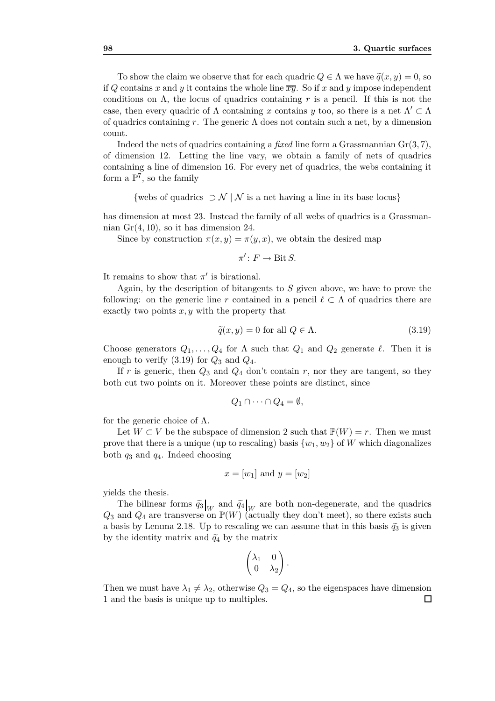To show the claim we observe that for each quadric  $Q \in \Lambda$  we have  $\tilde{q}(x, y) = 0$ , so if Q contains x and y it contains the whole line  $\overline{x\overline{y}}$ . So if x and y impose independent conditions on  $\Lambda$ , the locus of quadrics containing r is a pencil. If this is not the case, then every quadric of Λ containing *x* contains *y* too, so there is a net Λ*′ ⊂* Λ of quadrics containing *r*. The generic Λ does not contain such a net, by a dimension count.

Indeed the nets of quadrics containing a *fixed* line form a Grassmannian Gr(3*,* 7), of dimension 12. Letting the line vary, we obtain a family of nets of quadrics containing a line of dimension 16. For every net of quadrics, the webs containing it form a  $\mathbb{P}^7$ , so the family

*{*webs of quadrics *⊃ N | N* is a net having a line in its base locus*}*

has dimension at most 23. Instead the family of all webs of quadrics is a Grassmannian Gr(4*,* 10), so it has dimension 24.

Since by construction  $\pi(x, y) = \pi(y, x)$ , we obtain the desired map

$$
\pi'\colon F\to \operatorname{Bit} S.
$$

It remains to show that  $\pi'$  is birational.

Again, by the description of bitangents to *S* given above, we have to prove the following: on the generic line *r* contained in a pencil  $\ell \subset \Lambda$  of quadrics there are exactly two points *x, y* with the property that

$$
\tilde{q}(x, y) = 0 \text{ for all } Q \in \Lambda. \tag{3.19}
$$

Choose generators  $Q_1, \ldots, Q_4$  for  $\Lambda$  such that  $Q_1$  and  $Q_2$  generate  $\ell$ . Then it is enough to verify  $(3.19)$  for  $Q_3$  and  $Q_4$ .

If  $r$  is generic, then  $Q_3$  and  $Q_4$  don't contain  $r$ , nor they are tangent, so they both cut two points on it. Moreover these points are distinct, since

$$
Q_1 \cap \cdots \cap Q_4 = \emptyset,
$$

for the generic choice of  $\Lambda$ .

Let  $W \subset V$  be the subspace of dimension 2 such that  $\mathbb{P}(W) = r$ . Then we must prove that there is a unique (up to rescaling) basis  $\{w_1, w_2\}$  of *W* which diagonalizes both *q*<sup>3</sup> and *q*4. Indeed choosing

$$
x = [w_1]
$$
 and  $y = [w_2]$ 

yields the thesis.

The bilinear forms  $\widetilde{q}_3 \big|_W$  and  $\widetilde{q}_4 \big|_W$  are both non-degenerate, and the quadrics  $Q_3$  and  $Q_4$  are transverse on  $\mathbb{P}(W)$  (actually they don't meet), so there exists such a basis by Lemma 2.18. Up to rescaling we can assume that in this basis  $\tilde{q}_3$  is given by the identity matrix and  $\tilde{q}_4$  by the matrix

$$
\begin{pmatrix} \lambda_1 & 0 \\ 0 & \lambda_2 \end{pmatrix}
$$

*.*

Then we must have  $\lambda_1 \neq \lambda_2$ , otherwise  $Q_3 = Q_4$ , so the eigenspaces have dimension 1 and the basis is unique up to multiples.□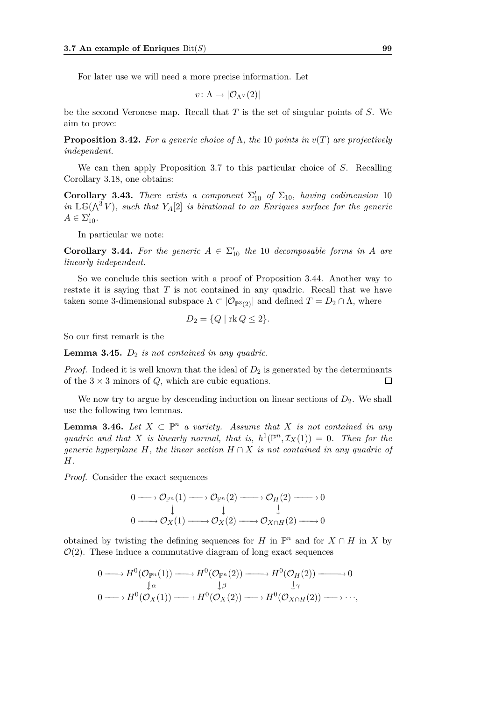For later use we will need a more precise information. Let

$$
v\colon \Lambda \to |\mathcal{O}_{\Lambda^{\vee}}(2)|
$$

be the second Veronese map. Recall that *T* is the set of singular points of *S*. We aim to prove:

**Proposition 3.42.** For a generic choice of  $\Lambda$ , the 10 points in  $v(T)$  are projectively *independent.*

We can then apply Proposition 3.7 to this particular choice of *S*. Recalling Corollary 3.18, one obtains:

**Corollary 3.43.** *There exists a component*  $\Sigma'_{10}$  *of*  $\Sigma_{10}$ *, having codimension* 10 *in*  $\mathbb{LG}(\Lambda^3 V)$ *, such that*  $Y_A[2]$  *is birational to an Enriques surface for the generic*  $A \in \Sigma'_{10}$ .

In particular we note:

**Corollary 3.44.** For the generic  $A \in \Sigma'_{10}$  the 10 *decomposable forms in A* are *linearly independent.*

So we conclude this section with a proof of Proposition 3.44. Another way to restate it is saying that *T* is not contained in any quadric. Recall that we have taken some 3-dimensional subspace  $\Lambda \subset |\mathcal{O}_{\mathbb{P}^3(2)}|$  and defined  $T = D_2 \cap \Lambda$ , where

$$
D_2 = \{Q \mid \text{rk } Q \le 2\}.
$$

So our first remark is the

**Lemma 3.45.** *D*<sup>2</sup> *is not contained in any quadric.*

*Proof.* Indeed it is well known that the ideal of  $D_2$  is generated by the determinants of the  $3 \times 3$  minors of *Q*, which are cubic equations. □

We now try to argue by descending induction on linear sections of  $D_2$ . We shall use the following two lemmas.

**Lemma 3.46.** *Let*  $X \subset \mathbb{P}^n$  *a variety. Assume that*  $X$  *is not contained in any quadric and that X is linearly normal, that is,*  $h^1(\mathbb{P}^n, \mathcal{I}_X(1)) = 0$ *. Then for the generic hyperplane*  $H$ *, the linear section*  $H \cap X$  *is not contained in any quadric of H.*

*Proof.* Consider the exact sequences

$$
0 \longrightarrow {\mathcal O}_{{\mathbb P}^n}(1) \longrightarrow {\mathcal O}_{{\mathbb P}^n}(2) \longrightarrow {\mathcal O}_H(2) \longrightarrow 0
$$
  

$$
\downarrow \qquad \qquad \downarrow \qquad \qquad \downarrow
$$
  

$$
0 \longrightarrow {\mathcal O}_X(1) \longrightarrow {\mathcal O}_X(2) \longrightarrow {\mathcal O}_{X \cap H}(2) \longrightarrow 0
$$

obtained by twisting the defining sequences for *H* in  $\mathbb{P}^n$  and for  $X \cap H$  in *X* by  $\mathcal{O}(2)$ . These induce a commutative diagram of long exact sequences

$$
0 \longrightarrow H^{0}(\mathcal{O}_{\mathbb{P}^{n}}(1)) \longrightarrow H^{0}(\mathcal{O}_{\mathbb{P}^{n}}(2)) \longrightarrow H^{0}(\mathcal{O}_{H}(2)) \longrightarrow 0
$$
  
\n
$$
\downarrow \alpha \qquad \qquad \downarrow \beta \qquad \qquad \downarrow \gamma
$$
  
\n
$$
0 \longrightarrow H^{0}(\mathcal{O}_{X}(1)) \longrightarrow H^{0}(\mathcal{O}_{X}(2)) \longrightarrow H^{0}(\mathcal{O}_{X \cap H}(2)) \longrightarrow \cdots,
$$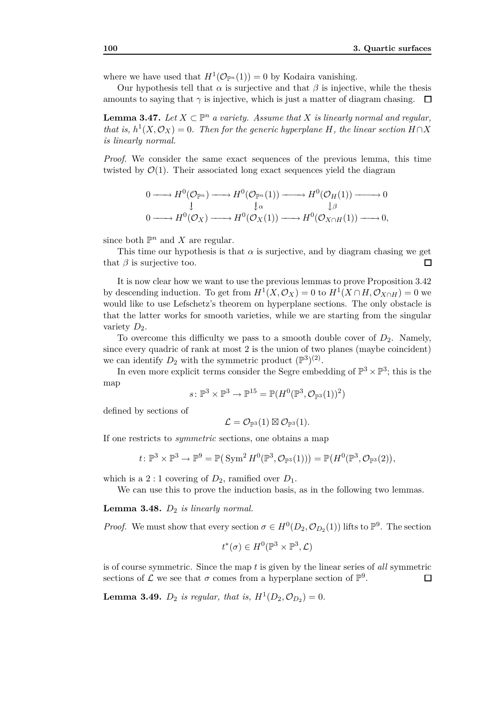where we have used that  $H^1(\mathcal{O}_{\mathbb{P}^n}(1)) = 0$  by Kodaira vanishing.

Our hypothesis tell that  $\alpha$  is surjective and that  $\beta$  is injective, while the thesis amounts to saying that  $\gamma$  is injective, which is just a matter of diagram chasing.  $\Box$ 

**Lemma 3.47.** *Let*  $X \subset \mathbb{P}^n$  *a variety. Assume that*  $X$  *is linearly normal and regular, that is,*  $h^1(X, \mathcal{O}_X) = 0$ *. Then for the generic hyperplane H, the linear section*  $H \cap X$ *is linearly normal.*

*Proof.* We consider the same exact sequences of the previous lemma, this time twisted by  $\mathcal{O}(1)$ . Their associated long exact sequences yield the diagram

$$
0 \longrightarrow H^{0}(\mathcal{O}_{\mathbb{P}^{n}}) \longrightarrow H^{0}(\mathcal{O}_{\mathbb{P}^{n}}(1)) \longrightarrow H^{0}(\mathcal{O}_{H}(1)) \longrightarrow 0
$$
  
\n
$$
\downarrow \qquad \qquad \downarrow \alpha \qquad \qquad \downarrow \beta
$$
  
\n
$$
0 \longrightarrow H^{0}(\mathcal{O}_{X}) \longrightarrow H^{0}(\mathcal{O}_{X}(1)) \longrightarrow H^{0}(\mathcal{O}_{X \cap H}(1)) \longrightarrow 0,
$$

since both  $\mathbb{P}^n$  and *X* are regular.

This time our hypothesis is that  $\alpha$  is surjective, and by diagram chasing we get  $\Box$ that  $\beta$  is surjective too.

It is now clear how we want to use the previous lemmas to prove Proposition 3.42 by descending induction. To get from  $H^1(X, \mathcal{O}_X) = 0$  to  $H^1(X \cap H, \mathcal{O}_{X \cap H}) = 0$  we would like to use Lefschetz's theorem on hyperplane sections. The only obstacle is that the latter works for smooth varieties, while we are starting from the singular variety  $D_2$ .

To overcome this difficulty we pass to a smooth double cover of  $D_2$ . Namely, since every quadric of rank at most 2 is the union of two planes (maybe coincident) we can identify  $D_2$  with the symmetric product  $(\mathbb{P}^3)^{(2)}$ .

In even more explicit terms consider the Segre embedding of  $\mathbb{P}^3 \times \mathbb{P}^3$ ; this is the map

$$
s \colon \mathbb{P}^3 \times \mathbb{P}^3 \to \mathbb{P}^{15} = \mathbb{P}(H^0(\mathbb{P}^3, \mathcal{O}_{\mathbb{P}^3}(1))^2)
$$

defined by sections of

$$
\mathcal{L}=\mathcal{O}_{\mathbb{P}^3}(1)\boxtimes\mathcal{O}_{\mathbb{P}^3}(1).
$$

If one restricts to *symmetric* sections, one obtains a map

$$
t\colon\mathbb{P}^3\times\mathbb{P}^3\to\mathbb{P}^9=\mathbb{P}\big(\operatorname{Sym}^2 H^0(\mathbb{P}^3,\mathcal{O}_{\mathbb{P}^3}(1))\big)=\mathbb{P}\big(H^0(\mathbb{P}^3,\mathcal{O}_{\mathbb{P}^3}(2)\big),
$$

which is a 2 : 1 covering of  $D_2$ , ramified over  $D_1$ .

We can use this to prove the induction basis, as in the following two lemmas.

**Lemma 3.48.**  $D_2$  *is linearly normal.* 

*Proof.* We must show that every section  $\sigma \in H^0(D_2, \mathcal{O}_{D_2}(1))$  lifts to  $\mathbb{P}^9$ . The section

$$
t^*(\sigma) \in H^0(\mathbb{P}^3 \times \mathbb{P}^3, \mathcal{L})
$$

is of course symmetric. Since the map *t* is given by the linear series of *all* symmetric sections of  $\mathcal L$  we see that  $\sigma$  comes from a hyperplane section of  $\mathbb P^9$ .  $\Box$ 

**Lemma 3.49.**  $D_2$  *is regular, that is,*  $H^1(D_2, \mathcal{O}_{D_2}) = 0$ *.*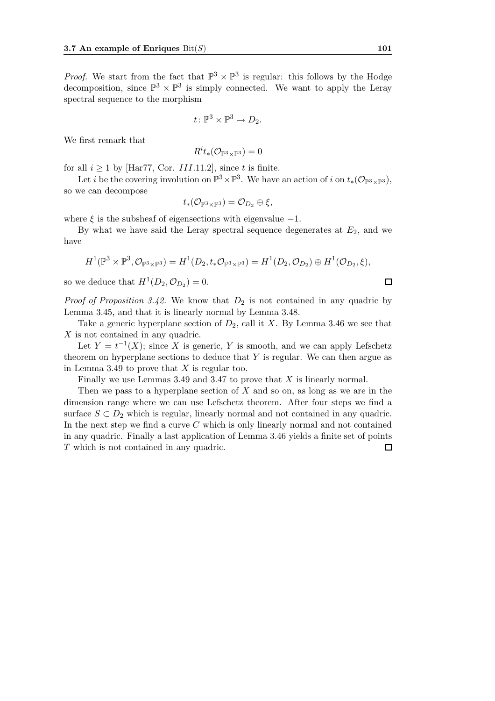*Proof.* We start from the fact that  $\mathbb{P}^3 \times \mathbb{P}^3$  is regular: this follows by the Hodge decomposition, since  $\mathbb{P}^3 \times \mathbb{P}^3$  is simply connected. We want to apply the Leray spectral sequence to the morphism

$$
t\colon \mathbb{P}^3 \times \mathbb{P}^3 \to D_2.
$$

We first remark that

$$
R^i t_*(\mathcal{O}_{\mathbb{P}^3 \times \mathbb{P}^3}) = 0
$$

for all  $i \ge 1$  by [Har77, Cor. *III.*11.2], since *t* is finite.

Let *i* be the covering involution on  $\mathbb{P}^3 \times \mathbb{P}^3$ . We have an action of *i* on  $t_*(\mathcal{O}_{\mathbb{P}^3 \times \mathbb{P}^3})$ , so we can decompose

$$
t_*(\mathcal{O}_{\mathbb{P}^3\times\mathbb{P}^3})=\mathcal{O}_{D_2}\oplus \xi,
$$

where  $\xi$  is the subsheaf of eigensections with eigenvalue  $-1$ .

By what we have said the Leray spectral sequence degenerates at  $E_2$ , and we have

$$
H^1(\mathbb{P}^3\times\mathbb{P}^3,\mathcal{O}_{\mathbb{P}^3\times\mathbb{P}^3})=H^1(D_2,t_*\mathcal{O}_{\mathbb{P}^3\times\mathbb{P}^3})=H^1(D_2,\mathcal{O}_{D_2})\oplus H^1(\mathcal{O}_{D_2},\xi),
$$

so we deduce that  $H^{1}(D_2, \mathcal{O}_{D_2}) = 0.$ 

*Proof of Proposition 3.42.* We know that  $D_2$  is not contained in any quadric by Lemma 3.45, and that it is linearly normal by Lemma 3.48.

Take a generic hyperplane section of  $D_2$ , call it *X*. By Lemma 3.46 we see that *X* is not contained in any quadric.

Let  $Y = t^{-1}(X)$ ; since *X* is generic, *Y* is smooth, and we can apply Lefschetz theorem on hyperplane sections to deduce that *Y* is regular. We can then argue as in Lemma 3.49 to prove that *X* is regular too.

Finally we use Lemmas 3.49 and 3.47 to prove that *X* is linearly normal.

Then we pass to a hyperplane section of *X* and so on, as long as we are in the dimension range where we can use Lefschetz theorem. After four steps we find a surface  $S \subset D_2$  which is regular, linearly normal and not contained in any quadric. In the next step we find a curve *C* which is only linearly normal and not contained in any quadric. Finally a last application of Lemma 3.46 yields a finite set of points *T* which is not contained in any quadric. $\Box$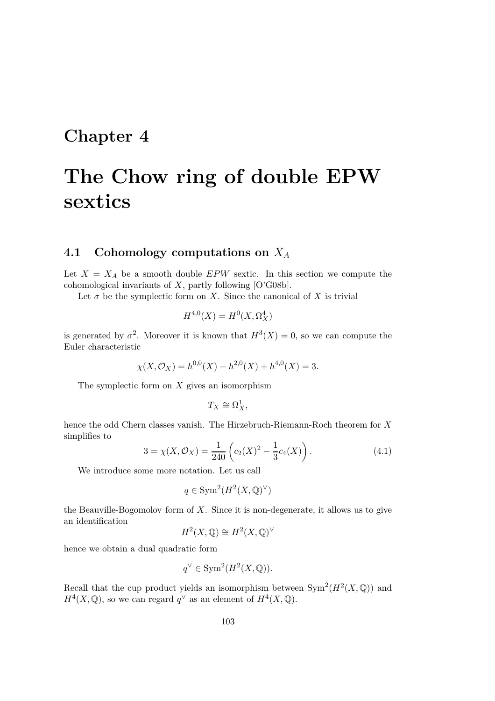### **Chapter 4**

## **The Chow ring of double EPW sextics**

#### **4.1 Cohomology computations on** *X<sup>A</sup>*

Let  $X = X_A$  be a smooth double *EPW* sextic. In this section we compute the cohomological invariants of *X*, partly following [O'G08b].

Let  $\sigma$  be the symplectic form on *X*. Since the canonical of *X* is trivial

$$
H^{4,0}(X) = H^0(X, \Omega_X^4)
$$

is generated by  $\sigma^2$ . Moreover it is known that  $H^3(X) = 0$ , so we can compute the Euler characteristic

$$
\chi(X, \mathcal{O}_X) = h^{0,0}(X) + h^{2,0}(X) + h^{4,0}(X) = 3.
$$

The symplectic form on *X* gives an isomorphism

$$
T_X \cong \Omega^1_X,
$$

hence the odd Chern classes vanish. The Hirzebruch-Riemann-Roch theorem for *X* simplifies to

$$
3 = \chi(X, \mathcal{O}_X) = \frac{1}{240} \left( c_2(X)^2 - \frac{1}{3} c_4(X) \right). \tag{4.1}
$$

We introduce some more notation. Let us call

$$
q \in \text{Sym}^2(H^2(X, \mathbb{Q})^\vee)
$$

the Beauville-Bogomolov form of *X*. Since it is non-degenerate, it allows us to give an identification

$$
H^2(X, \mathbb{Q}) \cong H^2(X, \mathbb{Q})^{\vee}
$$

hence we obtain a dual quadratic form

$$
q^{\vee} \in \text{Sym}^2(H^2(X, \mathbb{Q})).
$$

Recall that the cup product yields an isomorphism between  $Sym^2(H^2(X, \mathbb{Q}))$  and  $H^4(X, \mathbb{Q})$ , so we can regard  $q^{\vee}$  as an element of  $H^4(X, \mathbb{Q})$ .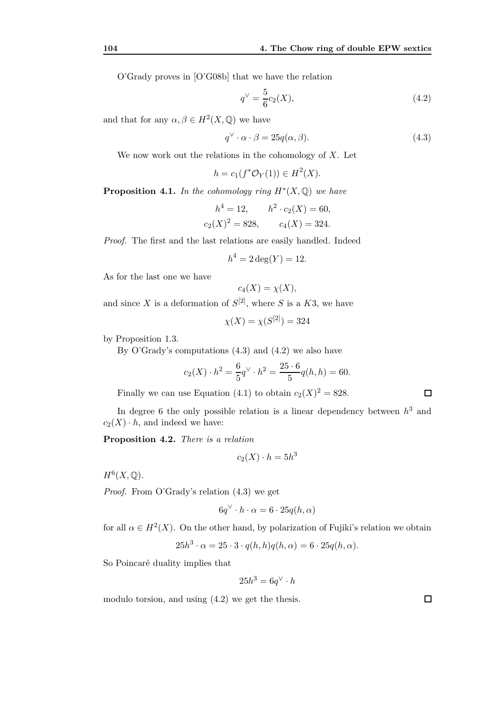O'Grady proves in [O'G08b] that we have the relation

$$
q^{\vee} = \frac{5}{6}c_2(X),\tag{4.2}
$$

and that for any  $\alpha, \beta \in H^2(X, \mathbb{Q})$  we have

$$
q^{\vee} \cdot \alpha \cdot \beta = 25q(\alpha, \beta). \tag{4.3}
$$

We now work out the relations in the cohomology of *X*. Let

$$
h = c_1(f^* \mathcal{O}_Y(1)) \in H^2(X).
$$

**Proposition 4.1.** In the cohomology ring  $H^*(X, \mathbb{Q})$  we have

$$
h^4 = 12,
$$
  $h^2 \cdot c_2(X) = 60,$   
 $c_2(X)^2 = 828,$   $c_4(X) = 324.$ 

*Proof.* The first and the last relations are easily handled. Indeed

$$
h^4 = 2\deg(Y) = 12.
$$

As for the last one we have

$$
c_4(X) = \chi(X),
$$

and since X is a deformation of  $S^{[2]}$ , where S is a K3, we have

$$
\chi(X) = \chi(S^{[2]}) = 324
$$

by Proposition 1.3.

By O'Grady's computations  $(4.3)$  and  $(4.2)$  we also have

$$
c_2(X) \cdot h^2 = \frac{6}{5}q^{\vee} \cdot h^2 = \frac{25 \cdot 6}{5}q(h, h) = 60.
$$

Finally we can use Equation (4.1) to obtain  $c_2(X)^2 = 828$ .

In degree 6 the only possible relation is a linear dependency between *h* <sup>3</sup> and  $c_2(X) \cdot h$ , and indeed we have:

**Proposition 4.2.** *There is a relation*

$$
c_2(X) \cdot h = 5h^3
$$

 $H^6(X,\mathbb{Q})$ .

*Proof.* From O'Grady's relation (4.3) we get

$$
6q^{\vee} \cdot h \cdot \alpha = 6 \cdot 25q(h, \alpha)
$$

for all  $\alpha \in H^2(X)$ . On the other hand, by polarization of Fujiki's relation we obtain

$$
25h3 \cdot \alpha = 25 \cdot 3 \cdot q(h, h)q(h, \alpha) = 6 \cdot 25q(h, \alpha).
$$

So Poincaré duality implies that

$$
25h^3 = 6q^{\vee} \cdot h
$$

modulo torsion, and using (4.2) we get the thesis.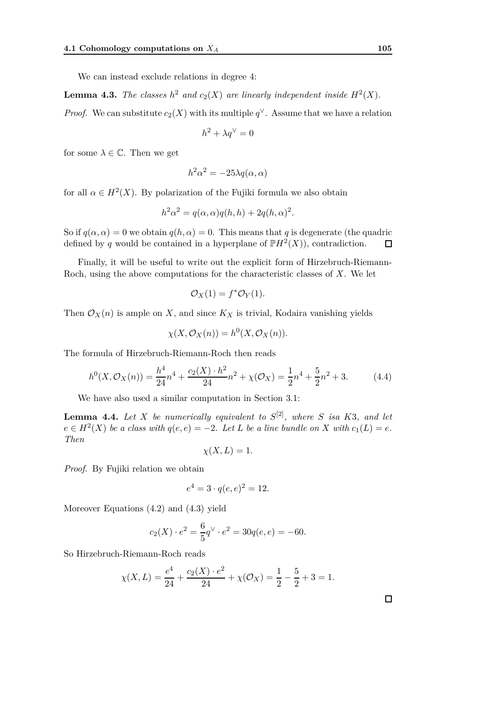We can instead exclude relations in degree 4:

**Lemma 4.3.** The classes  $h^2$  and  $c_2(X)$  are linearly independent inside  $H^2(X)$ .

*Proof.* We can substitute  $c_2(X)$  with its multiple  $q^{\vee}$ . Assume that we have a relation

$$
h^2 + \lambda q^\vee = 0
$$

for some  $\lambda \in \mathbb{C}$ . Then we get

$$
h^2 \alpha^2 = -25\lambda q(\alpha, \alpha)
$$

for all  $\alpha \in H^2(X)$ . By polarization of the Fujiki formula we also obtain

$$
h2\alpha2 = q(\alpha, \alpha)q(h, h) + 2q(h, \alpha)2.
$$

So if  $q(\alpha, \alpha) = 0$  we obtain  $q(h, \alpha) = 0$ . This means that q is degenerate (the quadric defined by *q* would be contained in a hyperplane of  $\mathbb{P}H^2(X)$ , contradiction.  $\Box$ 

Finally, it will be useful to write out the explicit form of Hirzebruch-Riemann-Roch, using the above computations for the characteristic classes of *X*. We let

$$
\mathcal{O}_X(1) = f^* \mathcal{O}_Y(1).
$$

Then  $\mathcal{O}_X(n)$  is ample on *X*, and since  $K_X$  is trivial, Kodaira vanishing yields

$$
\chi(X, \mathcal{O}_X(n)) = h^0(X, \mathcal{O}_X(n)).
$$

The formula of Hirzebruch-Riemann-Roch then reads

$$
h^{0}(X, \mathcal{O}_{X}(n)) = \frac{h^{4}}{24}n^{4} + \frac{c_{2}(X) \cdot h^{2}}{24}n^{2} + \chi(\mathcal{O}_{X}) = \frac{1}{2}n^{4} + \frac{5}{2}n^{2} + 3. \tag{4.4}
$$

We have also used a similar computation in Section 3.1:

**Lemma 4.4.** *Let X be numerically equivalent to S* [2]*, where S isa K*3*, and let*  $e \in H^2(X)$  *be a class with*  $q(e,e) = -2$ *. Let L be a line bundle on X with*  $c_1(L) = e$ *. Then*

$$
\chi(X, L) = 1.
$$

*Proof.* By Fujiki relation we obtain

$$
e^4 = 3 \cdot q(e, e)^2 = 12.
$$

Moreover Equations (4.2) and (4.3) yield

$$
c_2(X) \cdot e^2 = \frac{6}{5}q^{\vee} \cdot e^2 = 30q(e, e) = -60.
$$

So Hirzebruch-Riemann-Roch reads

$$
\chi(X, L) = \frac{e^4}{24} + \frac{c_2(X) \cdot e^2}{24} + \chi(\mathcal{O}_X) = \frac{1}{2} - \frac{5}{2} + 3 = 1.
$$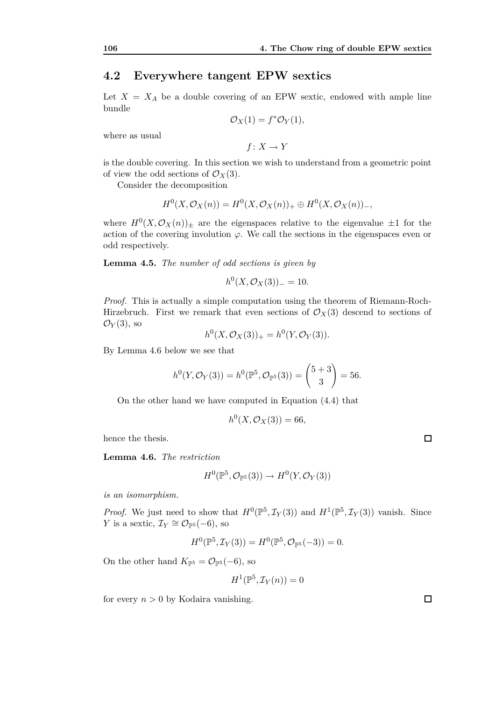#### **4.2 Everywhere tangent EPW sextics**

Let  $X = X_A$  be a double covering of an EPW sextic, endowed with ample line bundle

$$
\mathcal{O}_X(1) = f^* \mathcal{O}_Y(1),
$$

where as usual

 $f: X \to Y$ 

is the double covering. In this section we wish to understand from a geometric point of view the odd sections of  $\mathcal{O}_X(3)$ .

Consider the decomposition

$$
H^0(X, \mathcal{O}_X(n)) = H^0(X, \mathcal{O}_X(n))_+ \oplus H^0(X, \mathcal{O}_X(n))_-,
$$

where  $H^0(X, \mathcal{O}_X(n))_{\pm}$  are the eigenspaces relative to the eigenvalue  $\pm 1$  for the action of the covering involution  $\varphi$ . We call the sections in the eigenspaces even or odd respectively.

**Lemma 4.5.** *The number of odd sections is given by*

 $h^0(X, \mathcal{O}_X(3))_-=10.$ 

*Proof.* This is actually a simple computation using the theorem of Riemann-Roch-Hirzebruch. First we remark that even sections of  $\mathcal{O}_X(3)$  descend to sections of  $\mathcal{O}_Y(3)$ , so

$$
h^{0}(X, \mathcal{O}_{X}(3))_{+} = h^{0}(Y, \mathcal{O}_{Y}(3)).
$$

By Lemma 4.6 below we see that

$$
h^0(Y, \mathcal{O}_Y(3)) = h^0(\mathbb{P}^5, \mathcal{O}_{\mathbb{P}^5}(3)) = {\binom{5+3}{3}} = 56.
$$

On the other hand we have computed in Equation (4.4) that

$$
h^0(X, \mathcal{O}_X(3)) = 66,
$$

hence the thesis.

**Lemma 4.6.** *The restriction*

$$
H^0(\mathbb{P}^5, \mathcal{O}_{\mathbb{P}^5}(3)) \to H^0(Y, \mathcal{O}_Y(3))
$$

*is an isomorphism.*

*Proof.* We just need to show that  $H^0(\mathbb{P}^5, \mathcal{I}_Y(3))$  and  $H^1(\mathbb{P}^5, \mathcal{I}_Y(3))$  vanish. Since *Y* is a sextic,  $\mathcal{I}_Y \cong \mathcal{O}_{\mathbb{P}^5}(-6)$ , so

$$
H^{0}(\mathbb{P}^{5}, \mathcal{I}_{Y}(3)) = H^{0}(\mathbb{P}^{5}, \mathcal{O}_{\mathbb{P}^{5}}(-3)) = 0.
$$

On the other hand  $K_{\mathbb{P}^5} = \mathcal{O}_{\mathbb{P}^5}(-6)$ , so

$$
H^1(\mathbb{P}^5, \mathcal{I}_Y(n)) = 0
$$

for every  $n > 0$  by Kodaira vanishing.

 $\Box$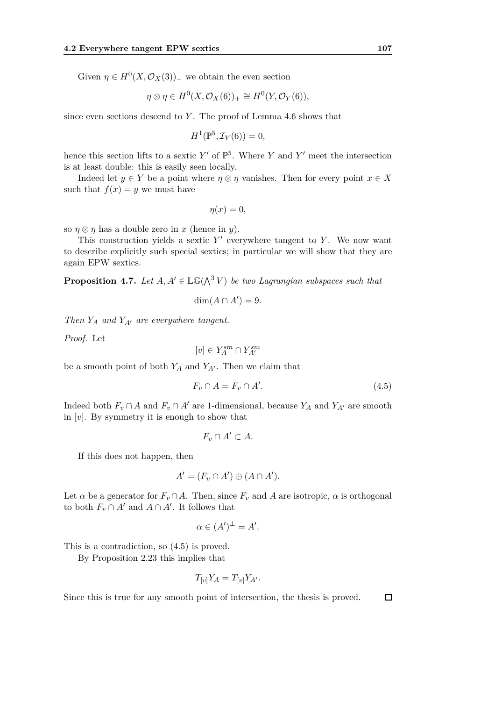Given  $\eta \in H^0(X, \mathcal{O}_X(3))$ <sub>−</sub> we obtain the even section

$$
\eta \otimes \eta \in H^0(X, \mathcal{O}_X(6))_+ \cong H^0(Y, \mathcal{O}_Y(6)),
$$

since even sections descend to *Y* . The proof of Lemma 4.6 shows that

$$
H^1(\mathbb{P}^5, \mathcal{I}_Y(6)) = 0,
$$

hence this section lifts to a sextic  $Y'$  of  $\mathbb{P}^5$ . Where Y and Y' meet the intersection is at least double: this is easily seen locally.

Indeed let  $y \in Y$  be a point where  $\eta \otimes \eta$  vanishes. Then for every point  $x \in X$ such that  $f(x) = y$  we must have

$$
\eta(x)=0,
$$

so  $\eta \otimes \eta$  has a double zero in *x* (hence in *y*).

This construction yields a sextic  $Y'$  everywhere tangent to  $Y$ . We now want to describe explicitly such special sextics; in particular we will show that they are again EPW sextics.

**Proposition 4.7.** Let  $A, A' \in \mathbb{LG}(\wedge^3 V)$  be two Lagrangian subspaces such that

$$
\dim(A \cap A') = 9.
$$

*Then Y<sup>A</sup> and YA′ are everywhere tangent.*

*Proof.* Let

$$
[v]\in Y^{sm}_A\cap Y^{sm}_{A'}
$$

be a smooth point of both  $Y_A$  and  $Y_{A'}$ . Then we claim that

$$
F_v \cap A = F_v \cap A'.\tag{4.5}
$$

Indeed both  $F_v \cap A$  and  $F_v \cap A'$  are 1-dimensional, because  $Y_A$  and  $Y_{A'}$  are smooth in [*v*]. By symmetry it is enough to show that

$$
F_v \cap A' \subset A.
$$

If this does not happen, then

$$
A' = (F_v \cap A') \oplus (A \cap A').
$$

Let  $\alpha$  be a generator for  $F_v \cap A$ . Then, since  $F_v$  and  $A$  are isotropic,  $\alpha$  is orthogonal to both  $F_v \cap A'$  and  $A \cap A'$ . It follows that

$$
\alpha \in (A')^{\perp} = A'.
$$

This is a contradiction, so (4.5) is proved.

By Proposition 2.23 this implies that

$$
T_{[v]}Y_A = T_{[v]}Y_{A'}.
$$

Since this is true for any smooth point of intersection, the thesis is proved.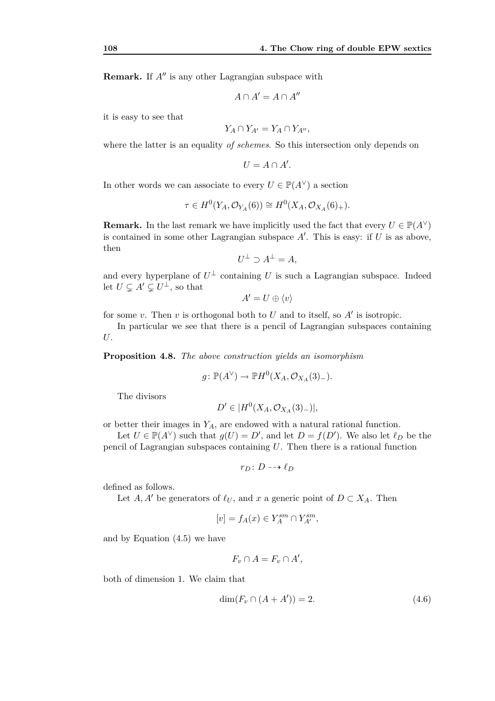**Remark.** If *A′′* is any other Lagrangian subspace with

$$
A \cap A' = A \cap A''
$$

it is easy to see that

$$
Y_A \cap Y_{A'} = Y_A \cap Y_{A''},
$$

where the latter is an equality *of schemes*. So this intersection only depends on

$$
U = A \cap A'.
$$

In other words we can associate to every  $U \in \mathbb{P}(A^{\vee})$  a section

$$
\tau \in H^0(Y_A, \mathcal{O}_{Y_A}(6)) \cong H^0(X_A, \mathcal{O}_{X_A}(6)_+).
$$

**Remark.** In the last remark we have implicitly used the fact that every  $U \in \mathbb{P}(A^{\vee})$ is contained in some other Lagrangian subspace  $A'$ . This is easy: if  $U$  is as above, then

$$
U^{\perp} \supset A^{\perp} = A,
$$

and every hyperplane of  $U^{\perp}$  containing *U* is such a Lagrangian subspace. Indeed let  $U \subsetneq A' \subsetneq U^{\perp}$ , so that

 $A' = U \oplus \langle v \rangle$ 

for some *v*. Then *v* is orthogonal both to *U* and to itself, so *A′* is isotropic.

In particular we see that there is a pencil of Lagrangian subspaces containing *U*.

**Proposition 4.8.** *The above construction yields an isomorphism*

$$
g \colon \mathbb{P}(A^{\vee}) \to \mathbb{P}H^{0}(X_A, \mathcal{O}_{X_A}(3)_{-}).
$$

The divisors

$$
D' \in |H^0(X_A, \mathcal{O}_{X_A}(3)_-)|,
$$

or better their images in *YA*, are endowed with a natural rational function.

Let  $U \in \mathbb{P}(A^{\vee})$  such that  $g(U) = D'$ , and let  $D = f(D')$ . We also let  $\ell_D$  be the pencil of Lagrangian subspaces containing *U*. Then there is a rational function

 $r_D: D \dashrightarrow \ell_D$ 

defined as follows.

Let *A*, *A'* be generators of  $\ell_U$ , and *x* a generic point of  $D \subset X_A$ . Then

$$
[v] = f_A(x) \in Y_A^{sm} \cap Y_{A'}^{sm},
$$

and by Equation (4.5) we have

$$
F_v \cap A = F_v \cap A',
$$

both of dimension 1. We claim that

$$
\dim(F_v \cap (A + A')) = 2. \tag{4.6}
$$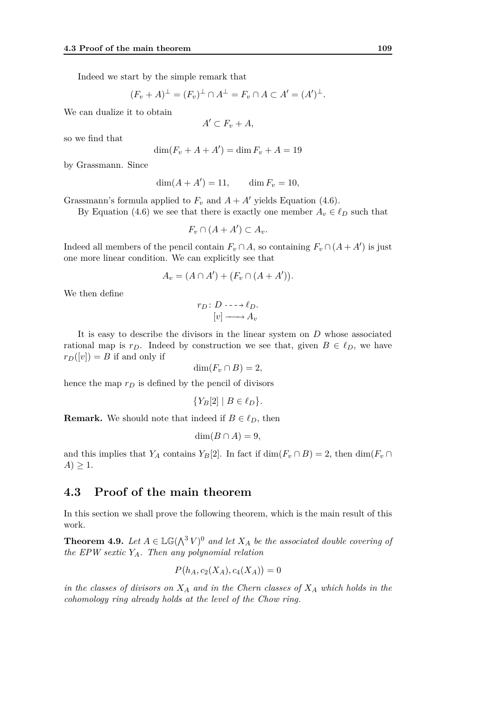Indeed we start by the simple remark that

$$
(F_v + A)^{\perp} = (F_v)^{\perp} \cap A^{\perp} = F_v \cap A \subset A' = (A')^{\perp}.
$$

We can dualize it to obtain

$$
A' \subset F_v + A,
$$

so we find that

$$
\dim(F_v + A + A') = \dim F_v + A = 19
$$

by Grassmann. Since

 $\dim(A + A') = 11, \qquad \dim F_v = 10,$ 

Grassmann's formula applied to  $F_v$  and  $A + A'$  yields Equation (4.6).

By Equation (4.6) we see that there is exactly one member  $A_v \in \ell_D$  such that

$$
F_v \cap (A + A') \subset A_v.
$$

Indeed all members of the pencil contain  $F_v \cap A$ , so containing  $F_v \cap (A + A')$  is just one more linear condition. We can explicitly see that

$$
A_v = (A \cap A') + (F_v \cap (A + A')).
$$

We then define

$$
r_D: D \dashrightarrow \ell_D.
$$

$$
[v] \longrightarrow A_v
$$

It is easy to describe the divisors in the linear system on *D* whose associated rational map is  $r_D$ . Indeed by construction we see that, given  $B \in \ell_D$ , we have  $r_D([v]) = B$  if and only if

$$
\dim(F_v \cap B) = 2,
$$

hence the map *r<sup>D</sup>* is defined by the pencil of divisors

$$
\{Y_B[2] \mid B \in \ell_D\}.
$$

**Remark.** We should note that indeed if  $B \in \ell_D$ , then

$$
\dim(B \cap A) = 9,
$$

and this implies that *Y<sub>A</sub>* contains *Y<sub>B</sub>*[2]. In fact if  $\dim(F_v \cap B) = 2$ , then  $\dim(F_v \cap B)$ *A*)  $\geq$  1.

#### **4.3 Proof of the main theorem**

In this section we shall prove the following theorem, which is the main result of this work.

**Theorem 4.9.** Let  $A \in \mathbb{LG}(\bigwedge^3 V)^0$  and let  $X_A$  be the associated double covering of *the EPW sextic YA. Then any polynomial relation*

$$
P(h_A, c_2(X_A), c_4(X_A)) = 0
$$

*in the classes of divisors on X<sup>A</sup> and in the Chern classes of X<sup>A</sup> which holds in the cohomology ring already holds at the level of the Chow ring.*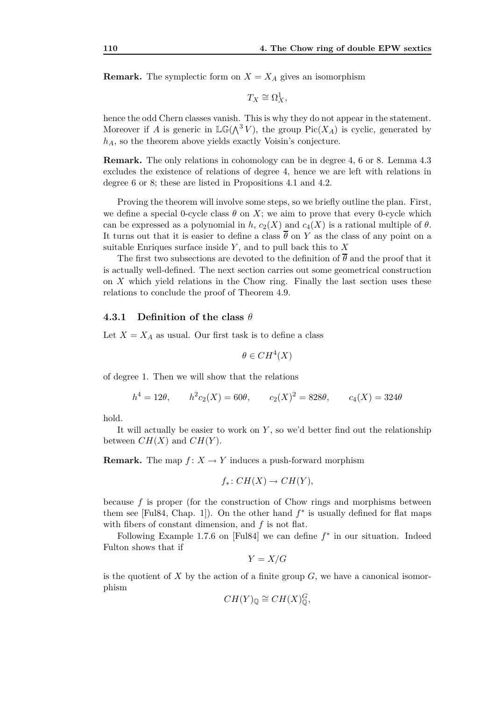**Remark.** The symplectic form on  $X = X_A$  gives an isomorphism

$$
T_X\cong \Omega^1_X,
$$

hence the odd Chern classes vanish. This is why they do not appear in the statement. Moreover if *A* is generic in  $\mathbb{LG}(\Lambda^3 V)$ , the group Pic $(X_A)$  is cyclic, generated by *hA*, so the theorem above yields exactly Voisin's conjecture.

**Remark.** The only relations in cohomology can be in degree 4, 6 or 8. Lemma 4.3 excludes the existence of relations of degree 4, hence we are left with relations in degree 6 or 8; these are listed in Propositions 4.1 and 4.2.

Proving the theorem will involve some steps, so we briefly outline the plan. First, we define a special 0-cycle class  $\theta$  on *X*; we aim to prove that every 0-cycle which can be expressed as a polynomial in *h*,  $c_2(X)$  and  $c_4(X)$  is a rational multiple of  $\theta$ . It turns out that it is easier to define a class  $\overline{\theta}$  on *Y* as the class of any point on a suitable Enriques surface inside *Y* , and to pull back this to *X*

The first two subsections are devoted to the definition of  $\overline{\theta}$  and the proof that it is actually well-defined. The next section carries out some geometrical construction on *X* which yield relations in the Chow ring. Finally the last section uses these relations to conclude the proof of Theorem 4.9.

#### **4.3.1 Definition of the class** *θ*

Let  $X = X_A$  as usual. Our first task is to define a class

$$
\theta \in CH^4(X)
$$

of degree 1. Then we will show that the relations

$$
h^4 = 12\theta
$$
,  $h^2 c_2(X) = 60\theta$ ,  $c_2(X)^2 = 828\theta$ ,  $c_4(X) = 324\theta$ 

hold.

It will actually be easier to work on *Y* , so we'd better find out the relationship between  $CH(X)$  and  $CH(Y)$ .

**Remark.** The map  $f: X \to Y$  induces a push-forward morphism

$$
f_*\colon CH(X)\to CH(Y),
$$

because *f* is proper (for the construction of Chow rings and morphisms between them see [Ful84, Chap. 1]). On the other hand  $f^*$  is usually defined for flat maps with fibers of constant dimension, and *f* is not flat.

Following Example 1*.*7*.*6 on [Ful84] we can define *f ∗* in our situation. Indeed Fulton shows that if

$$
Y = X/G
$$

is the quotient of  $X$  by the action of a finite group  $G$ , we have a canonical isomorphism

$$
CH(Y)_\mathbb{Q} \cong CH(X)_\mathbb{Q}^G,
$$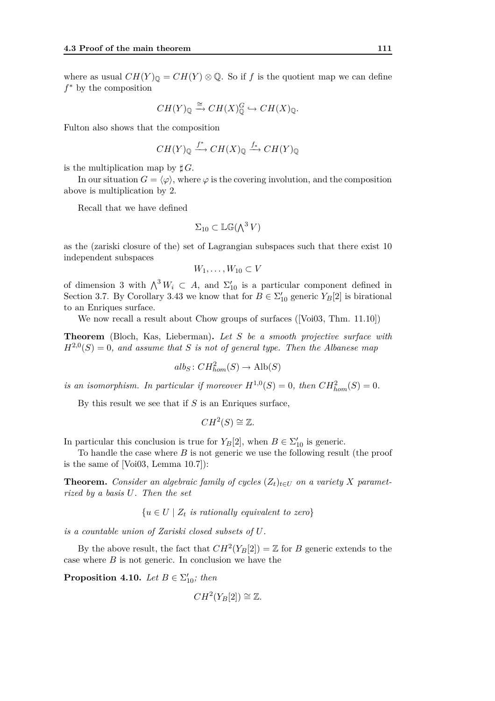where as usual  $CH(Y)_{\mathbb{Q}} = CH(Y) \otimes \mathbb{Q}$ . So if *f* is the quotient map we can define *f <sup>∗</sup>* by the composition

$$
CH(Y)_{\mathbb{Q}} \xrightarrow{\cong} CH(X)_{\mathbb{Q}}^G \hookrightarrow CH(X)_{\mathbb{Q}}.
$$

Fulton also shows that the composition

$$
CH(Y)_{\mathbb{Q}} \xrightarrow{f^*} CH(X)_{\mathbb{Q}} \xrightarrow{f_*} CH(Y)_{\mathbb{Q}}
$$

is the multiplication map by  $\sharp G$ .

In our situation  $G = \langle \varphi \rangle$ , where  $\varphi$  is the covering involution, and the composition above is multiplication by 2.

Recall that we have defined

$$
\Sigma_{10} \subset \mathbb{LG}(\Lambda^3 V)
$$

as the (zariski closure of the) set of Lagrangian subspaces such that there exist 10 independent subspaces

$$
W_1,\ldots,W_{10}\subset V
$$

of dimension 3 with  $\bigwedge^3 W_i \subset A$ , and  $\Sigma'_{10}$  is a particular component defined in Section 3.7. By Corollary 3.43 we know that for  $B \in \Sigma'_{10}$  generic  $Y_B[2]$  is birational to an Enriques surface.

We now recall a result about Chow groups of surfaces ([Voi03, Thm. 11*.*10])

**Theorem** (Bloch, Kas, Lieberman)**.** *Let S be a smooth projective surface with*  $H^{2,0}(S) = 0$ , and assume that *S* is not of general type. Then the Albanese map

$$
alb_S: CH^2_{hom}(S) \to Alb(S)
$$

*is an isomorphism. In particular if moreover*  $H^{1,0}(S) = 0$ , then  $CH_{hom}^2(S) = 0$ .

By this result we see that if *S* is an Enriques surface,

$$
CH^2(S) \cong \mathbb{Z}.
$$

In particular this conclusion is true for  $Y_B[2]$ , when  $B \in \Sigma'_{10}$  is generic.

To handle the case where *B* is not generic we use the following result (the proof is the same of [Voi03, Lemma 10.7]):

**Theorem.** *Consider an algebraic family of cycles*  $(Z_t)_{t \in U}$  *on a variety X parametrized by a basis U. Then the set*

 ${u \in U \mid Z_t \text{ is rationally equivalent to zero}}$ 

*is a countable union of Zariski closed subsets of U.*

By the above result, the fact that  $CH^2(Y_B[2]) = \mathbb{Z}$  for *B* generic extends to the case where *B* is not generic. In conclusion we have the

**Proposition 4.10.** *Let*  $B \in \Sigma'_{10}$ *; then* 

$$
CH^2(Y_B[2]) \cong \mathbb{Z}.
$$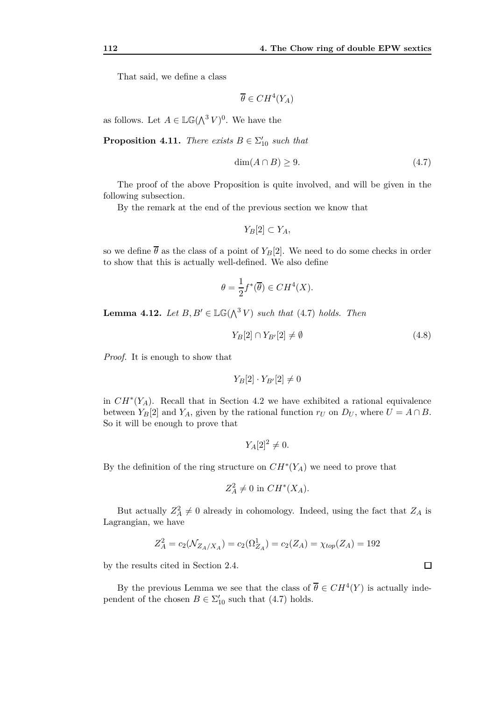That said, we define a class

$$
\overline{\theta} \in CH^4(Y_A)
$$

as follows. Let  $A \in \mathbb{LG}(\bigwedge^3 V)^0$ . We have the

**Proposition 4.11.** *There exists*  $B \in \Sigma'_{10}$  *such that* 

$$
\dim(A \cap B) \ge 9. \tag{4.7}
$$

The proof of the above Proposition is quite involved, and will be given in the following subsection.

By the remark at the end of the previous section we know that

$$
Y_B[2]\subset Y_A,
$$

so we define  $\overline{\theta}$  as the class of a point of  $Y_B[2]$ . We need to do some checks in order to show that this is actually well-defined. We also define

$$
\theta = \frac{1}{2} f^*(\overline{\theta}) \in CH^4(X).
$$

**Lemma 4.12.** *Let*  $B, B' \in \mathbb{LG}(\bigwedge^3 V)$  *such that* (4.7) *holds. Then* 

$$
Y_B[2] \cap Y_{B'}[2] \neq \emptyset \tag{4.8}
$$

*Proof.* It is enough to show that

$$
Y_B[2]\cdot Y_{B'}[2]\neq 0
$$

in  $CH^*(Y_A)$ . Recall that in Section 4.2 we have exhibited a rational equivalence between  $Y_B[2]$  and  $Y_A$ , given by the rational function  $r_U$  on  $D_U$ , where  $U = A \cap B$ . So it will be enough to prove that

$$
Y_A[2]^2 \neq 0.
$$

By the definition of the ring structure on *CH<sup>∗</sup>* (*YA*) we need to prove that

$$
Z_A^2 \neq 0 \text{ in } CH^*(X_A).
$$

But actually  $Z_A^2 \neq 0$  already in cohomology. Indeed, using the fact that  $Z_A$  is Lagrangian, we have

$$
Z_A^2 = c_2(\mathcal{N}_{Z_A/X_A}) = c_2(\Omega_{Z_A}^1) = c_2(Z_A) = \chi_{top}(Z_A) = 192
$$

by the results cited in Section 2.4.

By the previous Lemma we see that the class of  $\overline{\theta} \in CH^4(Y)$  is actually independent of the chosen  $B \in \Sigma'_{10}$  such that (4.7) holds.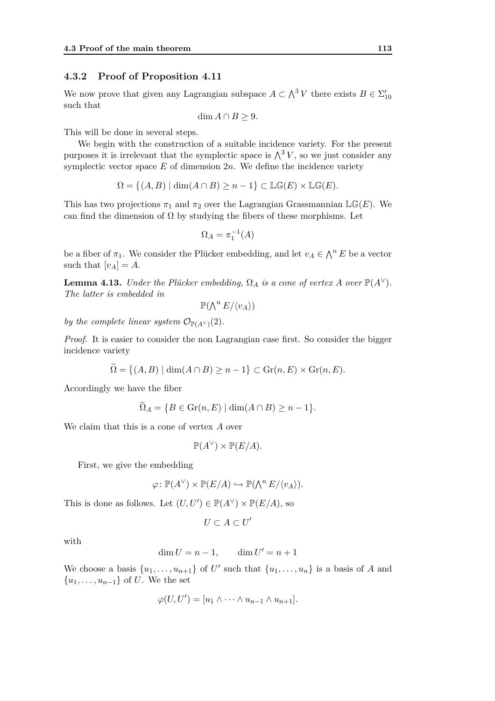#### **4.3.2 Proof of Proposition 4.11**

We now prove that given any Lagrangian subspace  $A \subset \Lambda^3 V$  there exists  $B \in \Sigma'_{10}$ such that

$$
\dim A \cap B \ge 9.
$$

This will be done in several steps.

We begin with the construction of a suitable incidence variety. For the present purposes it is irrelevant that the symplectic space is  $\bigwedge^3 V$ , so we just consider any symplectic vector space  $E$  of dimension  $2n$ . We define the incidence variety

$$
\Omega = \{(A, B) \mid \dim(A \cap B) \ge n - 1\} \subset \mathbb{LG}(E) \times \mathbb{LG}(E).
$$

This has two projections  $\pi_1$  and  $\pi_2$  over the Lagrangian Grassmannian LG(*E*). We can find the dimension of  $\Omega$  by studying the fibers of these morphisms. Let

$$
\Omega_A = \pi_1^{-1}(A)
$$

be a fiber of  $\pi_1$ . We consider the Plücker embedding, and let  $v_A \in \bigwedge^n E$  be a vector such that  $[v_A] = A$ .

**Lemma 4.13.** *Under the Plücker embedding,*  $\Omega_A$  *is a cone of vertex A over*  $\mathbb{P}(A^{\vee})$ *. The latter is embedded in*

$$
\mathbb{P}(\bigwedge^n E/\langle v_A \rangle)
$$

*by the complete linear system*  $\mathcal{O}_{\mathbb{P}(A^{\vee})}(2)$ *.* 

*Proof.* It is easier to consider the non Lagrangian case first. So consider the bigger incidence variety

$$
\widetilde{\Omega} = \{ (A, B) \mid \dim(A \cap B) \ge n - 1 \} \subset \operatorname{Gr}(n, E) \times \operatorname{Gr}(n, E).
$$

Accordingly we have the fiber

$$
\widetilde{\Omega}_A = \{ B \in \operatorname{Gr}(n, E) \mid \dim(A \cap B) \ge n - 1 \}.
$$

We claim that this is a cone of vertex *A* over

$$
\mathbb{P}(A^{\vee}) \times \mathbb{P}(E/A).
$$

First, we give the embedding

$$
\varphi \colon \mathbb{P}(A^{\vee}) \times \mathbb{P}(E/A) \hookrightarrow \mathbb{P}(\bigwedge^n E/\langle v_A \rangle).
$$

This is done as follows. Let  $(U, U') \in \mathbb{P}(A^{\vee}) \times \mathbb{P}(E/A)$ , so

$$
U\subset A\subset U'
$$

with

$$
\dim U = n - 1, \qquad \dim U' = n + 1
$$

We choose a basis  $\{u_1, \ldots, u_{n+1}\}$  of U' such that  $\{u_1, \ldots, u_n\}$  is a basis of *A* and *{u*1*, . . . , un−*1*}* of *U*. We the set

$$
\varphi(U, U') = [u_1 \wedge \cdots \wedge u_{n-1} \wedge u_{n+1}].
$$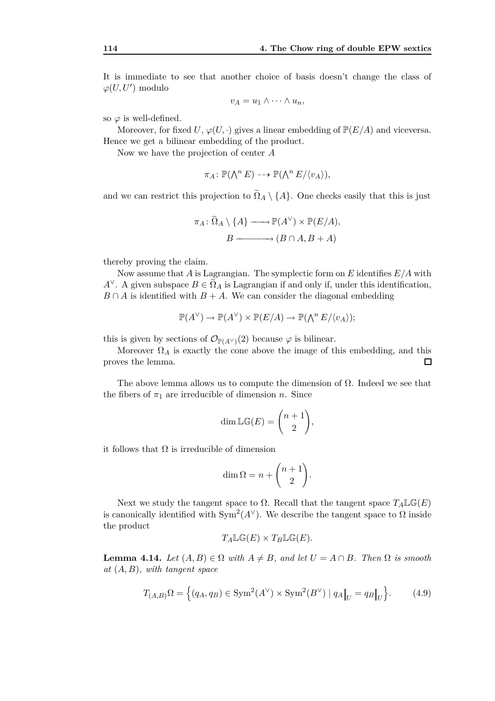It is immediate to see that another choice of basis doesn't change the class of  $\varphi(U, U')$  modulo

$$
v_A = u_1 \wedge \cdots \wedge u_n,
$$

so  $\varphi$  is well-defined.

Moreover, for fixed *U*,  $\varphi(U, \cdot)$  gives a linear embedding of  $\mathbb{P}(E/A)$  and viceversa. Hence we get a bilinear embedding of the product.

Now we have the projection of center *A*

$$
\pi_A\colon \mathbb{P}(\bigwedge^n E) \dashrightarrow \mathbb{P}(\bigwedge^n E/\langle v_A \rangle),
$$

and we can restrict this projection to  $\Omega_A \setminus \{A\}$ . One checks easily that this is just

$$
\pi_A \colon \widetilde{\Omega}_A \setminus \{A\} \longrightarrow \mathbb{P}(A^{\vee}) \times \mathbb{P}(E/A),
$$

$$
B \longrightarrow (B \cap A, B + A)
$$

thereby proving the claim.

Now assume that *A* is Lagrangian. The symplectic form on *E* identifies *E/A* with  $A^{\vee}$ . A given subspace  $B \in \tilde{\Omega}_A$  is Lagrangian if and only if, under this identification,  $B \cap A$  is identified with  $B + A$ . We can consider the diagonal embedding

$$
\mathbb{P}(A^{\vee}) \to \mathbb{P}(A^{\vee}) \times \mathbb{P}(E/A) \to \mathbb{P}(\bigwedge^n E/\langle v_A \rangle);
$$

this is given by sections of  $\mathcal{O}_{\mathbb{P}(A^{\vee})}(2)$  because  $\varphi$  is bilinear.

Moreover  $\Omega_A$  is exactly the cone above the image of this embedding, and this proves the lemma.  $\Box$ 

The above lemma allows us to compute the dimension of  $\Omega$ . Indeed we see that the fibers of  $\pi_1$  are irreducible of dimension *n*. Since

$$
\dim \mathbb{LG}(E) = \binom{n+1}{2},
$$

it follows that  $\Omega$  is irreducible of dimension

$$
\dim \Omega = n + \binom{n+1}{2}.
$$

Next we study the tangent space to  $\Omega$ . Recall that the tangent space  $T_A \mathbb{LG}(E)$ is canonically identified with  $Sym^2(A^{\vee})$ . We describe the tangent space to  $\Omega$  inside the product

$$
T_A \mathbb{LG}(E) \times T_B \mathbb{LG}(E).
$$

**Lemma 4.14.** Let  $(A, B) \in \Omega$  with  $A \neq B$ , and let  $U = A \cap B$ . Then  $\Omega$  is smooth *at* (*A, B*)*, with tangent space*

$$
T_{(A,B)}\Omega = \left\{ (q_A, q_B) \in \text{Sym}^2(A^{\vee}) \times \text{Sym}^2(B^{\vee}) \mid q_A \big|_U = q_B \big|_U \right\}.
$$
 (4.9)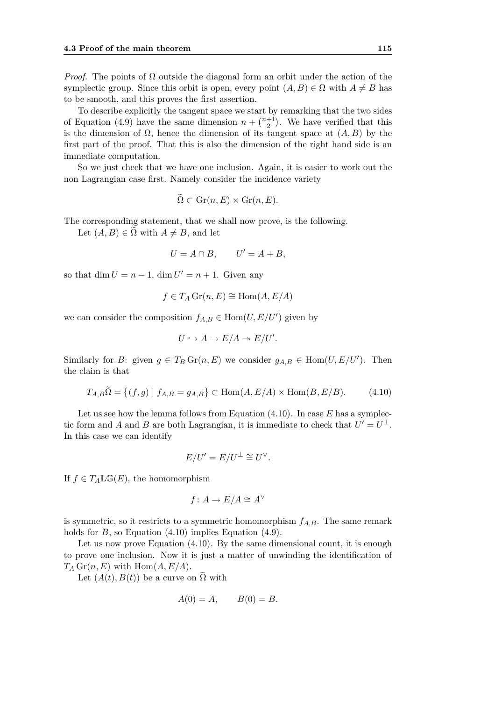*Proof.* The points of  $\Omega$  outside the diagonal form an orbit under the action of the symplectic group. Since this orbit is open, every point  $(A, B) \in \Omega$  with  $A \neq B$  has to be smooth, and this proves the first assertion.

To describe explicitly the tangent space we start by remarking that the two sides of Equation (4.9) have the same dimension  $n + \binom{n+1}{2}$ . We have verified that this is the dimension of  $\Omega$ , hence the dimension of its tangent space at  $(A, B)$  by the first part of the proof. That this is also the dimension of the right hand side is an immediate computation.

So we just check that we have one inclusion. Again, it is easier to work out the non Lagrangian case first. Namely consider the incidence variety

$$
\tilde{\Omega} \subset \operatorname{Gr}(n, E) \times \operatorname{Gr}(n, E).
$$

The corresponding statement, that we shall now prove, is the following.

Let  $(A, B) \in \Omega$  with  $A \neq B$ , and let

$$
U = A \cap B, \qquad U' = A + B,
$$

so that  $\dim U = n - 1$ ,  $\dim U' = n + 1$ . Given any

$$
f \in T_A \operatorname{Gr}(n, E) \cong \operatorname{Hom}(A, E/A)
$$

we can consider the composition  $f_{A,B} \in \text{Hom}(U, E/U')$  given by

$$
U \hookrightarrow A \to E/A \twoheadrightarrow E/U'.
$$

Similarly for *B*: given  $g \in T_B$  Gr $(n, E)$  we consider  $g_{A,B} \in \text{Hom}(U, E/U')$ . Then the claim is that

$$
T_{A,B}\widetilde{\Omega} = \{(f,g) \mid f_{A,B} = g_{A,B}\} \subset \text{Hom}(A, E/A) \times \text{Hom}(B, E/B). \tag{4.10}
$$

Let us see how the lemma follows from Equation (4.10). In case *E* has a symplectic form and *A* and *B* are both Lagrangian, it is immediate to check that  $U' = U^{\perp}$ . In this case we can identify

$$
E/U'=E/U^\perp\cong U^\vee.
$$

If  $f \in T_A \mathbb{LG}(E)$ , the homomorphism

$$
f\colon A\to E/A\cong A^\vee
$$

is symmetric, so it restricts to a symmetric homomorphism  $f_{A,B}$ . The same remark holds for *B*, so Equation (4.10) implies Equation (4.9).

Let us now prove Equation  $(4.10)$ . By the same dimensional count, it is enough to prove one inclusion. Now it is just a matter of unwinding the identification of  $T_A$  Gr(*n, E*) with Hom(*A, E*/*A*).

Let  $(A(t), B(t))$  be a curve on  $\tilde{\Omega}$  with

$$
A(0) = A, \qquad B(0) = B.
$$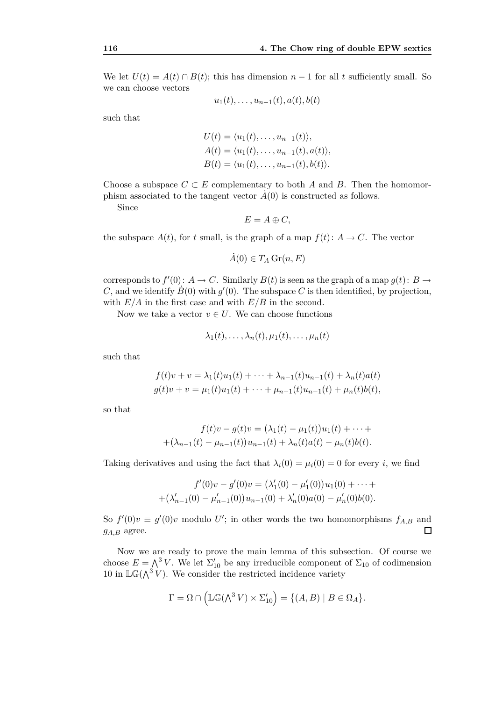We let  $U(t) = A(t) \cap B(t)$ ; this has dimension  $n-1$  for all *t* sufficiently small. So we can choose vectors

$$
u_1(t),\ldots,u_{n-1}(t),a(t),b(t)
$$

such that

$$
U(t) = \langle u_1(t), \dots, u_{n-1}(t) \rangle,
$$
  
\n
$$
A(t) = \langle u_1(t), \dots, u_{n-1}(t), a(t) \rangle,
$$
  
\n
$$
B(t) = \langle u_1(t), \dots, u_{n-1}(t), b(t) \rangle.
$$

Choose a subspace  $C \subset E$  complementary to both *A* and *B*. Then the homomorphism associated to the tangent vector  $\vec{A}(0)$  is constructed as follows.

Since

$$
E=A\oplus C,
$$

the subspace  $A(t)$ , for *t* small, is the graph of a map  $f(t)$ :  $A \rightarrow C$ . The vector

$$
A(0) \in T_A \operatorname{Gr}(n, E)
$$

corresponds to  $f'(0): A \to C$ . Similarly  $B(t)$  is seen as the graph of a map  $g(t): B \to$ *C*, and we identify  $\dot{B}(0)$  with  $g'(0)$ . The subspace *C* is then identified, by projection, with  $E/A$  in the first case and with  $E/B$  in the second.

Now we take a vector  $v \in U$ . We can choose functions

$$
\lambda_1(t),\ldots,\lambda_n(t),\mu_1(t),\ldots,\mu_n(t)
$$

such that

$$
f(t)v + v = \lambda_1(t)u_1(t) + \dots + \lambda_{n-1}(t)u_{n-1}(t) + \lambda_n(t)a(t)
$$
  
 
$$
g(t)v + v = \mu_1(t)u_1(t) + \dots + \mu_{n-1}(t)u_{n-1}(t) + \mu_n(t)b(t),
$$

so that

$$
f(t)v - g(t)v = (\lambda_1(t) - \mu_1(t))u_1(t) + \cdots +
$$
  
+
$$
(\lambda_{n-1}(t) - \mu_{n-1}(t))u_{n-1}(t) + \lambda_n(t)a(t) - \mu_n(t)b(t).
$$

Taking derivatives and using the fact that  $\lambda_i(0) = \mu_i(0) = 0$  for every *i*, we find

$$
f'(0)v - g'(0)v = (\lambda'_1(0) - \mu'_1(0))u_1(0) + \cdots + (\lambda'_{n-1}(0) - \mu'_{n-1}(0))u_{n-1}(0) + \lambda'_n(0)a(0) - \mu'_n(0)b(0).
$$

So  $f'(0)v \equiv g'(0)v$  modulo *U*'; in other words the two homomorphisms  $f_{A,B}$  and *gA,B* agree.  $\Box$ 

Now we are ready to prove the main lemma of this subsection. Of course we choose  $E = \bigwedge^3 V$ . We let  $\Sigma'_{10}$  be any irreducible component of  $\Sigma_{10}$  of codimension 10 in  $\mathbb{LG}(\Lambda^3 V)$ . We consider the restricted incidence variety

$$
\Gamma = \Omega \cap \left( \mathbb{LG}(\Lambda^3 V) \times \Sigma_{10}' \right) = \{ (A, B) \mid B \in \Omega_A \}.
$$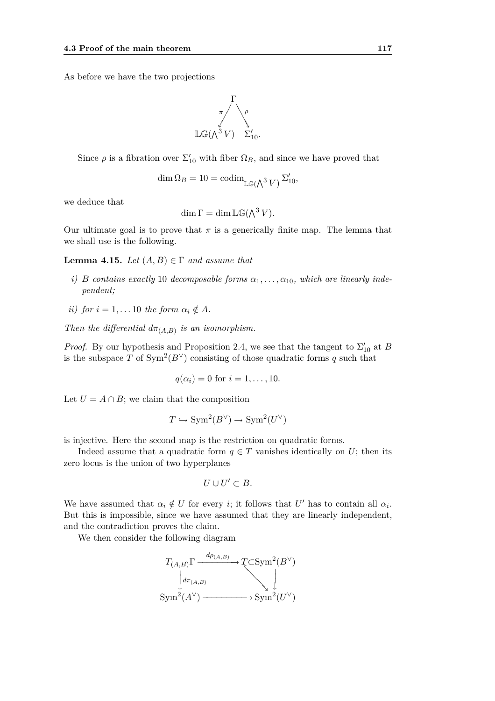As before we have the two projections



Since  $\rho$  is a fibration over  $\Sigma'_{10}$  with fiber  $\Omega_B$ , and since we have proved that

$$
\dim \Omega_B = 10 = \operatorname{codim}_{\mathbb{LG}(\bigwedge^3 V)} \Sigma'_{10},
$$

we deduce that

$$
\dim \Gamma = \dim \mathbb{LG}(\bigwedge^3 V).
$$

Our ultimate goal is to prove that  $\pi$  is a generically finite map. The lemma that we shall use is the following.

**Lemma 4.15.** *Let*  $(A, B) \in \Gamma$  *and assume that* 

- *i) B contains exactly* 10 *decomposable forms*  $\alpha_1, \ldots, \alpha_{10}$ *, which are linearly independent;*
- *ii)* for  $i = 1, \ldots 10$  the form  $\alpha_i \notin A$ .

*Then the differential*  $d\pi_{(A,B)}$  *is an isomorphism.* 

*Proof.* By our hypothesis and Proposition 2.4, we see that the tangent to  $\Sigma'_{10}$  at *B* is the subspace *T* of  $Sym^2(B^{\vee})$  consisting of those quadratic forms *q* such that

$$
q(\alpha_i)=0 \text{ for } i=1,\ldots,10.
$$

Let  $U = A \cap B$ ; we claim that the composition

$$
T \hookrightarrow \text{Sym}^2(B^{\vee}) \to \text{Sym}^2(U^{\vee})
$$

is injective. Here the second map is the restriction on quadratic forms.

Indeed assume that a quadratic form  $q \in T$  vanishes identically on *U*; then its zero locus is the union of two hyperplanes

$$
U\cup U'\subset B.
$$

We have assumed that  $\alpha_i \notin U$  for every *i*; it follows that  $U'$  has to contain all  $\alpha_i$ . But this is impossible, since we have assumed that they are linearly independent, and the contradiction proves the claim.

We then consider the following diagram

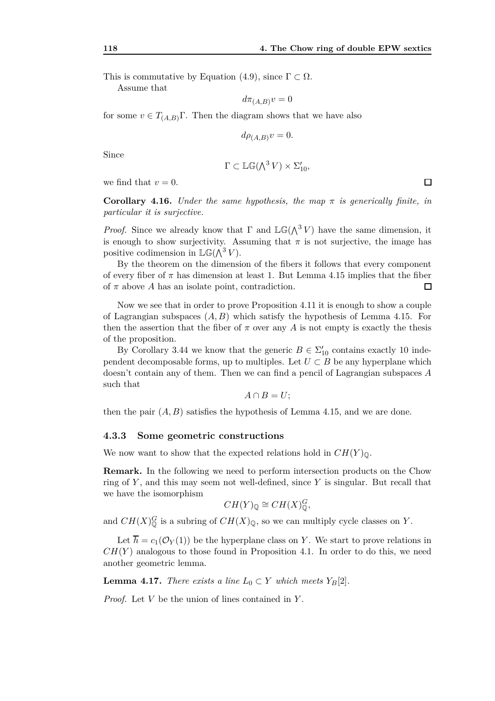This is commutative by Equation (4.9), since  $\Gamma \subset \Omega$ .

Assume that

$$
d\pi_{(A,B)}v=0
$$

for some  $v \in T_{(A,B)}\Gamma$ . Then the diagram shows that we have also

$$
d\rho_{(A,B)}v=0.
$$

Since

$$
\Gamma \subset \mathbb{LG}(\Lambda^3 V) \times \Sigma'_{10},
$$

we find that  $v = 0$ .

**Corollary 4.16.** *Under the same hypothesis, the map*  $\pi$  *is generically finite, in particular it is surjective.*

*Proof.* Since we already know that  $\Gamma$  and  $\mathbb{LG}(\Lambda^3 V)$  have the same dimension, it is enough to show surjectivity. Assuming that  $\pi$  is not surjective, the image has positive codimension in  $\mathbb{LG}(\Lambda^3 V)$ .

By the theorem on the dimension of the fibers it follows that every component of every fiber of  $\pi$  has dimension at least 1. But Lemma 4.15 implies that the fiber of *π* above *A* has an isolate point, contradiction.  $\Box$ 

Now we see that in order to prove Proposition 4.11 it is enough to show a couple of Lagrangian subspaces (*A, B*) which satisfy the hypothesis of Lemma 4.15. For then the assertion that the fiber of  $\pi$  over any  $A$  is not empty is exactly the thesis of the proposition.

By Corollary 3.44 we know that the generic  $B \in \Sigma'_{10}$  contains exactly 10 independent decomposable forms, up to multiples. Let  $U \subset B$  be any hyperplane which doesn't contain any of them. Then we can find a pencil of Lagrangian subspaces *A* such that

$$
A\cap B=U;
$$

then the pair  $(A, B)$  satisfies the hypothesis of Lemma 4.15, and we are done.

#### **4.3.3 Some geometric constructions**

We now want to show that the expected relations hold in  $CH(Y)_{\mathbb{Q}}$ .

**Remark.** In the following we need to perform intersection products on the Chow ring of *Y* , and this may seem not well-defined, since *Y* is singular. But recall that we have the isomorphism

$$
CH(Y)_{\mathbb{Q}} \cong CH(X)_{\mathbb{Q}}^G,
$$

and  $CH(X)_{\mathbb{Q}}^G$  is a subring of  $CH(X)_{\mathbb{Q}}$ , so we can multiply cycle classes on *Y*.

Let  $\overline{h} = c_1(\mathcal{O}_Y(1))$  be the hyperplane class on *Y*. We start to prove relations in  $CH(Y)$  analogous to those found in Proposition 4.1. In order to do this, we need another geometric lemma.

**Lemma 4.17.** *There exists a line*  $L_0 \subset Y$  *which meets*  $Y_B[2]$ *.* 

*Proof.* Let *V* be the union of lines contained in *Y* .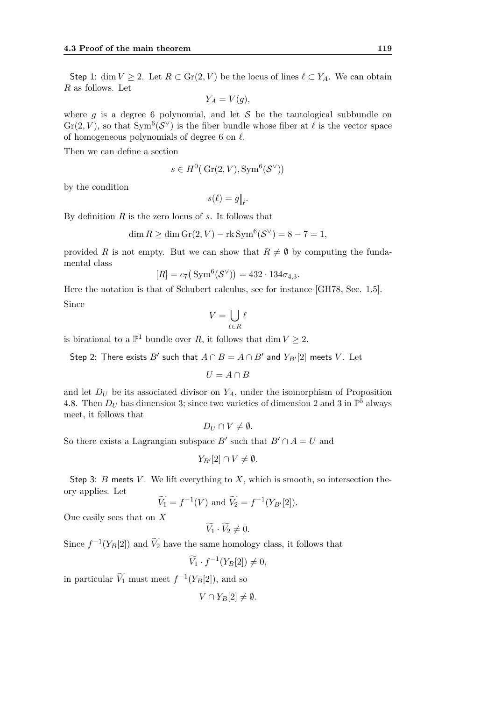Step 1: dim  $V \geq 2$ . Let  $R \subset \text{Gr}(2, V)$  be the locus of lines  $\ell \subset Y_A$ . We can obtain *R* as follows. Let

$$
Y_A = V(g),
$$

where *g* is a degree 6 polynomial, and let *S* be the tautological subbundle on  $\text{Gr}(2, V)$ , so that  $\text{Sym}^{6}(\mathcal{S}^{\vee})$  is the fiber bundle whose fiber at  $\ell$  is the vector space of homogeneous polynomials of degree 6 on *ℓ*.

Then we can define a section

$$
s \in H^0(\operatorname{Gr}(2, V), \operatorname{Sym}^6(\mathcal{S}^\vee))
$$

by the condition

$$
s(\ell) = g\big|_{\ell}.
$$

By definition *R* is the zero locus of *s*. It follows that

$$
\dim R \ge \dim \operatorname{Gr}(2, V) - \operatorname{rk} \operatorname{Sym}^6(\mathcal{S}^{\vee}) = 8 - 7 = 1,
$$

provided *R* is not empty. But we can show that  $R \neq \emptyset$  by computing the fundamental class

$$
[R] = c_7(\text{Sym}^6(\mathcal{S}^{\vee})) = 432 \cdot 134 \sigma_{4,3}.
$$

Here the notation is that of Schubert calculus, see for instance [GH78, Sec. 1*.*5]. Since

$$
V=\bigcup_{\ell\in R}\ell
$$

is birational to a  $\mathbb{P}^1$  bundle over *R*, it follows that dim  $V \geq 2$ .

Step 2: There exists  $B'$  such that  $A \cap B = A \cap B'$  and  $Y_{B'}[2]$  meets  $V$ . Let

$$
U=A\cap B
$$

and let  $D_U$  be its associated divisor on  $Y_A$ , under the isomorphism of Proposition 4.8. Then  $D_U$  has dimension 3; since two varieties of dimension 2 and 3 in  $\mathbb{P}^5$  always meet, it follows that

$$
D_U \cap V \neq \emptyset.
$$

So there exists a Lagrangian subspace  $B'$  such that  $B' \cap A = U$  and

$$
Y_{B'}[2] \cap V \neq \emptyset.
$$

Step 3: *B* meets *V*. We lift everything to *X*, which is smooth, so intersection theory applies. Let

$$
\widetilde{V}_1 = f^{-1}(V)
$$
 and  $\widetilde{V}_2 = f^{-1}(Y_{B'}[2]).$ 

One easily sees that on *X*

$$
V_1 \cdot V_2 \neq 0.
$$

Since  $f^{-1}(Y_B[2])$  and  $\tilde{V}_2$  have the same homology class, it follows that

$$
\widetilde{V}_1 \cdot f^{-1}(Y_B[2]) \neq 0,
$$

in particular  $\widetilde{V}_1$  must meet  $f^{-1}(Y_B[2])$ , and so

$$
V \cap Y_B[2] \neq \emptyset.
$$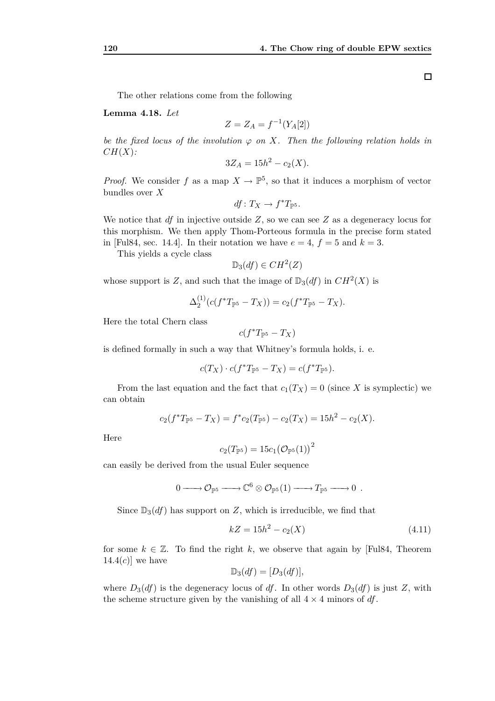The other relations come from the following

**Lemma 4.18.** *Let*

$$
Z = Z_A = f^{-1}(Y_A[2])
$$

*be the fixed locus of the involution*  $\varphi$  *on X. Then the following relation holds in CH*(*X*)*:*

$$
3Z_A = 15h^2 - c_2(X).
$$

*Proof.* We consider f as a map  $X \to \mathbb{P}^5$ , so that it induces a morphism of vector bundles over *X*

$$
df\colon T_X\to f^*T_{{\mathbb P}^5}.
$$

We notice that *df* in injective outside *Z*, so we can see *Z* as a degeneracy locus for this morphism. We then apply Thom-Porteous formula in the precise form stated in [Ful84, sec. 14.4]. In their notation we have  $e = 4$ ,  $f = 5$  and  $k = 3$ .

This yields a cycle class

$$
\mathbb{D}_3(df) \in CH^2(Z)
$$

whose support is *Z*, and such that the image of  $\mathbb{D}_3(df)$  in  $CH^2(X)$  is

$$
\Delta_2^{(1)}(c(f^*T_{\mathbb{P}^5}-T_X))=c_2(f^*T_{\mathbb{P}^5}-T_X).
$$

Here the total Chern class

$$
c(f^*T_{\mathbb{P}^5}-T_X)
$$

is defined formally in such a way that Whitney's formula holds, i. e.

$$
c(T_X)\cdot c(f^*T_{\mathbb{P}^5}-T_X)=c(f^*T_{\mathbb{P}^5}).
$$

From the last equation and the fact that  $c_1(T_X) = 0$  (since X is symplectic) we can obtain

$$
c_2(f^*T_{\mathbb{P}^5} - T_X) = f^*c_2(T_{\mathbb{P}^5}) - c_2(T_X) = 15h^2 - c_2(X).
$$

Here

$$
c_2(T_{\mathbb{P}^5}) = 15c_1(\mathcal{O}_{\mathbb{P}^5}(1))^2
$$

can easily be derived from the usual Euler sequence

$$
0 \longrightarrow {\mathcal O}_{\mathbb P^5} \longrightarrow {\mathbb C}^6 \otimes {\mathcal O}_{\mathbb P^5}(1) \longrightarrow T_{\mathbb P^5} \longrightarrow 0.
$$

Since  $\mathbb{D}_3(df)$  has support on *Z*, which is irreducible, we find that

$$
kZ = 15h^2 - c_2(X) \tag{4.11}
$$

for some  $k \in \mathbb{Z}$ . To find the right k, we observe that again by [Ful84, Theorem 14.4 $(c)$ ] we have

$$
\mathbb{D}_3(df) = [D_3(df)],
$$

where  $D_3(df)$  is the degeneracy locus of df. In other words  $D_3(df)$  is just Z, with the scheme structure given by the vanishing of all  $4 \times 4$  minors of *df*.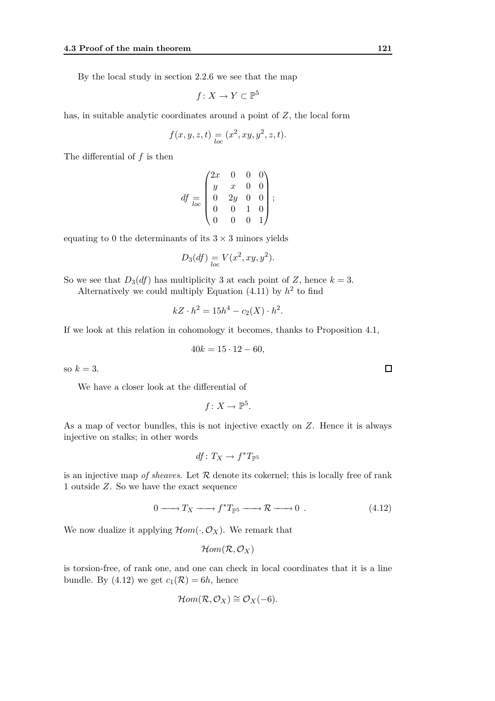By the local study in section 2.2.6 we see that the map

$$
f \colon X \to Y \subset \mathbb{P}^5
$$

has, in suitable analytic coordinates around a point of *Z*, the local form

$$
f(x, y, z, t) = (x^2, xy, y^2, z, t).
$$

The differential of *f* is then

$$
df = \begin{pmatrix} 2x & 0 & 0 & 0 \\ y & x & 0 & 0 \\ 0 & 2y & 0 & 0 \\ 0 & 0 & 1 & 0 \\ 0 & 0 & 0 & 1 \end{pmatrix};
$$

equating to 0 the determinants of its  $3 \times 3$  minors yields

$$
D_3(df) \underset{loc}{=} V(x^2, xy, y^2).
$$

So we see that  $D_3(df)$  has multiplicity 3 at each point of *Z*, hence  $k = 3$ .

Alternatively we could multiply Equation  $(4.11)$  by  $h^2$  to find

$$
kZ \cdot h^2 = 15h^4 - c_2(X) \cdot h^2.
$$

If we look at this relation in cohomology it becomes, thanks to Proposition 4.1,

$$
40k = 15 \cdot 12 - 60,
$$

so  $k=3$ .

We have a closer look at the differential of

$$
f\colon X\to \mathbb{P}^5.
$$

As a map of vector bundles, this is not injective exactly on *Z*. Hence it is always injective on stalks; in other words

$$
\mathit{df} \colon T_X \to f^*T_{\mathbb P^5}
$$

is an injective map *of sheaves*. Let  $R$  denote its cokernel; this is locally free of rank 1 outside *Z*. So we have the exact sequence

$$
0 \longrightarrow T_X \longrightarrow f^*T_{\mathbb{P}^5} \longrightarrow \mathcal{R} \longrightarrow 0 . \tag{4.12}
$$

We now dualize it applying  $\mathcal{H}$ *om* $(\cdot, \mathcal{O}_X)$ . We remark that

$$
\mathcal{H}om(\mathcal{R},\mathcal{O}_X)
$$

is torsion-free, of rank one, and one can check in local coordinates that it is a line bundle. By (4.12) we get  $c_1(\mathcal{R}) = 6h$ , hence

$$
\mathcal{H}om(\mathcal{R},\mathcal{O}_X)\cong\mathcal{O}_X(-6).
$$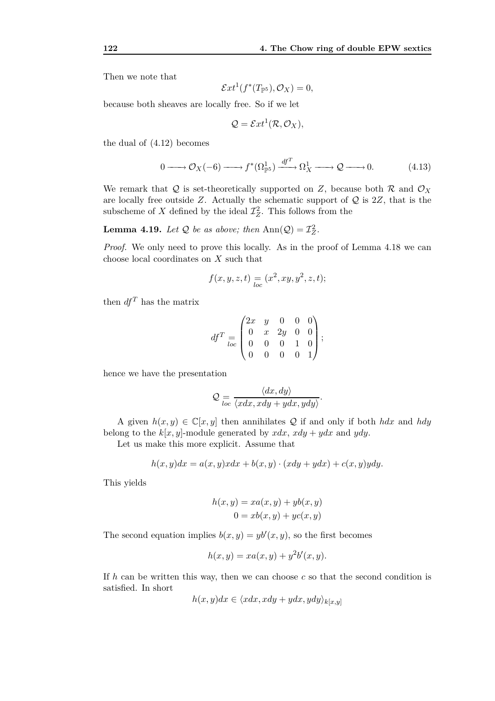Then we note that

$$
\mathcal{E}xt^1(f^*(T_{\mathbb{P}^5}), \mathcal{O}_X)=0,
$$

because both sheaves are locally free. So if we let

$$
Q = \mathcal{E}xt^1(\mathcal{R}, \mathcal{O}_X),
$$

the dual of (4.12) becomes

$$
0 \longrightarrow \mathcal{O}_X(-6) \longrightarrow f^*(\Omega_{\mathbb{P}^5}^1) \xrightarrow{df^T} \Omega_X^1 \longrightarrow \mathcal{Q} \longrightarrow 0. \tag{4.13}
$$

We remark that  $Q$  is set-theoretically supported on  $Z$ , because both  $R$  and  $\mathcal{O}_X$ are locally free outside *Z*. Actually the schematic support of *Q* is 2*Z*, that is the subscheme of *X* defined by the ideal  $\mathcal{I}_Z^2$ . This follows from the

**Lemma 4.19.** *Let*  $Q$  *be as above; then*  $\text{Ann}(Q) = \mathcal{I}_Z^2$ *.* 

*Proof.* We only need to prove this locally. As in the proof of Lemma 4.18 we can choose local coordinates on *X* such that

$$
f(x, y, z, t) = (x^2, xy, y^2, z, t);
$$

then  $df^T$  has the matrix

$$
df^T = \begin{pmatrix} 2x & y & 0 & 0 & 0 \\ 0 & x & 2y & 0 & 0 \\ 0 & 0 & 0 & 1 & 0 \\ 0 & 0 & 0 & 0 & 1 \end{pmatrix};
$$

hence we have the presentation

$$
Q = \frac{\langle dx, dy \rangle}{\langle x dx, x dy + y dx, y dy \rangle}.
$$

A given  $h(x, y) \in \mathbb{C}[x, y]$  then annihilates Q if and only if both *hdx* and *hdy* belong to the  $k[x, y]$ -module generated by  $xdx$ ,  $xdy + ydx$  and  $ydy$ .

Let us make this more explicit. Assume that

$$
h(x,y)dx = a(x,y)xdx + b(x,y) \cdot (xdy + ydx) + c(x,y)dy.
$$

This yields

$$
h(x, y) = xa(x, y) + yb(x, y)
$$

$$
0 = xb(x, y) + yc(x, y)
$$

The second equation implies  $b(x, y) = yb'(x, y)$ , so the first becomes

$$
h(x,y) = xa(x,y) + y2b'(x,y).
$$

If *h* can be written this way, then we can choose *c* so that the second condition is satisfied. In short

$$
h(x, y)dx \in \langle xdx, xdy + ydx, ydy \rangle_{k[x, y]}
$$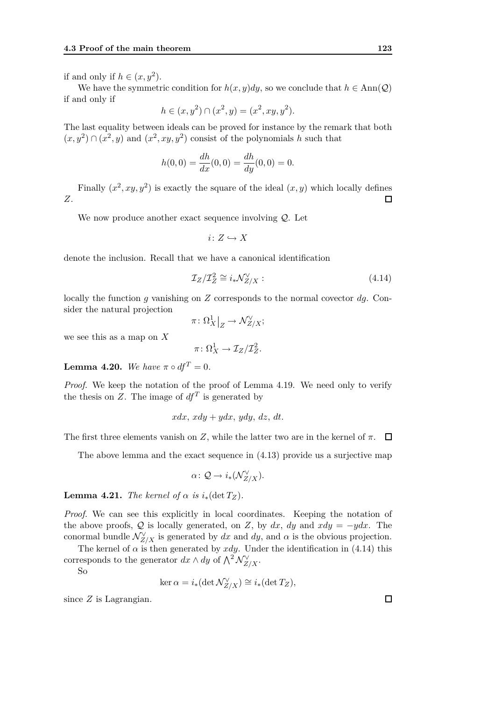if and only if  $h \in (x, y^2)$ .

We have the symmetric condition for  $h(x, y)dy$ , so we conclude that  $h \in Ann(\mathcal{Q})$ if and only if

$$
h \in (x, y^2) \cap (x^2, y) = (x^2, xy, y^2).
$$

The last equality between ideals can be proved for instance by the remark that both  $(x, y^2) \cap (x^2, y)$  and  $(x^2, xy, y^2)$  consist of the polynomials *h* such that

$$
h(0,0) = \frac{dh}{dx}(0,0) = \frac{dh}{dy}(0,0) = 0.
$$

Finally  $(x^2, xy, y^2)$  is exactly the square of the ideal  $(x, y)$  which locally defines *Z*.  $\Box$ 

We now produce another exact sequence involving *Q*. Let

$$
i\colon Z\hookrightarrow X
$$

denote the inclusion. Recall that we have a canonical identification

$$
\mathcal{I}_Z/\mathcal{I}_Z^2 \cong i_* \mathcal{N}_{Z/X}^{\vee}:\tag{4.14}
$$

locally the function *g* vanishing on *Z* corresponds to the normal covector *dg*. Consider the natural projection

$$
\pi\colon \Omega_X^1\big|_Z \to \mathcal{N}_{Z/X}^\vee;
$$

we see this as a map on *X*

$$
\pi\colon \Omega^1_X\to \mathcal{I}_Z/\mathcal{I}_Z^2.
$$

**Lemma 4.20.** We have  $\pi \circ df^T = 0$ .

*Proof.* We keep the notation of the proof of Lemma 4.19. We need only to verify the thesis on  $Z$ . The image of  $df^T$  is generated by

$$
xdx, xdy + ydx, ydy, dz, dt.
$$

The first three elements vanish on *Z*, while the latter two are in the kernel of  $\pi$ .  $\Box$ 

The above lemma and the exact sequence in (4.13) provide us a surjective map

$$
\alpha\colon \mathcal{Q}\to i_*(\mathcal{N}_{Z/X}^\vee).
$$

**Lemma 4.21.** *The kernel of*  $\alpha$  *is*  $i_*(\det T_Z)$ *.* 

*Proof.* We can see this explicitly in local coordinates. Keeping the notation of the above proofs,  $Q$  is locally generated, on *Z*, by  $dx$ ,  $dy$  and  $xdy = -ydx$ . The conormal bundle  $\mathcal{N}_{Z/X}^{\vee}$  is generated by  $dx$  and  $dy$ , and  $\alpha$  is the obvious projection.

The kernel of  $\alpha$  is then generated by  $xdy$ . Under the identification in (4.14) this corresponds to the generator  $dx \wedge dy$  of  $\bigwedge^2 \mathcal{N}_{Z/X}^{\vee}$ .

So

$$
\ker \alpha = i_*(\det \mathcal{N}_{Z/X}^{\vee}) \cong i_*(\det T_Z),
$$

since *Z* is Lagrangian.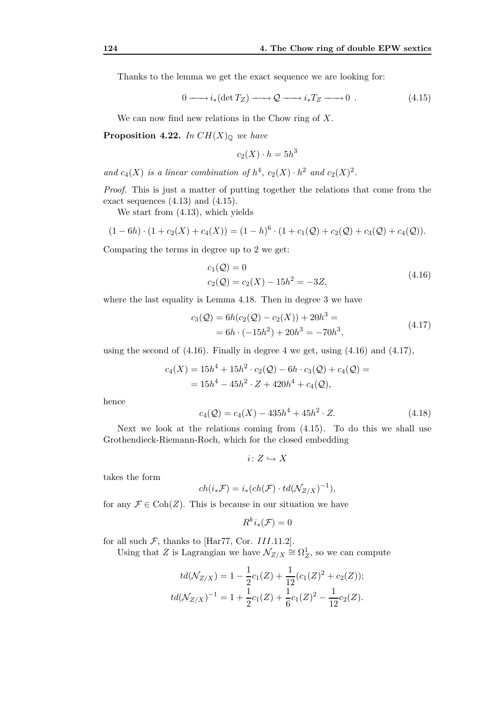Thanks to the lemma we get the exact sequence we are looking for:

$$
0 \longrightarrow i_*(\det T_Z) \longrightarrow \mathcal{Q} \longrightarrow i_*T_Z \longrightarrow 0 . \tag{4.15}
$$

We can now find new relations in the Chow ring of *X*.

**Proposition 4.22.** *In*  $CH(X)_{\mathbb{Q}}$  *we have* 

$$
c_2(X) \cdot h = 5h^3
$$

and  $c_4(X)$  *is a linear combination of*  $h^4$ ,  $c_2(X) \cdot h^2$  *and*  $c_2(X)^2$ *.* 

*Proof.* This is just a matter of putting together the relations that come from the exact sequences  $(4.13)$  and  $(4.15)$ .

We start from (4.13), which yields

$$
(1-6h) \cdot (1 + c_2(X) + c_4(X)) = (1-h)^6 \cdot (1 + c_1(Q) + c_2(Q) + c_3(Q) + c_4(Q)).
$$

Comparing the terms in degree up to 2 we get:

$$
c_1(Q) = 0
$$
  
\n
$$
c_2(Q) = c_2(X) - 15h^2 = -3Z,
$$
\n(4.16)

where the last equality is Lemma 4.18. Then in degree 3 we have

$$
c_3(Q) = 6h(c_2(Q) - c_2(X)) + 20h^3 =
$$
  
= 6h \cdot (-15h^2) + 20h^3 = -70h^3, (4.17)

using the second of  $(4.16)$ . Finally in degree 4 we get, using  $(4.16)$  and  $(4.17)$ ,

$$
c_4(X) = 15h^4 + 15h^2 \cdot c_2(\mathcal{Q}) - 6h \cdot c_3(\mathcal{Q}) + c_4(\mathcal{Q}) =
$$
  
=  $15h^4 - 45h^2 \cdot Z + 420h^4 + c_4(\mathcal{Q}),$ 

hence

$$
c_4(Q) = c_4(X) - 435h^4 + 45h^2 \cdot Z.
$$
 (4.18)

Next we look at the relations coming from (4.15). To do this we shall use Grothendieck-Riemann-Roch, which for the closed embedding

$$
i\colon Z\hookrightarrow X
$$

takes the form

$$
ch(i_*\mathcal{F}) = i_*(ch(\mathcal{F}) \cdot td(\mathcal{N}_{Z/X})^{-1}),
$$

for any  $\mathcal{F} \in \text{Coh}(Z)$ . This is because in our situation we have

$$
R^k i_*(\mathcal{F}) = 0
$$

for all such  $F$ , thanks to [Har77, Cor. *III.*11.2].

Using that *Z* is Lagrangian we have  $\mathcal{N}_{Z/X} \cong \Omega^1_Z$ , so we can compute

$$
td(\mathcal{N}_{Z/X}) = 1 - \frac{1}{2}c_1(Z) + \frac{1}{12}(c_1(Z)^2 + c_2(Z));
$$
  

$$
td(\mathcal{N}_{Z/X})^{-1} = 1 + \frac{1}{2}c_1(Z) + \frac{1}{6}c_1(Z)^2 - \frac{1}{12}c_2(Z).
$$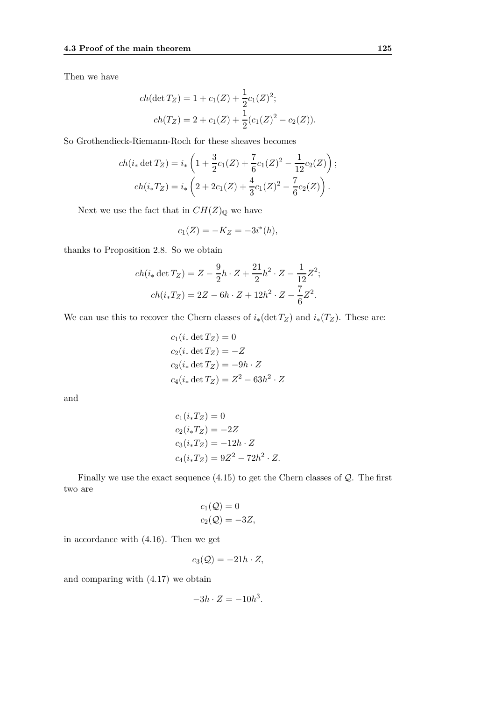Then we have

$$
ch(\det T_Z) = 1 + c_1(Z) + \frac{1}{2}c_1(Z)^2;
$$
  

$$
ch(T_Z) = 2 + c_1(Z) + \frac{1}{2}(c_1(Z)^2 - c_2(Z)).
$$

So Grothendieck-Riemann-Roch for these sheaves becomes

$$
ch(i_* \det T_Z) = i_* \left( 1 + \frac{3}{2} c_1(Z) + \frac{7}{6} c_1(Z)^2 - \frac{1}{12} c_2(Z) \right);
$$
  

$$
ch(i_* T_Z) = i_* \left( 2 + 2c_1(Z) + \frac{4}{3} c_1(Z)^2 - \frac{7}{6} c_2(Z) \right).
$$

Next we use the fact that in  $CH(Z)_{\mathbb Q}$  we have

$$
c_1(Z) = -K_Z = -3i^*(h),
$$

thanks to Proposition 2.8. So we obtain

$$
ch(i_* \det T_Z) = Z - \frac{9}{2}h \cdot Z + \frac{21}{2}h^2 \cdot Z - \frac{1}{12}Z^2;
$$
  

$$
ch(i_*T_Z) = 2Z - 6h \cdot Z + 12h^2 \cdot Z - \frac{7}{6}Z^2.
$$

We can use this to recover the Chern classes of  $i_*(\det T_Z)$  and  $i_*(T_Z)$ . These are:

$$
c_1(i_* \det T_Z) = 0
$$
  
\n
$$
c_2(i_* \det T_Z) = -Z
$$
  
\n
$$
c_3(i_* \det T_Z) = -9h \cdot Z
$$
  
\n
$$
c_4(i_* \det T_Z) = Z^2 - 63h^2 \cdot Z
$$

and

$$
c_1(i_*T_Z) = 0
$$
  
\n
$$
c_2(i_*T_Z) = -2Z
$$
  
\n
$$
c_3(i_*T_Z) = -12h \cdot Z
$$
  
\n
$$
c_4(i_*T_Z) = 9Z^2 - 72h^2 \cdot Z.
$$

Finally we use the exact sequence (4.15) to get the Chern classes of *Q*. The first two are

$$
c_1(\mathcal{Q}) = 0
$$
  

$$
c_2(\mathcal{Q}) = -3Z,
$$

in accordance with (4.16). Then we get

$$
c_3(\mathcal{Q}) = -21h \cdot Z,
$$

and comparing with (4.17) we obtain

$$
-3h \cdot Z = -10h^3.
$$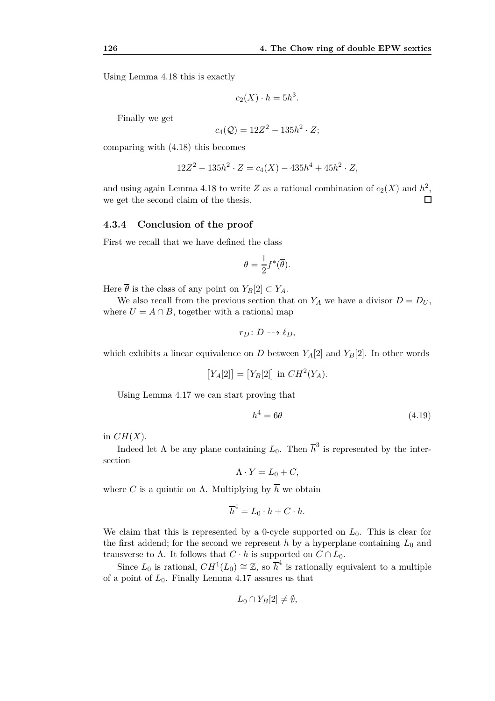Using Lemma 4.18 this is exactly

$$
c_2(X) \cdot h = 5h^3.
$$

Finally we get

$$
c_4(\mathcal{Q}) = 12Z^2 - 135h^2 \cdot Z;
$$

comparing with (4.18) this becomes

$$
12Z^{2} - 135h^{2} \cdot Z = c_{4}(X) - 435h^{4} + 45h^{2} \cdot Z,
$$

and using again Lemma 4.18 to write  $Z$  as a rational combination of  $c_2(X)$  and  $h^2$ , we get the second claim of the thesis.  $\Box$ 

#### **4.3.4 Conclusion of the proof**

First we recall that we have defined the class

$$
\theta = \frac{1}{2} f^*(\overline{\theta}).
$$

Here  $\overline{\theta}$  is the class of any point on  $Y_B[2] \subset Y_A$ .

We also recall from the previous section that on  $Y_A$  we have a divisor  $D = D_U$ , where  $U = A \cap B$ , together with a rational map

$$
r_D\colon D\dashrightarrow \ell_D,
$$

which exhibits a linear equivalence on *D* between  $Y_A[2]$  and  $Y_B[2]$ . In other words

$$
[Y_A[2]] = [Y_B[2]] \text{ in } CH^2(Y_A).
$$

Using Lemma 4.17 we can start proving that

$$
h^4 = 6\theta \tag{4.19}
$$

in  $CH(X)$ .

Indeed let  $\Lambda$  be any plane containing  $L_0$ . Then  $\overline{h}^3$  is represented by the intersection

$$
\Lambda \cdot Y = L_0 + C,
$$

where *C* is a quintic on  $\Lambda$ . Multiplying by  $\overline{h}$  we obtain

$$
\overline{h}^4 = L_0 \cdot h + C \cdot h.
$$

We claim that this is represented by a 0-cycle supported on  $L_0$ . This is clear for the first addend; for the second we represent  $h$  by a hyperplane containing  $L_0$  and transverse to Λ. It follows that  $C \cdot h$  is supported on  $C \cap L_0$ .

Since  $L_0$  is rational,  $CH^1(L_0) \cong \mathbb{Z}$ , so  $\overline{h}^4$  is rationally equivalent to a multiple of a point of *L*0. Finally Lemma 4.17 assures us that

$$
L_0 \cap Y_B[2] \neq \emptyset,
$$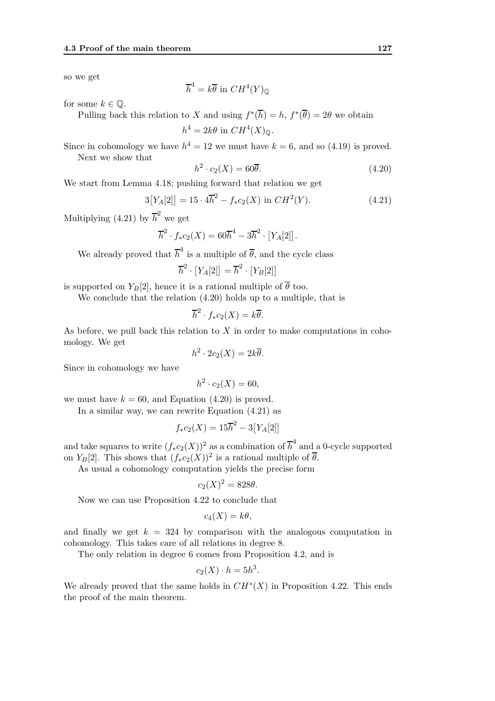so we get

$$
\overline{h}^4 = k\overline{\theta} \text{ in } CH^4(Y)_{\mathbb{Q}}
$$

for some  $k \in \mathbb{Q}$ .

Pulling back this relation to *X* and using  $f^*(\overline{h}) = h$ ,  $f^*(\overline{\theta}) = 2\theta$  we obtain

$$
h^4 = 2k\theta \text{ in } CH^4(X)_{\mathbb{Q}}.
$$

Since in cohomology we have  $h^4 = 12$  we must have  $k = 6$ , and so (4.19) is proved. Next we show that

 $h^2 \cdot c_2(X) = 60\overline{\theta}.$  (4.20)

We start from Lemma 4.18; pushing forward that relation we get

$$
3[Y_A[2]] = 15 \cdot 4\overline{h}^2 - f_*c_2(X) \text{ in } CH^2(Y). \tag{4.21}
$$

Multiplying (4.21) by  $\overline{h}^2$  we get

$$
\overline{h}^2 \cdot f_* c_2(X) = 60\overline{h}^4 - 3\overline{h}^2 \cdot [Y_A[2]].
$$

We already proved that  $\overline{h}^4$  is a multiple of  $\overline{\theta}$ , and the cycle class

$$
\overline{h}^2 \cdot [Y_A[2]] = \overline{h}^2 \cdot [Y_B[2]]
$$

is supported on  $Y_B[2]$ , hence it is a rational multiple of  $\overline{\theta}$  too.

We conclude that the relation (4.20) holds up to a multiple, that is

$$
\overline{h}^2 \cdot f_* c_2(X) = k\overline{\theta}.
$$

As before, we pull back this relation to *X* in order to make computations in cohomology. We get

$$
h^2 \cdot 2c_2(X) = 2k\overline{\theta}.
$$

Since in cohomology we have

$$
h^2 \cdot c_2(X) = 60,
$$

we must have  $k = 60$ , and Equation  $(4.20)$  is proved.

In a similar way, we can rewrite Equation (4.21) as

$$
f_* c_2(X) = 15\overline{h}^2 - 3[Y_A[2]]
$$

and take squares to write  $(f_* c_2(X))^2$  as a combination of  $\overline{h}^4$  and a 0-cycle supported on  $Y_B[2]$ . This shows that  $(f_*c_2(X))^2$  is a rational multiple of  $\overline{\theta}$ .

As usual a cohomology computation yields the precise form

$$
c_2(X)^2 = 828\theta.
$$

Now we can use Proposition 4.22 to conclude that

$$
c_4(X) = k\theta,
$$

and finally we get  $k = 324$  by comparison with the analogous computation in cohomology. This takes care of all relations in degree 8.

The only relation in degree 6 comes from Proposition 4.2, and is

$$
c_2(X) \cdot h = 5h^3.
$$

We already proved that the same holds in  $CH^*(X)$  in Proposition 4.22. This ends the proof of the main theorem.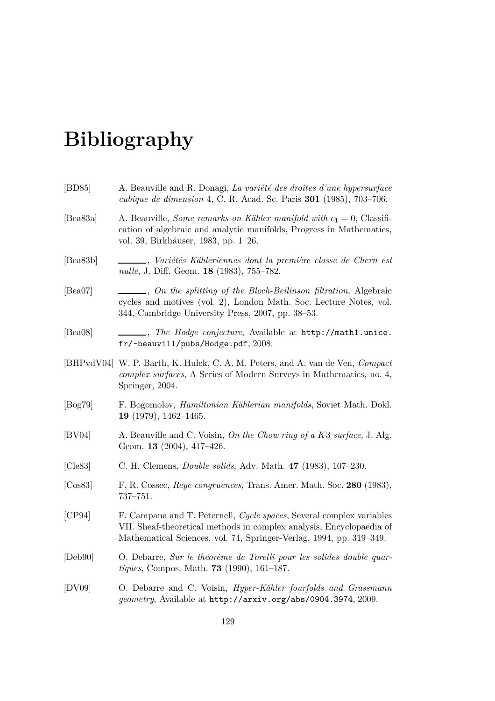# **Bibliography**

| $\vert$ BD85 $\vert$ | A. Beauville and R. Donagi, La variété des droites d'une hypersurface<br>cubique de dimension 4, C. R. Acad. Sc. Paris 301 (1985), 703-706.                                                                         |
|----------------------|---------------------------------------------------------------------------------------------------------------------------------------------------------------------------------------------------------------------|
| [Bea $83a$ ]         | A. Beauville, Some remarks on Kähler manifold with $c_1 = 0$ , Classifi-<br>cation of algebraic and analytic manifolds, Progress in Mathematics,<br>vol. 39, Birkhäuser, 1983, pp. 1–26.                            |
| [Bea83b]             | ____, Variétés Kähleriennes dont la première classe de Chern est<br><i>nulle</i> , J. Diff. Geom. <b>18</b> (1983), 755–782.                                                                                        |
| [Bea07]              | , On the splitting of the Bloch-Beilinson filtration, Algebraic<br>cycles and motives (vol. 2), London Math. Soc. Lecture Notes, vol.<br>344, Cambridge University Press, 2007, pp. 38–53.                          |
| [Bea08]              | . The Hodge conjecture, Available at http://math1.unice.<br>fr/~beauvill/pubs/Hodge.pdf, 2008.                                                                                                                      |
|                      | [BHPvdV04] W. P. Barth, K. Hulek, C. A. M. Peters, and A. van de Ven, <i>Compact</i><br><i>complex surfaces</i> , A Series of Modern Surveys in Mathematics, no. 4,<br>Springer, 2004.                              |
| [Bog79]              | F. Bogomolov, <i>Hamiltonian Kählerian manifolds</i> , Soviet Math. Dokl.<br>19 (1979), $1462-1465$ .                                                                                                               |
| [BV04]               | A. Beauville and C. Voisin, On the Chow ring of a K3 surface, J. Alg.<br>Geom. 13 (2004), 417-426.                                                                                                                  |
| $[C_1]$              | C. H. Clemens, <i>Double solids</i> , Adv. Math. 47 (1983), 107-230.                                                                                                                                                |
| [Cos83]              | F. R. Cossec, Reye congruences, Trans. Amer. Math. Soc. 280 (1983),<br>$737 - 751.$                                                                                                                                 |
| [CP94]               | F. Campana and T. Peternell, Cycle spaces, Several complex variables<br>VII. Sheaf-theoretical methods in complex analysis, Encyclopaedia of<br>Mathematical Sciences, vol. 74, Springer-Verlag, 1994, pp. 319–349. |
| [Deb90]              | O. Debarre, Sur le théorème de Torelli pour les solides double quar-<br><i>tiques</i> , Compos. Math. <b>73</b> (1990), 161-187.                                                                                    |
| [DV09]               | O. Debarre and C. Voisin, <i>Hyper-Kähler fourfolds and Grassmann</i><br>geometry, Available at http://arxiv.org/abs/0904.3974, 2009.                                                                               |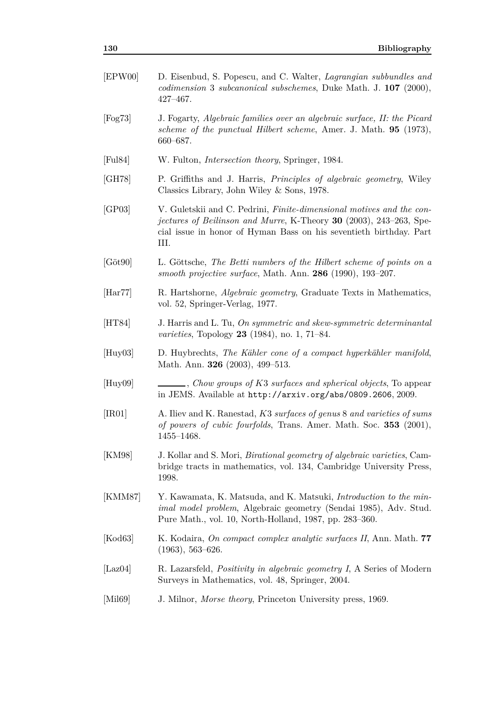| EPW00                  | D. Eisenbud, S. Popescu, and C. Walter, <i>Lagrangian subbundles and</i><br><i>codimension</i> 3 <i>subcanonical subschemes</i> , Duke Math. J. 107 (2000),<br>$427 - 467.$                                                                    |
|------------------------|------------------------------------------------------------------------------------------------------------------------------------------------------------------------------------------------------------------------------------------------|
| $[{\rm Fog73}]$        | J. Fogarty, Algebraic families over an algebraic surface, II: the Picard<br>scheme of the punctual Hilbert scheme, Amer. J. Math. 95 (1973),<br>660-687.                                                                                       |
| [Full84]               | W. Fulton, <i>Intersection theory</i> , Springer, 1984.                                                                                                                                                                                        |
| [GH78]                 | P. Griffiths and J. Harris, <i>Principles of algebraic geometry</i> , Wiley<br>Classics Library, John Wiley $\&$ Sons, 1978.                                                                                                                   |
| [GP03]                 | V. Guletskii and C. Pedrini, <i>Finite-dimensional motives and the con-</i><br><i>jectures of Beilinson and Murre</i> , K-Theory <b>30</b> (2003), 243–263, Spe-<br>cial issue in honor of Hyman Bass on his seventieth birthday. Part<br>III. |
| $[G\ddot{o}t90]$       | L. Göttsche, The Betti numbers of the Hilbert scheme of points on a<br>smooth projective surface, Math. Ann. $286$ (1990), 193-207.                                                                                                            |
| $[\text{Har}77]$       | R. Hartshorne, <i>Algebraic geometry</i> , Graduate Texts in Mathematics,<br>vol. 52, Springer-Verlag, 1977.                                                                                                                                   |
| [HT84]                 | J. Harris and L. Tu, On symmetric and skew-symmetric determinantal<br><i>varieties</i> , Topology <b>23</b> (1984), no. 1, 71–84.                                                                                                              |
| $[{\rm Huy03}]$        | D. Huybrechts, The Kähler cone of a compact hyperkähler manifold,<br>Math. Ann. <b>326</b> (2003), 499–513.                                                                                                                                    |
| $[{\rm Huy09}]$        | $\_\_\_\_$ , Chow groups of K3 surfaces and spherical objects, To appear<br>in JEMS. Available at http://arxiv.org/abs/0809.2606, 2009.                                                                                                        |
| [IR01]                 | A. Iliev and K. Ranestad, K3 surfaces of genus 8 and varieties of sums<br>of powers of cubic fourfolds, Trans. Amer. Math. Soc. 353 (2001),<br>$1455 - 1468.$                                                                                  |
| [KM98]                 | J. Kollar and S. Mori, <i>Birational geometry of algebraic varieties</i> , Cam-<br>bridge tracts in mathematics, vol. 134, Cambridge University Press,<br>1998.                                                                                |
| [KMM87]                | Y. Kawamata, K. Matsuda, and K. Matsuki, <i>Introduction to the min</i> -<br><i>imal model problem</i> , Algebraic geometry (Sendai 1985), Adv. Stud.<br>Pure Math., vol. 10, North-Holland, 1987, pp. 283–360.                                |
| [Kod63]                | K. Kodaira, On compact complex analytic surfaces II, Ann. Math. 77<br>$(1963), 563-626.$                                                                                                                                                       |
| $\vert$ Laz $04 \vert$ | R. Lazarsfeld, <i>Positivity in algebraic geometry I</i> , A Series of Modern<br>Surveys in Mathematics, vol. 48, Springer, 2004.                                                                                                              |
| [Mil69]                | J. Milnor, <i>Morse theory</i> , Princeton University press, 1969.                                                                                                                                                                             |